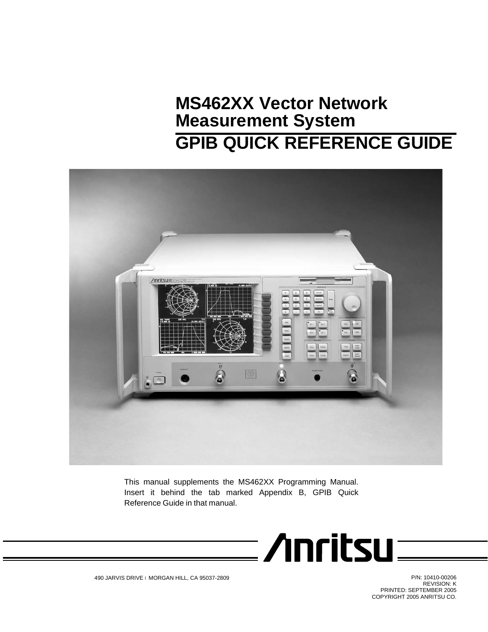# **MS462XX Vector Network Measurement System GPIB QUICK REFERENCE GUIDE**



This manual supplements the MS462XX Programming Manual. Insert it behind the tab marked Appendix B, GPIB Quick Reference Guide in that manual.



P/N: 10410-00206 REVISION: K PRINTED: SEPTEMBER 2005 COPYRIGHT 2005 ANRITSU CO.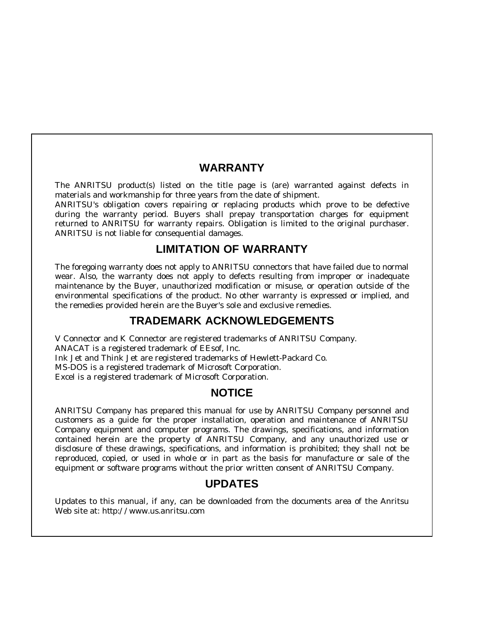### **WARRANTY**

The ANRITSU product(s) listed on the title page is (are) warranted against defects in materials and workmanship for three years from the date of shipment.

ANRITSU's obligation covers repairing or replacing products which prove to be defective during the warranty period. Buyers shall prepay transportation charges for equipment returned to ANRITSU for warranty repairs. Obligation is limited to the original purchaser. ANRITSU is not liable for consequential damages.

### **LIMITATION OF WARRANTY**

The foregoing warranty does not apply to ANRITSU connectors that have failed due to normal wear. Also, the warranty does not apply to defects resulting from improper or inadequate maintenance by the Buyer, unauthorized modification or misuse, or operation outside of the environmental specifications of the product. No other warranty is expressed or implied, and the remedies provided herein are the Buyer's sole and exclusive remedies.

### **TRADEMARK ACKNOWLEDGEMENTS**

V Connector and K Connector are registered trademarks of ANRITSU Company. ANACAT is a registered trademark of EEsof, Inc. Ink Jet and Think Jet are registered trademarks of Hewlett-Packard Co. MS-DOS is a registered trademark of Microsoft Corporation. Excel is a registered trademark of Microsoft Corporation.

### **NOTICE**

ANRITSU Company has prepared this manual for use by ANRITSU Company personnel and customers as a guide for the proper installation, operation and maintenance of ANRITSU Company equipment and computer programs. The drawings, specifications, and information contained herein are the property of ANRITSU Company, and any unauthorized use or disclosure of these drawings, specifications, and information is prohibited; they shall not be reproduced, copied, or used in whole or in part as the basis for manufacture or sale of the equipment or software programs without the prior written consent of ANRITSU Company.

### **UPDATES**

Updates to this manual, if any, can be downloaded from the documents area of the Anritsu Web site at: *http://www.us.anritsu.com*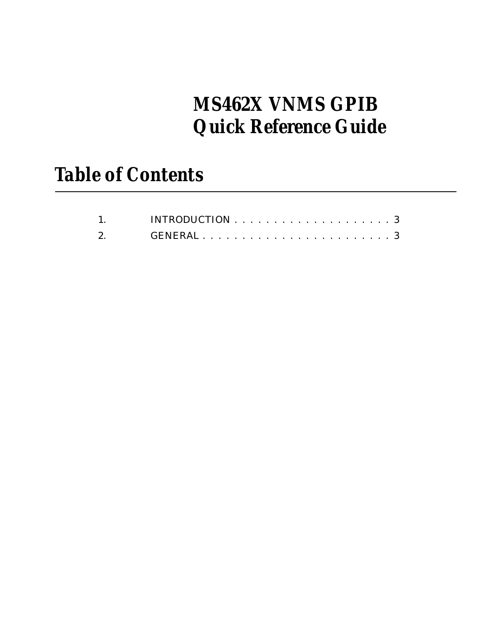# <span id="page-2-0"></span>*MS462X VNMS GPIB Quick Reference Guide*

# *Table of Contents*

|    | INTRODUCTION $\ldots \ldots \ldots \ldots \ldots \ldots \ldots$ |
|----|-----------------------------------------------------------------|
| 2. |                                                                 |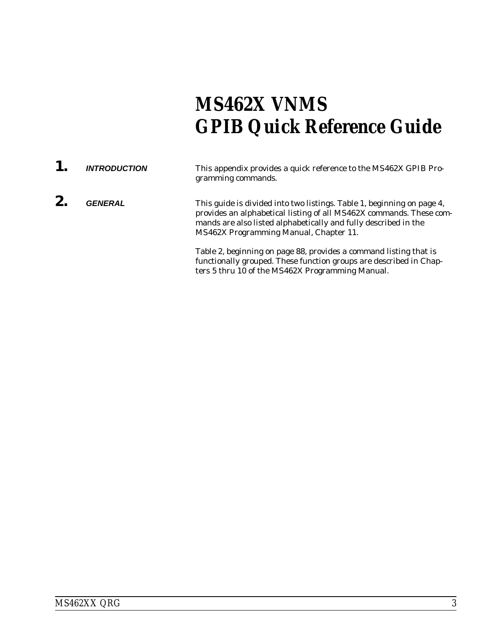# *MS462X VNMS GPIB Quick Reference Guide*

*1. INTRODUCTION* This appendix provides a quick reference to the MS462X GPIB Programming commands. *2. GENERAL* This guide is divided into two listings. Table 1, beginning on page 4, provides an alphabetical listing of all MS462X commands. These commands are also listed alphabetically and fully described in the MS462X Programming Manual, Chapter 11. Table 2, beginning on page 88, provides a command listing that is functionally grouped. These function groups are described in Chap-

ters 5 thru 10 of the MS462X Programming Manual.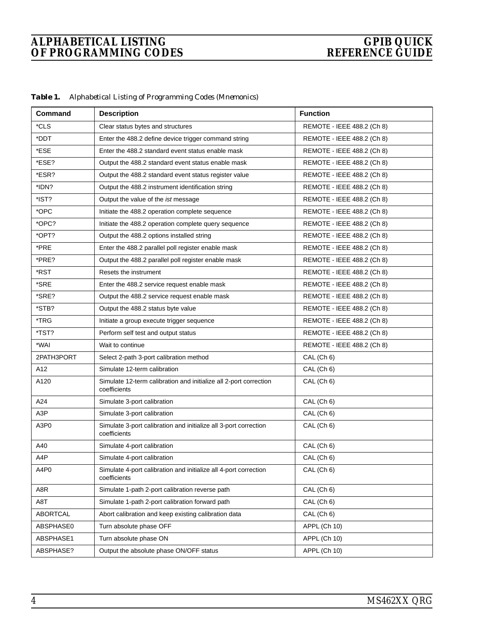| Table 1. |  |  | Alphabetical Listing of Programming Codes (Mnemonics) |  |  |
|----------|--|--|-------------------------------------------------------|--|--|
|----------|--|--|-------------------------------------------------------|--|--|

| Command         | <b>Description</b>                                                                | <b>Function</b>            |
|-----------------|-----------------------------------------------------------------------------------|----------------------------|
| *CLS            | Clear status bytes and structures                                                 | REMOTE - IEEE 488.2 (Ch 8) |
| *DDT            | Enter the 488.2 define device trigger command string                              | REMOTE - IEEE 488.2 (Ch 8) |
| *ESE            | Enter the 488.2 standard event status enable mask                                 | REMOTE - IEEE 488.2 (Ch 8) |
| *ESE?           | Output the 488.2 standard event status enable mask                                | REMOTE - IEEE 488.2 (Ch 8) |
| *ESR?           | Output the 488.2 standard event status register value                             | REMOTE - IEEE 488.2 (Ch 8) |
| *IDN?           | Output the 488.2 instrument identification string                                 | REMOTE - IEEE 488.2 (Ch 8) |
| *IST?           | Output the value of the <i>ist</i> message                                        | REMOTE - IEEE 488.2 (Ch 8) |
| *OPC            | Initiate the 488.2 operation complete sequence                                    | REMOTE - IEEE 488.2 (Ch 8) |
| *OPC?           | Initiate the 488.2 operation complete query sequence                              | REMOTE - IEEE 488.2 (Ch 8) |
| *OPT?           | Output the 488.2 options installed string                                         | REMOTE - IEEE 488.2 (Ch 8) |
| *PRE            | Enter the 488.2 parallel poll register enable mask                                | REMOTE - IEEE 488.2 (Ch 8) |
| *PRE?           | Output the 488.2 parallel poll register enable mask                               | REMOTE - IEEE 488.2 (Ch 8) |
| *RST            | Resets the instrument                                                             | REMOTE - IEEE 488.2 (Ch 8) |
| *SRE            | Enter the 488.2 service request enable mask                                       | REMOTE - IEEE 488.2 (Ch 8) |
| *SRE?           | Output the 488.2 service request enable mask                                      | REMOTE - IEEE 488.2 (Ch 8) |
| *STB?           | Output the 488.2 status byte value                                                | REMOTE - IEEE 488.2 (Ch 8) |
| *TRG            | Initiate a group execute trigger sequence                                         | REMOTE - IEEE 488.2 (Ch 8) |
| *TST?           | Perform self test and output status                                               | REMOTE - IEEE 488.2 (Ch 8) |
| *WAI            | Wait to continue                                                                  | REMOTE - IEEE 488.2 (Ch 8) |
| 2PATH3PORT      | Select 2-path 3-port calibration method                                           | CAL (Ch 6)                 |
| A12             | Simulate 12-term calibration                                                      | CAL (Ch 6)                 |
| A120            | Simulate 12-term calibration and initialize all 2-port correction<br>coefficients | CAL (Ch 6)                 |
| A24             | Simulate 3-port calibration                                                       | CAL (Ch 6)                 |
| A3P             | Simulate 3-port calibration                                                       | CAL (Ch 6)                 |
| A3P0            | Simulate 3-port calibration and initialize all 3-port correction<br>coefficients  | CAL (Ch 6)                 |
| A40             | Simulate 4-port calibration                                                       | CAL (Ch 6)                 |
| A4P             | Simulate 4-port calibration                                                       | CAL (Ch 6)                 |
| A4P0            | Simulate 4-port calibration and initialize all 4-port correction<br>coefficients  | CAL (Ch 6)                 |
| A8R             | Simulate 1-path 2-port calibration reverse path                                   | CAL (Ch 6)                 |
| A8T             | Simulate 1-path 2-port calibration forward path                                   | CAL (Ch 6)                 |
| <b>ABORTCAL</b> | Abort calibration and keep existing calibration data                              | CAL (Ch 6)                 |
| ABSPHASE0       | Turn absolute phase OFF                                                           | APPL (Ch 10)               |
| ABSPHASE1       | Turn absolute phase ON                                                            | APPL (Ch 10)               |
| ABSPHASE?       | Output the absolute phase ON/OFF status                                           | APPL (Ch 10)               |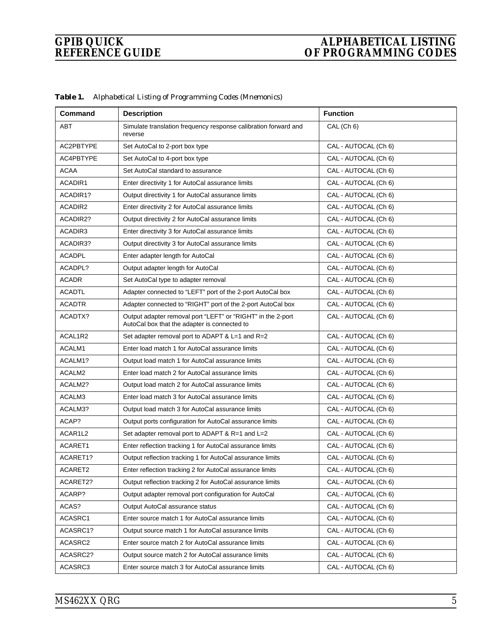| <b>Command</b> | <b>Description</b>                                                                                          | <b>Function</b>      |
|----------------|-------------------------------------------------------------------------------------------------------------|----------------------|
| <b>ABT</b>     | Simulate translation frequency response calibration forward and<br>reverse                                  | CAL (Ch 6)           |
| AC2PBTYPE      | Set AutoCal to 2-port box type                                                                              | CAL - AUTOCAL (Ch 6) |
| AC4PBTYPE      | Set AutoCal to 4-port box type                                                                              | CAL - AUTOCAL (Ch 6) |
| ACAA           | Set AutoCal standard to assurance                                                                           | CAL - AUTOCAL (Ch 6) |
| ACADIR1        | Enter directivity 1 for AutoCal assurance limits                                                            | CAL - AUTOCAL (Ch 6) |
| ACADIR1?       | Output directivity 1 for AutoCal assurance limits                                                           | CAL - AUTOCAL (Ch 6) |
| ACADIR2        | Enter directivity 2 for AutoCal assurance limits                                                            | CAL - AUTOCAL (Ch 6) |
| ACADIR2?       | Output directivity 2 for AutoCal assurance limits                                                           | CAL - AUTOCAL (Ch 6) |
| ACADIR3        | Enter directivity 3 for AutoCal assurance limits                                                            | CAL - AUTOCAL (Ch 6) |
| ACADIR3?       | Output directivity 3 for AutoCal assurance limits                                                           | CAL - AUTOCAL (Ch 6) |
| <b>ACADPL</b>  | Enter adapter length for AutoCal                                                                            | CAL - AUTOCAL (Ch 6) |
| ACADPL?        | Output adapter length for AutoCal                                                                           | CAL - AUTOCAL (Ch 6) |
| <b>ACADR</b>   | Set AutoCal type to adapter removal                                                                         | CAL - AUTOCAL (Ch 6) |
| <b>ACADTL</b>  | Adapter connected to "LEFT" port of the 2-port AutoCal box                                                  | CAL - AUTOCAL (Ch 6) |
| <b>ACADTR</b>  | Adapter connected to "RIGHT" port of the 2-port AutoCal box                                                 | CAL - AUTOCAL (Ch 6) |
| ACADTX?        | Output adapter removal port "LEFT" or "RIGHT" in the 2-port<br>AutoCal box that the adapter is connected to | CAL - AUTOCAL (Ch 6) |
| ACAL1R2        | Set adapter removal port to ADAPT & L=1 and R=2                                                             | CAL - AUTOCAL (Ch 6) |
| ACALM1         | Enter load match 1 for AutoCal assurance limits                                                             | CAL - AUTOCAL (Ch 6) |
| ACALM1?        | Output load match 1 for AutoCal assurance limits                                                            | CAL - AUTOCAL (Ch 6) |
| ACALM2         | Enter load match 2 for AutoCal assurance limits                                                             | CAL - AUTOCAL (Ch 6) |
| ACALM2?        | Output load match 2 for AutoCal assurance limits                                                            | CAL - AUTOCAL (Ch 6) |
| ACALM3         | Enter load match 3 for AutoCal assurance limits                                                             | CAL - AUTOCAL (Ch 6) |
| ACALM3?        | Output load match 3 for AutoCal assurance limits                                                            | CAL - AUTOCAL (Ch 6) |
| ACAP?          | Output ports configuration for AutoCal assurance limits                                                     | CAL - AUTOCAL (Ch 6) |
| ACAR1L2        | Set adapter removal port to ADAPT & R=1 and L=2                                                             | CAL - AUTOCAL (Ch 6) |
| ACARET1        | Enter reflection tracking 1 for AutoCal assurance limits                                                    | CAL - AUTOCAL (Ch 6) |
| ACARET1?       | Output reflection tracking 1 for AutoCal assurance limits                                                   | CAL - AUTOCAL (Ch 6) |
| ACARET2        | Enter reflection tracking 2 for AutoCal assurance limits                                                    | CAL - AUTOCAL (Ch 6) |
| ACARET2?       | Output reflection tracking 2 for AutoCal assurance limits                                                   | CAL - AUTOCAL (Ch 6) |
| ACARP?         | Output adapter removal port configuration for AutoCal                                                       | CAL - AUTOCAL (Ch 6) |
| ACAS?          | Output AutoCal assurance status                                                                             | CAL - AUTOCAL (Ch 6) |
| ACASRC1        | Enter source match 1 for AutoCal assurance limits                                                           | CAL - AUTOCAL (Ch 6) |
| ACASRC1?       | Output source match 1 for AutoCal assurance limits                                                          | CAL - AUTOCAL (Ch 6) |
| ACASRC2        | Enter source match 2 for AutoCal assurance limits                                                           | CAL - AUTOCAL (Ch 6) |
| ACASRC2?       | Output source match 2 for AutoCal assurance limits                                                          | CAL - AUTOCAL (Ch 6) |
| ACASRC3        | Enter source match 3 for AutoCal assurance limits                                                           | CAL - AUTOCAL (Ch 6) |

*Table 1. Alphabetical Listing of Programming Codes (Mnemonics)*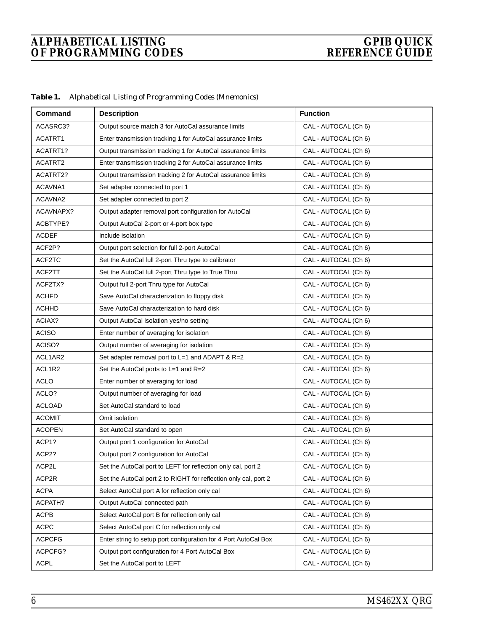| Table 1. |  |  | Alphabetical Listing of Programming Codes (Mnemonics) |  |  |
|----------|--|--|-------------------------------------------------------|--|--|
|----------|--|--|-------------------------------------------------------|--|--|

| Command       | <b>Description</b>                                              | <b>Function</b>      |
|---------------|-----------------------------------------------------------------|----------------------|
| ACASRC3?      | Output source match 3 for AutoCal assurance limits              | CAL - AUTOCAL (Ch 6) |
| ACATRT1       | Enter transmission tracking 1 for AutoCal assurance limits      | CAL - AUTOCAL (Ch 6) |
| ACATRT1?      | Output transmission tracking 1 for AutoCal assurance limits     | CAL - AUTOCAL (Ch 6) |
| ACATRT2       | Enter transmission tracking 2 for AutoCal assurance limits      | CAL - AUTOCAL (Ch 6) |
| ACATRT2?      | Output transmission tracking 2 for AutoCal assurance limits     | CAL - AUTOCAL (Ch 6) |
| ACAVNA1       | Set adapter connected to port 1                                 | CAL - AUTOCAL (Ch 6) |
| ACAVNA2       | Set adapter connected to port 2                                 | CAL - AUTOCAL (Ch 6) |
| ACAVNAPX?     | Output adapter removal port configuration for AutoCal           | CAL - AUTOCAL (Ch 6) |
| ACBTYPE?      | Output AutoCal 2-port or 4-port box type                        | CAL - AUTOCAL (Ch 6) |
| <b>ACDEF</b>  | Include isolation                                               | CAL - AUTOCAL (Ch 6) |
| ACF2P?        | Output port selection for full 2-port AutoCal                   | CAL - AUTOCAL (Ch 6) |
| ACF2TC        | Set the AutoCal full 2-port Thru type to calibrator             | CAL - AUTOCAL (Ch 6) |
| ACF2TT        | Set the AutoCal full 2-port Thru type to True Thru              | CAL - AUTOCAL (Ch 6) |
| ACF2TX?       | Output full 2-port Thru type for AutoCal                        | CAL - AUTOCAL (Ch 6) |
| <b>ACHFD</b>  | Save AutoCal characterization to floppy disk                    | CAL - AUTOCAL (Ch 6) |
| <b>ACHHD</b>  | Save AutoCal characterization to hard disk                      | CAL - AUTOCAL (Ch 6) |
| ACIAX?        | Output AutoCal isolation yes/no setting                         | CAL - AUTOCAL (Ch 6) |
| <b>ACISO</b>  | Enter number of averaging for isolation                         | CAL - AUTOCAL (Ch 6) |
| ACISO?        | Output number of averaging for isolation                        | CAL - AUTOCAL (Ch 6) |
| ACL1AR2       | Set adapter removal port to L=1 and ADAPT & R=2                 | CAL - AUTOCAL (Ch 6) |
| ACL1R2        | Set the AutoCal ports to L=1 and R=2                            | CAL - AUTOCAL (Ch 6) |
| <b>ACLO</b>   | Enter number of averaging for load                              | CAL - AUTOCAL (Ch 6) |
| ACLO?         | Output number of averaging for load                             | CAL - AUTOCAL (Ch 6) |
| <b>ACLOAD</b> | Set AutoCal standard to load                                    | CAL - AUTOCAL (Ch 6) |
| <b>ACOMIT</b> | Omit isolation                                                  | CAL - AUTOCAL (Ch 6) |
| <b>ACOPEN</b> | Set AutoCal standard to open                                    | CAL - AUTOCAL (Ch 6) |
| ACP1?         | Output port 1 configuration for AutoCal                         | CAL - AUTOCAL (Ch 6) |
| ACP2?         | Output port 2 configuration for AutoCal                         | CAL - AUTOCAL (Ch 6) |
| ACP2L         | Set the AutoCal port to LEFT for reflection only cal, port 2    | CAL - AUTOCAL (Ch 6) |
| ACP2R         | Set the AutoCal port 2 to RIGHT for reflection only cal, port 2 | CAL - AUTOCAL (Ch 6) |
| <b>ACPA</b>   | Select AutoCal port A for reflection only cal                   | CAL - AUTOCAL (Ch 6) |
| ACPATH?       | Output AutoCal connected path                                   | CAL - AUTOCAL (Ch 6) |
| <b>ACPB</b>   | Select AutoCal port B for reflection only cal                   | CAL - AUTOCAL (Ch 6) |
| <b>ACPC</b>   | Select AutoCal port C for reflection only cal                   | CAL - AUTOCAL (Ch 6) |
| <b>ACPCFG</b> | Enter string to setup port configuration for 4 Port AutoCal Box | CAL - AUTOCAL (Ch 6) |
| ACPCFG?       | Output port configuration for 4 Port AutoCal Box                | CAL - AUTOCAL (Ch 6) |
| <b>ACPL</b>   | Set the AutoCal port to LEFT                                    | CAL - AUTOCAL (Ch 6) |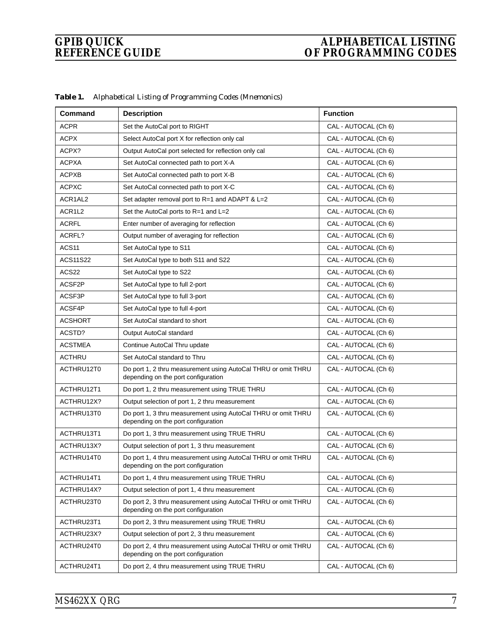| <b>Command</b>    | <b>Description</b>                                                                                   | <b>Function</b>      |
|-------------------|------------------------------------------------------------------------------------------------------|----------------------|
| <b>ACPR</b>       | Set the AutoCal port to RIGHT                                                                        | CAL - AUTOCAL (Ch 6) |
| ACPX              | Select AutoCal port X for reflection only cal                                                        | CAL - AUTOCAL (Ch 6) |
| ACPX?             | Output AutoCal port selected for reflection only cal                                                 | CAL - AUTOCAL (Ch 6) |
| <b>ACPXA</b>      | Set AutoCal connected path to port X-A                                                               | CAL - AUTOCAL (Ch 6) |
| <b>ACPXB</b>      | Set AutoCal connected path to port X-B                                                               | CAL - AUTOCAL (Ch 6) |
| <b>ACPXC</b>      | Set AutoCal connected path to port X-C                                                               | CAL - AUTOCAL (Ch 6) |
| ACR1AL2           | Set adapter removal port to R=1 and ADAPT & L=2                                                      | CAL - AUTOCAL (Ch 6) |
| ACR1L2            | Set the AutoCal ports to R=1 and L=2                                                                 | CAL - AUTOCAL (Ch 6) |
| <b>ACRFL</b>      | Enter number of averaging for reflection                                                             | CAL - AUTOCAL (Ch 6) |
| ACRFL?            | Output number of averaging for reflection                                                            | CAL - AUTOCAL (Ch 6) |
| ACS <sub>11</sub> | Set AutoCal type to S11                                                                              | CAL - AUTOCAL (Ch 6) |
| <b>ACS11S22</b>   | Set AutoCal type to both S11 and S22                                                                 | CAL - AUTOCAL (Ch 6) |
| ACS22             | Set AutoCal type to S22                                                                              | CAL - AUTOCAL (Ch 6) |
| ACSF2P            | Set AutoCal type to full 2-port                                                                      | CAL - AUTOCAL (Ch 6) |
| ACSF3P            | Set AutoCal type to full 3-port                                                                      | CAL - AUTOCAL (Ch 6) |
| ACSF4P            | Set AutoCal type to full 4-port                                                                      | CAL - AUTOCAL (Ch 6) |
| <b>ACSHORT</b>    | Set AutoCal standard to short                                                                        | CAL - AUTOCAL (Ch 6) |
| ACSTD?            | Output AutoCal standard                                                                              | CAL - AUTOCAL (Ch 6) |
| <b>ACSTMEA</b>    | Continue AutoCal Thru update                                                                         | CAL - AUTOCAL (Ch 6) |
| <b>ACTHRU</b>     | Set AutoCal standard to Thru                                                                         | CAL - AUTOCAL (Ch 6) |
| ACTHRU12T0        | Do port 1, 2 thru measurement using AutoCal THRU or omit THRU<br>depending on the port configuration | CAL - AUTOCAL (Ch 6) |
| ACTHRU12T1        | Do port 1, 2 thru measurement using TRUE THRU                                                        | CAL - AUTOCAL (Ch 6) |
| ACTHRU12X?        | Output selection of port 1, 2 thru measurement                                                       | CAL - AUTOCAL (Ch 6) |
| ACTHRU13T0        | Do port 1, 3 thru measurement using AutoCal THRU or omit THRU<br>depending on the port configuration | CAL - AUTOCAL (Ch 6) |
| ACTHRU13T1        | Do port 1, 3 thru measurement using TRUE THRU                                                        | CAL - AUTOCAL (Ch 6) |
| ACTHRU13X?        | Output selection of port 1, 3 thru measurement                                                       | CAL - AUTOCAL (Ch 6) |
| ACTHRU14T0        | Do port 1, 4 thru measurement using AutoCal THRU or omit THRU<br>depending on the port configuration | CAL - AUTOCAL (Ch 6) |
| ACTHRU14T1        | Do port 1, 4 thru measurement using TRUE THRU                                                        | CAL - AUTOCAL (Ch 6) |
| ACTHRU14X?        | Output selection of port 1, 4 thru measurement                                                       | CAL - AUTOCAL (Ch 6) |
| ACTHRU23T0        | Do port 2, 3 thru measurement using AutoCal THRU or omit THRU<br>depending on the port configuration | CAL - AUTOCAL (Ch 6) |
| ACTHRU23T1        | Do port 2, 3 thru measurement using TRUE THRU                                                        | CAL - AUTOCAL (Ch 6) |
| ACTHRU23X?        | Output selection of port 2, 3 thru measurement                                                       | CAL - AUTOCAL (Ch 6) |
| ACTHRU24T0        | Do port 2, 4 thru measurement using AutoCal THRU or omit THRU<br>depending on the port configuration | CAL - AUTOCAL (Ch 6) |
| ACTHRU24T1        | Do port 2, 4 thru measurement using TRUE THRU                                                        | CAL - AUTOCAL (Ch 6) |

*Table 1. Alphabetical Listing of Programming Codes (Mnemonics)*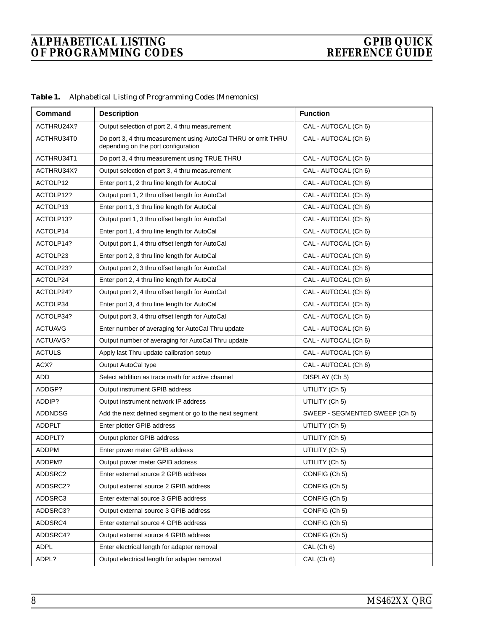| Command        | <b>Description</b>                                                                                   | <b>Function</b>                |
|----------------|------------------------------------------------------------------------------------------------------|--------------------------------|
| ACTHRU24X?     | Output selection of port 2, 4 thru measurement                                                       | CAL - AUTOCAL (Ch 6)           |
| ACTHRU34T0     | Do port 3, 4 thru measurement using AutoCal THRU or omit THRU<br>depending on the port configuration | CAL - AUTOCAL (Ch 6)           |
| ACTHRU34T1     | Do port 3, 4 thru measurement using TRUE THRU                                                        | CAL - AUTOCAL (Ch 6)           |
| ACTHRU34X?     | Output selection of port 3, 4 thru measurement                                                       | CAL - AUTOCAL (Ch 6)           |
| ACTOLP12       | Enter port 1, 2 thru line length for AutoCal                                                         | CAL - AUTOCAL (Ch 6)           |
| ACTOLP12?      | Output port 1, 2 thru offset length for AutoCal                                                      | CAL - AUTOCAL (Ch 6)           |
| ACTOLP13       | Enter port 1, 3 thru line length for AutoCal                                                         | CAL - AUTOCAL (Ch 6)           |
| ACTOLP13?      | Output port 1, 3 thru offset length for AutoCal                                                      | CAL - AUTOCAL (Ch 6)           |
| ACTOLP14       | Enter port 1, 4 thru line length for AutoCal                                                         | CAL - AUTOCAL (Ch 6)           |
| ACTOLP14?      | Output port 1, 4 thru offset length for AutoCal                                                      | CAL - AUTOCAL (Ch 6)           |
| ACTOLP23       | Enter port 2, 3 thru line length for AutoCal                                                         | CAL - AUTOCAL (Ch 6)           |
| ACTOLP23?      | Output port 2, 3 thru offset length for AutoCal                                                      | CAL - AUTOCAL (Ch 6)           |
| ACTOLP24       | Enter port 2, 4 thru line length for AutoCal                                                         | CAL - AUTOCAL (Ch 6)           |
| ACTOLP24?      | Output port 2, 4 thru offset length for AutoCal                                                      | CAL - AUTOCAL (Ch 6)           |
| ACTOLP34       | Enter port 3, 4 thru line length for AutoCal                                                         | CAL - AUTOCAL (Ch 6)           |
| ACTOLP34?      | Output port 3, 4 thru offset length for AutoCal                                                      | CAL - AUTOCAL (Ch 6)           |
| <b>ACTUAVG</b> | Enter number of averaging for AutoCal Thru update                                                    | CAL - AUTOCAL (Ch 6)           |
| ACTUAVG?       | Output number of averaging for AutoCal Thru update                                                   | CAL - AUTOCAL (Ch 6)           |
| <b>ACTULS</b>  | Apply last Thru update calibration setup                                                             | CAL - AUTOCAL (Ch 6)           |
| ACX?           | Output AutoCal type                                                                                  | CAL - AUTOCAL (Ch 6)           |
| <b>ADD</b>     | Select addition as trace math for active channel                                                     | DISPLAY (Ch 5)                 |
| ADDGP?         | Output instrument GPIB address                                                                       | UTILITY (Ch 5)                 |
| ADDIP?         | Output instrument network IP address                                                                 | UTILITY (Ch 5)                 |
| <b>ADDNDSG</b> | Add the next defined segment or go to the next segment                                               | SWEEP - SEGMENTED SWEEP (Ch 5) |
| <b>ADDPLT</b>  | Enter plotter GPIB address                                                                           | UTILITY (Ch 5)                 |
| ADDPLT?        | Output plotter GPIB address                                                                          | UTILITY (Ch 5)                 |
| <b>ADDPM</b>   | Enter power meter GPIB address                                                                       | UTILITY (Ch 5)                 |
| ADDPM?         | Output power meter GPIB address                                                                      | UTILITY (Ch 5)                 |
| ADDSRC2        | Enter external source 2 GPIB address                                                                 | CONFIG (Ch 5)                  |
| ADDSRC2?       | Output external source 2 GPIB address                                                                | CONFIG (Ch 5)                  |
| ADDSRC3        | Enter external source 3 GPIB address                                                                 | CONFIG (Ch 5)                  |
| ADDSRC3?       | Output external source 3 GPIB address                                                                | CONFIG (Ch 5)                  |
| ADDSRC4        | Enter external source 4 GPIB address                                                                 | CONFIG (Ch 5)                  |
| ADDSRC4?       | Output external source 4 GPIB address                                                                | CONFIG (Ch 5)                  |
| <b>ADPL</b>    | Enter electrical length for adapter removal                                                          | CAL (Ch 6)                     |
| ADPL?          | Output electrical length for adapter removal                                                         | CAL (Ch 6)                     |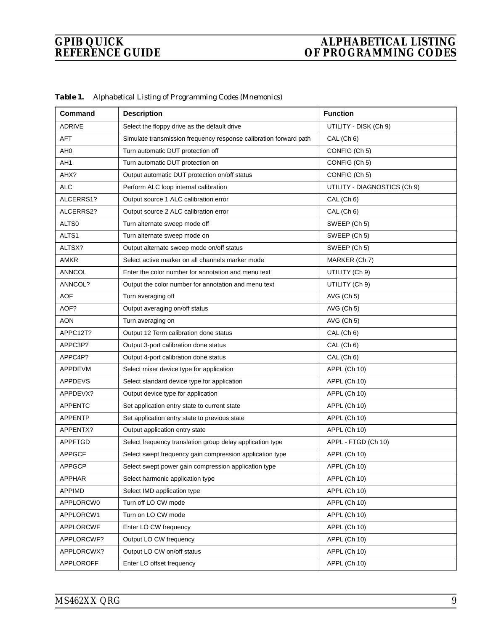| <b>Command</b>   | <b>Description</b>                                                | <b>Function</b>              |
|------------------|-------------------------------------------------------------------|------------------------------|
| <b>ADRIVE</b>    | Select the floppy drive as the default drive                      | UTILITY - DISK (Ch 9)        |
| AFT              | Simulate transmission frequency response calibration forward path | CAL (Ch 6)                   |
| AH <sub>0</sub>  | Turn automatic DUT protection off                                 | CONFIG (Ch 5)                |
| AH1              | Turn automatic DUT protection on                                  | CONFIG (Ch 5)                |
| AHX?             | Output automatic DUT protection on/off status                     | CONFIG (Ch 5)                |
| <b>ALC</b>       | Perform ALC loop internal calibration                             | UTILITY - DIAGNOSTICS (Ch 9) |
| ALCERRS1?        | Output source 1 ALC calibration error                             | CAL (Ch 6)                   |
| ALCERRS2?        | Output source 2 ALC calibration error                             | CAL (Ch 6)                   |
| ALTS0            | Turn alternate sweep mode off                                     | SWEEP (Ch 5)                 |
| ALTS1            | Turn alternate sweep mode on                                      | SWEEP (Ch 5)                 |
| ALTSX?           | Output alternate sweep mode on/off status                         | SWEEP (Ch 5)                 |
| <b>AMKR</b>      | Select active marker on all channels marker mode                  | MARKER (Ch 7)                |
| ANNCOL           | Enter the color number for annotation and menu text               | UTILITY (Ch 9)               |
| ANNCOL?          | Output the color number for annotation and menu text              | UTILITY (Ch 9)               |
| <b>AOF</b>       | Turn averaging off                                                | AVG (Ch 5)                   |
| AOF?             | Output averaging on/off status                                    | AVG (Ch 5)                   |
| AON              | Turn averaging on                                                 | AVG (Ch 5)                   |
| APPC12T?         | Output 12 Term calibration done status                            | CAL (Ch 6)                   |
| APPC3P?          | Output 3-port calibration done status                             | CAL (Ch 6)                   |
| APPC4P?          | Output 4-port calibration done status                             | CAL (Ch 6)                   |
| APPDEVM          | Select mixer device type for application                          | APPL (Ch 10)                 |
| <b>APPDEVS</b>   | Select standard device type for application                       | APPL (Ch 10)                 |
| APPDEVX?         | Output device type for application                                | APPL (Ch 10)                 |
| <b>APPENTC</b>   | Set application entry state to current state                      | APPL (Ch 10)                 |
| <b>APPENTP</b>   | Set application entry state to previous state                     | APPL (Ch 10)                 |
| APPENTX?         | Output application entry state                                    | APPL (Ch 10)                 |
| <b>APPFTGD</b>   | Select frequency translation group delay application type         | APPL - FTGD (Ch 10)          |
| <b>APPGCF</b>    | Select swept frequency gain compression application type          | APPL (Ch 10)                 |
| <b>APPGCP</b>    | Select swept power gain compression application type              | APPL (Ch 10)                 |
| <b>APPHAR</b>    | Select harmonic application type                                  | APPL (Ch 10)                 |
| <b>APPIMD</b>    | Select IMD application type                                       | APPL (Ch 10)                 |
| APPLORCW0        | Turn off LO CW mode                                               | APPL (Ch 10)                 |
| APPLORCW1        | Turn on LO CW mode                                                | APPL (Ch 10)                 |
| <b>APPLORCWF</b> | Enter LO CW frequency                                             | APPL (Ch 10)                 |
| APPLORCWF?       | Output LO CW frequency                                            | APPL (Ch 10)                 |
| APPLORCWX?       | Output LO CW on/off status                                        | APPL (Ch 10)                 |
| APPLOROFF        | Enter LO offset frequency                                         | APPL (Ch 10)                 |

*Table 1. Alphabetical Listing of Programming Codes (Mnemonics)*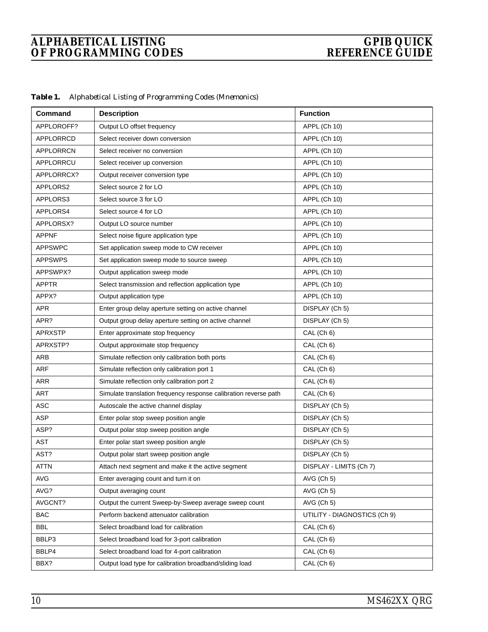| Table 1. |  |  | Alphabetical Listing of Programming Codes (Mnemonics) |  |  |
|----------|--|--|-------------------------------------------------------|--|--|
|----------|--|--|-------------------------------------------------------|--|--|

| Command        | <b>Description</b>                                               | <b>Function</b>              |
|----------------|------------------------------------------------------------------|------------------------------|
| APPLOROFF?     | Output LO offset frequency                                       | APPL (Ch 10)                 |
| APPLORRCD      | Select receiver down conversion                                  | APPL (Ch 10)                 |
| APPLORRCN      | Select receiver no conversion                                    | APPL (Ch 10)                 |
| APPLORRCU      | Select receiver up conversion                                    | APPL (Ch 10)                 |
| APPLORRCX?     | Output receiver conversion type                                  | APPL (Ch 10)                 |
| APPLORS2       | Select source 2 for LO                                           | APPL (Ch 10)                 |
| APPLORS3       | Select source 3 for LO                                           | APPL (Ch 10)                 |
| APPLORS4       | Select source 4 for LO                                           | APPL (Ch 10)                 |
| APPLORSX?      | Output LO source number                                          | APPL (Ch 10)                 |
| <b>APPNF</b>   | Select noise figure application type                             | APPL (Ch 10)                 |
| <b>APPSWPC</b> | Set application sweep mode to CW receiver                        | APPL (Ch 10)                 |
| <b>APPSWPS</b> | Set application sweep mode to source sweep                       | APPL (Ch 10)                 |
| APPSWPX?       | Output application sweep mode                                    | APPL (Ch 10)                 |
| <b>APPTR</b>   | Select transmission and reflection application type              | APPL (Ch 10)                 |
| APPX?          | Output application type                                          | APPL (Ch 10)                 |
| <b>APR</b>     | Enter group delay aperture setting on active channel             | DISPLAY (Ch 5)               |
| APR?           | Output group delay aperture setting on active channel            | DISPLAY (Ch 5)               |
| <b>APRXSTP</b> | Enter approximate stop frequency                                 | CAL (Ch 6)                   |
| APRXSTP?       | Output approximate stop frequency                                | CAL (Ch 6)                   |
| <b>ARB</b>     | Simulate reflection only calibration both ports                  | CAL (Ch 6)                   |
| <b>ARF</b>     | Simulate reflection only calibration port 1                      | CAL (Ch 6)                   |
| <b>ARR</b>     | Simulate reflection only calibration port 2                      | CAL (Ch 6)                   |
| ART            | Simulate translation frequency response calibration reverse path | CAL (Ch 6)                   |
| ASC            | Autoscale the active channel display                             | DISPLAY (Ch 5)               |
| ASP            | Enter polar stop sweep position angle                            | DISPLAY (Ch 5)               |
| ASP?           | Output polar stop sweep position angle                           | DISPLAY (Ch 5)               |
| AST            | Enter polar start sweep position angle                           | DISPLAY (Ch 5)               |
| AST?           | Output polar start sweep position angle                          | DISPLAY (Ch 5)               |
| ATTN           | Attach next segment and make it the active segment               | DISPLAY - LIMITS (Ch 7)      |
| AVG            | Enter averaging count and turn it on                             | AVG (Ch 5)                   |
| AVG?           | Output averaging count                                           | $AVG$ (Ch 5)                 |
| AVGCNT?        | Output the current Sweep-by-Sweep average sweep count            | AVG (Ch 5)                   |
| <b>BAC</b>     | Perform backend attenuator calibration                           | UTILITY - DIAGNOSTICS (Ch 9) |
| <b>BBL</b>     | Select broadband load for calibration                            | CAL (Ch 6)                   |
| BBLP3          | Select broadband load for 3-port calibration                     | CAL (Ch 6)                   |
| BBLP4          | Select broadband load for 4-port calibration                     | CAL (Ch 6)                   |
| BBX?           | Output load type for calibration broadband/sliding load          | CAL (Ch 6)                   |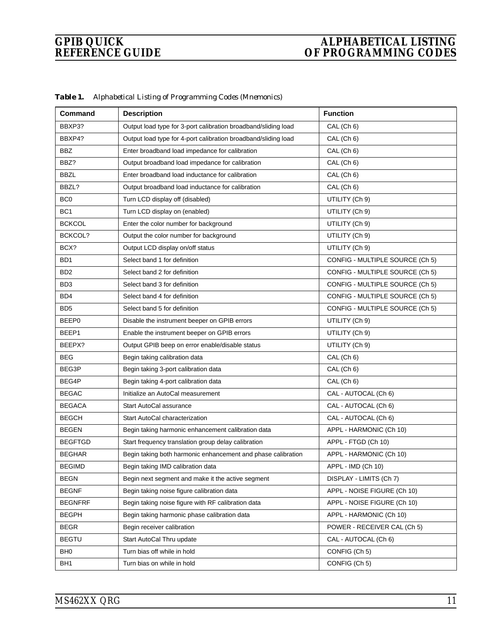| Command         | <b>Description</b>                                             | <b>Function</b>                 |
|-----------------|----------------------------------------------------------------|---------------------------------|
| BBXP3?          | Output load type for 3-port calibration broadband/sliding load | CAL (Ch 6)                      |
| BBXP4?          | Output load type for 4-port calibration broadband/sliding load | CAL (Ch 6)                      |
| <b>BBZ</b>      | Enter broadband load impedance for calibration                 | CAL (Ch 6)                      |
| BBZ?            | Output broadband load impedance for calibration                | CAL (Ch 6)                      |
| <b>BBZL</b>     | Enter broadband load inductance for calibration                | CAL (Ch 6)                      |
| BBZL?           | Output broadband load inductance for calibration               | CAL (Ch 6)                      |
| BC <sub>0</sub> | Turn LCD display off (disabled)                                | UTILITY (Ch 9)                  |
| BC <sub>1</sub> | Turn LCD display on (enabled)                                  | UTILITY (Ch 9)                  |
| <b>BCKCOL</b>   | Enter the color number for background                          | UTILITY (Ch 9)                  |
| <b>BCKCOL?</b>  | Output the color number for background                         | UTILITY (Ch 9)                  |
| BCX?            | Output LCD display on/off status                               | UTILITY (Ch 9)                  |
| BD <sub>1</sub> | Select band 1 for definition                                   | CONFIG - MULTIPLE SOURCE (Ch 5) |
| BD <sub>2</sub> | Select band 2 for definition                                   | CONFIG - MULTIPLE SOURCE (Ch 5) |
| BD <sub>3</sub> | Select band 3 for definition                                   | CONFIG - MULTIPLE SOURCE (Ch 5) |
| BD4             | Select band 4 for definition                                   | CONFIG - MULTIPLE SOURCE (Ch 5) |
| BD <sub>5</sub> | Select band 5 for definition                                   | CONFIG - MULTIPLE SOURCE (Ch 5) |
| BEEP0           | Disable the instrument beeper on GPIB errors                   | UTILITY (Ch 9)                  |
| BEEP1           | Enable the instrument beeper on GPIB errors                    | UTILITY (Ch 9)                  |
| BEEPX?          | Output GPIB beep on error enable/disable status                | UTILITY (Ch 9)                  |
| <b>BEG</b>      | Begin taking calibration data                                  | CAL (Ch 6)                      |
| BEG3P           | Begin taking 3-port calibration data                           | CAL (Ch 6)                      |
| BEG4P           | Begin taking 4-port calibration data                           | CAL (Ch 6)                      |
| <b>BEGAC</b>    | Initialize an AutoCal measurement                              | CAL - AUTOCAL (Ch 6)            |
| <b>BEGACA</b>   | Start AutoCal assurance                                        | CAL - AUTOCAL (Ch 6)            |
| <b>BEGCH</b>    | Start AutoCal characterization                                 | CAL - AUTOCAL (Ch 6)            |
| <b>BEGEN</b>    | Begin taking harmonic enhancement calibration data             | APPL - HARMONIC (Ch 10)         |
| <b>BEGFTGD</b>  | Start frequency translation group delay calibration            | APPL - FTGD (Ch 10)             |
| <b>BEGHAR</b>   | Begin taking both harmonic enhancement and phase calibration   | APPL - HARMONIC (Ch 10)         |
| <b>BEGIMD</b>   | Begin taking IMD calibration data                              | APPL - IMD (Ch 10)              |
| <b>BEGN</b>     | Begin next segment and make it the active segment              | DISPLAY - LIMITS (Ch 7)         |
| <b>BEGNF</b>    | Begin taking noise figure calibration data                     | APPL - NOISE FIGURE (Ch 10)     |
| <b>BEGNFRF</b>  | Begin taking noise figure with RF calibration data             | APPL - NOISE FIGURE (Ch 10)     |
| <b>BEGPH</b>    | Begin taking harmonic phase calibration data                   | APPL - HARMONIC (Ch 10)         |
| <b>BEGR</b>     | Begin receiver calibration                                     | POWER - RECEIVER CAL (Ch 5)     |
| <b>BEGTU</b>    | Start AutoCal Thru update                                      | CAL - AUTOCAL (Ch 6)            |
| BH <sub>0</sub> | Turn bias off while in hold                                    | CONFIG (Ch 5)                   |
| BH <sub>1</sub> | Turn bias on while in hold                                     | CONFIG (Ch 5)                   |

*Table 1. Alphabetical Listing of Programming Codes (Mnemonics)*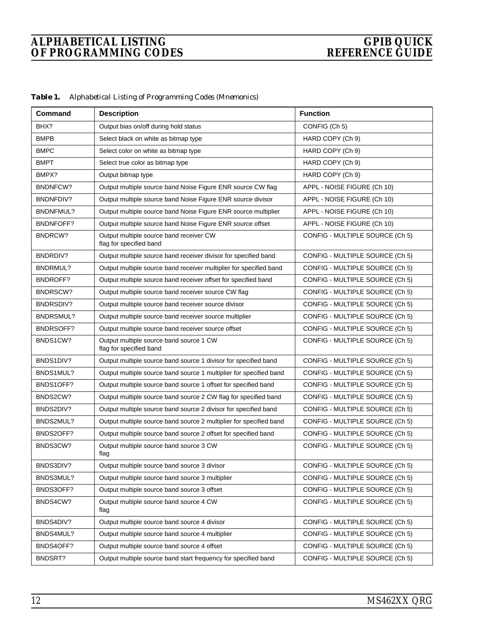| Table 1. |  |  | Alphabetical Listing of Programming Codes (Mnemonics) |  |  |
|----------|--|--|-------------------------------------------------------|--|--|
|----------|--|--|-------------------------------------------------------|--|--|

| Command          | <b>Description</b>                                                 | <b>Function</b>                 |
|------------------|--------------------------------------------------------------------|---------------------------------|
| BHX?             | Output bias on/off during hold status                              | CONFIG (Ch 5)                   |
| <b>BMPB</b>      | Select black on white as bitmap type                               | HARD COPY (Ch 9)                |
| <b>BMPC</b>      | Select color on white as bitmap type                               | HARD COPY (Ch 9)                |
| <b>BMPT</b>      | Select true color as bitmap type                                   | HARD COPY (Ch 9)                |
| BMPX?            | Output bitmap type                                                 | HARD COPY (Ch 9)                |
| BNDNFCW?         | Output multiple source band Noise Figure ENR source CW flag        | APPL - NOISE FIGURE (Ch 10)     |
| BNDNFDIV?        | Output multiple source band Noise Figure ENR source divisor        | APPL - NOISE FIGURE (Ch 10)     |
| BNDNFMUL?        | Output multiple source band Noise Figure ENR source multiplier     | APPL - NOISE FIGURE (Ch 10)     |
| <b>BNDNFOFF?</b> | Output multiple source band Noise Figure ENR source offset         | APPL - NOISE FIGURE (Ch 10)     |
| BNDRCW?          | Output multiple source band receiver CW<br>flag for specified band | CONFIG - MULTIPLE SOURCE (Ch 5) |
| BNDRDIV?         | Output multiple source band receiver divisor for specified band    | CONFIG - MULTIPLE SOURCE (Ch 5) |
| BNDRMUL?         | Output multiple source band receiver multiplier for specified band | CONFIG - MULTIPLE SOURCE (Ch 5) |
| <b>BNDROFF?</b>  | Output multiple source band receiver offset for specified band     | CONFIG - MULTIPLE SOURCE (Ch 5) |
| BNDRSCW?         | Output multiple source band receiver source CW flag                | CONFIG - MULTIPLE SOURCE (Ch 5) |
| BNDRSDIV?        | Output multiple source band receiver source divisor                | CONFIG - MULTIPLE SOURCE (Ch 5) |
| BNDRSMUL?        | Output multiple source band receiver source multiplier             | CONFIG - MULTIPLE SOURCE (Ch 5) |
| <b>BNDRSOFF?</b> | Output multiple source band receiver source offset                 | CONFIG - MULTIPLE SOURCE (Ch 5) |
| BNDS1CW?         | Output multiple source band source 1 CW<br>flag for specified band | CONFIG - MULTIPLE SOURCE (Ch 5) |
| BNDS1DIV?        | Output multiple source band source 1 divisor for specified band    | CONFIG - MULTIPLE SOURCE (Ch 5) |
| BNDS1MUL?        | Output multiple source band source 1 multiplier for specified band | CONFIG - MULTIPLE SOURCE (Ch 5) |
| BNDS1OFF?        | Output multiple source band source 1 offset for specified band     | CONFIG - MULTIPLE SOURCE (Ch 5) |
| BNDS2CW?         | Output multiple source band source 2 CW flag for specified band    | CONFIG - MULTIPLE SOURCE (Ch 5) |
| BNDS2DIV?        | Output multiple source band source 2 divisor for specified band    | CONFIG - MULTIPLE SOURCE (Ch 5) |
| BNDS2MUL?        | Output multiple source band source 2 multiplier for specified band | CONFIG - MULTIPLE SOURCE (Ch 5) |
| BNDS2OFF?        | Output multiple source band source 2 offset for specified band     | CONFIG - MULTIPLE SOURCE (Ch 5) |
| BNDS3CW?         | Output multiple source band source 3 CW<br>flag                    | CONFIG - MULTIPLE SOURCE (Ch 5) |
| BNDS3DIV?        | Output multiple source band source 3 divisor                       | CONFIG - MULTIPLE SOURCE (Ch 5) |
| BNDS3MUL?        | Output multiple source band source 3 multiplier                    | CONFIG - MULTIPLE SOURCE (Ch 5) |
| BNDS3OFF?        | Output multiple source band source 3 offset                        | CONFIG - MULTIPLE SOURCE (Ch 5) |
| BNDS4CW?         | Output multiple source band source 4 CW<br>flag                    | CONFIG - MULTIPLE SOURCE (Ch 5) |
| BNDS4DIV?        | Output multiple source band source 4 divisor                       | CONFIG - MULTIPLE SOURCE (Ch 5) |
| BNDS4MUL?        | Output multiple source band source 4 multiplier                    | CONFIG - MULTIPLE SOURCE (Ch 5) |
| BNDS4OFF?        | Output multiple source band source 4 offset                        | CONFIG - MULTIPLE SOURCE (Ch 5) |
| BNDSRT?          | Output multiple source band start frequency for specified band     | CONFIG - MULTIPLE SOURCE (Ch 5) |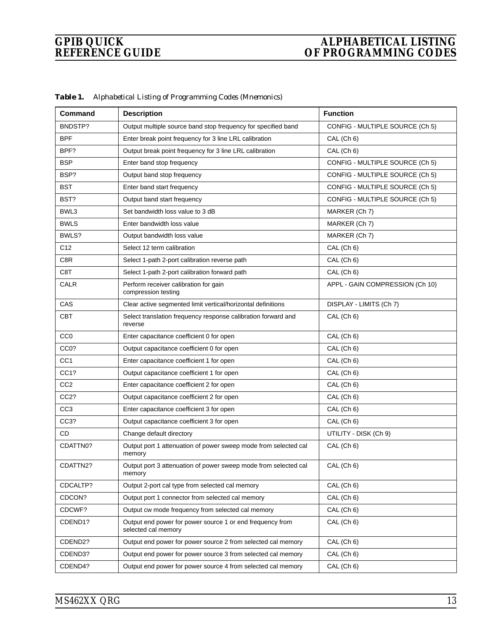| <b>Command</b>       | <b>Description</b>                                                               | <b>Function</b>                 |
|----------------------|----------------------------------------------------------------------------------|---------------------------------|
| BNDSTP?              | Output multiple source band stop frequency for specified band                    | CONFIG - MULTIPLE SOURCE (Ch 5) |
| <b>BPF</b>           | Enter break point frequency for 3 line LRL calibration                           | CAL (Ch 6)                      |
| BPF?                 | Output break point frequency for 3 line LRL calibration                          | CAL (Ch 6)                      |
| <b>BSP</b>           | Enter band stop frequency                                                        | CONFIG - MULTIPLE SOURCE (Ch 5) |
| BSP?                 | Output band stop frequency                                                       | CONFIG - MULTIPLE SOURCE (Ch 5) |
| <b>BST</b>           | Enter band start frequency                                                       | CONFIG - MULTIPLE SOURCE (Ch 5) |
| BST?                 | Output band start frequency                                                      | CONFIG - MULTIPLE SOURCE (Ch 5) |
| BWL3                 | Set bandwidth loss value to 3 dB                                                 | MARKER (Ch 7)                   |
| <b>BWLS</b>          | Enter bandwidth loss value                                                       | MARKER (Ch 7)                   |
| BWLS?                | Output bandwidth loss value                                                      | MARKER (Ch 7)                   |
| C <sub>12</sub>      | Select 12 term calibration                                                       | CAL (Ch 6)                      |
| C8R                  | Select 1-path 2-port calibration reverse path                                    | CAL (Ch 6)                      |
| C8T                  | Select 1-path 2-port calibration forward path                                    | CAL (Ch 6)                      |
| CALR                 | Perform receiver calibration for gain<br>compression testing                     | APPL - GAIN COMPRESSION (Ch 10) |
| CAS                  | Clear active segmented limit vertical/horizontal definitions                     | DISPLAY - LIMITS (Ch 7)         |
| <b>CBT</b>           | Select translation frequency response calibration forward and<br>reverse         | CAL (Ch 6)                      |
| CC <sub>0</sub>      | Enter capacitance coefficient 0 for open                                         | CAL (Ch 6)                      |
| CC <sub>0?</sub>     | Output capacitance coefficient 0 for open                                        | CAL (Ch 6)                      |
| CC <sub>1</sub>      | Enter capacitance coefficient 1 for open                                         | CAL (Ch 6)                      |
| CC <sub>1?</sub>     | Output capacitance coefficient 1 for open                                        | CAL (Ch 6)                      |
| CC <sub>2</sub>      | Enter capacitance coefficient 2 for open                                         | CAL (Ch 6)                      |
| CC <sub>2</sub> ?    | Output capacitance coefficient 2 for open                                        | CAL (Ch 6)                      |
| CC <sub>3</sub>      | Enter capacitance coefficient 3 for open                                         | CAL (Ch 6)                      |
| CC3?                 | Output capacitance coefficient 3 for open                                        | CAL (Ch 6)                      |
| <b>CD</b>            | Change default directory                                                         | UTILITY - DISK (Ch 9)           |
| CDATTN0?             | Output port 1 attenuation of power sweep mode from selected cal<br>memory        | CAL (Ch 6)                      |
| CDATTN2?             | Output port 3 attenuation of power sweep mode from selected cal<br>memory        | CAL (Ch 6)                      |
| CDCALTP?             | Output 2-port cal type from selected cal memory                                  | CAL (Ch 6)                      |
| CDCON?               | Output port 1 connector from selected cal memory                                 | CAL (Ch 6)                      |
| CDCWF?               | Output cw mode frequency from selected cal memory                                | CAL (Ch 6)                      |
| CDEND1?              | Output end power for power source 1 or end frequency from<br>selected cal memory | CAL (Ch 6)                      |
| CDEND <sub>2</sub> ? | Output end power for power source 2 from selected cal memory                     | CAL (Ch 6)                      |
| CDEND3?              | Output end power for power source 3 from selected cal memory                     | CAL (Ch 6)                      |
| CDEND4?              | Output end power for power source 4 from selected cal memory                     | CAL (Ch 6)                      |

*Table 1. Alphabetical Listing of Programming Codes (Mnemonics)*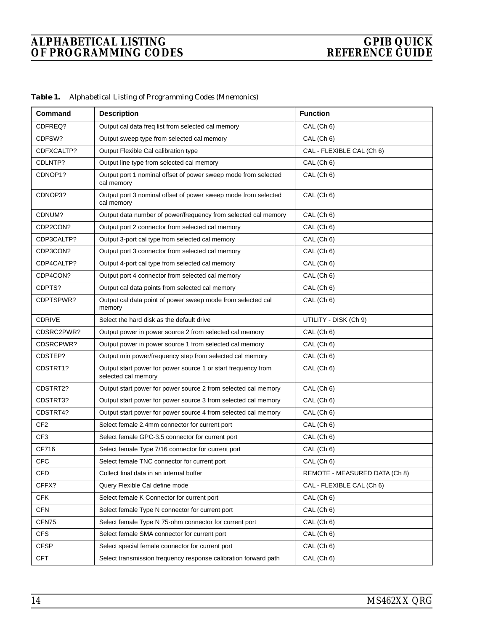| Table 1. |  |  | Alphabetical Listing of Programming Codes (Mnemonics) |  |  |
|----------|--|--|-------------------------------------------------------|--|--|
|----------|--|--|-------------------------------------------------------|--|--|

| Command         | <b>Description</b>                                                                   | <b>Function</b>               |
|-----------------|--------------------------------------------------------------------------------------|-------------------------------|
| CDFREQ?         | Output cal data freq list from selected cal memory                                   | CAL (Ch 6)                    |
| CDFSW?          | Output sweep type from selected cal memory                                           | CAL (Ch 6)                    |
| CDFXCALTP?      | Output Flexible Cal calibration type                                                 | CAL - FLEXIBLE CAL (Ch 6)     |
| CDLNTP?         | Output line type from selected cal memory                                            | CAL (Ch 6)                    |
| CDNOP1?         | Output port 1 nominal offset of power sweep mode from selected<br>cal memory         | CAL (Ch 6)                    |
| CDNOP3?         | Output port 3 nominal offset of power sweep mode from selected<br>cal memory         | CAL (Ch 6)                    |
| CDNUM?          | Output data number of power/frequency from selected cal memory                       | CAL (Ch 6)                    |
| CDP2CON?        | Output port 2 connector from selected cal memory                                     | CAL (Ch 6)                    |
| CDP3CALTP?      | Output 3-port cal type from selected cal memory                                      | CAL (Ch 6)                    |
| CDP3CON?        | Output port 3 connector from selected cal memory                                     | CAL (Ch 6)                    |
| CDP4CALTP?      | Output 4-port cal type from selected cal memory                                      | CAL (Ch 6)                    |
| CDP4CON?        | Output port 4 connector from selected cal memory                                     | CAL (Ch 6)                    |
| CDPTS?          | Output cal data points from selected cal memory                                      | CAL (Ch 6)                    |
| CDPTSPWR?       | Output cal data point of power sweep mode from selected cal<br>memory                | CAL (Ch 6)                    |
| CDRIVE          | Select the hard disk as the default drive                                            | UTILITY - DISK (Ch 9)         |
| CDSRC2PWR?      | Output power in power source 2 from selected cal memory                              | CAL (Ch 6)                    |
| CDSRCPWR?       | Output power in power source 1 from selected cal memory                              | CAL (Ch 6)                    |
| CDSTEP?         | Output min power/frequency step from selected cal memory                             | CAL (Ch 6)                    |
| CDSTRT1?        | Output start power for power source 1 or start frequency from<br>selected cal memory | CAL (Ch 6)                    |
| CDSTRT2?        | Output start power for power source 2 from selected cal memory                       | CAL (Ch 6)                    |
| CDSTRT3?        | Output start power for power source 3 from selected cal memory                       | CAL (Ch 6)                    |
| CDSTRT4?        | Output start power for power source 4 from selected cal memory                       | CAL (Ch 6)                    |
| CF <sub>2</sub> | Select female 2.4mm connector for current port                                       | CAL (Ch 6)                    |
| CF <sub>3</sub> | Select female GPC-3.5 connector for current port                                     | CAL (Ch 6)                    |
| CF716           | Select female Type 7/16 connector for current port                                   | CAL (Ch 6)                    |
| <b>CFC</b>      | Select female TNC connector for current port                                         | CAL (Ch 6)                    |
| CFD             | Collect final data in an internal buffer                                             | REMOTE - MEASURED DATA (Ch 8) |
| CFFX?           | Query Flexible Cal define mode                                                       | CAL - FLEXIBLE CAL (Ch 6)     |
| <b>CFK</b>      | Select female K Connector for current port                                           | CAL (Ch 6)                    |
| <b>CFN</b>      | Select female Type N connector for current port                                      | CAL (Ch 6)                    |
| CFN75           | Select female Type N 75-ohm connector for current port                               | CAL (Ch 6)                    |
| <b>CFS</b>      | Select female SMA connector for current port                                         | CAL (Ch 6)                    |
| <b>CFSP</b>     | Select special female connector for current port                                     | CAL (Ch 6)                    |
| <b>CFT</b>      | Select transmission frequency response calibration forward path                      | CAL (Ch 6)                    |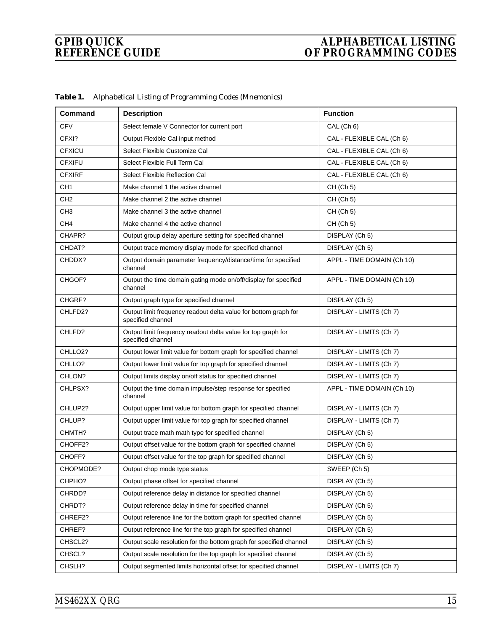| <b>Command</b>  | <b>Description</b>                                                                   | <b>Function</b>            |
|-----------------|--------------------------------------------------------------------------------------|----------------------------|
| <b>CFV</b>      | Select female V Connector for current port                                           | CAL (Ch 6)                 |
| CFXI?           | Output Flexible Cal input method                                                     | CAL - FLEXIBLE CAL (Ch 6)  |
| <b>CFXICU</b>   | Select Flexible Customize Cal                                                        | CAL - FLEXIBLE CAL (Ch 6)  |
| <b>CFXIFU</b>   | Select Flexible Full Term Cal                                                        | CAL - FLEXIBLE CAL (Ch 6)  |
| <b>CFXIRF</b>   | Select Flexible Reflection Cal                                                       | CAL - FLEXIBLE CAL (Ch 6)  |
| CH <sub>1</sub> | Make channel 1 the active channel                                                    | CH (Ch 5)                  |
| CH <sub>2</sub> | Make channel 2 the active channel                                                    | CH (Ch 5)                  |
| CH <sub>3</sub> | Make channel 3 the active channel                                                    | CH (Ch 5)                  |
| CH <sub>4</sub> | Make channel 4 the active channel                                                    | CH (Ch 5)                  |
| CHAPR?          | Output group delay aperture setting for specified channel                            | DISPLAY (Ch 5)             |
| CHDAT?          | Output trace memory display mode for specified channel                               | DISPLAY (Ch 5)             |
| CHDDX?          | Output domain parameter frequency/distance/time for specified<br>channel             | APPL - TIME DOMAIN (Ch 10) |
| CHGOF?          | Output the time domain gating mode on/off/display for specified<br>channel           | APPL - TIME DOMAIN (Ch 10) |
| CHGRF?          | Output graph type for specified channel                                              | DISPLAY (Ch 5)             |
| CHLFD2?         | Output limit frequency readout delta value for bottom graph for<br>specified channel | DISPLAY - LIMITS (Ch 7)    |
| CHLFD?          | Output limit frequency readout delta value for top graph for<br>specified channel    | DISPLAY - LIMITS (Ch 7)    |
| CHLLO2?         | Output lower limit value for bottom graph for specified channel                      | DISPLAY - LIMITS (Ch 7)    |
| CHLLO?          | Output lower limit value for top graph for specified channel                         | DISPLAY - LIMITS (Ch 7)    |
| CHLON?          | Output limits display on/off status for specified channel                            | DISPLAY - LIMITS (Ch 7)    |
| CHLPSX?         | Output the time domain impulse/step response for specified<br>channel                | APPL - TIME DOMAIN (Ch 10) |
| CHLUP2?         | Output upper limit value for bottom graph for specified channel                      | DISPLAY - LIMITS (Ch 7)    |
| CHLUP?          | Output upper limit value for top graph for specified channel                         | DISPLAY - LIMITS (Ch 7)    |
| CHMTH?          | Output trace math math type for specified channel                                    | DISPLAY (Ch 5)             |
| CHOFF2?         | Output offset value for the bottom graph for specified channel                       | DISPLAY (Ch 5)             |
| CHOFF?          | Output offset value for the top graph for specified channel                          | DISPLAY (Ch 5)             |
| CHOPMODE?       | Output chop mode type status                                                         | SWEEP (Ch 5)               |
| CHPHO?          | Output phase offset for specified channel                                            | DISPLAY (Ch 5)             |
| CHRDD?          | Output reference delay in distance for specified channel                             | DISPLAY (Ch 5)             |
| CHRDT?          | Output reference delay in time for specified channel                                 | DISPLAY (Ch 5)             |
| CHREF2?         | Output reference line for the bottom graph for specified channel                     | DISPLAY (Ch 5)             |
| CHREF?          | Output reference line for the top graph for specified channel                        | DISPLAY (Ch 5)             |
| CHSCL2?         | Output scale resolution for the bottom graph for specified channel                   | DISPLAY (Ch 5)             |
| CHSCL?          | Output scale resolution for the top graph for specified channel                      | DISPLAY (Ch 5)             |
| CHSLH?          | Output segmented limits horizontal offset for specified channel                      | DISPLAY - LIMITS (Ch 7)    |

*Table 1. Alphabetical Listing of Programming Codes (Mnemonics)*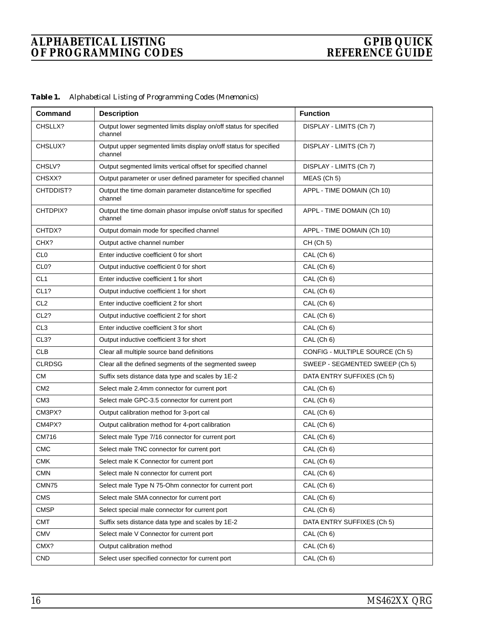| Command           | <b>Description</b>                                                           | <b>Function</b>                 |
|-------------------|------------------------------------------------------------------------------|---------------------------------|
| CHSLLX?           | Output lower segmented limits display on/off status for specified<br>channel | DISPLAY - LIMITS (Ch 7)         |
| CHSLUX?           | Output upper segmented limits display on/off status for specified<br>channel | DISPLAY - LIMITS (Ch 7)         |
| CHSLV?            | Output segmented limits vertical offset for specified channel                | DISPLAY - LIMITS (Ch 7)         |
| CHSXX?            | Output parameter or user defined parameter for specified channel             | MEAS (Ch 5)                     |
| CHTDDIST?         | Output the time domain parameter distance/time for specified<br>channel      | APPL - TIME DOMAIN (Ch 10)      |
| CHTDPIX?          | Output the time domain phasor impulse on/off status for specified<br>channel | APPL - TIME DOMAIN (Ch 10)      |
| CHTDX?            | Output domain mode for specified channel                                     | APPL - TIME DOMAIN (Ch 10)      |
| CHX?              | Output active channel number                                                 | CH (Ch 5)                       |
| CL <sub>0</sub>   | Enter inductive coefficient 0 for short                                      | CAL (Ch 6)                      |
| CL <sub>0</sub> ? | Output inductive coefficient 0 for short                                     | CAL (Ch 6)                      |
| CL <sub>1</sub>   | Enter inductive coefficient 1 for short                                      | CAL (Ch 6)                      |
| CL <sub>1</sub> ? | Output inductive coefficient 1 for short                                     | CAL (Ch 6)                      |
| CL <sub>2</sub>   | Enter inductive coefficient 2 for short                                      | CAL (Ch 6)                      |
| CL <sub>2</sub> ? | Output inductive coefficient 2 for short                                     | CAL (Ch 6)                      |
| CL <sub>3</sub>   | Enter inductive coefficient 3 for short                                      | CAL (Ch 6)                      |
| CL <sub>3</sub> ? | Output inductive coefficient 3 for short                                     | CAL (Ch 6)                      |
| <b>CLB</b>        | Clear all multiple source band definitions                                   | CONFIG - MULTIPLE SOURCE (Ch 5) |
| <b>CLRDSG</b>     | Clear all the defined segments of the segmented sweep                        | SWEEP - SEGMENTED SWEEP (Ch 5)  |
| СM                | Suffix sets distance data type and scales by 1E-2                            | DATA ENTRY SUFFIXES (Ch 5)      |
| CM <sub>2</sub>   | Select male 2.4mm connector for current port                                 | CAL (Ch 6)                      |
| CM <sub>3</sub>   | Select male GPC-3.5 connector for current port                               | CAL (Ch 6)                      |
| CM3PX?            | Output calibration method for 3-port cal                                     | CAL (Ch 6)                      |
| CM4PX?            | Output calibration method for 4-port calibration                             | CAL (Ch 6)                      |
| CM716             | Select male Type 7/16 connector for current port                             | CAL (Ch 6)                      |
| <b>CMC</b>        | Select male TNC connector for current port                                   | CAL (Ch 6)                      |
| <b>CMK</b>        | Select male K Connector for current port                                     | CAL (Ch 6)                      |
| <b>CMN</b>        | Select male N connector for current port                                     | CAL (Ch 6)                      |
| CMN75             | Select male Type N 75-Ohm connector for current port                         | CAL (Ch 6)                      |
| <b>CMS</b>        | Select male SMA connector for current port                                   | CAL (Ch 6)                      |
| <b>CMSP</b>       | Select special male connector for current port                               | CAL (Ch 6)                      |
| <b>CMT</b>        | Suffix sets distance data type and scales by 1E-2                            | DATA ENTRY SUFFIXES (Ch 5)      |
| <b>CMV</b>        | Select male V Connector for current port                                     | CAL (Ch 6)                      |
| CMX?              | Output calibration method                                                    | CAL (Ch 6)                      |
| CND               | Select user specified connector for current port                             | CAL (Ch 6)                      |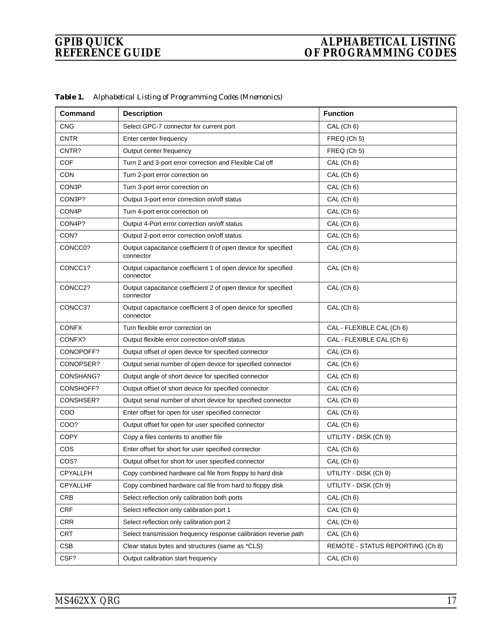| <b>Command</b>  | <b>Description</b>                                                         | <b>Function</b>                  |
|-----------------|----------------------------------------------------------------------------|----------------------------------|
| <b>CNG</b>      | Select GPC-7 connector for current port                                    | CAL (Ch 6)                       |
| <b>CNTR</b>     | Enter center frequency                                                     | FREQ (Ch 5)                      |
| CNTR?           | Output center frequency                                                    | FREQ (Ch 5)                      |
| <b>COF</b>      | Turn 2 and 3-port error correction and Flexible Cal off                    | CAL (Ch 6)                       |
| CON             | Turn 2-port error correction on                                            | CAL (Ch 6)                       |
| CON3P           | Turn 3-port error correction on                                            | CAL (Ch 6)                       |
| CON3P?          | Output 3-port error correction on/off status                               | CAL (Ch 6)                       |
| CON4P           | Turn 4-port error correction on                                            | CAL (Ch 6)                       |
| CON4P?          | Output 4-Port error correction on/off status                               | CAL (Ch 6)                       |
| CON?            | Output 2-port error correction on/off status                               | CAL (Ch 6)                       |
| CONCC0?         | Output capacitance coefficient 0 of open device for specified<br>connector | CAL (Ch 6)                       |
| CONCC1?         | Output capacitance coefficient 1 of open device for specified<br>connector | CAL (Ch 6)                       |
| CONCC2?         | Output capacitance coefficient 2 of open device for specified<br>connector | CAL (Ch 6)                       |
| CONCC3?         | Output capacitance coefficient 3 of open device for specified<br>connector | CAL (Ch 6)                       |
| <b>CONFX</b>    | Turn flexible error correction on                                          | CAL - FLEXIBLE CAL (Ch 6)        |
| CONFX?          | Output flexible error correction on/off status                             | CAL - FLEXIBLE CAL (Ch 6)        |
| CONOPOFF?       | Output offset of open device for specified connector                       | CAL (Ch 6)                       |
| CONOPSER?       | Output serial number of open device for specified connector                | CAL (Ch 6)                       |
| CONSHANG?       | Output angle of short device for specified connector                       | CAL (Ch 6)                       |
| CONSHOFF?       | Output offset of short device for specified connector                      | CAL (Ch 6)                       |
| CONSHSER?       | Output serial number of short device for specified connector               | CAL (Ch 6)                       |
| COO             | Enter offset for open for user specified connector                         | CAL (Ch 6)                       |
| COO?            | Output offset for open for user specified connector                        | CAL (Ch 6)                       |
| <b>COPY</b>     | Copy a files contents to another file                                      | UTILITY - DISK (Ch 9)            |
| COS             | Enter offset for short for user specified connector                        | CAL (Ch 6)                       |
| COS?            | Output offset for short for user specified connector                       | CAL (Ch 6)                       |
| <b>CPYALLFH</b> | Copy combined hardware cal file from floppy to hard disk                   | UTILITY - DISK (Ch 9)            |
| CPYALLHF        | Copy combined hardware cal file from hard to floppy disk                   | UTILITY - DISK (Ch 9)            |
| <b>CRB</b>      | Select reflection only calibration both ports                              | CAL (Ch 6)                       |
| <b>CRF</b>      | Select reflection only calibration port 1                                  | CAL (Ch 6)                       |
| <b>CRR</b>      | Select reflection only calibration port 2                                  | CAL (Ch 6)                       |
| <b>CRT</b>      | Select transmission frequency response calibration reverse path            | CAL (Ch 6)                       |
| CSB             | Clear status bytes and structures (same as *CLS)                           | REMOTE - STATUS REPORTING (Ch 8) |
| CSF?            | Output calibration start frequency                                         | CAL (Ch 6)                       |

*Table 1. Alphabetical Listing of Programming Codes (Mnemonics)*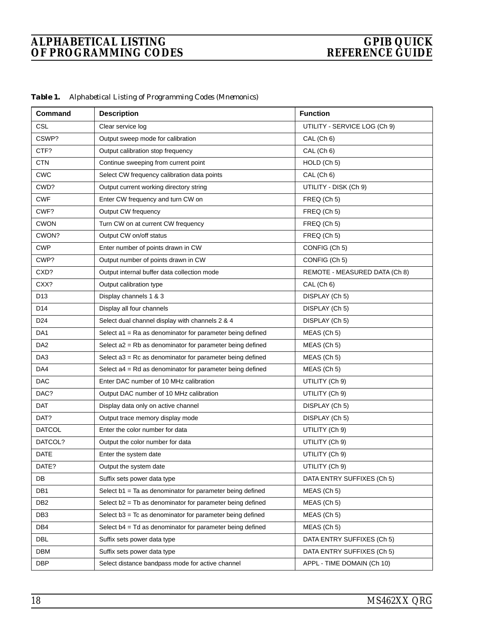| Table 1. |  |  | Alphabetical Listing of Programming Codes (Mnemonics) |  |  |
|----------|--|--|-------------------------------------------------------|--|--|
|----------|--|--|-------------------------------------------------------|--|--|

| Command         | <b>Description</b>                                          | <b>Function</b>               |
|-----------------|-------------------------------------------------------------|-------------------------------|
| <b>CSL</b>      | Clear service log                                           | UTILITY - SERVICE LOG (Ch 9)  |
| CSWP?           | Output sweep mode for calibration                           | CAL (Ch 6)                    |
| CTF?            | Output calibration stop frequency                           | CAL (Ch 6)                    |
| <b>CTN</b>      | Continue sweeping from current point                        | HOLD (Ch 5)                   |
| <b>CWC</b>      | Select CW frequency calibration data points                 | CAL (Ch 6)                    |
| CWD?            | Output current working directory string                     | UTILITY - DISK (Ch 9)         |
| <b>CWF</b>      | Enter CW frequency and turn CW on                           | FREQ (Ch 5)                   |
| CWF?            | Output CW frequency                                         | FREQ (Ch 5)                   |
| <b>CWON</b>     | Turn CW on at current CW frequency                          | FREQ (Ch 5)                   |
| CWON?           | Output CW on/off status                                     | FREQ (Ch 5)                   |
| <b>CWP</b>      | Enter number of points drawn in CW                          | CONFIG (Ch 5)                 |
| CWP?            | Output number of points drawn in CW                         | CONFIG (Ch 5)                 |
| CXD?            | Output internal buffer data collection mode                 | REMOTE - MEASURED DATA (Ch 8) |
| CXX?            | Output calibration type                                     | CAL (Ch 6)                    |
| D <sub>13</sub> | Display channels 1 & 3                                      | DISPLAY (Ch 5)                |
| D14             | Display all four channels                                   | DISPLAY (Ch 5)                |
| D24             | Select dual channel display with channels 2 & 4             | DISPLAY (Ch 5)                |
| DA1             | Select a1 = Ra as denominator for parameter being defined   | MEAS (Ch 5)                   |
| DA <sub>2</sub> | Select $a2 = Rb$ as denominator for parameter being defined | MEAS (Ch 5)                   |
| DA3             | Select a3 = Rc as denominator for parameter being defined   | MEAS (Ch 5)                   |
| DA4             | Select a4 = Rd as denominator for parameter being defined   | MEAS (Ch 5)                   |
| <b>DAC</b>      | Enter DAC number of 10 MHz calibration                      | UTILITY (Ch 9)                |
| DAC?            | Output DAC number of 10 MHz calibration                     | UTILITY (Ch 9)                |
| <b>DAT</b>      | Display data only on active channel                         | DISPLAY (Ch 5)                |
| DAT?            | Output trace memory display mode                            | DISPLAY (Ch 5)                |
| <b>DATCOL</b>   | Enter the color number for data                             | UTILITY (Ch 9)                |
| DATCOL?         | Output the color number for data                            | UTILITY (Ch 9)                |
| <b>DATE</b>     | Enter the system date                                       | UTILITY (Ch 9)                |
| DATE?           | Output the system date                                      | UTILITY (Ch 9)                |
| DB              | Suffix sets power data type                                 | DATA ENTRY SUFFIXES (Ch 5)    |
| DB1             | Select $b1 = Ta$ as denominator for parameter being defined | MEAS (Ch 5)                   |
| DB <sub>2</sub> | Select b2 = Tb as denominator for parameter being defined   | MEAS (Ch 5)                   |
| DB <sub>3</sub> | Select $b3 = Tc$ as denominator for parameter being defined | MEAS (Ch 5)                   |
| DB4             | Select $b4 = Td$ as denominator for parameter being defined | MEAS (Ch 5)                   |
| DBL             | Suffix sets power data type                                 | DATA ENTRY SUFFIXES (Ch 5)    |
| DBM             | Suffix sets power data type                                 | DATA ENTRY SUFFIXES (Ch 5)    |
| <b>DBP</b>      | Select distance bandpass mode for active channel            | APPL - TIME DOMAIN (Ch 10)    |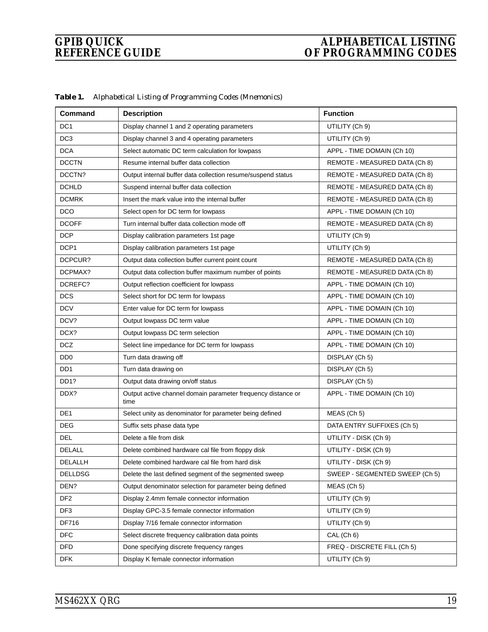| Command                     | <b>Description</b>                                                   | <b>Function</b>                |
|-----------------------------|----------------------------------------------------------------------|--------------------------------|
| DC <sub>1</sub>             | Display channel 1 and 2 operating parameters                         | UTILITY (Ch 9)                 |
| DC <sub>3</sub>             | Display channel 3 and 4 operating parameters                         | UTILITY (Ch 9)                 |
| <b>DCA</b>                  | Select automatic DC term calculation for lowpass                     | APPL - TIME DOMAIN (Ch 10)     |
| <b>DCCTN</b>                | Resume internal buffer data collection                               | REMOTE - MEASURED DATA (Ch 8)  |
| DCCTN?                      | Output internal buffer data collection resume/suspend status         | REMOTE - MEASURED DATA (Ch 8)  |
| <b>DCHLD</b>                | Suspend internal buffer data collection                              | REMOTE - MEASURED DATA (Ch 8)  |
| <b>DCMRK</b>                | Insert the mark value into the internal buffer                       | REMOTE - MEASURED DATA (Ch 8)  |
| <b>DCO</b>                  | Select open for DC term for lowpass                                  | APPL - TIME DOMAIN (Ch 10)     |
| <b>DCOFF</b>                | Turn internal buffer data collection mode off                        | REMOTE - MEASURED DATA (Ch 8)  |
| <b>DCP</b>                  | Display calibration parameters 1st page                              | UTILITY (Ch 9)                 |
| DCP <sub>1</sub>            | Display calibration parameters 1st page                              | UTILITY (Ch 9)                 |
| DCPCUR?                     | Output data collection buffer current point count                    | REMOTE - MEASURED DATA (Ch 8)  |
| DCPMAX?                     | Output data collection buffer maximum number of points               | REMOTE - MEASURED DATA (Ch 8)  |
| DCREFC?                     | Output reflection coefficient for lowpass                            | APPL - TIME DOMAIN (Ch 10)     |
| <b>DCS</b>                  | Select short for DC term for lowpass                                 | APPL - TIME DOMAIN (Ch 10)     |
| <b>DCV</b>                  | Enter value for DC term for lowpass                                  | APPL - TIME DOMAIN (Ch 10)     |
| DCV?                        | Output lowpass DC term value                                         | APPL - TIME DOMAIN (Ch 10)     |
| DCX?                        | Output lowpass DC term selection                                     | APPL - TIME DOMAIN (Ch 10)     |
| <b>DCZ</b>                  | Select line impedance for DC term for lowpass                        | APPL - TIME DOMAIN (Ch 10)     |
| D <sub>D</sub> <sub>0</sub> | Turn data drawing off                                                | DISPLAY (Ch 5)                 |
| DD <sub>1</sub>             | Turn data drawing on                                                 | DISPLAY (Ch 5)                 |
| DD <sub>1?</sub>            | Output data drawing on/off status                                    | DISPLAY (Ch 5)                 |
| DDX?                        | Output active channel domain parameter frequency distance or<br>time | APPL - TIME DOMAIN (Ch 10)     |
| DE1                         | Select unity as denominator for parameter being defined              | MEAS (Ch 5)                    |
| <b>DEG</b>                  | Suffix sets phase data type                                          | DATA ENTRY SUFFIXES (Ch 5)     |
| <b>DEL</b>                  | Delete a file from disk                                              | UTILITY - DISK (Ch 9)          |
| DELALL                      | Delete combined hardware cal file from floppy disk                   | UTILITY - DISK (Ch 9)          |
| DELALLH                     | Delete combined hardware cal file from hard disk                     | UTILITY - DISK (Ch 9)          |
| <b>DELLDSG</b>              | Delete the last defined segment of the segmented sweep               | SWEEP - SEGMENTED SWEEP (Ch 5) |
| DEN?                        | Output denominator selection for parameter being defined             | MEAS (Ch 5)                    |
| DF <sub>2</sub>             | Display 2.4mm female connector information                           | UTILITY (Ch 9)                 |
| DF <sub>3</sub>             | Display GPC-3.5 female connector information                         | UTILITY (Ch 9)                 |
| DF716                       | Display 7/16 female connector information                            | UTILITY (Ch 9)                 |
| <b>DFC</b>                  | Select discrete frequency calibration data points                    | CAL (Ch 6)                     |
| <b>DFD</b>                  | Done specifying discrete frequency ranges                            | FREQ - DISCRETE FILL (Ch 5)    |
| <b>DFK</b>                  | Display K female connector information                               | UTILITY (Ch 9)                 |

*Table 1. Alphabetical Listing of Programming Codes (Mnemonics)*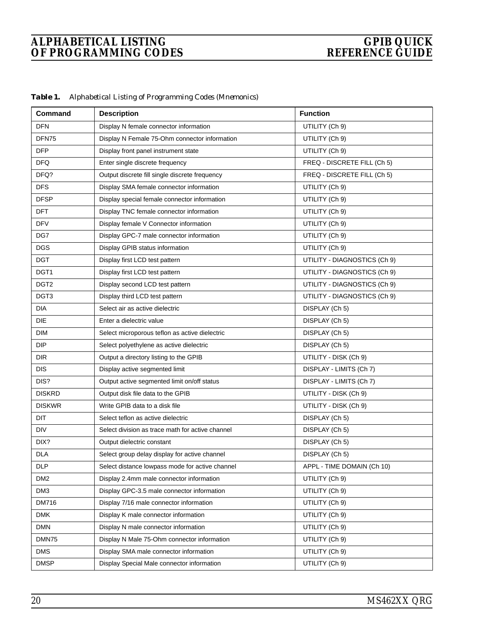| <b>Command</b>   | <b>Description</b>                               | <b>Function</b>              |
|------------------|--------------------------------------------------|------------------------------|
| <b>DFN</b>       | Display N female connector information           | UTILITY (Ch 9)               |
| DFN75            | Display N Female 75-Ohm connector information    | UTILITY (Ch 9)               |
| <b>DFP</b>       | Display front panel instrument state             | UTILITY (Ch 9)               |
| <b>DFQ</b>       | Enter single discrete frequency                  | FREQ - DISCRETE FILL (Ch 5)  |
| DFQ?             | Output discrete fill single discrete frequency   | FREQ - DISCRETE FILL (Ch 5)  |
| <b>DFS</b>       | Display SMA female connector information         | UTILITY (Ch 9)               |
| <b>DFSP</b>      | Display special female connector information     | UTILITY (Ch 9)               |
| DFT              | Display TNC female connector information         | UTILITY (Ch 9)               |
| <b>DFV</b>       | Display female V Connector information           | UTILITY (Ch 9)               |
| DG7              | Display GPC-7 male connector information         | UTILITY (Ch 9)               |
| <b>DGS</b>       | Display GPIB status information                  | UTILITY (Ch 9)               |
| <b>DGT</b>       | Display first LCD test pattern                   | UTILITY - DIAGNOSTICS (Ch 9) |
| DGT1             | Display first LCD test pattern                   | UTILITY - DIAGNOSTICS (Ch 9) |
| DGT <sub>2</sub> | Display second LCD test pattern                  | UTILITY - DIAGNOSTICS (Ch 9) |
| DGT3             | Display third LCD test pattern                   | UTILITY - DIAGNOSTICS (Ch 9) |
| <b>DIA</b>       | Select air as active dielectric                  | DISPLAY (Ch 5)               |
| <b>DIE</b>       | Enter a dielectric value                         | DISPLAY (Ch 5)               |
| DIM              | Select microporous teflon as active dielectric   | DISPLAY (Ch 5)               |
| <b>DIP</b>       | Select polyethylene as active dielectric         | DISPLAY (Ch 5)               |
| <b>DIR</b>       | Output a directory listing to the GPIB           | UTILITY - DISK (Ch 9)        |
| <b>DIS</b>       | Display active segmented limit                   | DISPLAY - LIMITS (Ch 7)      |
| DIS?             | Output active segmented limit on/off status      | DISPLAY - LIMITS (Ch 7)      |
| <b>DISKRD</b>    | Output disk file data to the GPIB                | UTILITY - DISK (Ch 9)        |
| <b>DISKWR</b>    | Write GPIB data to a disk file                   | UTILITY - DISK (Ch 9)        |
| <b>DIT</b>       | Select teflon as active dielectric               | DISPLAY (Ch 5)               |
| <b>DIV</b>       | Select division as trace math for active channel | DISPLAY (Ch 5)               |
| DIX?             | Output dielectric constant                       | DISPLAY (Ch 5)               |
| <b>DLA</b>       | Select group delay display for active channel    | DISPLAY (Ch 5)               |
| <b>DLP</b>       | Select distance lowpass mode for active channel  | APPL - TIME DOMAIN (Ch 10)   |
| DM <sub>2</sub>  | Display 2.4mm male connector information         | UTILITY (Ch 9)               |
| DM <sub>3</sub>  | Display GPC-3.5 male connector information       | UTILITY (Ch 9)               |
| DM716            | Display 7/16 male connector information          | UTILITY (Ch 9)               |
| <b>DMK</b>       | Display K male connector information             | UTILITY (Ch 9)               |
| <b>DMN</b>       | Display N male connector information             | UTILITY (Ch 9)               |
| DMN75            | Display N Male 75-Ohm connector information      | UTILITY (Ch 9)               |
| <b>DMS</b>       | Display SMA male connector information           | UTILITY (Ch 9)               |
| <b>DMSP</b>      | Display Special Male connector information       | UTILITY (Ch 9)               |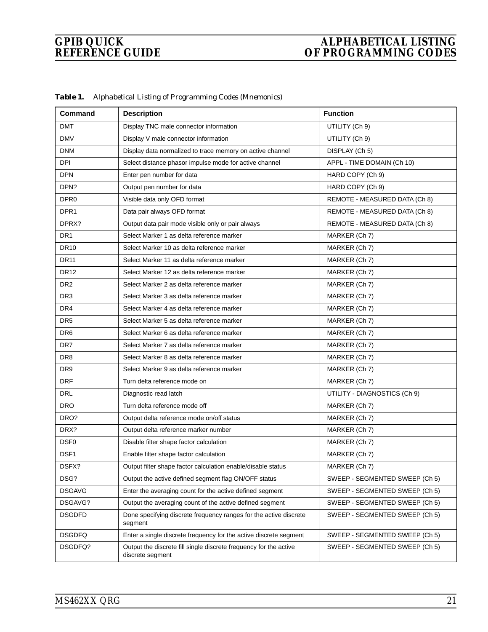| Command          | <b>Description</b>                                                                    | <b>Function</b>                |
|------------------|---------------------------------------------------------------------------------------|--------------------------------|
| <b>DMT</b>       | Display TNC male connector information                                                | UTILITY (Ch 9)                 |
| <b>DMV</b>       | Display V male connector information                                                  | UTILITY (Ch 9)                 |
| <b>DNM</b>       | Display data normalized to trace memory on active channel                             | DISPLAY (Ch 5)                 |
| <b>DPI</b>       | Select distance phasor impulse mode for active channel                                | APPL - TIME DOMAIN (Ch 10)     |
| <b>DPN</b>       | Enter pen number for data                                                             | HARD COPY (Ch 9)               |
| DPN?             | Output pen number for data                                                            | HARD COPY (Ch 9)               |
| DPR <sub>0</sub> | Visible data only OFD format                                                          | REMOTE - MEASURED DATA (Ch 8)  |
| DPR <sub>1</sub> | Data pair always OFD format                                                           | REMOTE - MEASURED DATA (Ch 8)  |
| DPRX?            | Output data pair mode visible only or pair always                                     | REMOTE - MEASURED DATA (Ch 8)  |
| DR <sub>1</sub>  | Select Marker 1 as delta reference marker                                             | MARKER (Ch 7)                  |
| <b>DR10</b>      | Select Marker 10 as delta reference marker                                            | MARKER (Ch 7)                  |
| <b>DR11</b>      | Select Marker 11 as delta reference marker                                            | MARKER (Ch 7)                  |
| <b>DR12</b>      | Select Marker 12 as delta reference marker                                            | MARKER (Ch 7)                  |
| DR <sub>2</sub>  | Select Marker 2 as delta reference marker                                             | MARKER (Ch 7)                  |
| DR <sub>3</sub>  | Select Marker 3 as delta reference marker                                             | MARKER (Ch 7)                  |
| DR4              | Select Marker 4 as delta reference marker                                             | MARKER (Ch 7)                  |
| DR <sub>5</sub>  | Select Marker 5 as delta reference marker                                             | MARKER (Ch 7)                  |
| DR <sub>6</sub>  | Select Marker 6 as delta reference marker                                             | MARKER (Ch 7)                  |
| DR7              | Select Marker 7 as delta reference marker                                             | MARKER (Ch 7)                  |
| DR <sub>8</sub>  | Select Marker 8 as delta reference marker                                             | MARKER (Ch 7)                  |
| DR <sub>9</sub>  | Select Marker 9 as delta reference marker                                             | MARKER (Ch 7)                  |
| <b>DRF</b>       | Turn delta reference mode on                                                          | MARKER (Ch 7)                  |
| <b>DRL</b>       | Diagnostic read latch                                                                 | UTILITY - DIAGNOSTICS (Ch 9)   |
| <b>DRO</b>       | Turn delta reference mode off                                                         | MARKER (Ch 7)                  |
| DRO?             | Output delta reference mode on/off status                                             | MARKER (Ch 7)                  |
| DRX?             | Output delta reference marker number                                                  | MARKER (Ch 7)                  |
| DSF0             | Disable filter shape factor calculation                                               | MARKER (Ch 7)                  |
| DSF <sub>1</sub> | Enable filter shape factor calculation                                                | MARKER (Ch 7)                  |
| DSFX?            | Output filter shape factor calculation enable/disable status                          | MARKER (Ch 7)                  |
| DSG?             | Output the active defined segment flag ON/OFF status                                  | SWEEP - SEGMENTED SWEEP (Ch 5) |
| <b>DSGAVG</b>    | Enter the averaging count for the active defined segment                              | SWEEP - SEGMENTED SWEEP (Ch 5) |
| DSGAVG?          | Output the averaging count of the active defined segment                              | SWEEP - SEGMENTED SWEEP (Ch 5) |
| <b>DSGDFD</b>    | Done specifying discrete frequency ranges for the active discrete<br>segment          | SWEEP - SEGMENTED SWEEP (Ch 5) |
| <b>DSGDFQ</b>    | Enter a single discrete frequency for the active discrete segment                     | SWEEP - SEGMENTED SWEEP (Ch 5) |
| DSGDFQ?          | Output the discrete fill single discrete frequency for the active<br>discrete segment | SWEEP - SEGMENTED SWEEP (Ch 5) |

*Table 1. Alphabetical Listing of Programming Codes (Mnemonics)*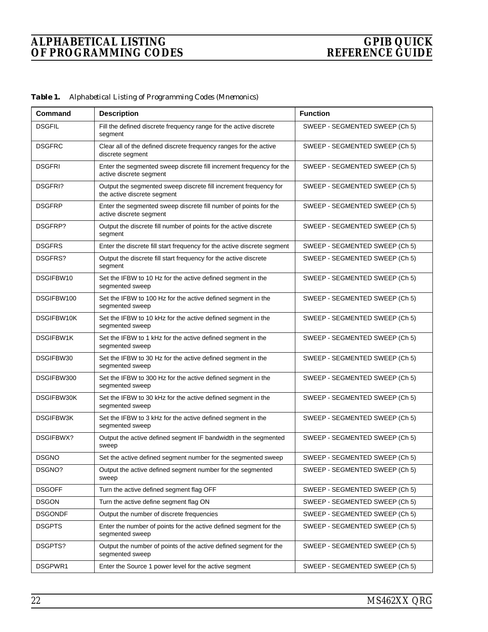| Command        | <b>Description</b>                                                                              | <b>Function</b>                |
|----------------|-------------------------------------------------------------------------------------------------|--------------------------------|
| <b>DSGFIL</b>  | Fill the defined discrete frequency range for the active discrete<br>segment                    | SWEEP - SEGMENTED SWEEP (Ch 5) |
| <b>DSGFRC</b>  | Clear all of the defined discrete frequency ranges for the active<br>discrete segment           | SWEEP - SEGMENTED SWEEP (Ch 5) |
| <b>DSGFRI</b>  | Enter the segmented sweep discrete fill increment frequency for the<br>active discrete segment  | SWEEP - SEGMENTED SWEEP (Ch 5) |
| <b>DSGFRI?</b> | Output the segmented sweep discrete fill increment frequency for<br>the active discrete segment | SWEEP - SEGMENTED SWEEP (Ch 5) |
| <b>DSGFRP</b>  | Enter the segmented sweep discrete fill number of points for the<br>active discrete segment     | SWEEP - SEGMENTED SWEEP (Ch 5) |
| DSGFRP?        | Output the discrete fill number of points for the active discrete<br>segment                    | SWEEP - SEGMENTED SWEEP (Ch 5) |
| <b>DSGFRS</b>  | Enter the discrete fill start frequency for the active discrete segment                         | SWEEP - SEGMENTED SWEEP (Ch 5) |
| DSGFRS?        | Output the discrete fill start frequency for the active discrete<br>segment                     | SWEEP - SEGMENTED SWEEP (Ch 5) |
| DSGIFBW10      | Set the IFBW to 10 Hz for the active defined segment in the<br>segmented sweep                  | SWEEP - SEGMENTED SWEEP (Ch 5) |
| DSGIFBW100     | Set the IFBW to 100 Hz for the active defined segment in the<br>segmented sweep                 | SWEEP - SEGMENTED SWEEP (Ch 5) |
| DSGIFBW10K     | Set the IFBW to 10 kHz for the active defined segment in the<br>segmented sweep                 | SWEEP - SEGMENTED SWEEP (Ch 5) |
| DSGIFBW1K      | Set the IFBW to 1 kHz for the active defined segment in the<br>segmented sweep                  | SWEEP - SEGMENTED SWEEP (Ch 5) |
| DSGIFBW30      | Set the IFBW to 30 Hz for the active defined segment in the<br>segmented sweep                  | SWEEP - SEGMENTED SWEEP (Ch 5) |
| DSGIFBW300     | Set the IFBW to 300 Hz for the active defined segment in the<br>segmented sweep                 | SWEEP - SEGMENTED SWEEP (Ch 5) |
| DSGIFBW30K     | Set the IFBW to 30 kHz for the active defined segment in the<br>segmented sweep                 | SWEEP - SEGMENTED SWEEP (Ch 5) |
| DSGIFBW3K      | Set the IFBW to 3 kHz for the active defined segment in the<br>segmented sweep                  | SWEEP - SEGMENTED SWEEP (Ch 5) |
| DSGIFBWX?      | Output the active defined segment IF bandwidth in the segmented<br>sweep                        | SWEEP - SEGMENTED SWEEP (Ch 5) |
| <b>DSGNO</b>   | Set the active defined segment number for the segmented sweep                                   | SWEEP - SEGMENTED SWEEP (Ch 5) |
| DSGNO?         | Output the active defined segment number for the segmented<br>sweep                             | SWEEP - SEGMENTED SWEEP (Ch 5) |
| <b>DSGOFF</b>  | Turn the active defined segment flag OFF                                                        | SWEEP - SEGMENTED SWEEP (Ch 5) |
| <b>DSGON</b>   | Turn the active define segment flag ON                                                          | SWEEP - SEGMENTED SWEEP (Ch 5) |
| <b>DSGONDF</b> | Output the number of discrete frequencies                                                       | SWEEP - SEGMENTED SWEEP (Ch 5) |
| <b>DSGPTS</b>  | Enter the number of points for the active defined segment for the<br>segmented sweep            | SWEEP - SEGMENTED SWEEP (Ch 5) |
| DSGPTS?        | Output the number of points of the active defined segment for the<br>segmented sweep            | SWEEP - SEGMENTED SWEEP (Ch 5) |
| DSGPWR1        | Enter the Source 1 power level for the active segment                                           | SWEEP - SEGMENTED SWEEP (Ch 5) |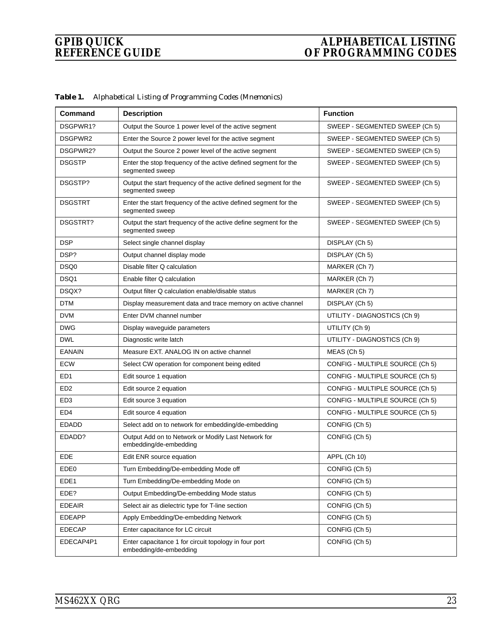| Command          | <b>Description</b>                                                                  | <b>Function</b>                 |
|------------------|-------------------------------------------------------------------------------------|---------------------------------|
| DSGPWR1?         | Output the Source 1 power level of the active segment                               | SWEEP - SEGMENTED SWEEP (Ch 5)  |
| DSGPWR2          | Enter the Source 2 power level for the active segment                               | SWEEP - SEGMENTED SWEEP (Ch 5)  |
| DSGPWR2?         | Output the Source 2 power level of the active segment                               | SWEEP - SEGMENTED SWEEP (Ch 5)  |
| <b>DSGSTP</b>    | Enter the stop frequency of the active defined segment for the<br>segmented sweep   | SWEEP - SEGMENTED SWEEP (Ch 5)  |
| DSGSTP?          | Output the start frequency of the active defined segment for the<br>segmented sweep | SWEEP - SEGMENTED SWEEP (Ch 5)  |
| <b>DSGSTRT</b>   | Enter the start frequency of the active defined segment for the<br>segmented sweep  | SWEEP - SEGMENTED SWEEP (Ch 5)  |
| DSGSTRT?         | Output the start frequency of the active define segment for the<br>segmented sweep  | SWEEP - SEGMENTED SWEEP (Ch 5)  |
| <b>DSP</b>       | Select single channel display                                                       | DISPLAY (Ch 5)                  |
| DSP?             | Output channel display mode                                                         | DISPLAY (Ch 5)                  |
| DSQ0             | Disable filter Q calculation                                                        | MARKER (Ch 7)                   |
| DSQ1             | Enable filter Q calculation                                                         | MARKER (Ch 7)                   |
| DSQX?            | Output filter Q calculation enable/disable status                                   | MARKER (Ch 7)                   |
| <b>DTM</b>       | Display measurement data and trace memory on active channel                         | DISPLAY (Ch 5)                  |
| <b>DVM</b>       | Enter DVM channel number                                                            | UTILITY - DIAGNOSTICS (Ch 9)    |
| <b>DWG</b>       | Display waveguide parameters                                                        | UTILITY (Ch 9)                  |
| <b>DWL</b>       | Diagnostic write latch                                                              | UTILITY - DIAGNOSTICS (Ch 9)    |
| <b>EANAIN</b>    | Measure EXT. ANALOG IN on active channel                                            | MEAS (Ch 5)                     |
| <b>ECW</b>       | Select CW operation for component being edited                                      | CONFIG - MULTIPLE SOURCE (Ch 5) |
| ED <sub>1</sub>  | Edit source 1 equation                                                              | CONFIG - MULTIPLE SOURCE (Ch 5) |
| ED <sub>2</sub>  | Edit source 2 equation                                                              | CONFIG - MULTIPLE SOURCE (Ch 5) |
| ED <sub>3</sub>  | Edit source 3 equation                                                              | CONFIG - MULTIPLE SOURCE (Ch 5) |
| ED <sub>4</sub>  | Edit source 4 equation                                                              | CONFIG - MULTIPLE SOURCE (Ch 5) |
| <b>EDADD</b>     | Select add on to network for embedding/de-embedding                                 | CONFIG (Ch 5)                   |
| EDADD?           | Output Add on to Network or Modify Last Network for<br>embedding/de-embedding       | CONFIG (Ch 5)                   |
| EDE.             | Edit ENR source equation                                                            | APPL (Ch 10)                    |
| EDE <sub>0</sub> | Turn Embedding/De-embedding Mode off                                                | CONFIG (Ch 5)                   |
| EDE1             | Turn Embedding/De-embedding Mode on                                                 | CONFIG (Ch 5)                   |
| EDE?             | Output Embedding/De-embedding Mode status                                           | CONFIG (Ch 5)                   |
| <b>EDEAIR</b>    | Select air as dielectric type for T-line section                                    | CONFIG (Ch 5)                   |
| <b>EDEAPP</b>    | Apply Embedding/De-embedding Network                                                | CONFIG (Ch 5)                   |
| <b>EDECAP</b>    | Enter capacitance for LC circuit                                                    | CONFIG (Ch 5)                   |
| EDECAP4P1        | Enter capacitance 1 for circuit topology in four port<br>embedding/de-embedding     | CONFIG (Ch 5)                   |

*Table 1. Alphabetical Listing of Programming Codes (Mnemonics)*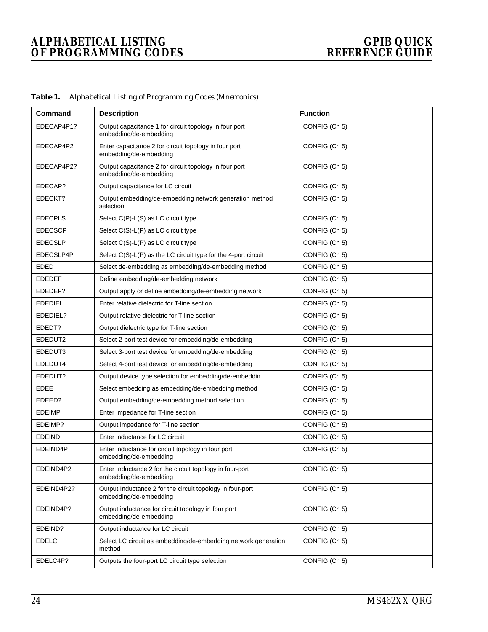| Table 1. |  |  | Alphabetical Listing of Programming Codes (Mnemonics) |  |  |
|----------|--|--|-------------------------------------------------------|--|--|
|----------|--|--|-------------------------------------------------------|--|--|

| Command        | <b>Description</b>                                                                  | <b>Function</b> |
|----------------|-------------------------------------------------------------------------------------|-----------------|
| EDECAP4P1?     | Output capacitance 1 for circuit topology in four port<br>embedding/de-embedding    | CONFIG (Ch 5)   |
| EDECAP4P2      | Enter capacitance 2 for circuit topology in four port<br>embedding/de-embedding     | CONFIG (Ch 5)   |
| EDECAP4P2?     | Output capacitance 2 for circuit topology in four port<br>embedding/de-embedding    | CONFIG (Ch 5)   |
| EDECAP?        | Output capacitance for LC circuit                                                   | CONFIG (Ch 5)   |
| EDECKT?        | Output embedding/de-embedding network generation method<br>selection                | CONFIG (Ch 5)   |
| <b>EDECPLS</b> | Select C(P)-L(S) as LC circuit type                                                 | CONFIG (Ch 5)   |
| <b>EDECSCP</b> | Select C(S)-L(P) as LC circuit type                                                 | CONFIG (Ch 5)   |
| <b>EDECSLP</b> | Select C(S)-L(P) as LC circuit type                                                 | CONFIG (Ch 5)   |
| EDECSLP4P      | Select $C(S)$ - $L(P)$ as the LC circuit type for the 4-port circuit                | CONFIG (Ch 5)   |
| EDED           | Select de-embedding as embedding/de-embedding method                                | CONFIG (Ch 5)   |
| <b>EDEDEF</b>  | Define embedding/de-embedding network                                               | CONFIG (Ch 5)   |
| EDEDEF?        | Output apply or define embedding/de-embedding network                               | CONFIG (Ch 5)   |
| <b>EDEDIEL</b> | Enter relative dielectric for T-line section                                        | CONFIG (Ch 5)   |
| EDEDIEL?       | Output relative dielectric for T-line section                                       | CONFIG (Ch 5)   |
| EDEDT?         | Output dielectric type for T-line section                                           | CONFIG (Ch 5)   |
| EDEDUT2        | Select 2-port test device for embedding/de-embedding                                | CONFIG (Ch 5)   |
| EDEDUT3        | Select 3-port test device for embedding/de-embedding                                | CONFIG (Ch 5)   |
| EDEDUT4        | Select 4-port test device for embedding/de-embedding                                | CONFIG (Ch 5)   |
| EDEDUT?        | Output device type selection for embedding/de-embeddin                              | CONFIG (Ch 5)   |
| <b>EDEE</b>    | Select embedding as embedding/de-embedding method                                   | CONFIG (Ch 5)   |
| EDEED?         | Output embedding/de-embedding method selection                                      | CONFIG (Ch 5)   |
| <b>EDEIMP</b>  | Enter impedance for T-line section                                                  | CONFIG (Ch 5)   |
| EDEIMP?        | Output impedance for T-line section                                                 | CONFIG (Ch 5)   |
| <b>EDEIND</b>  | Enter inductance for LC circuit                                                     | CONFIG (Ch 5)   |
| EDEIND4P       | Enter inductance for circuit topology in four port<br>embedding/de-embedding        | CONFIG (Ch 5)   |
| EDEIND4P2      | Enter Inductance 2 for the circuit topology in four-port<br>embedding/de-embedding  | CONFIG (Ch 5)   |
| EDEIND4P2?     | Output Inductance 2 for the circuit topology in four-port<br>embedding/de-embedding | CONFIG (Ch 5)   |
| EDEIND4P?      | Output inductance for circuit topology in four port<br>embedding/de-embedding       | CONFIG (Ch 5)   |
| EDEIND?        | Output inductance for LC circuit                                                    | CONFIG (Ch 5)   |
| <b>EDELC</b>   | Select LC circuit as embedding/de-embedding network generation<br>method            | CONFIG (Ch 5)   |
| EDELC4P?       | Outputs the four-port LC circuit type selection                                     | CONFIG (Ch 5)   |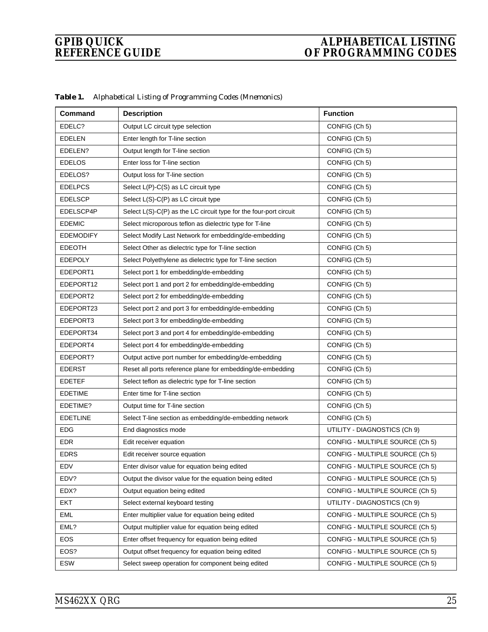| <b>Command</b>   | <b>Description</b>                                                   | <b>Function</b>                 |
|------------------|----------------------------------------------------------------------|---------------------------------|
| EDELC?           | Output LC circuit type selection                                     | CONFIG (Ch 5)                   |
| <b>EDELEN</b>    | Enter length for T-line section                                      | CONFIG (Ch 5)                   |
| EDELEN?          | Output length for T-line section                                     | CONFIG (Ch 5)                   |
| <b>EDELOS</b>    | Enter loss for T-line section                                        | CONFIG (Ch 5)                   |
| EDELOS?          | Output loss for T-line section                                       | CONFIG (Ch 5)                   |
| <b>EDELPCS</b>   | Select L(P)-C(S) as LC circuit type                                  | CONFIG (Ch 5)                   |
| <b>EDELSCP</b>   | Select L(S)-C(P) as LC circuit type                                  | CONFIG (Ch 5)                   |
| EDELSCP4P        | Select $L(S)$ -C(P) as the LC circuit type for the four-port circuit | CONFIG (Ch 5)                   |
| <b>EDEMIC</b>    | Select microporous teflon as dielectric type for T-line              | CONFIG (Ch 5)                   |
| <b>EDEMODIFY</b> | Select Modify Last Network for embedding/de-embedding                | CONFIG (Ch 5)                   |
| <b>EDEOTH</b>    | Select Other as dielectric type for T-line section                   | CONFIG (Ch 5)                   |
| <b>EDEPOLY</b>   | Select Polyethylene as dielectric type for T-line section            | CONFIG (Ch 5)                   |
| EDEPORT1         | Select port 1 for embedding/de-embedding                             | CONFIG (Ch 5)                   |
| EDEPORT12        | Select port 1 and port 2 for embedding/de-embedding                  | CONFIG (Ch 5)                   |
| EDEPORT2         | Select port 2 for embedding/de-embedding                             | CONFIG (Ch 5)                   |
| EDEPORT23        | Select port 2 and port 3 for embedding/de-embedding                  | CONFIG (Ch 5)                   |
| EDEPORT3         | Select port 3 for embedding/de-embedding                             | CONFIG (Ch 5)                   |
| EDEPORT34        | Select port 3 and port 4 for embedding/de-embedding                  | CONFIG (Ch 5)                   |
| EDEPORT4         | Select port 4 for embedding/de-embedding                             | CONFIG (Ch 5)                   |
| EDEPORT?         | Output active port number for embedding/de-embedding                 | CONFIG (Ch 5)                   |
| <b>EDERST</b>    | Reset all ports reference plane for embedding/de-embedding           | CONFIG (Ch 5)                   |
| <b>EDETEF</b>    | Select teflon as dielectric type for T-line section                  | CONFIG (Ch 5)                   |
| <b>EDETIME</b>   | Enter time for T-line section                                        | CONFIG (Ch 5)                   |
| EDETIME?         | Output time for T-line section                                       | CONFIG (Ch 5)                   |
| <b>EDETLINE</b>  | Select T-line section as embedding/de-embedding network              | CONFIG (Ch 5)                   |
| <b>EDG</b>       | End diagnostics mode                                                 | UTILITY - DIAGNOSTICS (Ch 9)    |
| <b>EDR</b>       | Edit receiver equation                                               | CONFIG - MULTIPLE SOURCE (Ch 5) |
| <b>EDRS</b>      | Edit receiver source equation                                        | CONFIG - MULTIPLE SOURCE (Ch 5) |
| EDV              | Enter divisor value for equation being edited                        | CONFIG - MULTIPLE SOURCE (Ch 5) |
| EDV?             | Output the divisor value for the equation being edited               | CONFIG - MULTIPLE SOURCE (Ch 5) |
| EDX?             | Output equation being edited                                         | CONFIG - MULTIPLE SOURCE (Ch 5) |
| EKT              | Select external keyboard testing                                     | UTILITY - DIAGNOSTICS (Ch 9)    |
| EML              | Enter multiplier value for equation being edited                     | CONFIG - MULTIPLE SOURCE (Ch 5) |
| EML?             | Output multiplier value for equation being edited                    | CONFIG - MULTIPLE SOURCE (Ch 5) |
| <b>EOS</b>       | Enter offset frequency for equation being edited                     | CONFIG - MULTIPLE SOURCE (Ch 5) |
| EOS?             | Output offset frequency for equation being edited                    | CONFIG - MULTIPLE SOURCE (Ch 5) |
| ESW              | Select sweep operation for component being edited                    | CONFIG - MULTIPLE SOURCE (Ch 5) |

*Table 1. Alphabetical Listing of Programming Codes (Mnemonics)*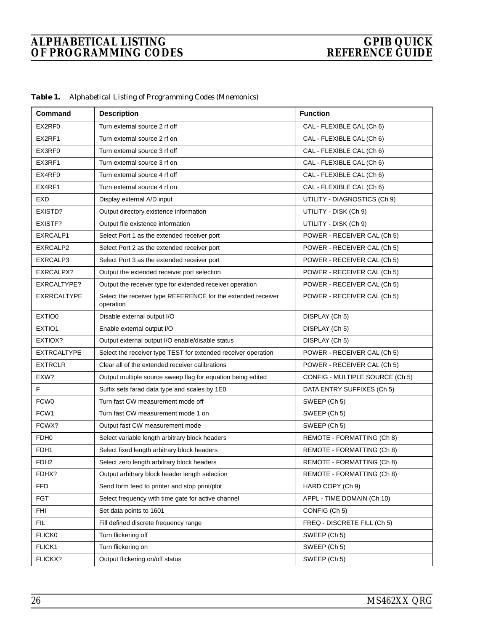| Table 1. |  |  | Alphabetical Listing of Programming Codes (Mnemonics) |  |  |
|----------|--|--|-------------------------------------------------------|--|--|
|----------|--|--|-------------------------------------------------------|--|--|

| Command            | <b>Description</b>                                                        | <b>Function</b>                 |
|--------------------|---------------------------------------------------------------------------|---------------------------------|
| EX2RF0             | Turn external source 2 rf off                                             | CAL - FLEXIBLE CAL (Ch 6)       |
| EX2RF1             | Turn external source 2 rf on                                              | CAL - FLEXIBLE CAL (Ch 6)       |
| EX3RF0             | Turn external source 3 rf off                                             | CAL - FLEXIBLE CAL (Ch 6)       |
| EX3RF1             | Turn external source 3 rf on                                              | CAL - FLEXIBLE CAL (Ch 6)       |
| EX4RF0             | Turn external source 4 rf off                                             | CAL - FLEXIBLE CAL (Ch 6)       |
| EX4RF1             | Turn external source 4 rf on                                              | CAL - FLEXIBLE CAL (Ch 6)       |
| EXD                | Display external A/D input                                                | UTILITY - DIAGNOSTICS (Ch 9)    |
| EXISTD?            | Output directory existence information                                    | UTILITY - DISK (Ch 9)           |
| EXISTF?            | Output file existence information                                         | UTILITY - DISK (Ch 9)           |
| EXRCALP1           | Select Port 1 as the extended receiver port                               | POWER - RECEIVER CAL (Ch 5)     |
| EXRCALP2           | Select Port 2 as the extended receiver port                               | POWER - RECEIVER CAL (Ch 5)     |
| EXRCALP3           | Select Port 3 as the extended receiver port                               | POWER - RECEIVER CAL (Ch 5)     |
| EXRCALPX?          | Output the extended receiver port selection                               | POWER - RECEIVER CAL (Ch 5)     |
| EXRCALTYPE?        | Output the receiver type for extended receiver operation                  | POWER - RECEIVER CAL (Ch 5)     |
| <b>EXRRCALTYPE</b> | Select the receiver type REFERENCE for the extended receiver<br>operation | POWER - RECEIVER CAL (Ch 5)     |
| EXTIO0             | Disable external output I/O                                               | DISPLAY (Ch 5)                  |
| EXTIO1             | Enable external output I/O                                                | DISPLAY (Ch 5)                  |
| EXTIOX?            | Output external output I/O enable/disable status                          | DISPLAY (Ch 5)                  |
| <b>EXTRCALTYPE</b> | Select the receiver type TEST for extended receiver operation             | POWER - RECEIVER CAL (Ch 5)     |
| <b>EXTRCLR</b>     | Clear all of the extended receiver calibrations                           | POWER - RECEIVER CAL (Ch 5)     |
| EXW?               | Output multiple source sweep flag for equation being edited               | CONFIG - MULTIPLE SOURCE (Ch 5) |
| F                  | Suffix sets farad data type and scales by 1E0                             | DATA ENTRY SUFFIXES (Ch 5)      |
| FCW <sub>0</sub>   | Turn fast CW measurement mode off                                         | SWEEP (Ch 5)                    |
| FCW1               | Turn fast CW measurement mode 1 on                                        | SWEEP (Ch 5)                    |
| FCWX?              | Output fast CW measurement mode                                           | SWEEP (Ch 5)                    |
| FDH <sub>0</sub>   | Select variable length arbitrary block headers                            | REMOTE - FORMATTING (Ch 8)      |
| FDH1               | Select fixed length arbitrary block headers                               | REMOTE - FORMATTING (Ch 8)      |
| FDH <sub>2</sub>   | Select zero length arbitrary block headers                                | REMOTE - FORMATTING (Ch 8)      |
| FDHX?              | Output arbitrary block header length selection                            | REMOTE - FORMATTING (Ch 8)      |
| <b>FFD</b>         | Send form feed to printer and stop print/plot                             | HARD COPY (Ch 9)                |
| <b>FGT</b>         | Select frequency with time gate for active channel                        | APPL - TIME DOMAIN (Ch 10)      |
| <b>FHI</b>         | Set data points to 1601                                                   | CONFIG (Ch 5)                   |
| <b>FIL</b>         | Fill defined discrete frequency range                                     | FREQ - DISCRETE FILL (Ch 5)     |
| FLICK0             | Turn flickering off                                                       | SWEEP (Ch 5)                    |
| FLICK1             | Turn flickering on                                                        | SWEEP (Ch 5)                    |
| FLICKX?            | Output flickering on/off status                                           | SWEEP (Ch 5)                    |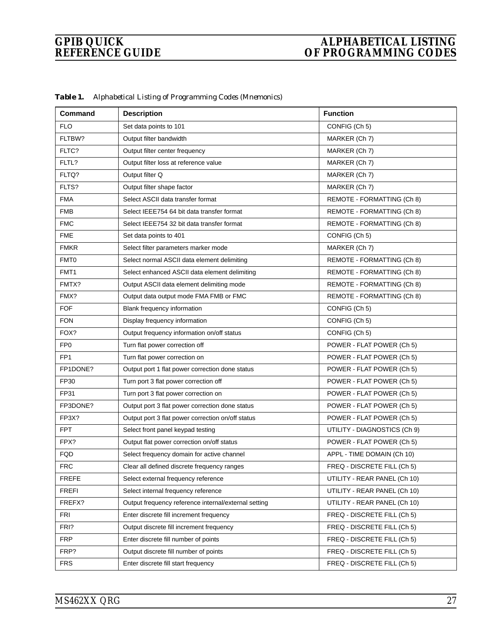| <b>Command</b>  | <b>Description</b>                                   | <b>Function</b>              |
|-----------------|------------------------------------------------------|------------------------------|
| <b>FLO</b>      | Set data points to 101                               | CONFIG (Ch 5)                |
| FLTBW?          | Output filter bandwidth                              | MARKER (Ch 7)                |
| FLTC?           | Output filter center frequency                       | MARKER (Ch 7)                |
| FLTL?           | Output filter loss at reference value                | MARKER (Ch 7)                |
| FLTQ?           | Output filter Q                                      | MARKER (Ch 7)                |
| FLTS?           | Output filter shape factor                           | MARKER (Ch 7)                |
| <b>FMA</b>      | Select ASCII data transfer format                    | REMOTE - FORMATTING (Ch 8)   |
| <b>FMB</b>      | Select IEEE754 64 bit data transfer format           | REMOTE - FORMATTING (Ch 8)   |
| <b>FMC</b>      | Select IEEE754 32 bit data transfer format           | REMOTE - FORMATTING (Ch 8)   |
| <b>FME</b>      | Set data points to 401                               | CONFIG (Ch 5)                |
| <b>FMKR</b>     | Select filter parameters marker mode                 | MARKER (Ch 7)                |
| FMT0            | Select normal ASCII data element delimiting          | REMOTE - FORMATTING (Ch 8)   |
| FMT1            | Select enhanced ASCII data element delimiting        | REMOTE - FORMATTING (Ch 8)   |
| FMTX?           | Output ASCII data element delimiting mode            | REMOTE - FORMATTING (Ch 8)   |
| FMX?            | Output data output mode FMA FMB or FMC               | REMOTE - FORMATTING (Ch 8)   |
| <b>FOF</b>      | Blank frequency information                          | CONFIG (Ch 5)                |
| <b>FON</b>      | Display frequency information                        | CONFIG (Ch 5)                |
| FOX?            | Output frequency information on/off status           | CONFIG (Ch 5)                |
| FP <sub>0</sub> | Turn flat power correction off                       | POWER - FLAT POWER (Ch 5)    |
| FP <sub>1</sub> | Turn flat power correction on                        | POWER - FLAT POWER (Ch 5)    |
| FP1DONE?        | Output port 1 flat power correction done status      | POWER - FLAT POWER (Ch 5)    |
| FP30            | Turn port 3 flat power correction off                | POWER - FLAT POWER (Ch 5)    |
| FP31            | Turn port 3 flat power correction on                 | POWER - FLAT POWER (Ch 5)    |
| FP3DONE?        | Output port 3 flat power correction done status      | POWER - FLAT POWER (Ch 5)    |
| FP3X?           | Output port 3 flat power correction on/off status    | POWER - FLAT POWER (Ch 5)    |
| <b>FPT</b>      | Select front panel keypad testing                    | UTILITY - DIAGNOSTICS (Ch 9) |
| FPX?            | Output flat power correction on/off status           | POWER - FLAT POWER (Ch 5)    |
| FQD             | Select frequency domain for active channel           | APPL - TIME DOMAIN (Ch 10)   |
| <b>FRC</b>      | Clear all defined discrete frequency ranges          | FREQ - DISCRETE FILL (Ch 5)  |
| <b>FREFE</b>    | Select external frequency reference                  | UTILITY - REAR PANEL (Ch 10) |
| <b>FREFI</b>    | Select internal frequency reference                  | UTILITY - REAR PANEL (Ch 10) |
| FREFX?          | Output frequency reference internal/external setting | UTILITY - REAR PANEL (Ch 10) |
| FRI             | Enter discrete fill increment frequency              | FREQ - DISCRETE FILL (Ch 5)  |
| FRI?            | Output discrete fill increment frequency             | FREQ - DISCRETE FILL (Ch 5)  |
| <b>FRP</b>      | Enter discrete fill number of points                 | FREQ - DISCRETE FILL (Ch 5)  |
| FRP?            | Output discrete fill number of points                | FREQ - DISCRETE FILL (Ch 5)  |
| <b>FRS</b>      | Enter discrete fill start frequency                  | FREQ - DISCRETE FILL (Ch 5)  |

*Table 1. Alphabetical Listing of Programming Codes (Mnemonics)*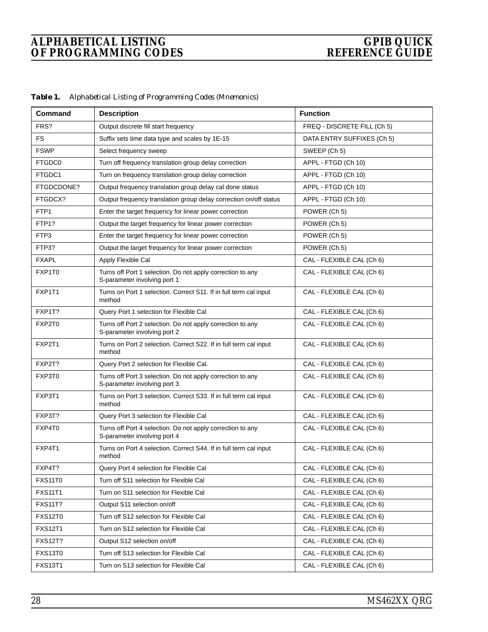| Table 1. |  |  | Alphabetical Listing of Programming Codes (Mnemonics) |  |  |
|----------|--|--|-------------------------------------------------------|--|--|
|----------|--|--|-------------------------------------------------------|--|--|

| Command        | <b>Description</b>                                                                         | <b>Function</b>             |
|----------------|--------------------------------------------------------------------------------------------|-----------------------------|
| FRS?           | Output discrete fill start frequency                                                       | FREQ - DISCRETE FILL (Ch 5) |
| <b>FS</b>      | Suffix sets time data type and scales by 1E-15                                             | DATA ENTRY SUFFIXES (Ch 5)  |
| <b>FSWP</b>    | Select frequency sweep                                                                     | SWEEP (Ch 5)                |
| FTGDC0         | Turn off frequency translation group delay correction                                      | APPL - FTGD (Ch 10)         |
| FTGDC1         | Turn on frequency translation group delay correction                                       | APPL - FTGD (Ch 10)         |
| FTGDCDONE?     | Output frequency translation group delay cal done status                                   | APPL - FTGD (Ch 10)         |
| FTGDCX?        | Output frequency translation group delay correction on/off status                          | APPL - FTGD (Ch 10)         |
| FTP1           | Enter the target frequency for linear power correction                                     | POWER (Ch 5)                |
| FTP1?          | Output the target frequency for linear power correction                                    | POWER (Ch 5)                |
| FTP3           | Enter the target frequency for linear power correction                                     | POWER (Ch 5)                |
| FTP3?          | Output the target frequency for linear power correction                                    | POWER (Ch 5)                |
| <b>FXAPL</b>   | Apply Flexible Cal                                                                         | CAL - FLEXIBLE CAL (Ch 6)   |
| FXP1T0         | Turns off Port 1 selection. Do not apply correction to any<br>S-parameter involving port 1 | CAL - FLEXIBLE CAL (Ch 6)   |
| FXP1T1         | Turns on Port 1 selection. Correct S11. If in full term cal input<br>method                | CAL - FLEXIBLE CAL (Ch 6)   |
| FXP1T?         | Query Port 1 selection for Flexible Cal                                                    | CAL - FLEXIBLE CAL (Ch 6)   |
| FXP2T0         | Turns off Port 2 selection. Do not apply correction to any<br>S-parameter involving port 2 | CAL - FLEXIBLE CAL (Ch 6)   |
| FXP2T1         | Turns on Port 2 selection. Correct S22. If in full term cal input<br>method                | CAL - FLEXIBLE CAL (Ch 6)   |
| FXP2T?         | Query Port 2 selection for Flexible Cal.                                                   | CAL - FLEXIBLE CAL (Ch 6)   |
| FXP3T0         | Turns off Port 3 selection. Do not apply correction to any<br>S-parameter involving port 3 | CAL - FLEXIBLE CAL (Ch 6)   |
| FXP3T1         | Turns on Port 3 selection. Correct S33. If in full term cal input<br>method                | CAL - FLEXIBLE CAL (Ch 6)   |
| FXP3T?         | Query Port 3 selection for Flexible Cal                                                    | CAL - FLEXIBLE CAL (Ch 6)   |
| FXP4T0         | Turns off Port 4 selection. Do not apply correction to any<br>S-parameter involving port 4 | CAL - FLEXIBLE CAL (Ch 6)   |
| FXP4T1         | Turns on Port 4 selection. Correct S44. If in full term cal input<br>method                | CAL - FLEXIBLE CAL (Ch 6)   |
| FXP4T?         | Query Port 4 selection for Flexible Cal                                                    | CAL - FLEXIBLE CAL (Ch 6)   |
| <b>FXS11T0</b> | Turn off S11 selection for Flexible Cal                                                    | CAL - FLEXIBLE CAL (Ch 6)   |
| <b>FXS11T1</b> | Turn on S11 selection for Flexible Cal                                                     | CAL - FLEXIBLE CAL (Ch 6)   |
| <b>FXS11T?</b> | Output S11 selection on/off                                                                | CAL - FLEXIBLE CAL (Ch 6)   |
| <b>FXS12T0</b> | Turn off S12 selection for Flexible Cal                                                    | CAL - FLEXIBLE CAL (Ch 6)   |
| <b>FXS12T1</b> | Turn on S12 selection for Flexible Cal                                                     | CAL - FLEXIBLE CAL (Ch 6)   |
| <b>FXS12T?</b> | Output S12 selection on/off                                                                | CAL - FLEXIBLE CAL (Ch 6)   |
| <b>FXS13T0</b> | Turn off S13 selection for Flexible Cal                                                    | CAL - FLEXIBLE CAL (Ch 6)   |
| <b>FXS13T1</b> | Turn on S13 selection for Flexible Cal                                                     | CAL - FLEXIBLE CAL (Ch 6)   |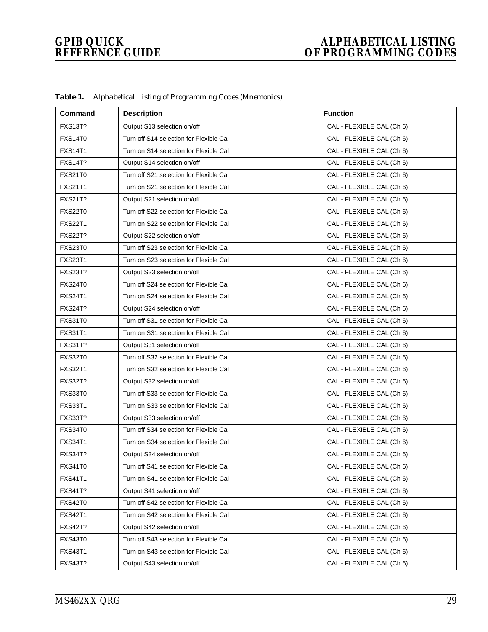| Command        | <b>Description</b>                      | <b>Function</b>           |
|----------------|-----------------------------------------|---------------------------|
| <b>FXS13T?</b> | Output S13 selection on/off             | CAL - FLEXIBLE CAL (Ch 6) |
| <b>FXS14T0</b> | Turn off S14 selection for Flexible Cal | CAL - FLEXIBLE CAL (Ch 6) |
| <b>FXS14T1</b> | Turn on S14 selection for Flexible Cal  | CAL - FLEXIBLE CAL (Ch 6) |
| <b>FXS14T?</b> | Output S14 selection on/off             | CAL - FLEXIBLE CAL (Ch 6) |
| <b>FXS21T0</b> | Turn off S21 selection for Flexible Cal | CAL - FLEXIBLE CAL (Ch 6) |
| <b>FXS21T1</b> | Turn on S21 selection for Flexible Cal  | CAL - FLEXIBLE CAL (Ch 6) |
| <b>FXS21T?</b> | Output S21 selection on/off             | CAL - FLEXIBLE CAL (Ch 6) |
| <b>FXS22T0</b> | Turn off S22 selection for Flexible Cal | CAL - FLEXIBLE CAL (Ch 6) |
| <b>FXS22T1</b> | Turn on S22 selection for Flexible Cal  | CAL - FLEXIBLE CAL (Ch 6) |
| <b>FXS22T?</b> | Output S22 selection on/off             | CAL - FLEXIBLE CAL (Ch 6) |
| <b>FXS23T0</b> | Turn off S23 selection for Flexible Cal | CAL - FLEXIBLE CAL (Ch 6) |
| <b>FXS23T1</b> | Turn on S23 selection for Flexible Cal  | CAL - FLEXIBLE CAL (Ch 6) |
| <b>FXS23T?</b> | Output S23 selection on/off             | CAL - FLEXIBLE CAL (Ch 6) |
| <b>FXS24T0</b> | Turn off S24 selection for Flexible Cal | CAL - FLEXIBLE CAL (Ch 6) |
| <b>FXS24T1</b> | Turn on S24 selection for Flexible Cal  | CAL - FLEXIBLE CAL (Ch 6) |
| <b>FXS24T?</b> | Output S24 selection on/off             | CAL - FLEXIBLE CAL (Ch 6) |
| <b>FXS31T0</b> | Turn off S31 selection for Flexible Cal | CAL - FLEXIBLE CAL (Ch 6) |
| <b>FXS31T1</b> | Turn on S31 selection for Flexible Cal  | CAL - FLEXIBLE CAL (Ch 6) |
| <b>FXS31T?</b> | Output S31 selection on/off             | CAL - FLEXIBLE CAL (Ch 6) |
| <b>FXS32T0</b> | Turn off S32 selection for Flexible Cal | CAL - FLEXIBLE CAL (Ch 6) |
| <b>FXS32T1</b> | Turn on S32 selection for Flexible Cal  | CAL - FLEXIBLE CAL (Ch 6) |
| <b>FXS32T?</b> | Output S32 selection on/off             | CAL - FLEXIBLE CAL (Ch 6) |
| <b>FXS33T0</b> | Turn off S33 selection for Flexible Cal | CAL - FLEXIBLE CAL (Ch 6) |
| <b>FXS33T1</b> | Turn on S33 selection for Flexible Cal  | CAL - FLEXIBLE CAL (Ch 6) |
| <b>FXS33T?</b> | Output S33 selection on/off             | CAL - FLEXIBLE CAL (Ch 6) |
| <b>FXS34T0</b> | Turn off S34 selection for Flexible Cal | CAL - FLEXIBLE CAL (Ch 6) |
| <b>FXS34T1</b> | Turn on S34 selection for Flexible Cal  | CAL - FLEXIBLE CAL (Ch 6) |
| <b>FXS34T?</b> | Output S34 selection on/off             | CAL - FLEXIBLE CAL (Ch 6) |
| <b>FXS41T0</b> | Turn off S41 selection for Flexible Cal | CAL - FLEXIBLE CAL (Ch 6) |
| <b>FXS41T1</b> | Turn on S41 selection for Flexible Cal  | CAL - FLEXIBLE CAL (Ch 6) |
| <b>FXS41T?</b> | Output S41 selection on/off             | CAL - FLEXIBLE CAL (Ch 6) |
| <b>FXS42T0</b> | Turn off S42 selection for Flexible Cal | CAL - FLEXIBLE CAL (Ch 6) |
| <b>FXS42T1</b> | Turn on S42 selection for Flexible Cal  | CAL - FLEXIBLE CAL (Ch 6) |
| <b>FXS42T?</b> | Output S42 selection on/off             | CAL - FLEXIBLE CAL (Ch 6) |
| <b>FXS43T0</b> | Turn off S43 selection for Flexible Cal | CAL - FLEXIBLE CAL (Ch 6) |
| <b>FXS43T1</b> | Turn on S43 selection for Flexible Cal  | CAL - FLEXIBLE CAL (Ch 6) |
| <b>FXS43T?</b> | Output S43 selection on/off             | CAL - FLEXIBLE CAL (Ch 6) |

*Table 1. Alphabetical Listing of Programming Codes (Mnemonics)*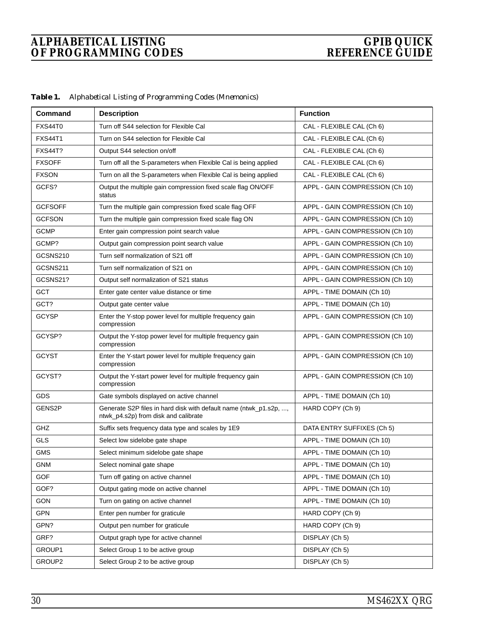| Table 1. |  |  | Alphabetical Listing of Programming Codes (Mnemonics) |  |  |
|----------|--|--|-------------------------------------------------------|--|--|
|----------|--|--|-------------------------------------------------------|--|--|

| Command        | <b>Description</b>                                                                                        | <b>Function</b>                 |
|----------------|-----------------------------------------------------------------------------------------------------------|---------------------------------|
| <b>FXS44T0</b> | Turn off S44 selection for Flexible Cal                                                                   | CAL - FLEXIBLE CAL (Ch 6)       |
| <b>FXS44T1</b> | Turn on S44 selection for Flexible Cal                                                                    | CAL - FLEXIBLE CAL (Ch 6)       |
| <b>FXS44T?</b> | Output S44 selection on/off                                                                               | CAL - FLEXIBLE CAL (Ch 6)       |
| <b>FXSOFF</b>  | Turn off all the S-parameters when Flexible Cal is being applied                                          | CAL - FLEXIBLE CAL (Ch 6)       |
| <b>FXSON</b>   | Turn on all the S-parameters when Flexible Cal is being applied                                           | CAL - FLEXIBLE CAL (Ch 6)       |
| GCFS?          | Output the multiple gain compression fixed scale flag ON/OFF<br>status                                    | APPL - GAIN COMPRESSION (Ch 10) |
| <b>GCFSOFF</b> | Turn the multiple gain compression fixed scale flag OFF                                                   | APPL - GAIN COMPRESSION (Ch 10) |
| <b>GCFSON</b>  | Turn the multiple gain compression fixed scale flag ON                                                    | APPL - GAIN COMPRESSION (Ch 10) |
| <b>GCMP</b>    | Enter gain compression point search value                                                                 | APPL - GAIN COMPRESSION (Ch 10) |
| GCMP?          | Output gain compression point search value                                                                | APPL - GAIN COMPRESSION (Ch 10) |
| GCSNS210       | Turn self normalization of S21 off                                                                        | APPL - GAIN COMPRESSION (Ch 10) |
| GCSNS211       | Turn self normalization of S21 on                                                                         | APPL - GAIN COMPRESSION (Ch 10) |
| GCSNS21?       | Output self normalization of S21 status                                                                   | APPL - GAIN COMPRESSION (Ch 10) |
| <b>GCT</b>     | Enter gate center value distance or time                                                                  | APPL - TIME DOMAIN (Ch 10)      |
| GCT?           | Output gate center value                                                                                  | APPL - TIME DOMAIN (Ch 10)      |
| GCYSP          | Enter the Y-stop power level for multiple frequency gain<br>compression                                   | APPL - GAIN COMPRESSION (Ch 10) |
| GCYSP?         | Output the Y-stop power level for multiple frequency gain<br>compression                                  | APPL - GAIN COMPRESSION (Ch 10) |
| <b>GCYST</b>   | Enter the Y-start power level for multiple frequency gain<br>compression                                  | APPL - GAIN COMPRESSION (Ch 10) |
| GCYST?         | Output the Y-start power level for multiple frequency gain<br>compression                                 | APPL - GAIN COMPRESSION (Ch 10) |
| GDS            | Gate symbols displayed on active channel                                                                  | APPL - TIME DOMAIN (Ch 10)      |
| GENS2P         | Generate S2P files in hard disk with default name (ntwk_p1.s2p, ,<br>ntwk_p4.s2p) from disk and calibrate | HARD COPY (Ch 9)                |
| GHZ            | Suffix sets frequency data type and scales by 1E9                                                         | DATA ENTRY SUFFIXES (Ch 5)      |
| <b>GLS</b>     | Select low sidelobe gate shape                                                                            | APPL - TIME DOMAIN (Ch 10)      |
| GMS            | Select minimum sidelobe gate shape                                                                        | APPL - TIME DOMAIN (Ch 10)      |
| <b>GNM</b>     | Select nominal gate shape                                                                                 | APPL - TIME DOMAIN (Ch 10)      |
| <b>GOF</b>     | Turn off gating on active channel                                                                         | APPL - TIME DOMAIN (Ch 10)      |
| GOF?           | Output gating mode on active channel                                                                      | APPL - TIME DOMAIN (Ch 10)      |
| GON            | Turn on gating on active channel                                                                          | APPL - TIME DOMAIN (Ch 10)      |
| GPN            | Enter pen number for graticule                                                                            | HARD COPY (Ch 9)                |
| GPN?           | Output pen number for graticule                                                                           | HARD COPY (Ch 9)                |
| GRF?           | Output graph type for active channel                                                                      | DISPLAY (Ch 5)                  |
| GROUP1         | Select Group 1 to be active group                                                                         | DISPLAY (Ch 5)                  |
| GROUP2         | Select Group 2 to be active group                                                                         | DISPLAY (Ch 5)                  |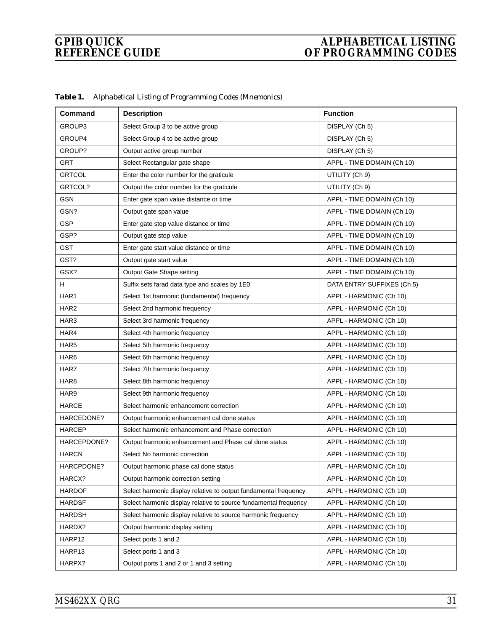| Command       | <b>Description</b>                                               | <b>Function</b>            |
|---------------|------------------------------------------------------------------|----------------------------|
| GROUP3        | Select Group 3 to be active group                                | DISPLAY (Ch 5)             |
| GROUP4        | Select Group 4 to be active group                                | DISPLAY (Ch 5)             |
| GROUP?        | Output active group number                                       | DISPLAY (Ch 5)             |
| <b>GRT</b>    | Select Rectangular gate shape                                    | APPL - TIME DOMAIN (Ch 10) |
| <b>GRTCOL</b> | Enter the color number for the graticule                         | UTILITY (Ch 9)             |
| GRTCOL?       | Output the color number for the graticule                        | UTILITY (Ch 9)             |
| <b>GSN</b>    | Enter gate span value distance or time                           | APPL - TIME DOMAIN (Ch 10) |
| GSN?          | Output gate span value                                           | APPL - TIME DOMAIN (Ch 10) |
| <b>GSP</b>    | Enter gate stop value distance or time                           | APPL - TIME DOMAIN (Ch 10) |
| GSP?          | Output gate stop value                                           | APPL - TIME DOMAIN (Ch 10) |
| <b>GST</b>    | Enter gate start value distance or time                          | APPL - TIME DOMAIN (Ch 10) |
| GST?          | Output gate start value                                          | APPL - TIME DOMAIN (Ch 10) |
| GSX?          | Output Gate Shape setting                                        | APPL - TIME DOMAIN (Ch 10) |
| H             | Suffix sets farad data type and scales by 1E0                    | DATA ENTRY SUFFIXES (Ch 5) |
| HAR1          | Select 1st harmonic (fundamental) frequency                      | APPL - HARMONIC (Ch 10)    |
| HAR2          | Select 2nd harmonic frequency                                    | APPL - HARMONIC (Ch 10)    |
| HAR3          | Select 3rd harmonic frequency                                    | APPL - HARMONIC (Ch 10)    |
| HAR4          | Select 4th harmonic frequency                                    | APPL - HARMONIC (Ch 10)    |
| HAR5          | Select 5th harmonic frequency                                    | APPL - HARMONIC (Ch 10)    |
| HAR6          | Select 6th harmonic frequency                                    | APPL - HARMONIC (Ch 10)    |
| HAR7          | Select 7th harmonic frequency                                    | APPL - HARMONIC (Ch 10)    |
| HAR8          | Select 8th harmonic frequency                                    | APPL - HARMONIC (Ch 10)    |
| HAR9          | Select 9th harmonic frequency                                    | APPL - HARMONIC (Ch 10)    |
| <b>HARCE</b>  | Select harmonic enhancement correction                           | APPL - HARMONIC (Ch 10)    |
| HARCEDONE?    | Output harmonic enhancement cal done status                      | APPL - HARMONIC (Ch 10)    |
| <b>HARCEP</b> | Select harmonic enhancement and Phase correction                 | APPL - HARMONIC (Ch 10)    |
| HARCEPDONE?   | Output harmonic enhancement and Phase cal done status            | APPL - HARMONIC (Ch 10)    |
| <b>HARCN</b>  | Select No harmonic correction                                    | APPL - HARMONIC (Ch 10)    |
| HARCPDONE?    | Output harmonic phase cal done status                            | APPL - HARMONIC (Ch 10)    |
| HARCX?        | Output harmonic correction setting                               | APPL - HARMONIC (Ch 10)    |
| <b>HARDOF</b> | Select harmonic display relative to output fundamental frequency | APPL - HARMONIC (Ch 10)    |
| <b>HARDSF</b> | Select harmonic display relative to source fundamental frequency | APPL - HARMONIC (Ch 10)    |
| <b>HARDSH</b> | Select harmonic display relative to source harmonic frequency    | APPL - HARMONIC (Ch 10)    |
| HARDX?        | Output harmonic display setting                                  | APPL - HARMONIC (Ch 10)    |
| HARP12        | Select ports 1 and 2                                             | APPL - HARMONIC (Ch 10)    |
| HARP13        | Select ports 1 and 3                                             | APPL - HARMONIC (Ch 10)    |
| HARPX?        | Output ports 1 and 2 or 1 and 3 setting                          | APPL - HARMONIC (Ch 10)    |

*Table 1. Alphabetical Listing of Programming Codes (Mnemonics)*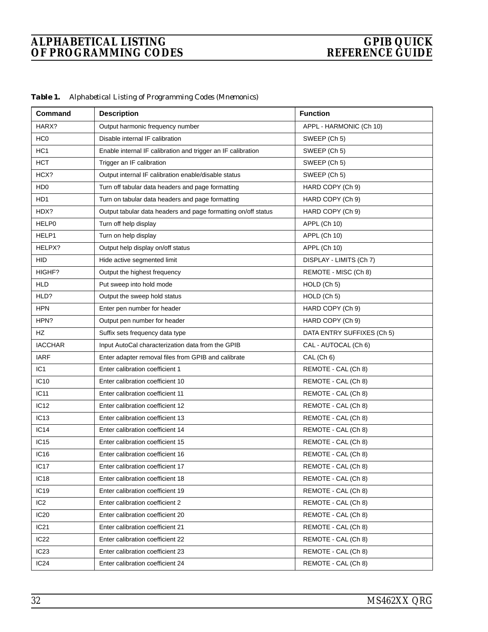| Command                     | <b>Description</b>                                            | <b>Function</b>            |
|-----------------------------|---------------------------------------------------------------|----------------------------|
| HARX?                       | Output harmonic frequency number                              | APPL - HARMONIC (Ch 10)    |
| HC <sub>0</sub>             | Disable internal IF calibration                               | SWEEP (Ch 5)               |
| HC <sub>1</sub>             | Enable internal IF calibration and trigger an IF calibration  | SWEEP (Ch 5)               |
| <b>HCT</b>                  | Trigger an IF calibration                                     | SWEEP (Ch 5)               |
| HCX?                        | Output internal IF calibration enable/disable status          | SWEEP (Ch 5)               |
| H <sub>D</sub> <sub>0</sub> | Turn off tabular data headers and page formatting             | HARD COPY (Ch 9)           |
| HD1                         | Turn on tabular data headers and page formatting              | HARD COPY (Ch 9)           |
| HDX?                        | Output tabular data headers and page formatting on/off status | HARD COPY (Ch 9)           |
| HELP0                       | Turn off help display                                         | APPL (Ch 10)               |
| HELP1                       | Turn on help display                                          | APPL (Ch 10)               |
| HELPX?                      | Output help display on/off status                             | APPL (Ch 10)               |
| HID                         | Hide active segmented limit                                   | DISPLAY - LIMITS (Ch 7)    |
| HIGHF?                      | Output the highest frequency                                  | REMOTE - MISC (Ch 8)       |
| <b>HLD</b>                  | Put sweep into hold mode                                      | HOLD (Ch 5)                |
| HLD?                        | Output the sweep hold status                                  | HOLD (Ch 5)                |
| <b>HPN</b>                  | Enter pen number for header                                   | HARD COPY (Ch 9)           |
| HPN?                        | Output pen number for header                                  | HARD COPY (Ch 9)           |
| HZ                          | Suffix sets frequency data type                               | DATA ENTRY SUFFIXES (Ch 5) |
| <b>IACCHAR</b>              | Input AutoCal characterization data from the GPIB             | CAL - AUTOCAL (Ch 6)       |
| <b>IARF</b>                 | Enter adapter removal files from GPIB and calibrate           | CAL (Ch 6)                 |
| IC <sub>1</sub>             | Enter calibration coefficient 1                               | REMOTE - CAL (Ch 8)        |
| IC10                        | Enter calibration coefficient 10                              | REMOTE - CAL (Ch 8)        |
| IC11                        | Enter calibration coefficient 11                              | REMOTE - CAL (Ch 8)        |
| <b>IC12</b>                 | Enter calibration coefficient 12                              | REMOTE - CAL (Ch 8)        |
| IC13                        | Enter calibration coefficient 13                              | REMOTE - CAL (Ch 8)        |
| IC14                        | Enter calibration coefficient 14                              | REMOTE - CAL (Ch 8)        |
| <b>IC15</b>                 | Enter calibration coefficient 15                              | REMOTE - CAL (Ch 8)        |
| IC16                        | Enter calibration coefficient 16                              | REMOTE - CAL (Ch 8)        |
| IC17                        | Enter calibration coefficient 17                              | REMOTE - CAL (Ch 8)        |
| IC <sub>18</sub>            | Enter calibration coefficient 18                              | REMOTE - CAL (Ch 8)        |
| IC19                        | Enter calibration coefficient 19                              | REMOTE - CAL (Ch 8)        |
| IC <sub>2</sub>             | Enter calibration coefficient 2                               | REMOTE - CAL (Ch 8)        |
| <b>IC20</b>                 | Enter calibration coefficient 20                              | REMOTE - CAL (Ch 8)        |
| IC21                        | Enter calibration coefficient 21                              | REMOTE - CAL (Ch 8)        |
| IC22                        | Enter calibration coefficient 22                              | REMOTE - CAL (Ch 8)        |
| IC23                        | Enter calibration coefficient 23                              | REMOTE - CAL (Ch 8)        |
| IC <sub>24</sub>            | Enter calibration coefficient 24                              | REMOTE - CAL (Ch 8)        |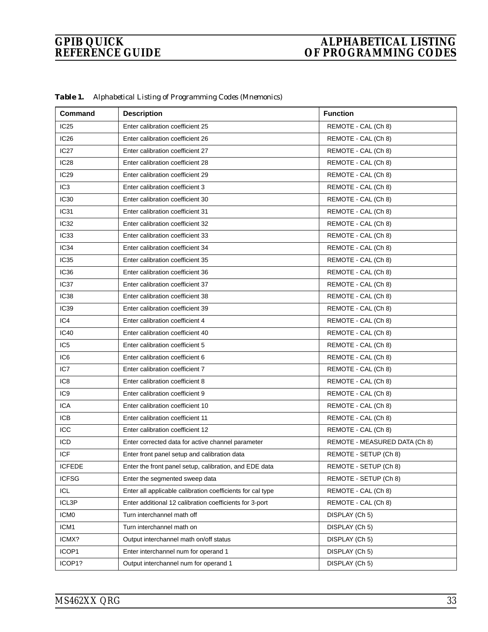| Command          | <b>Description</b>                                         | <b>Function</b>               |
|------------------|------------------------------------------------------------|-------------------------------|
| <b>IC25</b>      | Enter calibration coefficient 25                           | REMOTE - CAL (Ch 8)           |
| <b>IC26</b>      | Enter calibration coefficient 26                           | REMOTE - CAL (Ch 8)           |
| IC <sub>27</sub> | Enter calibration coefficient 27                           | REMOTE - CAL (Ch 8)           |
| <b>IC28</b>      | Enter calibration coefficient 28                           | REMOTE - CAL (Ch 8)           |
| <b>IC29</b>      | Enter calibration coefficient 29                           | REMOTE - CAL (Ch 8)           |
| IC <sub>3</sub>  | Enter calibration coefficient 3                            | REMOTE - CAL (Ch 8)           |
| <b>IC30</b>      | Enter calibration coefficient 30                           | REMOTE - CAL (Ch 8)           |
| IC31             | Enter calibration coefficient 31                           | REMOTE - CAL (Ch 8)           |
| <b>IC32</b>      | Enter calibration coefficient 32                           | REMOTE - CAL (Ch 8)           |
| <b>IC33</b>      | Enter calibration coefficient 33                           | REMOTE - CAL (Ch 8)           |
| IC34             | Enter calibration coefficient 34                           | REMOTE - CAL (Ch 8)           |
| <b>IC35</b>      | Enter calibration coefficient 35                           | REMOTE - CAL (Ch 8)           |
| <b>IC36</b>      | Enter calibration coefficient 36                           | REMOTE - CAL (Ch 8)           |
| IC <sub>37</sub> | Enter calibration coefficient 37                           | REMOTE - CAL (Ch 8)           |
| <b>IC38</b>      | Enter calibration coefficient 38                           | REMOTE - CAL (Ch 8)           |
| <b>IC39</b>      | Enter calibration coefficient 39                           | REMOTE - CAL (Ch 8)           |
| IC4              | Enter calibration coefficient 4                            | REMOTE - CAL (Ch 8)           |
| <b>IC40</b>      | Enter calibration coefficient 40                           | REMOTE - CAL (Ch 8)           |
| IC <sub>5</sub>  | Enter calibration coefficient 5                            | REMOTE - CAL (Ch 8)           |
| IC <sub>6</sub>  | Enter calibration coefficient 6                            | REMOTE - CAL (Ch 8)           |
| IC7              | Enter calibration coefficient 7                            | REMOTE - CAL (Ch 8)           |
| IC <sub>8</sub>  | Enter calibration coefficient 8                            | REMOTE - CAL (Ch 8)           |
| IC <sub>9</sub>  | Enter calibration coefficient 9                            | REMOTE - CAL (Ch 8)           |
| <b>ICA</b>       | Enter calibration coefficient 10                           | REMOTE - CAL (Ch 8)           |
| ICB              | Enter calibration coefficient 11                           | REMOTE - CAL (Ch 8)           |
| ICC              | Enter calibration coefficient 12                           | REMOTE - CAL (Ch 8)           |
| ICD              | Enter corrected data for active channel parameter          | REMOTE - MEASURED DATA (Ch 8) |
| <b>ICF</b>       | Enter front panel setup and calibration data               | REMOTE - SETUP (Ch 8)         |
| <b>ICFEDE</b>    | Enter the front panel setup, calibration, and EDE data     | REMOTE - SETUP (Ch 8)         |
| <b>ICFSG</b>     | Enter the segmented sweep data                             | REMOTE - SETUP (Ch 8)         |
| <b>ICL</b>       | Enter all applicable calibration coefficients for cal type | REMOTE - CAL (Ch 8)           |
| ICL3P            | Enter additional 12 calibration coefficients for 3-port    | REMOTE - CAL (Ch 8)           |
| ICM <sub>0</sub> | Turn interchannel math off                                 | DISPLAY (Ch 5)                |
| ICM1             | Turn interchannel math on                                  | DISPLAY (Ch 5)                |
| ICMX?            | Output interchannel math on/off status                     | DISPLAY (Ch 5)                |
| ICOP1            | Enter interchannel num for operand 1                       | DISPLAY (Ch 5)                |
| ICOP1?           | Output interchannel num for operand 1                      | DISPLAY (Ch 5)                |

*Table 1. Alphabetical Listing of Programming Codes (Mnemonics)*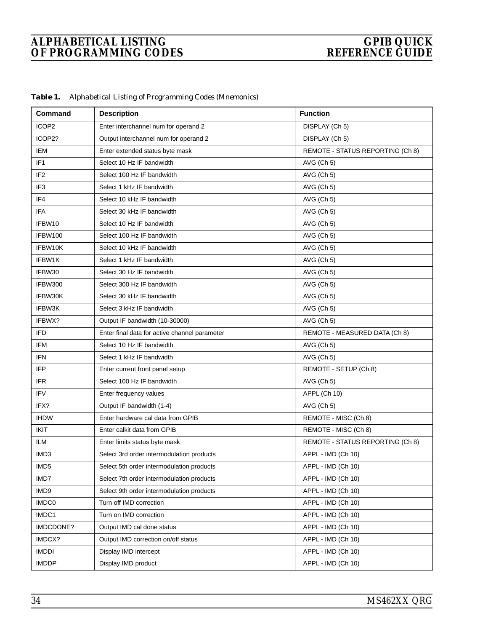| Table 1. | Alphabetical Listing of Programming Codes (Mnemonics) |  |  |  |  |
|----------|-------------------------------------------------------|--|--|--|--|
|----------|-------------------------------------------------------|--|--|--|--|

| Command           | <b>Description</b>                            | <b>Function</b>                  |
|-------------------|-----------------------------------------------|----------------------------------|
| ICOP <sub>2</sub> | Enter interchannel num for operand 2          | DISPLAY (Ch 5)                   |
| ICOP2?            | Output interchannel num for operand 2         | DISPLAY (Ch 5)                   |
| <b>IEM</b>        | Enter extended status byte mask               | REMOTE - STATUS REPORTING (Ch 8) |
| IF <sub>1</sub>   | Select 10 Hz IF bandwidth                     | AVG (Ch 5)                       |
| IF <sub>2</sub>   | Select 100 Hz IF bandwidth                    | AVG (Ch 5)                       |
| IF <sub>3</sub>   | Select 1 kHz IF bandwidth                     | AVG (Ch 5)                       |
| IF4               | Select 10 kHz IF bandwidth                    | AVG (Ch 5)                       |
| <b>IFA</b>        | Select 30 kHz IF bandwidth                    | AVG (Ch 5)                       |
| IFBW10            | Select 10 Hz IF bandwidth                     | AVG (Ch 5)                       |
| IFBW100           | Select 100 Hz IF bandwidth                    | AVG (Ch 5)                       |
| IFBW10K           | Select 10 kHz IF bandwidth                    | AVG (Ch 5)                       |
| IFBW1K            | Select 1 kHz IF bandwidth                     | AVG (Ch 5)                       |
| IFBW30            | Select 30 Hz IF bandwidth                     | AVG (Ch 5)                       |
| IFBW300           | Select 300 Hz IF bandwidth                    | AVG (Ch 5)                       |
| IFBW30K           | Select 30 kHz IF bandwidth                    | AVG (Ch 5)                       |
| IFBW3K            | Select 3 kHz IF bandwidth                     | AVG (Ch 5)                       |
| IFBWX?            | Output IF bandwidth (10-30000)                | AVG (Ch 5)                       |
| <b>IFD</b>        | Enter final data for active channel parameter | REMOTE - MEASURED DATA (Ch 8)    |
| <b>IFM</b>        | Select 10 Hz IF bandwidth                     | AVG (Ch 5)                       |
| <b>IFN</b>        | Select 1 kHz IF bandwidth                     | AVG (Ch 5)                       |
| <b>IFP</b>        | Enter current front panel setup               | REMOTE - SETUP (Ch 8)            |
| <b>IFR</b>        | Select 100 Hz IF bandwidth                    | AVG (Ch 5)                       |
| IFV               | Enter frequency values                        | APPL (Ch 10)                     |
| IFX?              | Output IF bandwidth (1-4)                     | AVG (Ch 5)                       |
| <b>IHDW</b>       | Enter hardware cal data from GPIB             | REMOTE - MISC (Ch 8)             |
| <b>IKIT</b>       | Enter calkit data from GPIB                   | REMOTE - MISC (Ch 8)             |
| ILM               | Enter limits status byte mask                 | REMOTE - STATUS REPORTING (Ch 8) |
| IMD3              | Select 3rd order intermodulation products     | APPL - IMD (Ch 10)               |
| IMD <sub>5</sub>  | Select 5th order intermodulation products     | APPL - IMD (Ch 10)               |
| IMD7              | Select 7th order intermodulation products     | APPL - IMD (Ch 10)               |
| IMD9              | Select 9th order intermodulation products     | APPL - IMD (Ch 10)               |
| IMDC0             | Turn off IMD correction                       | APPL - IMD (Ch 10)               |
| IMDC1             | Turn on IMD correction                        | APPL - IMD (Ch 10)               |
| IMDCDONE?         | Output IMD cal done status                    | APPL - IMD (Ch 10)               |
| IMDCX?            | Output IMD correction on/off status           | APPL - IMD (Ch 10)               |
| <b>IMDDI</b>      | Display IMD intercept                         | APPL - IMD (Ch 10)               |
| <b>IMDDP</b>      | Display IMD product                           | APPL - IMD (Ch 10)               |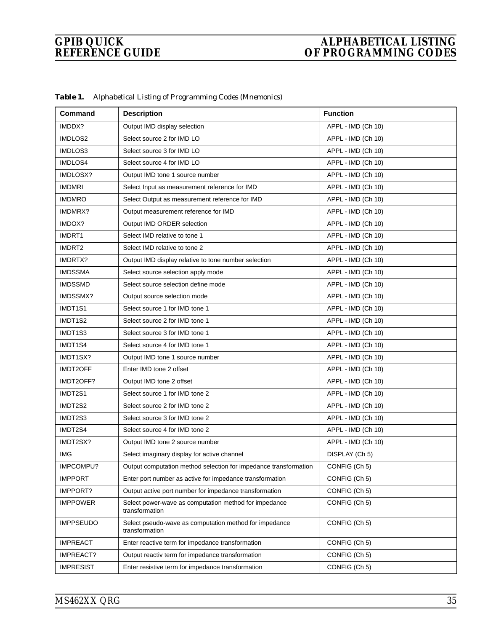| Command          | <b>Description</b>                                                       | <b>Function</b>    |
|------------------|--------------------------------------------------------------------------|--------------------|
| IMDDX?           | Output IMD display selection                                             | APPL - IMD (Ch 10) |
| IMDLOS2          | Select source 2 for IMD LO                                               | APPL - IMD (Ch 10) |
| <b>IMDLOS3</b>   | Select source 3 for IMD LO                                               | APPL - IMD (Ch 10) |
| IMDLOS4          | Select source 4 for IMD LO                                               | APPL - IMD (Ch 10) |
| IMDLOSX?         | Output IMD tone 1 source number                                          | APPL - IMD (Ch 10) |
| <b>IMDMRI</b>    | Select Input as measurement reference for IMD                            | APPL - IMD (Ch 10) |
| <b>IMDMRO</b>    | Select Output as measurement reference for IMD                           | APPL - IMD (Ch 10) |
| IMDMRX?          | Output measurement reference for IMD                                     | APPL - IMD (Ch 10) |
| IMDOX?           | Output IMD ORDER selection                                               | APPL - IMD (Ch 10) |
| IMDRT1           | Select IMD relative to tone 1                                            | APPL - IMD (Ch 10) |
| IMDRT2           | Select IMD relative to tone 2                                            | APPL - IMD (Ch 10) |
| IMDRTX?          | Output IMD display relative to tone number selection                     | APPL - IMD (Ch 10) |
| <b>IMDSSMA</b>   | Select source selection apply mode                                       | APPL - IMD (Ch 10) |
| <b>IMDSSMD</b>   | Select source selection define mode                                      | APPL - IMD (Ch 10) |
| IMDSSMX?         | Output source selection mode                                             | APPL - IMD (Ch 10) |
| IMDT1S1          | Select source 1 for IMD tone 1                                           | APPL - IMD (Ch 10) |
| IMDT1S2          | Select source 2 for IMD tone 1                                           | APPL - IMD (Ch 10) |
| IMDT1S3          | Select source 3 for IMD tone 1                                           | APPL - IMD (Ch 10) |
| IMDT1S4          | Select source 4 for IMD tone 1                                           | APPL - IMD (Ch 10) |
| IMDT1SX?         | Output IMD tone 1 source number                                          | APPL - IMD (Ch 10) |
| IMDT2OFF         | Enter IMD tone 2 offset                                                  | APPL - IMD (Ch 10) |
| IMDT2OFF?        | Output IMD tone 2 offset                                                 | APPL - IMD (Ch 10) |
| IMDT2S1          | Select source 1 for IMD tone 2                                           | APPL - IMD (Ch 10) |
| IMDT2S2          | Select source 2 for IMD tone 2                                           | APPL - IMD (Ch 10) |
| IMDT2S3          | Select source 3 for IMD tone 2                                           | APPL - IMD (Ch 10) |
| IMDT2S4          | Select source 4 for IMD tone 2                                           | APPL - IMD (Ch 10) |
| IMDT2SX?         | Output IMD tone 2 source number                                          | APPL - IMD (Ch 10) |
| <b>IMG</b>       | Select imaginary display for active channel                              | DISPLAY (Ch 5)     |
| IMPCOMPU?        | Output computation method selection for impedance transformation         | CONFIG (Ch 5)      |
| <b>IMPPORT</b>   | Enter port number as active for impedance transformation                 | CONFIG (Ch 5)      |
| IMPPORT?         | Output active port number for impedance transformation                   | CONFIG (Ch 5)      |
| <b>IMPPOWER</b>  | Select power-wave as computation method for impedance<br>transformation  | CONFIG (Ch 5)      |
| <b>IMPPSEUDO</b> | Select pseudo-wave as computation method for impedance<br>transformation | CONFIG (Ch 5)      |
| <b>IMPREACT</b>  | Enter reactive term for impedance transformation                         | CONFIG (Ch 5)      |
| IMPREACT?        | Output reactiv term for impedance transformation                         | CONFIG (Ch 5)      |
| <b>IMPRESIST</b> | Enter resistive term for impedance transformation                        | CONFIG (Ch 5)      |

*Table 1. Alphabetical Listing of Programming Codes (Mnemonics)*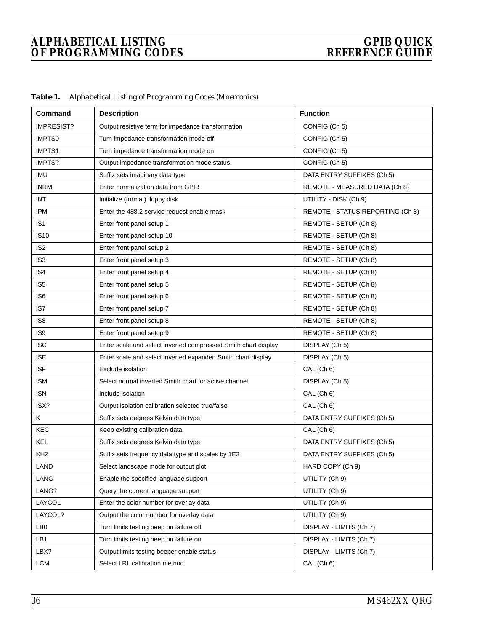| Table 1. | Alphabetical Listing of Programming Codes (Mnemonics) |  |  |  |  |
|----------|-------------------------------------------------------|--|--|--|--|
|----------|-------------------------------------------------------|--|--|--|--|

| Command           | <b>Description</b>                                             | <b>Function</b>                  |
|-------------------|----------------------------------------------------------------|----------------------------------|
| <b>IMPRESIST?</b> | Output resistive term for impedance transformation             | CONFIG (Ch 5)                    |
| <b>IMPTS0</b>     | Turn impedance transformation mode off                         | CONFIG (Ch 5)                    |
| IMPTS1            | Turn impedance transformation mode on                          | CONFIG (Ch 5)                    |
| IMPTS?            | Output impedance transformation mode status                    | CONFIG (Ch 5)                    |
| <b>IMU</b>        | Suffix sets imaginary data type                                | DATA ENTRY SUFFIXES (Ch 5)       |
| <b>INRM</b>       | Enter normalization data from GPIB                             | REMOTE - MEASURED DATA (Ch 8)    |
| INT.              | Initialize (format) floppy disk                                | UTILITY - DISK (Ch 9)            |
| <b>IPM</b>        | Enter the 488.2 service request enable mask                    | REMOTE - STATUS REPORTING (Ch 8) |
| IS <sub>1</sub>   | Enter front panel setup 1                                      | REMOTE - SETUP (Ch 8)            |
| <b>IS10</b>       | Enter front panel setup 10                                     | REMOTE - SETUP (Ch 8)            |
| IS <sub>2</sub>   | Enter front panel setup 2                                      | REMOTE - SETUP (Ch 8)            |
| IS <sub>3</sub>   | Enter front panel setup 3                                      | REMOTE - SETUP (Ch 8)            |
| IS4               | Enter front panel setup 4                                      | REMOTE - SETUP (Ch 8)            |
| IS <sub>5</sub>   | Enter front panel setup 5                                      | REMOTE - SETUP (Ch 8)            |
| IS <sub>6</sub>   | Enter front panel setup 6                                      | REMOTE - SETUP (Ch 8)            |
| IS7               | Enter front panel setup 7                                      | REMOTE - SETUP (Ch 8)            |
| IS <sub>8</sub>   | Enter front panel setup 8                                      | REMOTE - SETUP (Ch 8)            |
| IS <sub>9</sub>   | Enter front panel setup 9                                      | REMOTE - SETUP (Ch 8)            |
| <b>ISC</b>        | Enter scale and select inverted compressed Smith chart display | DISPLAY (Ch 5)                   |
| <b>ISE</b>        | Enter scale and select inverted expanded Smith chart display   | DISPLAY (Ch 5)                   |
| <b>ISF</b>        | Exclude isolation                                              | CAL (Ch 6)                       |
| <b>ISM</b>        | Select normal inverted Smith chart for active channel          | DISPLAY (Ch 5)                   |
| <b>ISN</b>        | Include isolation                                              | CAL (Ch 6)                       |
| ISX?              | Output isolation calibration selected true/false               | CAL (Ch 6)                       |
| Κ                 | Suffix sets degrees Kelvin data type                           | DATA ENTRY SUFFIXES (Ch 5)       |
| KEC               | Keep existing calibration data                                 | CAL (Ch 6)                       |
| <b>KEL</b>        | Suffix sets degrees Kelvin data type                           | DATA ENTRY SUFFIXES (Ch 5)       |
| KHZ               | Suffix sets frequency data type and scales by 1E3              | DATA ENTRY SUFFIXES (Ch 5)       |
| LAND              | Select landscape mode for output plot                          | HARD COPY (Ch 9)                 |
| LANG              | Enable the specified language support                          | UTILITY (Ch 9)                   |
| LANG?             | Query the current language support                             | UTILITY (Ch 9)                   |
| LAYCOL            | Enter the color number for overlay data                        | UTILITY (Ch 9)                   |
| LAYCOL?           | Output the color number for overlay data                       | UTILITY (Ch 9)                   |
| LB0               | Turn limits testing beep on failure off                        | DISPLAY - LIMITS (Ch 7)          |
| LB1               | Turn limits testing beep on failure on                         | DISPLAY - LIMITS (Ch 7)          |
| LBX?              | Output limits testing beeper enable status                     | DISPLAY - LIMITS (Ch 7)          |
| <b>LCM</b>        | Select LRL calibration method                                  | CAL (Ch 6)                       |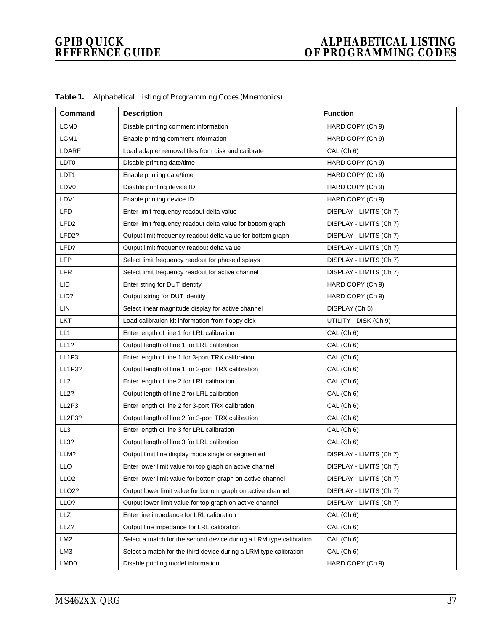| Command            | <b>Description</b>                                                 | <b>Function</b>         |
|--------------------|--------------------------------------------------------------------|-------------------------|
| LCM <sub>0</sub>   | Disable printing comment information                               | HARD COPY (Ch 9)        |
| LCM1               | Enable printing comment information                                | HARD COPY (Ch 9)        |
| LDARF              | Load adapter removal files from disk and calibrate                 | CAL (Ch 6)              |
| LDT <sub>0</sub>   | Disable printing date/time                                         | HARD COPY (Ch 9)        |
| LDT1               | Enable printing date/time                                          | HARD COPY (Ch 9)        |
| LDV <sub>0</sub>   | Disable printing device ID                                         | HARD COPY (Ch 9)        |
| LDV1               | Enable printing device ID                                          | HARD COPY (Ch 9)        |
| <b>LFD</b>         | Enter limit frequency readout delta value                          | DISPLAY - LIMITS (Ch 7) |
| LFD <sub>2</sub>   | Enter limit frequency readout delta value for bottom graph         | DISPLAY - LIMITS (Ch 7) |
| LFD <sub>2</sub> ? | Output limit frequency readout delta value for bottom graph        | DISPLAY - LIMITS (Ch 7) |
| LFD?               | Output limit frequency readout delta value                         | DISPLAY - LIMITS (Ch 7) |
| LFP                | Select limit frequency readout for phase displays                  | DISPLAY - LIMITS (Ch 7) |
| <b>LFR</b>         | Select limit frequency readout for active channel                  | DISPLAY - LIMITS (Ch 7) |
| LID.               | Enter string for DUT identity                                      | HARD COPY (Ch 9)        |
| LID?               | Output string for DUT identity                                     | HARD COPY (Ch 9)        |
| LIN                | Select linear magnitude display for active channel                 | DISPLAY (Ch 5)          |
| LKT                | Load calibration kit information from floppy disk                  | UTILITY - DISK (Ch 9)   |
| LL1                | Enter length of line 1 for LRL calibration                         | CAL (Ch 6)              |
| <b>LL1?</b>        | Output length of line 1 for LRL calibration                        | CAL (Ch 6)              |
| LL1P3              | Enter length of line 1 for 3-port TRX calibration                  | CAL (Ch 6)              |
| <b>LL1P3?</b>      | Output length of line 1 for 3-port TRX calibration                 | CAL (Ch 6)              |
| LL <sub>2</sub>    | Enter length of line 2 for LRL calibration                         | CAL (Ch 6)              |
| LL2?               | Output length of line 2 for LRL calibration                        | CAL (Ch 6)              |
| LL2P3              | Enter length of line 2 for 3-port TRX calibration                  | CAL (Ch 6)              |
| LL2P3?             | Output length of line 2 for 3-port TRX calibration                 | CAL (Ch 6)              |
| LL3                | Enter length of line 3 for LRL calibration                         | CAL (Ch 6)              |
| LL3?               | Output length of line 3 for LRL calibration                        | CAL (Ch 6)              |
| LLM?               | Output limit line display mode single or segmented                 | DISPLAY - LIMITS (Ch 7) |
| <b>LLO</b>         | Enter lower limit value for top graph on active channel            | DISPLAY - LIMITS (Ch 7) |
| LLO <sub>2</sub>   | Enter lower limit value for bottom graph on active channel         | DISPLAY - LIMITS (Ch 7) |
| LLO2?              | Output lower limit value for bottom graph on active channel        | DISPLAY - LIMITS (Ch 7) |
| LLO?               | Output lower limit value for top graph on active channel           | DISPLAY - LIMITS (Ch 7) |
| LLZ                | Enter line impedance for LRL calibration                           | CAL (Ch 6)              |
| LLZ?               | Output line impedance for LRL calibration                          | CAL (Ch 6)              |
| LM <sub>2</sub>    | Select a match for the second device during a LRM type calibration | CAL (Ch 6)              |
| LM3                | Select a match for the third device during a LRM type calibration  | CAL (Ch 6)              |
| LMD <sub>0</sub>   | Disable printing model information                                 | HARD COPY (Ch 9)        |

*Table 1. Alphabetical Listing of Programming Codes (Mnemonics)*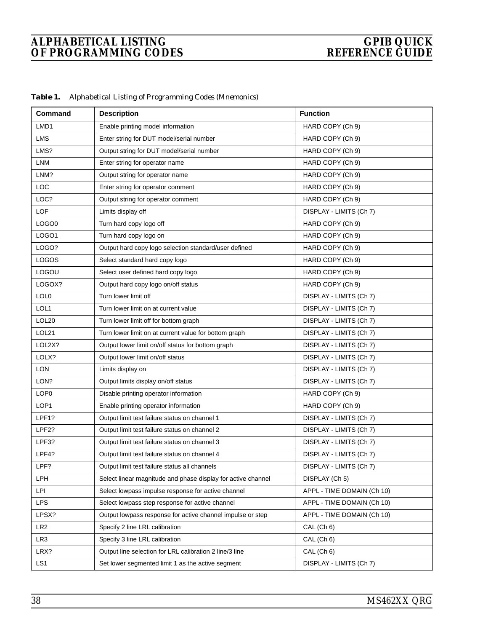| Table 1. |  |  | Alphabetical Listing of Programming Codes (Mnemonics) |  |  |
|----------|--|--|-------------------------------------------------------|--|--|
|----------|--|--|-------------------------------------------------------|--|--|

| Command          | <b>Description</b>                                           | <b>Function</b>            |
|------------------|--------------------------------------------------------------|----------------------------|
| LMD1             | Enable printing model information                            | HARD COPY (Ch 9)           |
| <b>LMS</b>       | Enter string for DUT model/serial number                     | HARD COPY (Ch 9)           |
| LMS?             | Output string for DUT model/serial number                    | HARD COPY (Ch 9)           |
| LNM              | Enter string for operator name                               | HARD COPY (Ch 9)           |
| LNM?             | Output string for operator name                              | HARD COPY (Ch 9)           |
| LOC              | Enter string for operator comment                            | HARD COPY (Ch 9)           |
| LOC?             | Output string for operator comment                           | HARD COPY (Ch 9)           |
| LOF              | Limits display off                                           | DISPLAY - LIMITS (Ch 7)    |
| LOGO0            | Turn hard copy logo off                                      | HARD COPY (Ch 9)           |
| LOGO1            | Turn hard copy logo on                                       | HARD COPY (Ch 9)           |
| LOGO?            | Output hard copy logo selection standard/user defined        | HARD COPY (Ch 9)           |
| <b>LOGOS</b>     | Select standard hard copy logo                               | HARD COPY (Ch 9)           |
| LOGOU            | Select user defined hard copy logo                           | HARD COPY (Ch 9)           |
| LOGOX?           | Output hard copy logo on/off status                          | HARD COPY (Ch 9)           |
| LOL0             | Turn lower limit off                                         | DISPLAY - LIMITS (Ch 7)    |
| LOL1             | Turn lower limit on at current value                         | DISPLAY - LIMITS (Ch 7)    |
| LOL20            | Turn lower limit off for bottom graph                        | DISPLAY - LIMITS (Ch 7)    |
| LOL21            | Turn lower limit on at current value for bottom graph        | DISPLAY - LIMITS (Ch 7)    |
| LOL2X?           | Output lower limit on/off status for bottom graph            | DISPLAY - LIMITS (Ch 7)    |
| LOLX?            | Output lower limit on/off status                             | DISPLAY - LIMITS (Ch 7)    |
| <b>LON</b>       | Limits display on                                            | DISPLAY - LIMITS (Ch 7)    |
| LON?             | Output limits display on/off status                          | DISPLAY - LIMITS (Ch 7)    |
| LOP <sub>0</sub> | Disable printing operator information                        | HARD COPY (Ch 9)           |
| LOP1             | Enable printing operator information                         | HARD COPY (Ch 9)           |
| LPF1?            | Output limit test failure status on channel 1                | DISPLAY - LIMITS (Ch 7)    |
| LPF2?            | Output limit test failure status on channel 2                | DISPLAY - LIMITS (Ch 7)    |
| LPF3?            | Output limit test failure status on channel 3                | DISPLAY - LIMITS (Ch 7)    |
| LPF4?            | Output limit test failure status on channel 4                | DISPLAY - LIMITS (Ch 7)    |
| LPF?             | Output limit test failure status all channels                | DISPLAY - LIMITS (Ch 7)    |
| LPH              | Select linear magnitude and phase display for active channel | DISPLAY (Ch 5)             |
| LPI              | Select lowpass impulse response for active channel           | APPL - TIME DOMAIN (Ch 10) |
| <b>LPS</b>       | Select lowpass step response for active channel              | APPL - TIME DOMAIN (Ch 10) |
| LPSX?            | Output lowpass response for active channel impulse or step   | APPL - TIME DOMAIN (Ch 10) |
| LR <sub>2</sub>  | Specify 2 line LRL calibration                               | CAL (Ch 6)                 |
| LR3              | Specify 3 line LRL calibration                               | CAL (Ch 6)                 |
| LRX?             | Output line selection for LRL calibration 2 line/3 line      | CAL (Ch 6)                 |
| LS1              | Set lower segmented limit 1 as the active segment            | DISPLAY - LIMITS (Ch 7)    |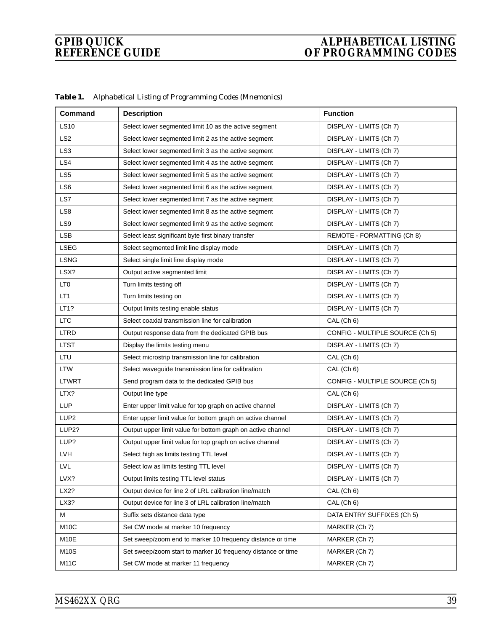### **GPIB QUICK ALPHABETICAL LISTING**<br>REFERENCE GUIDE OF PROGRAMMING CODES *OF PROGRAMMING CODES*

| Command                                                              | <b>Description</b>                                           | <b>Function</b>                 |
|----------------------------------------------------------------------|--------------------------------------------------------------|---------------------------------|
| <b>LS10</b><br>Select lower segmented limit 10 as the active segment |                                                              | DISPLAY - LIMITS (Ch 7)         |
| LS <sub>2</sub>                                                      | Select lower segmented limit 2 as the active segment         | DISPLAY - LIMITS (Ch 7)         |
| LS <sub>3</sub>                                                      | Select lower segmented limit 3 as the active segment         | DISPLAY - LIMITS (Ch 7)         |
| LS4                                                                  | Select lower segmented limit 4 as the active segment         | DISPLAY - LIMITS (Ch 7)         |
| LS <sub>5</sub>                                                      | Select lower segmented limit 5 as the active segment         | DISPLAY - LIMITS (Ch 7)         |
| LS6                                                                  | Select lower segmented limit 6 as the active segment         | DISPLAY - LIMITS (Ch 7)         |
| LS7                                                                  | Select lower segmented limit 7 as the active segment         | DISPLAY - LIMITS (Ch 7)         |
| LS8                                                                  | Select lower segmented limit 8 as the active segment         | DISPLAY - LIMITS (Ch 7)         |
| LS9                                                                  | Select lower segmented limit 9 as the active segment         | DISPLAY - LIMITS (Ch 7)         |
| <b>LSB</b>                                                           | Select least significant byte first binary transfer          | REMOTE - FORMATTING (Ch 8)      |
| <b>LSEG</b>                                                          | Select segmented limit line display mode                     | DISPLAY - LIMITS (Ch 7)         |
| <b>LSNG</b>                                                          | Select single limit line display mode                        | DISPLAY - LIMITS (Ch 7)         |
| LSX?                                                                 | Output active segmented limit                                | DISPLAY - LIMITS (Ch 7)         |
| LT <sub>0</sub>                                                      | Turn limits testing off                                      | DISPLAY - LIMITS (Ch 7)         |
| LT <sub>1</sub>                                                      | Turn limits testing on                                       | DISPLAY - LIMITS (Ch 7)         |
| LT1?                                                                 | Output limits testing enable status                          | DISPLAY - LIMITS (Ch 7)         |
| <b>LTC</b>                                                           | Select coaxial transmission line for calibration             | CAL (Ch 6)                      |
| <b>LTRD</b>                                                          | Output response data from the dedicated GPIB bus             | CONFIG - MULTIPLE SOURCE (Ch 5) |
| <b>LTST</b>                                                          | Display the limits testing menu                              | DISPLAY - LIMITS (Ch 7)         |
| LTU                                                                  | Select microstrip transmission line for calibration          | CAL (Ch 6)                      |
| LTW                                                                  | Select waveguide transmission line for calibration           | CAL (Ch 6)                      |
| <b>LTWRT</b>                                                         | Send program data to the dedicated GPIB bus                  | CONFIG - MULTIPLE SOURCE (Ch 5) |
| LTX?                                                                 | Output line type                                             | CAL (Ch 6)                      |
| <b>LUP</b>                                                           | Enter upper limit value for top graph on active channel      | DISPLAY - LIMITS (Ch 7)         |
| LUP <sub>2</sub>                                                     | Enter upper limit value for bottom graph on active channel   | DISPLAY - LIMITS (Ch 7)         |
| LUP2?                                                                | Output upper limit value for bottom graph on active channel  | DISPLAY - LIMITS (Ch 7)         |
| LUP?                                                                 | Output upper limit value for top graph on active channel     | DISPLAY - LIMITS (Ch 7)         |
| LVH                                                                  | Select high as limits testing TTL level                      | DISPLAY - LIMITS (Ch 7)         |
| <b>LVL</b>                                                           | Select low as limits testing TTL level                       | DISPLAY - LIMITS (Ch 7)         |
| LVX?                                                                 | Output limits testing TTL level status                       | DISPLAY - LIMITS (Ch 7)         |
| LX2?                                                                 | Output device for line 2 of LRL calibration line/match       | CAL (Ch 6)                      |
| LX3?                                                                 | Output device for line 3 of LRL calibration line/match       | CAL (Ch 6)                      |
| м                                                                    | Suffix sets distance data type                               | DATA ENTRY SUFFIXES (Ch 5)      |
| M <sub>10</sub> C                                                    | Set CW mode at marker 10 frequency                           | MARKER (Ch 7)                   |
| M10E                                                                 | Set sweep/zoom end to marker 10 frequency distance or time   | MARKER (Ch 7)                   |
| <b>M10S</b>                                                          | Set sweep/zoom start to marker 10 frequency distance or time | MARKER (Ch 7)                   |
| <b>M11C</b>                                                          | Set CW mode at marker 11 frequency                           | MARKER (Ch 7)                   |

*Table 1. Alphabetical Listing of Programming Codes (Mnemonics)*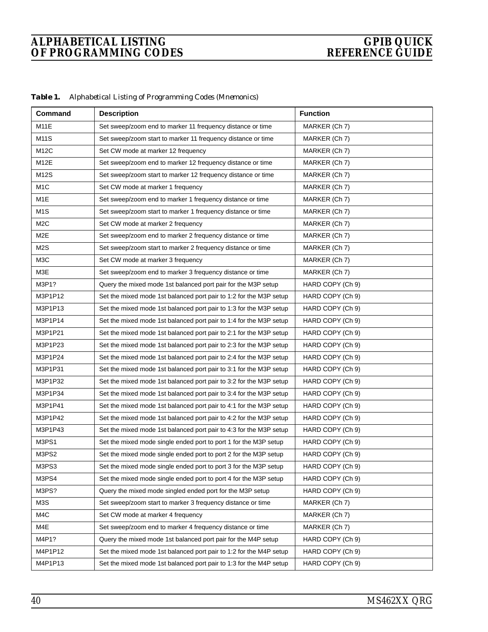| Table 1. |  |  | Alphabetical Listing of Programming Codes (Mnemonics) |  |  |
|----------|--|--|-------------------------------------------------------|--|--|
|----------|--|--|-------------------------------------------------------|--|--|

| Command<br><b>Description</b>                                             |                                                                    | <b>Function</b>  |
|---------------------------------------------------------------------------|--------------------------------------------------------------------|------------------|
| <b>M11E</b><br>Set sweep/zoom end to marker 11 frequency distance or time |                                                                    | MARKER (Ch 7)    |
| <b>M11S</b>                                                               | Set sweep/zoom start to marker 11 frequency distance or time       | MARKER (Ch 7)    |
| <b>M12C</b>                                                               | Set CW mode at marker 12 frequency                                 | MARKER (Ch 7)    |
| M <sub>12</sub> E                                                         | Set sweep/zoom end to marker 12 frequency distance or time         | MARKER (Ch 7)    |
| M12S                                                                      | Set sweep/zoom start to marker 12 frequency distance or time       | MARKER (Ch 7)    |
| M <sub>1</sub> C                                                          | Set CW mode at marker 1 frequency                                  | MARKER (Ch 7)    |
| M1E                                                                       | Set sweep/zoom end to marker 1 frequency distance or time          | MARKER (Ch 7)    |
| M <sub>1</sub> S                                                          | Set sweep/zoom start to marker 1 frequency distance or time        | MARKER (Ch 7)    |
| M <sub>2</sub> C                                                          | Set CW mode at marker 2 frequency                                  | MARKER (Ch 7)    |
| M <sub>2</sub> E                                                          | Set sweep/zoom end to marker 2 frequency distance or time          | MARKER (Ch 7)    |
| M <sub>2</sub> S                                                          | Set sweep/zoom start to marker 2 frequency distance or time        | MARKER (Ch 7)    |
| M <sub>3</sub> C                                                          | Set CW mode at marker 3 frequency                                  | MARKER (Ch 7)    |
| M3E                                                                       | Set sweep/zoom end to marker 3 frequency distance or time          | MARKER (Ch 7)    |
| M3P1?                                                                     | Query the mixed mode 1st balanced port pair for the M3P setup      | HARD COPY (Ch 9) |
| M3P1P12                                                                   | Set the mixed mode 1st balanced port pair to 1:2 for the M3P setup | HARD COPY (Ch 9) |
| M3P1P13                                                                   | Set the mixed mode 1st balanced port pair to 1:3 for the M3P setup | HARD COPY (Ch 9) |
| M3P1P14                                                                   | Set the mixed mode 1st balanced port pair to 1:4 for the M3P setup | HARD COPY (Ch 9) |
| M3P1P21                                                                   | Set the mixed mode 1st balanced port pair to 2:1 for the M3P setup | HARD COPY (Ch 9) |
| M3P1P23                                                                   | Set the mixed mode 1st balanced port pair to 2:3 for the M3P setup | HARD COPY (Ch 9) |
| M3P1P24                                                                   | Set the mixed mode 1st balanced port pair to 2:4 for the M3P setup | HARD COPY (Ch 9) |
| M3P1P31                                                                   | Set the mixed mode 1st balanced port pair to 3:1 for the M3P setup | HARD COPY (Ch 9) |
| M3P1P32                                                                   | Set the mixed mode 1st balanced port pair to 3:2 for the M3P setup | HARD COPY (Ch 9) |
| M3P1P34                                                                   | Set the mixed mode 1st balanced port pair to 3:4 for the M3P setup | HARD COPY (Ch 9) |
| M3P1P41                                                                   | Set the mixed mode 1st balanced port pair to 4:1 for the M3P setup | HARD COPY (Ch 9) |
| M3P1P42                                                                   | Set the mixed mode 1st balanced port pair to 4:2 for the M3P setup | HARD COPY (Ch 9) |
| M3P1P43                                                                   | Set the mixed mode 1st balanced port pair to 4:3 for the M3P setup | HARD COPY (Ch 9) |
| M3PS1                                                                     | Set the mixed mode single ended port to port 1 for the M3P setup   | HARD COPY (Ch 9) |
| M3PS2                                                                     | Set the mixed mode single ended port to port 2 for the M3P setup   | HARD COPY (Ch 9) |
| M3PS3                                                                     | Set the mixed mode single ended port to port 3 for the M3P setup   | HARD COPY (Ch 9) |
| M3PS4                                                                     | Set the mixed mode single ended port to port 4 for the M3P setup   | HARD COPY (Ch 9) |
| M3PS?                                                                     | Query the mixed mode singled ended port for the M3P setup          | HARD COPY (Ch 9) |
| M3S                                                                       | Set sweep/zoom start to marker 3 frequency distance or time        | MARKER (Ch 7)    |
| M4C                                                                       | Set CW mode at marker 4 frequency                                  | MARKER (Ch 7)    |
| M4E                                                                       | Set sweep/zoom end to marker 4 frequency distance or time          | MARKER (Ch 7)    |
| M4P1?                                                                     | Query the mixed mode 1st balanced port pair for the M4P setup      | HARD COPY (Ch 9) |
| M4P1P12                                                                   | Set the mixed mode 1st balanced port pair to 1:2 for the M4P setup | HARD COPY (Ch 9) |
| M4P1P13                                                                   | Set the mixed mode 1st balanced port pair to 1:3 for the M4P setup | HARD COPY (Ch 9) |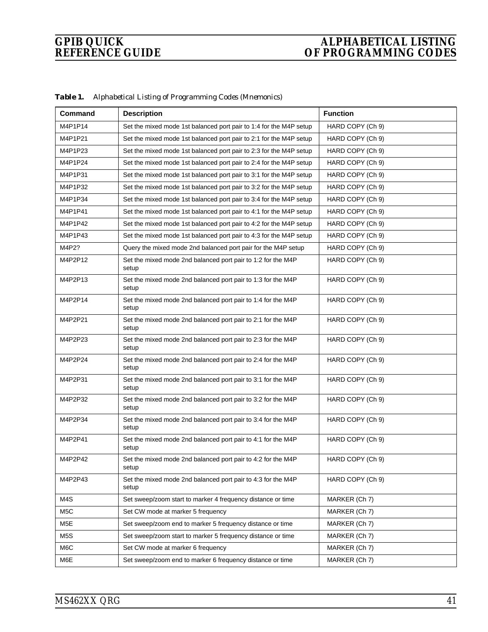### **GPIB QUICK ALPHABETICAL LISTING**<br>REFERENCE GUIDE OF PROGRAMMING CODES *OF PROGRAMMING CODES*

| Command          | <b>Description</b>                                                    | <b>Function</b>  |
|------------------|-----------------------------------------------------------------------|------------------|
| M4P1P14          | Set the mixed mode 1st balanced port pair to 1:4 for the M4P setup    | HARD COPY (Ch 9) |
| M4P1P21          | Set the mixed mode 1st balanced port pair to 2:1 for the M4P setup    | HARD COPY (Ch 9) |
| M4P1P23          | Set the mixed mode 1st balanced port pair to 2:3 for the M4P setup    | HARD COPY (Ch 9) |
| M4P1P24          | Set the mixed mode 1st balanced port pair to 2:4 for the M4P setup    | HARD COPY (Ch 9) |
| M4P1P31          | Set the mixed mode 1st balanced port pair to 3:1 for the M4P setup    | HARD COPY (Ch 9) |
| M4P1P32          | Set the mixed mode 1st balanced port pair to 3:2 for the M4P setup    | HARD COPY (Ch 9) |
| M4P1P34          | Set the mixed mode 1st balanced port pair to 3:4 for the M4P setup    | HARD COPY (Ch 9) |
| M4P1P41          | Set the mixed mode 1st balanced port pair to 4:1 for the M4P setup    | HARD COPY (Ch 9) |
| M4P1P42          | Set the mixed mode 1st balanced port pair to 4:2 for the M4P setup    | HARD COPY (Ch 9) |
| M4P1P43          | Set the mixed mode 1st balanced port pair to 4:3 for the M4P setup    | HARD COPY (Ch 9) |
| M4P2?            | Query the mixed mode 2nd balanced port pair for the M4P setup         | HARD COPY (Ch 9) |
| M4P2P12          | Set the mixed mode 2nd balanced port pair to 1:2 for the M4P<br>setup | HARD COPY (Ch 9) |
| M4P2P13          | Set the mixed mode 2nd balanced port pair to 1:3 for the M4P<br>setup | HARD COPY (Ch 9) |
| M4P2P14          | Set the mixed mode 2nd balanced port pair to 1:4 for the M4P<br>setup | HARD COPY (Ch 9) |
| M4P2P21          | Set the mixed mode 2nd balanced port pair to 2:1 for the M4P<br>setup | HARD COPY (Ch 9) |
| M4P2P23          | Set the mixed mode 2nd balanced port pair to 2:3 for the M4P<br>setup | HARD COPY (Ch 9) |
| M4P2P24          | Set the mixed mode 2nd balanced port pair to 2:4 for the M4P<br>setup | HARD COPY (Ch 9) |
| M4P2P31          | Set the mixed mode 2nd balanced port pair to 3:1 for the M4P<br>setup | HARD COPY (Ch 9) |
| M4P2P32          | Set the mixed mode 2nd balanced port pair to 3:2 for the M4P<br>setup | HARD COPY (Ch 9) |
| M4P2P34          | Set the mixed mode 2nd balanced port pair to 3:4 for the M4P<br>setup | HARD COPY (Ch 9) |
| M4P2P41          | Set the mixed mode 2nd balanced port pair to 4:1 for the M4P<br>setup | HARD COPY (Ch 9) |
| M4P2P42          | Set the mixed mode 2nd balanced port pair to 4:2 for the M4P<br>setup | HARD COPY (Ch 9) |
| M4P2P43          | Set the mixed mode 2nd balanced port pair to 4:3 for the M4P<br>setup | HARD COPY (Ch 9) |
| M4S              | Set sweep/zoom start to marker 4 frequency distance or time           | MARKER (Ch 7)    |
| M <sub>5</sub> C | Set CW mode at marker 5 frequency                                     | MARKER (Ch 7)    |
| M5E              | Set sweep/zoom end to marker 5 frequency distance or time             | MARKER (Ch 7)    |
| M5S              | Set sweep/zoom start to marker 5 frequency distance or time           | MARKER (Ch 7)    |
| M6C              | Set CW mode at marker 6 frequency                                     | MARKER (Ch 7)    |
| M6E              | Set sweep/zoom end to marker 6 frequency distance or time             | MARKER (Ch 7)    |

*Table 1. Alphabetical Listing of Programming Codes (Mnemonics)*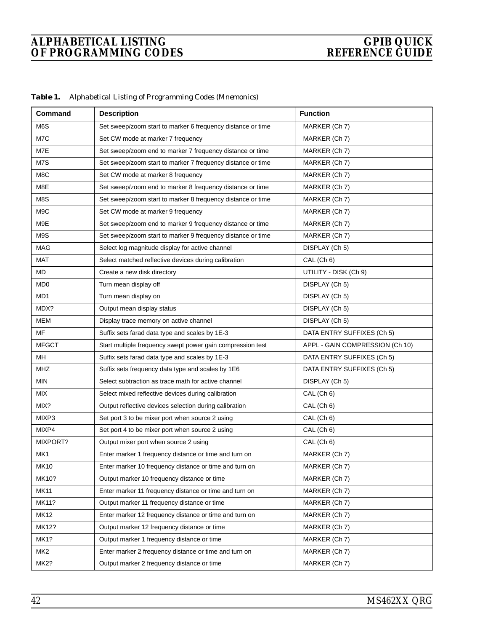| Command          | <b>Description</b>                                          | <b>Function</b>                 |
|------------------|-------------------------------------------------------------|---------------------------------|
| M6S              | Set sweep/zoom start to marker 6 frequency distance or time | MARKER (Ch 7)                   |
| M7C              | Set CW mode at marker 7 frequency                           | MARKER (Ch 7)                   |
| M7E              | Set sweep/zoom end to marker 7 frequency distance or time   | MARKER (Ch 7)                   |
| M7S              | Set sweep/zoom start to marker 7 frequency distance or time | MARKER (Ch 7)                   |
| M8C              | Set CW mode at marker 8 frequency                           | MARKER (Ch 7)                   |
| M8E              | Set sweep/zoom end to marker 8 frequency distance or time   | MARKER (Ch 7)                   |
| M8S              | Set sweep/zoom start to marker 8 frequency distance or time | MARKER (Ch 7)                   |
| M <sub>9</sub> C | Set CW mode at marker 9 frequency                           | MARKER (Ch 7)                   |
| M9E              | Set sweep/zoom end to marker 9 frequency distance or time   | MARKER (Ch 7)                   |
| M9S              | Set sweep/zoom start to marker 9 frequency distance or time | MARKER (Ch 7)                   |
| MAG              | Select log magnitude display for active channel             | DISPLAY (Ch 5)                  |
| MAT              | Select matched reflective devices during calibration        | CAL (Ch 6)                      |
| MD               | Create a new disk directory                                 | UTILITY - DISK (Ch 9)           |
| MD <sub>0</sub>  | Turn mean display off                                       | DISPLAY (Ch 5)                  |
| MD1              | Turn mean display on                                        | DISPLAY (Ch 5)                  |
| MDX?             | Output mean display status                                  | DISPLAY (Ch 5)                  |
| <b>MEM</b>       | Display trace memory on active channel                      | DISPLAY (Ch 5)                  |
| MF               | Suffix sets farad data type and scales by 1E-3              | DATA ENTRY SUFFIXES (Ch 5)      |
| <b>MFGCT</b>     | Start multiple frequency swept power gain compression test  | APPL - GAIN COMPRESSION (Ch 10) |
| MН               | Suffix sets farad data type and scales by 1E-3              | DATA ENTRY SUFFIXES (Ch 5)      |
| MHZ              | Suffix sets frequency data type and scales by 1E6           | DATA ENTRY SUFFIXES (Ch 5)      |
| <b>MIN</b>       | Select subtraction as trace math for active channel         | DISPLAY (Ch 5)                  |
| <b>MIX</b>       | Select mixed reflective devices during calibration          | CAL (Ch 6)                      |
| MIX?             | Output reflective devices selection during calibration      | CAL (Ch 6)                      |
| MIXP3            | Set port 3 to be mixer port when source 2 using             | CAL (Ch 6)                      |
| MIXP4            | Set port 4 to be mixer port when source 2 using             | CAL (Ch 6)                      |
| MIXPORT?         | Output mixer port when source 2 using                       | CAL (Ch 6)                      |
| MK1              | Enter marker 1 frequency distance or time and turn on       | MARKER (Ch 7)                   |
| <b>MK10</b>      | Enter marker 10 frequency distance or time and turn on      | MARKER (Ch 7)                   |
| MK10?            | Output marker 10 frequency distance or time                 | MARKER (Ch 7)                   |
| <b>MK11</b>      | Enter marker 11 frequency distance or time and turn on      | MARKER (Ch 7)                   |
| MK11?            | Output marker 11 frequency distance or time                 | MARKER (Ch 7)                   |
| <b>MK12</b>      | Enter marker 12 frequency distance or time and turn on      | MARKER (Ch 7)                   |
| MK12?            | Output marker 12 frequency distance or time                 | MARKER (Ch 7)                   |
| <b>MK1?</b>      | Output marker 1 frequency distance or time                  | MARKER (Ch 7)                   |
| MK <sub>2</sub>  | Enter marker 2 frequency distance or time and turn on       | MARKER (Ch 7)                   |
| MK2?             | Output marker 2 frequency distance or time                  | MARKER (Ch 7)                   |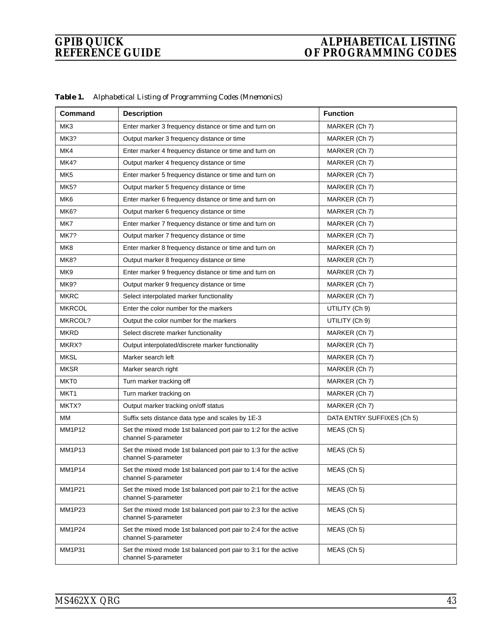| Command         | <b>Description</b>                                                                     | <b>Function</b>            |
|-----------------|----------------------------------------------------------------------------------------|----------------------------|
| MK3             | Enter marker 3 frequency distance or time and turn on                                  | MARKER (Ch 7)              |
| MK3?            | Output marker 3 frequency distance or time                                             | MARKER (Ch 7)              |
| MK4             | Enter marker 4 frequency distance or time and turn on                                  | MARKER (Ch 7)              |
| MK4?            | Output marker 4 frequency distance or time                                             | MARKER (Ch 7)              |
| MK <sub>5</sub> | Enter marker 5 frequency distance or time and turn on                                  | MARKER (Ch 7)              |
| MK5?            | Output marker 5 frequency distance or time                                             | MARKER (Ch 7)              |
| MK6             | Enter marker 6 frequency distance or time and turn on                                  | MARKER (Ch 7)              |
| MK6?            | Output marker 6 frequency distance or time                                             | MARKER (Ch 7)              |
| MK7             | Enter marker 7 frequency distance or time and turn on                                  | MARKER (Ch 7)              |
| <b>MK7?</b>     | Output marker 7 frequency distance or time                                             | MARKER (Ch 7)              |
| MK8             | Enter marker 8 frequency distance or time and turn on                                  | MARKER (Ch 7)              |
| <b>MK8?</b>     | Output marker 8 frequency distance or time                                             | MARKER (Ch 7)              |
| MK9             | Enter marker 9 frequency distance or time and turn on                                  | MARKER (Ch 7)              |
| MK9?            | Output marker 9 frequency distance or time                                             | MARKER (Ch 7)              |
| <b>MKRC</b>     | Select interpolated marker functionality                                               | MARKER (Ch 7)              |
| <b>MKRCOL</b>   | Enter the color number for the markers                                                 | UTILITY (Ch 9)             |
| MKRCOL?         | Output the color number for the markers                                                | UTILITY (Ch 9)             |
| <b>MKRD</b>     | Select discrete marker functionality                                                   | MARKER (Ch 7)              |
| MKRX?           | Output interpolated/discrete marker functionality                                      | MARKER (Ch 7)              |
| <b>MKSL</b>     | Marker search left                                                                     | MARKER (Ch 7)              |
| <b>MKSR</b>     | Marker search right                                                                    | MARKER (Ch 7)              |
| MKT0            | Turn marker tracking off                                                               | MARKER (Ch 7)              |
| MKT1            | Turn marker tracking on                                                                | MARKER (Ch 7)              |
| MKTX?           | Output marker tracking on/off status                                                   | MARKER (Ch 7)              |
| МM              | Suffix sets distance data type and scales by 1E-3                                      | DATA ENTRY SUFFIXES (Ch 5) |
| <b>MM1P12</b>   | Set the mixed mode 1st balanced port pair to 1:2 for the active<br>channel S-parameter | MEAS (Ch 5)                |
| <b>MM1P13</b>   | Set the mixed mode 1st balanced port pair to 1:3 for the active<br>channel S-parameter | MEAS (Ch 5)                |
| <b>MM1P14</b>   | Set the mixed mode 1st balanced port pair to 1:4 for the active<br>channel S-parameter | MEAS (Ch 5)                |
| <b>MM1P21</b>   | Set the mixed mode 1st balanced port pair to 2:1 for the active<br>channel S-parameter | MEAS (Ch 5)                |
| <b>MM1P23</b>   | Set the mixed mode 1st balanced port pair to 2:3 for the active<br>channel S-parameter | MEAS (Ch 5)                |
| <b>MM1P24</b>   | Set the mixed mode 1st balanced port pair to 2:4 for the active<br>channel S-parameter | $MEAS$ (Ch 5)              |
| <b>MM1P31</b>   | Set the mixed mode 1st balanced port pair to 3:1 for the active<br>channel S-parameter | MEAS (Ch 5)                |

*Table 1. Alphabetical Listing of Programming Codes (Mnemonics)*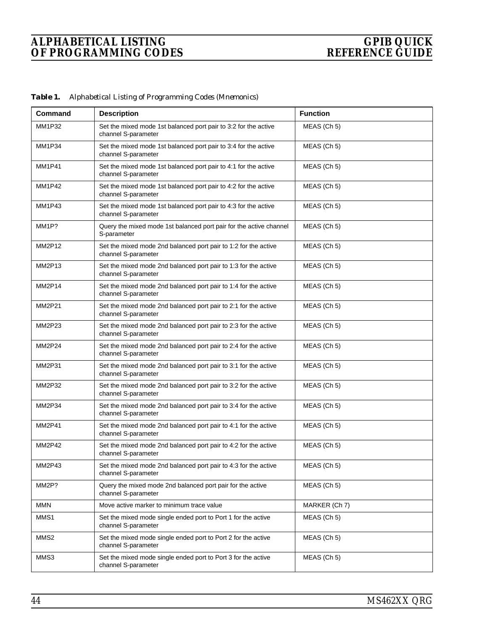| Table 1. |  |  | Alphabetical Listing of Programming Codes (Mnemonics) |  |  |
|----------|--|--|-------------------------------------------------------|--|--|
|----------|--|--|-------------------------------------------------------|--|--|

| Command            | <b>Description</b>                                                                               | <b>Function</b> |
|--------------------|--------------------------------------------------------------------------------------------------|-----------------|
| MM1P32             | Set the mixed mode 1st balanced port pair to 3:2 for the active<br>channel S-parameter           | MEAS (Ch 5)     |
| <b>MM1P34</b>      | Set the mixed mode 1st balanced port pair to 3:4 for the active<br>channel S-parameter           | MEAS (Ch 5)     |
| <b>MM1P41</b>      | Set the mixed mode 1st balanced port pair to 4:1 for the active<br>channel S-parameter           | MEAS (Ch 5)     |
| <b>MM1P42</b>      | Set the mixed mode 1st balanced port pair to 4:2 for the active<br>channel S-parameter           | MEAS (Ch 5)     |
| <b>MM1P43</b>      | Set the mixed mode 1st balanced port pair to 4:3 for the active<br>channel S-parameter           | MEAS (Ch 5)     |
| MM <sub>1</sub> P? | Query the mixed mode 1st balanced port pair for the active channel<br>S-parameter                | MEAS (Ch 5)     |
| <b>MM2P12</b>      | Set the mixed mode 2nd balanced port pair to 1:2 for the active<br>channel S-parameter           | MEAS (Ch 5)     |
| <b>MM2P13</b>      | Set the mixed mode 2nd balanced port pair to 1:3 for the active<br>channel S-parameter           | MEAS (Ch 5)     |
| <b>MM2P14</b>      | Set the mixed mode 2nd balanced port pair to 1:4 for the active<br>channel S-parameter           | MEAS (Ch 5)     |
| <b>MM2P21</b>      | Set the mixed mode 2nd balanced port pair to 2:1 for the active<br>channel S-parameter           | MEAS (Ch 5)     |
| <b>MM2P23</b>      | Set the mixed mode 2nd balanced port pair to 2:3 for the active<br>channel S-parameter           | $MEAS$ (Ch 5)   |
| <b>MM2P24</b>      | Set the mixed mode 2nd balanced port pair to 2:4 for the active<br>channel S-parameter           | MEAS (Ch 5)     |
| MM2P31             | Set the mixed mode 2nd balanced port pair to 3:1 for the active<br>channel S-parameter           | MEAS (Ch 5)     |
| <b>MM2P32</b>      | Set the mixed mode 2nd balanced port pair to 3:2 for the active<br>channel S-parameter           | MEAS (Ch 5)     |
| <b>MM2P34</b>      | Set the mixed mode 2nd balanced port pair to 3:4 for the active<br>channel S-parameter           | MEAS (Ch 5)     |
| <b>MM2P41</b>      | Set the mixed mode 2nd balanced port pair to 4:1 for the active<br>channel S-parameter           | MEAS (Ch 5)     |
| <b>MM2P42</b>      | Set the mixed mode 2nd balanced port pair to 4:2 for the active<br>channel S-parameter           | MEAS (Ch 5)     |
| <b>MM2P43</b>      | Set the mixed mode 2nd balanced port pair to 4:3 for the active<br>channel S-parameter           | MEAS (Ch 5)     |
| MM2P?              | Query the mixed mode 2nd balanced port pair for the active<br>MEAS (Ch 5)<br>channel S-parameter |                 |
| MMN                | Move active marker to minimum trace value                                                        | MARKER (Ch 7)   |
| MMS1               | Set the mixed mode single ended port to Port 1 for the active<br>channel S-parameter             | MEAS (Ch 5)     |
| MMS2               | Set the mixed mode single ended port to Port 2 for the active<br>channel S-parameter             | MEAS (Ch 5)     |
| MMS3               | Set the mixed mode single ended port to Port 3 for the active<br>channel S-parameter             | MEAS (Ch 5)     |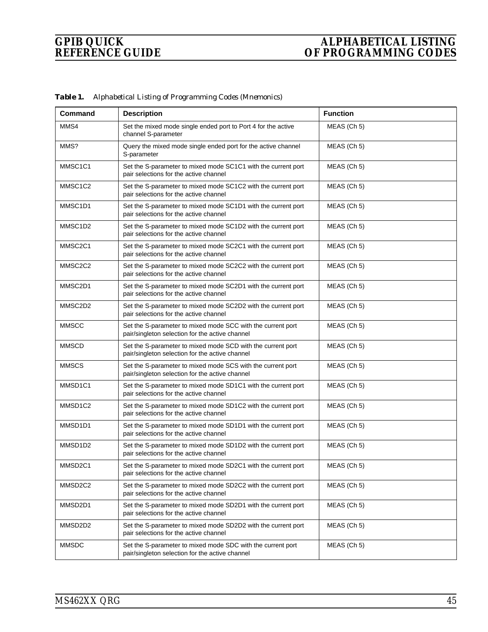| Command                          | <b>Description</b>                                                                                             | <b>Function</b> |
|----------------------------------|----------------------------------------------------------------------------------------------------------------|-----------------|
| MMS4                             | Set the mixed mode single ended port to Port 4 for the active<br>channel S-parameter                           | MEAS (Ch 5)     |
| MMS?                             | Query the mixed mode single ended port for the active channel<br>S-parameter                                   | MEAS (Ch 5)     |
| MMSC1C1                          | Set the S-parameter to mixed mode SC1C1 with the current port<br>pair selections for the active channel        | MEAS (Ch 5)     |
| MMSC1C2                          | Set the S-parameter to mixed mode SC1C2 with the current port<br>pair selections for the active channel        | MEAS (Ch 5)     |
| MMSC1D1                          | Set the S-parameter to mixed mode SC1D1 with the current port<br>pair selections for the active channel        | MEAS (Ch 5)     |
| MMSC1D2                          | Set the S-parameter to mixed mode SC1D2 with the current port<br>pair selections for the active channel        | MEAS (Ch 5)     |
| MMSC2C1                          | Set the S-parameter to mixed mode SC2C1 with the current port<br>pair selections for the active channel        | MEAS (Ch 5)     |
| MMSC2C2                          | Set the S-parameter to mixed mode SC2C2 with the current port<br>pair selections for the active channel        | MEAS (Ch 5)     |
| MMSC2D1                          | Set the S-parameter to mixed mode SC2D1 with the current port<br>pair selections for the active channel        | MEAS (Ch 5)     |
| MMSC2D2                          | Set the S-parameter to mixed mode SC2D2 with the current port<br>pair selections for the active channel        | MEAS (Ch 5)     |
| <b>MMSCC</b>                     | Set the S-parameter to mixed mode SCC with the current port<br>pair/singleton selection for the active channel | MEAS (Ch 5)     |
| <b>MMSCD</b>                     | Set the S-parameter to mixed mode SCD with the current port<br>pair/singleton selection for the active channel | MEAS (Ch 5)     |
| <b>MMSCS</b>                     | Set the S-parameter to mixed mode SCS with the current port<br>pair/singleton selection for the active channel | MEAS (Ch 5)     |
| MMSD <sub>1</sub> C <sub>1</sub> | Set the S-parameter to mixed mode SD1C1 with the current port<br>pair selections for the active channel        | MEAS (Ch 5)     |
| MMSD1C2                          | Set the S-parameter to mixed mode SD1C2 with the current port<br>pair selections for the active channel        | MEAS (Ch 5)     |
| MMSD1D1                          | Set the S-parameter to mixed mode SD1D1 with the current port<br>pair selections for the active channel        | MEAS (Ch 5)     |
| MMSD1D2                          | Set the S-parameter to mixed mode SD1D2 with the current port<br>pair selections for the active channel        | MEAS (Ch 5)     |
| MMSD2C1                          | Set the S-parameter to mixed mode SD2C1 with the current port<br>pair selections for the active channel        | MEAS (Ch 5)     |
| MMSD2C2                          | Set the S-parameter to mixed mode SD2C2 with the current port<br>pair selections for the active channel        | MEAS (Ch 5)     |
| MMSD2D1                          | Set the S-parameter to mixed mode SD2D1 with the current port<br>pair selections for the active channel        | MEAS (Ch 5)     |
| MMSD2D2                          | Set the S-parameter to mixed mode SD2D2 with the current port<br>pair selections for the active channel        | MEAS (Ch 5)     |
| <b>MMSDC</b>                     | Set the S-parameter to mixed mode SDC with the current port<br>pair/singleton selection for the active channel | MEAS (Ch 5)     |

*Table 1. Alphabetical Listing of Programming Codes (Mnemonics)*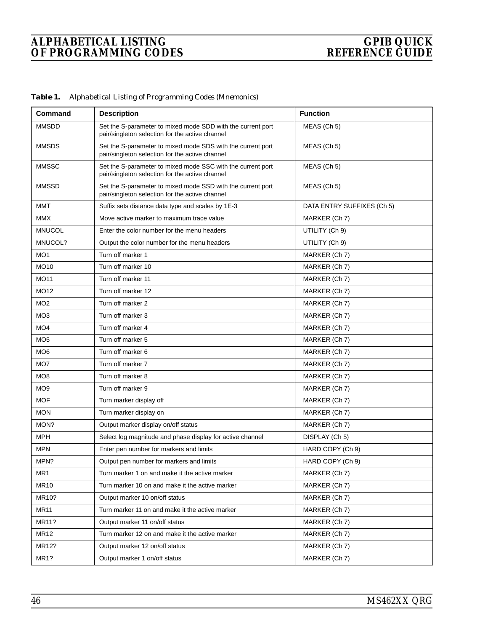| Table 1. |  |  | Alphabetical Listing of Programming Codes (Mnemonics) |  |  |
|----------|--|--|-------------------------------------------------------|--|--|
|----------|--|--|-------------------------------------------------------|--|--|

| Command         | <b>Description</b>                                                                                             | <b>Function</b>            |  |
|-----------------|----------------------------------------------------------------------------------------------------------------|----------------------------|--|
| <b>MMSDD</b>    | Set the S-parameter to mixed mode SDD with the current port<br>pair/singleton selection for the active channel | MEAS (Ch 5)                |  |
| <b>MMSDS</b>    | Set the S-parameter to mixed mode SDS with the current port<br>pair/singleton selection for the active channel | MEAS (Ch 5)                |  |
| <b>MMSSC</b>    | Set the S-parameter to mixed mode SSC with the current port<br>pair/singleton selection for the active channel | MEAS (Ch 5)                |  |
| <b>MMSSD</b>    | Set the S-parameter to mixed mode SSD with the current port<br>pair/singleton selection for the active channel | MEAS (Ch 5)                |  |
| MMT             | Suffix sets distance data type and scales by 1E-3                                                              | DATA ENTRY SUFFIXES (Ch 5) |  |
| <b>MMX</b>      | Move active marker to maximum trace value                                                                      | MARKER (Ch 7)              |  |
| <b>MNUCOL</b>   | Enter the color number for the menu headers                                                                    | UTILITY (Ch 9)             |  |
| MNUCOL?         | Output the color number for the menu headers                                                                   | UTILITY (Ch 9)             |  |
| MO1             | Turn off marker 1                                                                                              | MARKER (Ch 7)              |  |
| <b>MO10</b>     | Turn off marker 10                                                                                             | MARKER (Ch 7)              |  |
| MO11            | Turn off marker 11                                                                                             | MARKER (Ch 7)              |  |
| <b>MO12</b>     | Turn off marker 12                                                                                             | MARKER (Ch 7)              |  |
| MO <sub>2</sub> | Turn off marker 2                                                                                              | MARKER (Ch 7)              |  |
| MO <sub>3</sub> | Turn off marker 3                                                                                              | MARKER (Ch 7)              |  |
| MO <sub>4</sub> | Turn off marker 4                                                                                              | MARKER (Ch 7)              |  |
| MO <sub>5</sub> | Turn off marker 5                                                                                              | MARKER (Ch 7)              |  |
| MO <sub>6</sub> | Turn off marker 6                                                                                              | MARKER (Ch 7)              |  |
| MO7             | Turn off marker 7                                                                                              | MARKER (Ch 7)              |  |
| MO <sub>8</sub> | Turn off marker 8                                                                                              | MARKER (Ch 7)              |  |
| MO <sub>9</sub> | Turn off marker 9                                                                                              | MARKER (Ch 7)              |  |
| <b>MOF</b>      | Turn marker display off                                                                                        | MARKER (Ch 7)              |  |
| <b>MON</b>      | Turn marker display on                                                                                         | MARKER (Ch 7)              |  |
| MON?            | Output marker display on/off status                                                                            | MARKER (Ch 7)              |  |
| MPH             | Select log magnitude and phase display for active channel                                                      | DISPLAY (Ch 5)             |  |
| <b>MPN</b>      | Enter pen number for markers and limits                                                                        | HARD COPY (Ch 9)           |  |
| MPN?            | Output pen number for markers and limits                                                                       | HARD COPY (Ch 9)           |  |
| MR1             | Turn marker 1 on and make it the active marker                                                                 | MARKER (Ch 7)              |  |
| <b>MR10</b>     | Turn marker 10 on and make it the active marker                                                                | MARKER (Ch 7)              |  |
| MR10?           | Output marker 10 on/off status                                                                                 | MARKER (Ch 7)              |  |
| <b>MR11</b>     | Turn marker 11 on and make it the active marker                                                                | MARKER (Ch 7)              |  |
| MR11?           | Output marker 11 on/off status                                                                                 | MARKER (Ch 7)              |  |
| <b>MR12</b>     | Turn marker 12 on and make it the active marker                                                                | MARKER (Ch 7)              |  |
| MR12?           | Output marker 12 on/off status                                                                                 | MARKER (Ch 7)              |  |
| MR1?            | Output marker 1 on/off status                                                                                  | MARKER (Ch 7)              |  |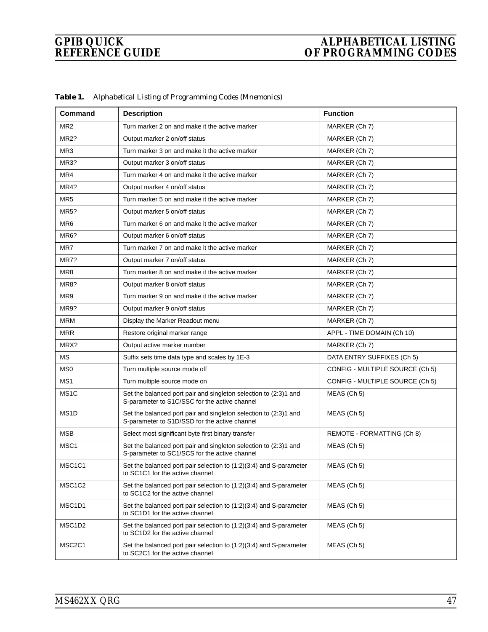| Command                         |                                                                                                                   | <b>Function</b>                 |
|---------------------------------|-------------------------------------------------------------------------------------------------------------------|---------------------------------|
|                                 | <b>Description</b>                                                                                                |                                 |
| MR <sub>2</sub>                 | Turn marker 2 on and make it the active marker                                                                    | MARKER (Ch 7)                   |
| MR2?                            | Output marker 2 on/off status                                                                                     | MARKER (Ch 7)                   |
| MR3                             | Turn marker 3 on and make it the active marker                                                                    | MARKER (Ch 7)                   |
| MR3?                            | Output marker 3 on/off status                                                                                     | MARKER (Ch 7)                   |
| MR4                             | Turn marker 4 on and make it the active marker                                                                    | MARKER (Ch 7)                   |
| MR4?                            | Output marker 4 on/off status                                                                                     | MARKER (Ch 7)                   |
| MR <sub>5</sub>                 | Turn marker 5 on and make it the active marker                                                                    | MARKER (Ch 7)                   |
| MR5?                            | Output marker 5 on/off status                                                                                     | MARKER (Ch 7)                   |
| MR <sub>6</sub>                 | Turn marker 6 on and make it the active marker                                                                    | MARKER (Ch 7)                   |
| MR6?                            | Output marker 6 on/off status                                                                                     | MARKER (Ch 7)                   |
| MR7                             | Turn marker 7 on and make it the active marker                                                                    | MARKER (Ch 7)                   |
| <b>MR7?</b>                     | Output marker 7 on/off status                                                                                     | MARKER (Ch 7)                   |
| MR8                             | Turn marker 8 on and make it the active marker                                                                    | MARKER (Ch 7)                   |
| MR8?                            | Output marker 8 on/off status                                                                                     | MARKER (Ch 7)                   |
| MR9                             | Turn marker 9 on and make it the active marker                                                                    | MARKER (Ch 7)                   |
| MR9?                            | Output marker 9 on/off status                                                                                     | MARKER (Ch 7)                   |
| <b>MRM</b>                      | Display the Marker Readout menu                                                                                   | MARKER (Ch 7)                   |
| <b>MRR</b>                      | Restore original marker range                                                                                     | APPL - TIME DOMAIN (Ch 10)      |
| MRX?                            | Output active marker number                                                                                       | MARKER (Ch 7)                   |
| MS                              | Suffix sets time data type and scales by 1E-3                                                                     | DATA ENTRY SUFFIXES (Ch 5)      |
| MS <sub>0</sub>                 | Turn multiple source mode off                                                                                     | CONFIG - MULTIPLE SOURCE (Ch 5) |
| MS1                             | Turn multiple source mode on                                                                                      | CONFIG - MULTIPLE SOURCE (Ch 5) |
| MS <sub>1</sub> C               | Set the balanced port pair and singleton selection to (2:3)1 and<br>S-parameter to S1C/SSC for the active channel | MEAS (Ch 5)                     |
| MS <sub>1</sub> D               | Set the balanced port pair and singleton selection to (2:3)1 and<br>S-parameter to S1D/SSD for the active channel | MEAS (Ch 5)                     |
| <b>MSB</b>                      | Select most significant byte first binary transfer                                                                | REMOTE - FORMATTING (Ch 8)      |
| MSC1                            | Set the balanced port pair and singleton selection to (2:3)1 and<br>S-parameter to SC1/SCS for the active channel | MEAS (Ch 5)                     |
| MSC1C1                          | Set the balanced port pair selection to (1:2)(3:4) and S-parameter<br>to SC1C1 for the active channel             | MEAS (Ch 5)                     |
| MSC1C2                          | Set the balanced port pair selection to (1:2)(3:4) and S-parameter<br>to SC1C2 for the active channel             | MEAS (Ch 5)                     |
| MSC1D1                          | Set the balanced port pair selection to (1:2)(3:4) and S-parameter<br>to SC1D1 for the active channel             | MEAS (Ch 5)                     |
| MSC1D2                          | Set the balanced port pair selection to (1:2)(3:4) and S-parameter<br>to SC1D2 for the active channel             | MEAS (Ch 5)                     |
| MSC <sub>2</sub> C <sub>1</sub> | Set the balanced port pair selection to (1:2)(3:4) and S-parameter<br>to SC2C1 for the active channel             | MEAS (Ch 5)                     |

*Table 1. Alphabetical Listing of Programming Codes (Mnemonics)*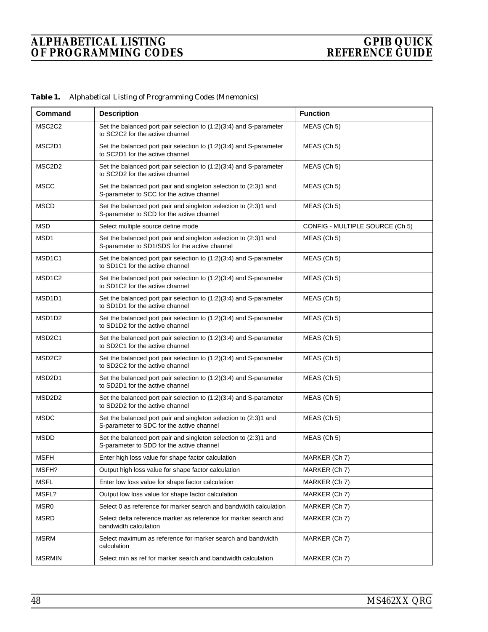| Command                         | <b>Description</b>                                                                                                | <b>Function</b>                 |
|---------------------------------|-------------------------------------------------------------------------------------------------------------------|---------------------------------|
| MSC <sub>2</sub> C <sub>2</sub> | Set the balanced port pair selection to (1:2)(3:4) and S-parameter<br>to SC2C2 for the active channel             | MEAS (Ch 5)                     |
| MSC2D1                          | Set the balanced port pair selection to (1:2)(3:4) and S-parameter<br>to SC2D1 for the active channel             | MEAS (Ch 5)                     |
| MSC2D2                          | Set the balanced port pair selection to (1:2)(3:4) and S-parameter<br>to SC2D2 for the active channel             | MEAS (Ch 5)                     |
| <b>MSCC</b>                     | Set the balanced port pair and singleton selection to (2:3)1 and<br>S-parameter to SCC for the active channel     | MEAS (Ch 5)                     |
| <b>MSCD</b>                     | Set the balanced port pair and singleton selection to (2:3)1 and<br>S-parameter to SCD for the active channel     | MEAS (Ch 5)                     |
| <b>MSD</b>                      | Select multiple source define mode                                                                                | CONFIG - MULTIPLE SOURCE (Ch 5) |
| MSD1                            | Set the balanced port pair and singleton selection to (2:3)1 and<br>S-parameter to SD1/SDS for the active channel | MEAS (Ch 5)                     |
| MSD1C1                          | Set the balanced port pair selection to (1:2)(3:4) and S-parameter<br>to SD1C1 for the active channel             | MEAS (Ch 5)                     |
| MSD <sub>1</sub> C <sub>2</sub> | Set the balanced port pair selection to (1:2)(3:4) and S-parameter<br>to SD1C2 for the active channel             | MEAS (Ch 5)                     |
| MSD <sub>1</sub> D <sub>1</sub> | Set the balanced port pair selection to (1:2)(3:4) and S-parameter<br>to SD1D1 for the active channel             | MEAS (Ch 5)                     |
| MSD1D2                          | Set the balanced port pair selection to (1:2)(3:4) and S-parameter<br>to SD1D2 for the active channel             | MEAS (Ch 5)                     |
| MSD <sub>2</sub> C <sub>1</sub> | Set the balanced port pair selection to (1:2)(3:4) and S-parameter<br>to SD2C1 for the active channel             | MEAS (Ch 5)                     |
| MSD <sub>2</sub> C <sub>2</sub> | Set the balanced port pair selection to (1:2)(3:4) and S-parameter<br>to SD2C2 for the active channel             | MEAS (Ch 5)                     |
| MSD <sub>2</sub> D <sub>1</sub> | Set the balanced port pair selection to (1:2)(3:4) and S-parameter<br>to SD2D1 for the active channel             | MEAS (Ch 5)                     |
| MSD2D2                          | Set the balanced port pair selection to (1:2)(3:4) and S-parameter<br>to SD2D2 for the active channel             | MEAS (Ch 5)                     |
| <b>MSDC</b>                     | Set the balanced port pair and singleton selection to (2:3)1 and<br>S-parameter to SDC for the active channel     | MEAS (Ch 5)                     |
| <b>MSDD</b>                     | Set the balanced port pair and singleton selection to (2:3)1 and<br>S-parameter to SDD for the active channel     | MEAS (Ch 5)                     |
| <b>MSFH</b>                     | Enter high loss value for shape factor calculation                                                                | MARKER (Ch 7)                   |
| MSFH?                           | Output high loss value for shape factor calculation                                                               | MARKER (Ch 7)                   |
| <b>MSFL</b>                     | Enter low loss value for shape factor calculation                                                                 | MARKER (Ch 7)                   |
| MSFL?                           | Output low loss value for shape factor calculation                                                                | MARKER (Ch 7)                   |
| MSR0                            | Select 0 as reference for marker search and bandwidth calculation                                                 | MARKER (Ch 7)                   |
| <b>MSRD</b>                     | Select delta reference marker as reference for marker search and<br>bandwidth calculation                         | MARKER (Ch 7)                   |
| <b>MSRM</b>                     | Select maximum as reference for marker search and bandwidth<br>calculation                                        | MARKER (Ch 7)                   |
| <b>MSRMIN</b>                   | Select min as ref for marker search and bandwidth calculation                                                     | MARKER (Ch 7)                   |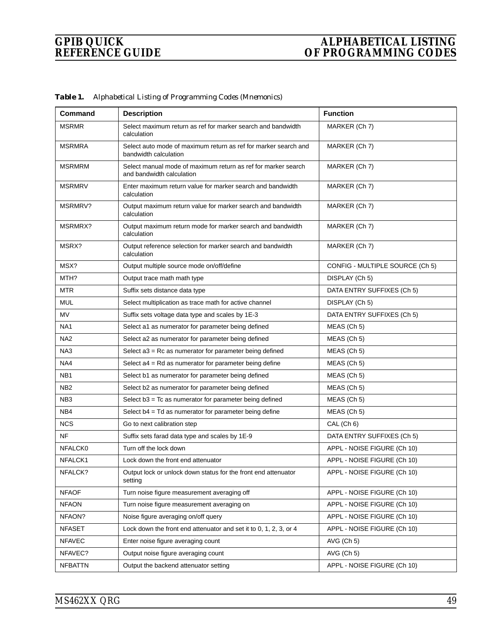| <b>Command</b>  | <b>Description</b>                                                                           | <b>Function</b>                 |  |
|-----------------|----------------------------------------------------------------------------------------------|---------------------------------|--|
| <b>MSRMR</b>    | Select maximum return as ref for marker search and bandwidth<br>MARKER (Ch 7)<br>calculation |                                 |  |
| <b>MSRMRA</b>   | Select auto mode of maximum return as ref for marker search and<br>bandwidth calculation     | MARKER (Ch 7)                   |  |
| <b>MSRMRM</b>   | Select manual mode of maximum return as ref for marker search<br>and bandwidth calculation   | MARKER (Ch 7)                   |  |
| <b>MSRMRV</b>   | Enter maximum return value for marker search and bandwidth<br>calculation                    | MARKER (Ch 7)                   |  |
| MSRMRV?         | Output maximum return value for marker search and bandwidth<br>calculation                   | MARKER (Ch 7)                   |  |
| MSRMRX?         | Output maximum return mode for marker search and bandwidth<br>calculation                    | MARKER (Ch 7)                   |  |
| MSRX?           | Output reference selection for marker search and bandwidth<br>calculation                    | MARKER (Ch 7)                   |  |
| MSX?            | Output multiple source mode on/off/define                                                    | CONFIG - MULTIPLE SOURCE (Ch 5) |  |
| MTH?            | Output trace math math type                                                                  | DISPLAY (Ch 5)                  |  |
| <b>MTR</b>      | Suffix sets distance data type                                                               | DATA ENTRY SUFFIXES (Ch 5)      |  |
| <b>MUL</b>      | Select multiplication as trace math for active channel                                       | DISPLAY (Ch 5)                  |  |
| <b>MV</b>       | Suffix sets voltage data type and scales by 1E-3                                             | DATA ENTRY SUFFIXES (Ch 5)      |  |
| NA <sub>1</sub> | Select a1 as numerator for parameter being defined                                           | MEAS (Ch 5)                     |  |
| NA <sub>2</sub> | Select a2 as numerator for parameter being defined                                           | MEAS (Ch 5)                     |  |
| NA3             | Select a3 = Rc as numerator for parameter being defined                                      | MEAS (Ch 5)                     |  |
| NA4             | Select $a4 = Rd$ as numerator for parameter being define                                     | MEAS (Ch 5)                     |  |
| NB <sub>1</sub> | Select b1 as numerator for parameter being defined                                           | MEAS (Ch 5)                     |  |
| NB <sub>2</sub> | Select b2 as numerator for parameter being defined                                           | MEAS (Ch 5)                     |  |
| NB <sub>3</sub> | Select $b3 = Tc$ as numerator for parameter being defined                                    | MEAS (Ch 5)                     |  |
| NB4             | Select b4 = Td as numerator for parameter being define                                       | MEAS (Ch 5)                     |  |
| <b>NCS</b>      | Go to next calibration step                                                                  | CAL (Ch 6)                      |  |
| NF              | Suffix sets farad data type and scales by 1E-9                                               | DATA ENTRY SUFFIXES (Ch 5)      |  |
| NFALCK0         | Turn off the lock down                                                                       | APPL - NOISE FIGURE (Ch 10)     |  |
| NFALCK1         | Lock down the front end attenuator                                                           | APPL - NOISE FIGURE (Ch 10)     |  |
| NFALCK?         | Output lock or unlock down status for the front end attenuator<br>setting                    | APPL - NOISE FIGURE (Ch 10)     |  |
| <b>NFAOF</b>    | Turn noise figure measurement averaging off                                                  | APPL - NOISE FIGURE (Ch 10)     |  |
| <b>NFAON</b>    | Turn noise figure measurement averaging on                                                   | APPL - NOISE FIGURE (Ch 10)     |  |
| NFAON?          | Noise figure averaging on/off query                                                          | APPL - NOISE FIGURE (Ch 10)     |  |
| <b>NFASET</b>   | Lock down the front end attenuator and set it to 0, 1, 2, 3, or 4                            | APPL - NOISE FIGURE (Ch 10)     |  |
| <b>NFAVEC</b>   | Enter noise figure averaging count                                                           | $AVG$ (Ch 5)                    |  |
| NFAVEC?         | Output noise figure averaging count                                                          | AVG (Ch 5)                      |  |
| <b>NFBATTN</b>  | Output the backend attenuator setting                                                        | APPL - NOISE FIGURE (Ch 10)     |  |

*Table 1. Alphabetical Listing of Programming Codes (Mnemonics)*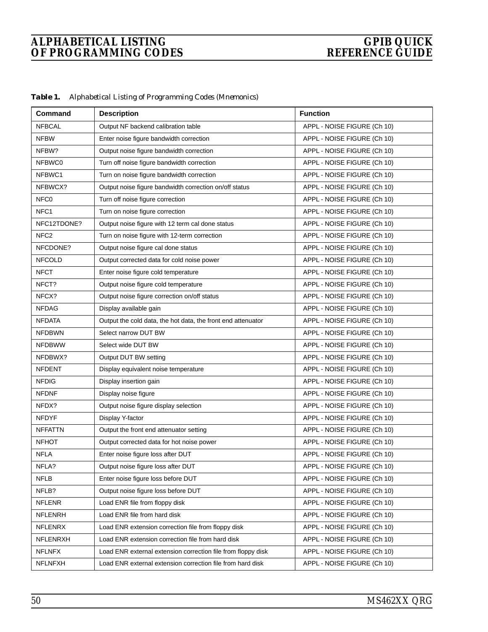| Table 1. |  |  | Alphabetical Listing of Programming Codes (Mnemonics) |  |  |
|----------|--|--|-------------------------------------------------------|--|--|
|----------|--|--|-------------------------------------------------------|--|--|

| Command          | <b>Description</b>                                           | <b>Function</b>             |
|------------------|--------------------------------------------------------------|-----------------------------|
| <b>NFBCAL</b>    | Output NF backend calibration table                          | APPL - NOISE FIGURE (Ch 10) |
| <b>NFBW</b>      | Enter noise figure bandwidth correction                      | APPL - NOISE FIGURE (Ch 10) |
| NFBW?            | Output noise figure bandwidth correction                     | APPL - NOISE FIGURE (Ch 10) |
| NFBWC0           | Turn off noise figure bandwidth correction                   | APPL - NOISE FIGURE (Ch 10) |
| NFBWC1           | Turn on noise figure bandwidth correction                    | APPL - NOISE FIGURE (Ch 10) |
| NFBWCX?          | Output noise figure bandwidth correction on/off status       | APPL - NOISE FIGURE (Ch 10) |
| NFC <sub>0</sub> | Turn off noise figure correction                             | APPL - NOISE FIGURE (Ch 10) |
| NFC1             | Turn on noise figure correction                              | APPL - NOISE FIGURE (Ch 10) |
| NFC12TDONE?      | Output noise figure with 12 term cal done status             | APPL - NOISE FIGURE (Ch 10) |
| NFC <sub>2</sub> | Turn on noise figure with 12-term correction                 | APPL - NOISE FIGURE (Ch 10) |
| NFCDONE?         | Output noise figure cal done status                          | APPL - NOISE FIGURE (Ch 10) |
| <b>NFCOLD</b>    | Output corrected data for cold noise power                   | APPL - NOISE FIGURE (Ch 10) |
| <b>NFCT</b>      | Enter noise figure cold temperature                          | APPL - NOISE FIGURE (Ch 10) |
| NFCT?            | Output noise figure cold temperature                         | APPL - NOISE FIGURE (Ch 10) |
| NFCX?            | Output noise figure correction on/off status                 | APPL - NOISE FIGURE (Ch 10) |
| <b>NFDAG</b>     | Display available gain                                       | APPL - NOISE FIGURE (Ch 10) |
| <b>NFDATA</b>    | Output the cold data, the hot data, the front end attenuator | APPL - NOISE FIGURE (Ch 10) |
| <b>NFDBWN</b>    | Select narrow DUT BW                                         | APPL - NOISE FIGURE (Ch 10) |
| <b>NFDBWW</b>    | Select wide DUT BW                                           | APPL - NOISE FIGURE (Ch 10) |
| NFDBWX?          | Output DUT BW setting                                        | APPL - NOISE FIGURE (Ch 10) |
| <b>NFDENT</b>    | Display equivalent noise temperature                         | APPL - NOISE FIGURE (Ch 10) |
| <b>NFDIG</b>     | Display insertion gain                                       | APPL - NOISE FIGURE (Ch 10) |
| <b>NFDNF</b>     | Display noise figure                                         | APPL - NOISE FIGURE (Ch 10) |
| NFDX?            | Output noise figure display selection                        | APPL - NOISE FIGURE (Ch 10) |
| <b>NFDYF</b>     | Display Y-factor                                             | APPL - NOISE FIGURE (Ch 10) |
| <b>NFFATTN</b>   | Output the front end attenuator setting                      | APPL - NOISE FIGURE (Ch 10) |
| <b>NFHOT</b>     | Output corrected data for hot noise power                    | APPL - NOISE FIGURE (Ch 10) |
| <b>NFLA</b>      | Enter noise figure loss after DUT                            | APPL - NOISE FIGURE (Ch 10) |
| NFLA?            | Output noise figure loss after DUT                           | APPL - NOISE FIGURE (Ch 10) |
| <b>NFLB</b>      | Enter noise figure loss before DUT                           | APPL - NOISE FIGURE (Ch 10) |
| NFLB?            | Output noise figure loss before DUT                          | APPL - NOISE FIGURE (Ch 10) |
| <b>NFLENR</b>    | Load ENR file from floppy disk                               | APPL - NOISE FIGURE (Ch 10) |
| <b>NFLENRH</b>   | Load ENR file from hard disk                                 | APPL - NOISE FIGURE (Ch 10) |
| <b>NFLENRX</b>   | Load ENR extension correction file from floppy disk          | APPL - NOISE FIGURE (Ch 10) |
| NFLENRXH         | Load ENR extension correction file from hard disk            | APPL - NOISE FIGURE (Ch 10) |
| <b>NFLNFX</b>    | Load ENR external extension correction file from floppy disk | APPL - NOISE FIGURE (Ch 10) |
| NFLNFXH          | Load ENR external extension correction file from hard disk   | APPL - NOISE FIGURE (Ch 10) |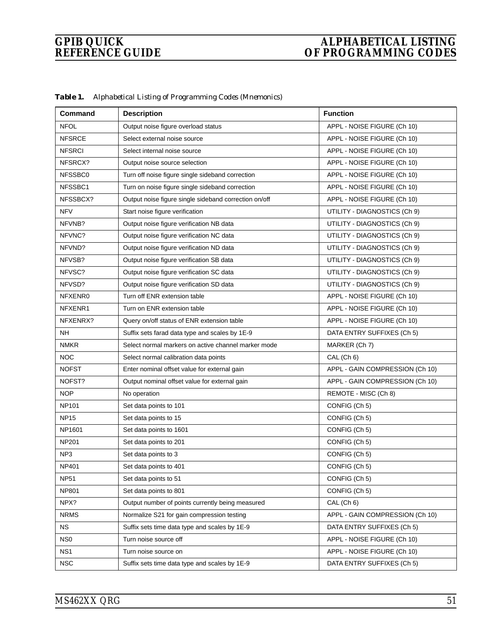| Command         | <b>Description</b>                                    | <b>Function</b>                 |
|-----------------|-------------------------------------------------------|---------------------------------|
| <b>NFOL</b>     | Output noise figure overload status                   | APPL - NOISE FIGURE (Ch 10)     |
| <b>NFSRCE</b>   | Select external noise source                          | APPL - NOISE FIGURE (Ch 10)     |
| <b>NFSRCI</b>   | Select internal noise source                          | APPL - NOISE FIGURE (Ch 10)     |
| NFSRCX?         | Output noise source selection                         | APPL - NOISE FIGURE (Ch 10)     |
| NFSSBC0         | Turn off noise figure single sideband correction      | APPL - NOISE FIGURE (Ch 10)     |
| NFSSBC1         | Turn on noise figure single sideband correction       | APPL - NOISE FIGURE (Ch 10)     |
| NFSSBCX?        | Output noise figure single sideband correction on/off | APPL - NOISE FIGURE (Ch 10)     |
| <b>NFV</b>      | Start noise figure verification                       | UTILITY - DIAGNOSTICS (Ch 9)    |
| NFVNB?          | Output noise figure verification NB data              | UTILITY - DIAGNOSTICS (Ch 9)    |
| NFVNC?          | Output noise figure verification NC data              | UTILITY - DIAGNOSTICS (Ch 9)    |
| NFVND?          | Output noise figure verification ND data              | UTILITY - DIAGNOSTICS (Ch 9)    |
| NFVSB?          | Output noise figure verification SB data              | UTILITY - DIAGNOSTICS (Ch 9)    |
| NFVSC?          | Output noise figure verification SC data              | UTILITY - DIAGNOSTICS (Ch 9)    |
| NFVSD?          | Output noise figure verification SD data              | UTILITY - DIAGNOSTICS (Ch 9)    |
| NFXENR0         | Turn off ENR extension table                          | APPL - NOISE FIGURE (Ch 10)     |
| NFXENR1         | Turn on ENR extension table                           | APPL - NOISE FIGURE (Ch 10)     |
| NFXENRX?        | Query on/off status of ENR extension table            | APPL - NOISE FIGURE (Ch 10)     |
| <b>NH</b>       | Suffix sets farad data type and scales by 1E-9        | DATA ENTRY SUFFIXES (Ch 5)      |
| <b>NMKR</b>     | Select normal markers on active channel marker mode   | MARKER (Ch 7)                   |
| <b>NOC</b>      | Select normal calibration data points                 | CAL (Ch 6)                      |
| <b>NOFST</b>    | Enter nominal offset value for external gain          | APPL - GAIN COMPRESSION (Ch 10) |
| NOFST?          | Output nominal offset value for external gain         | APPL - GAIN COMPRESSION (Ch 10) |
| <b>NOP</b>      | No operation                                          | REMOTE - MISC (Ch 8)            |
| <b>NP101</b>    | Set data points to 101                                | CONFIG (Ch 5)                   |
| <b>NP15</b>     | Set data points to 15                                 | CONFIG (Ch 5)                   |
| NP1601          | Set data points to 1601                               | CONFIG (Ch 5)                   |
| <b>NP201</b>    | Set data points to 201                                | CONFIG (Ch 5)                   |
| NP <sub>3</sub> | Set data points to 3                                  | CONFIG (Ch 5)                   |
| NP401           | Set data points to 401                                | CONFIG (Ch 5)                   |
| <b>NP51</b>     | Set data points to 51                                 | CONFIG (Ch 5)                   |
| <b>NP801</b>    | Set data points to 801                                | CONFIG (Ch 5)                   |
| NPX?            | Output number of points currently being measured      | CAL (Ch 6)                      |
| <b>NRMS</b>     | Normalize S21 for gain compression testing            | APPL - GAIN COMPRESSION (Ch 10) |
| NS.             | Suffix sets time data type and scales by 1E-9         | DATA ENTRY SUFFIXES (Ch 5)      |
| NS <sub>0</sub> | Turn noise source off                                 | APPL - NOISE FIGURE (Ch 10)     |
| NS <sub>1</sub> | Turn noise source on                                  | APPL - NOISE FIGURE (Ch 10)     |
| <b>NSC</b>      | Suffix sets time data type and scales by 1E-9         | DATA ENTRY SUFFIXES (Ch 5)      |

*Table 1. Alphabetical Listing of Programming Codes (Mnemonics)*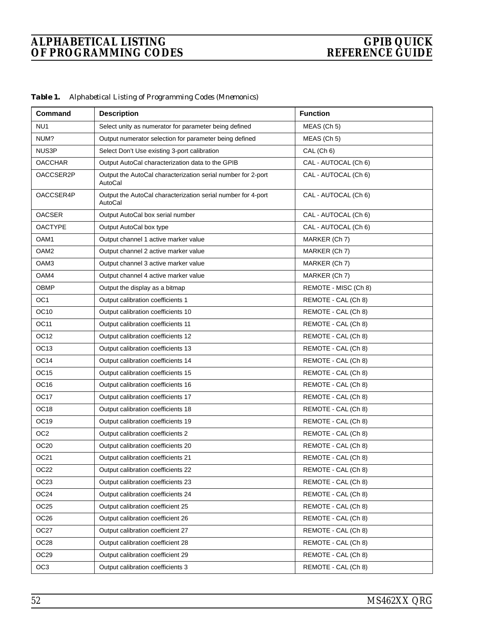| Table 1. |  |  | Alphabetical Listing of Programming Codes (Mnemonics) |  |  |
|----------|--|--|-------------------------------------------------------|--|--|
|----------|--|--|-------------------------------------------------------|--|--|

| Command          | <b>Description</b>                                                      | <b>Function</b>      |
|------------------|-------------------------------------------------------------------------|----------------------|
| NU <sub>1</sub>  | Select unity as numerator for parameter being defined                   | MEAS (Ch 5)          |
| NUM?             | Output numerator selection for parameter being defined                  | MEAS (Ch 5)          |
| NUS3P            | Select Don't Use existing 3-port calibration                            | CAL (Ch 6)           |
| <b>OACCHAR</b>   | Output AutoCal characterization data to the GPIB                        | CAL - AUTOCAL (Ch 6) |
| OACCSER2P        | Output the AutoCal characterization serial number for 2-port<br>AutoCal | CAL - AUTOCAL (Ch 6) |
| OACCSER4P        | Output the AutoCal characterization serial number for 4-port<br>AutoCal | CAL - AUTOCAL (Ch 6) |
| <b>OACSER</b>    | Output AutoCal box serial number                                        | CAL - AUTOCAL (Ch 6) |
| <b>OACTYPE</b>   | Output AutoCal box type                                                 | CAL - AUTOCAL (Ch 6) |
| OAM1             | Output channel 1 active marker value                                    | MARKER (Ch 7)        |
| OAM <sub>2</sub> | Output channel 2 active marker value                                    | MARKER (Ch 7)        |
| OAM3             | Output channel 3 active marker value                                    | MARKER (Ch 7)        |
| OAM4             | Output channel 4 active marker value                                    | MARKER (Ch 7)        |
| OBMP             | Output the display as a bitmap                                          | REMOTE - MISC (Ch 8) |
| OC <sub>1</sub>  | Output calibration coefficients 1                                       | REMOTE - CAL (Ch 8)  |
| OC <sub>10</sub> | Output calibration coefficients 10                                      | REMOTE - CAL (Ch 8)  |
| OC11             | Output calibration coefficients 11                                      | REMOTE - CAL (Ch 8)  |
| OC <sub>12</sub> | Output calibration coefficients 12                                      | REMOTE - CAL (Ch 8)  |
| OC <sub>13</sub> | Output calibration coefficients 13                                      | REMOTE - CAL (Ch 8)  |
| OC <sub>14</sub> | Output calibration coefficients 14                                      | REMOTE - CAL (Ch 8)  |
| OC <sub>15</sub> | Output calibration coefficients 15                                      | REMOTE - CAL (Ch 8)  |
| OC <sub>16</sub> | Output calibration coefficients 16                                      | REMOTE - CAL (Ch 8)  |
| OC <sub>17</sub> | Output calibration coefficients 17                                      | REMOTE - CAL (Ch 8)  |
| OC <sub>18</sub> | Output calibration coefficients 18                                      | REMOTE - CAL (Ch 8)  |
| OC <sub>19</sub> | Output calibration coefficients 19                                      | REMOTE - CAL (Ch 8)  |
| OC <sub>2</sub>  | Output calibration coefficients 2                                       | REMOTE - CAL (Ch 8)  |
| OC <sub>20</sub> | Output calibration coefficients 20                                      | REMOTE - CAL (Ch 8)  |
| OC21             | Output calibration coefficients 21                                      | REMOTE - CAL (Ch 8)  |
| OC22             | Output calibration coefficients 22                                      | REMOTE - CAL (Ch 8)  |
| OC <sub>23</sub> | Output calibration coefficients 23                                      | REMOTE - CAL (Ch 8)  |
| OC <sub>24</sub> | Output calibration coefficients 24                                      | REMOTE - CAL (Ch 8)  |
| OC <sub>25</sub> | Output calibration coefficient 25                                       | REMOTE - CAL (Ch 8)  |
| OC <sub>26</sub> | Output calibration coefficient 26                                       | REMOTE - CAL (Ch 8)  |
| OC27             | Output calibration coefficient 27                                       | REMOTE - CAL (Ch 8)  |
| OC <sub>28</sub> | Output calibration coefficient 28                                       | REMOTE - CAL (Ch 8)  |
| OC <sub>29</sub> | Output calibration coefficient 29                                       | REMOTE - CAL (Ch 8)  |
| OC <sub>3</sub>  | Output calibration coefficients 3                                       | REMOTE - CAL (Ch 8)  |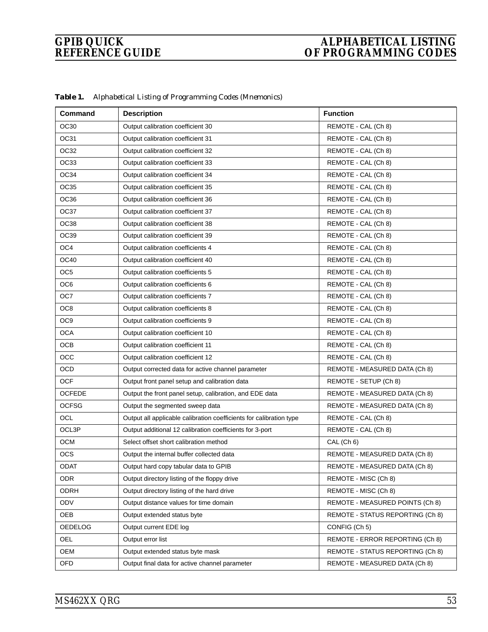| Command         | <b>Description</b>                                                  | <b>Function</b>                  |
|-----------------|---------------------------------------------------------------------|----------------------------------|
| OC30            | Output calibration coefficient 30                                   | REMOTE - CAL (Ch 8)              |
| OC31            | Output calibration coefficient 31                                   | REMOTE - CAL (Ch 8)              |
| OC32            | Output calibration coefficient 32                                   | REMOTE - CAL (Ch 8)              |
| OC33            | Output calibration coefficient 33                                   | REMOTE - CAL (Ch 8)              |
| OC34            | Output calibration coefficient 34                                   | REMOTE - CAL (Ch 8)              |
| OC35            | Output calibration coefficient 35                                   | REMOTE - CAL (Ch 8)              |
| OC36            | Output calibration coefficient 36                                   | REMOTE - CAL (Ch 8)              |
| OC37            | Output calibration coefficient 37                                   | REMOTE - CAL (Ch 8)              |
| <b>OC38</b>     | Output calibration coefficient 38                                   | REMOTE - CAL (Ch 8)              |
| OC39            | Output calibration coefficient 39                                   | REMOTE - CAL (Ch 8)              |
| OC4             | Output calibration coefficients 4                                   | REMOTE - CAL (Ch 8)              |
| OC40            | Output calibration coefficient 40                                   | REMOTE - CAL (Ch 8)              |
| OC <sub>5</sub> | Output calibration coefficients 5                                   | REMOTE - CAL (Ch 8)              |
| OC <sub>6</sub> | Output calibration coefficients 6                                   | REMOTE - CAL (Ch 8)              |
| OC7             | Output calibration coefficients 7                                   | REMOTE - CAL (Ch 8)              |
| OC8             | Output calibration coefficients 8                                   | REMOTE - CAL (Ch 8)              |
| OC <sub>9</sub> | Output calibration coefficients 9                                   | REMOTE - CAL (Ch 8)              |
| <b>OCA</b>      | Output calibration coefficient 10                                   | REMOTE - CAL (Ch 8)              |
| <b>OCB</b>      | Output calibration coefficient 11                                   | REMOTE - CAL (Ch 8)              |
| OCC             | Output calibration coefficient 12                                   | REMOTE - CAL (Ch 8)              |
| <b>OCD</b>      | Output corrected data for active channel parameter                  | REMOTE - MEASURED DATA (Ch 8)    |
| <b>OCF</b>      | Output front panel setup and calibration data                       | REMOTE - SETUP (Ch 8)            |
| <b>OCFEDE</b>   | Output the front panel setup, calibration, and EDE data             | REMOTE - MEASURED DATA (Ch 8)    |
| <b>OCFSG</b>    | Output the segmented sweep data                                     | REMOTE - MEASURED DATA (Ch 8)    |
| OCL             | Output all applicable calibration coefficients for calibration type | REMOTE - CAL (Ch 8)              |
| OCL3P           | Output additional 12 calibration coefficients for 3-port            | REMOTE - CAL (Ch 8)              |
| <b>OCM</b>      | Select offset short calibration method                              | CAL (Ch 6)                       |
| <b>OCS</b>      | Output the internal buffer collected data                           | REMOTE - MEASURED DATA (Ch 8)    |
| ODAT            | Output hard copy tabular data to GPIB                               | REMOTE - MEASURED DATA (Ch 8)    |
| ODR.            | Output directory listing of the floppy drive                        | REMOTE - MISC (Ch 8)             |
| ODRH            | Output directory listing of the hard drive                          | REMOTE - MISC (Ch 8)             |
| ODV             | Output distance values for time domain                              | REMOTE - MEASURED POINTS (Ch 8)  |
| <b>OEB</b>      | Output extended status byte                                         | REMOTE - STATUS REPORTING (Ch 8) |
| <b>OEDELOG</b>  | Output current EDE log                                              | CONFIG (Ch 5)                    |
| OEL             | Output error list                                                   | REMOTE - ERROR REPORTING (Ch 8)  |
| <b>OEM</b>      | Output extended status byte mask                                    | REMOTE - STATUS REPORTING (Ch 8) |
| <b>OFD</b>      | Output final data for active channel parameter                      | REMOTE - MEASURED DATA (Ch 8)    |

*Table 1. Alphabetical Listing of Programming Codes (Mnemonics)*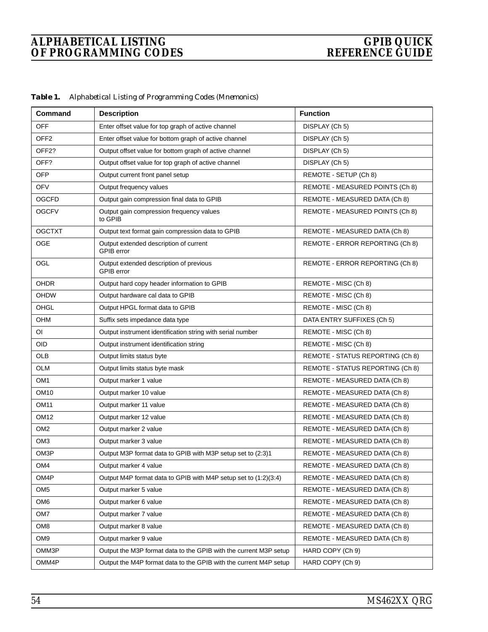| Table 1. |  |  | Alphabetical Listing of Programming Codes (Mnemonics) |  |  |
|----------|--|--|-------------------------------------------------------|--|--|
|----------|--|--|-------------------------------------------------------|--|--|

| Command           | <b>Description</b>                                                | <b>Function</b>                  |
|-------------------|-------------------------------------------------------------------|----------------------------------|
| <b>OFF</b>        | Enter offset value for top graph of active channel                | DISPLAY (Ch 5)                   |
| OFF <sub>2</sub>  | Enter offset value for bottom graph of active channel             | DISPLAY (Ch 5)                   |
| OFF <sub>2?</sub> | Output offset value for bottom graph of active channel            | DISPLAY (Ch 5)                   |
| OFF?              | Output offset value for top graph of active channel               | DISPLAY (Ch 5)                   |
| OFP               | Output current front panel setup                                  | REMOTE - SETUP (Ch 8)            |
| <b>OFV</b>        | Output frequency values                                           | REMOTE - MEASURED POINTS (Ch 8)  |
| <b>OGCFD</b>      | Output gain compression final data to GPIB                        | REMOTE - MEASURED DATA (Ch 8)    |
| <b>OGCFV</b>      | Output gain compression frequency values<br>to GPIB               | REMOTE - MEASURED POINTS (Ch 8)  |
| <b>OGCTXT</b>     | Output text format gain compression data to GPIB                  | REMOTE - MEASURED DATA (Ch 8)    |
| <b>OGE</b>        | Output extended description of current<br>GPIB error              | REMOTE - ERROR REPORTING (Ch 8)  |
| OGL               | Output extended description of previous<br><b>GPIB</b> error      | REMOTE - ERROR REPORTING (Ch 8)  |
| <b>OHDR</b>       | Output hard copy header information to GPIB                       | REMOTE - MISC (Ch 8)             |
| <b>OHDW</b>       | Output hardware cal data to GPIB                                  | REMOTE - MISC (Ch 8)             |
| OHGL              | Output HPGL format data to GPIB                                   | REMOTE - MISC (Ch 8)             |
| <b>OHM</b>        | Suffix sets impedance data type                                   | DATA ENTRY SUFFIXES (Ch 5)       |
| $\overline{O}$    | Output instrument identification string with serial number        | REMOTE - MISC (Ch 8)             |
| <b>OID</b>        | Output instrument identification string                           | REMOTE - MISC (Ch 8)             |
| <b>OLB</b>        | Output limits status byte                                         | REMOTE - STATUS REPORTING (Ch 8) |
| <b>OLM</b>        | Output limits status byte mask                                    | REMOTE - STATUS REPORTING (Ch 8) |
| OM <sub>1</sub>   | Output marker 1 value                                             | REMOTE - MEASURED DATA (Ch 8)    |
| <b>OM10</b>       | Output marker 10 value                                            | REMOTE - MEASURED DATA (Ch 8)    |
| <b>OM11</b>       | Output marker 11 value                                            | REMOTE - MEASURED DATA (Ch 8)    |
| OM12              | Output marker 12 value                                            | REMOTE - MEASURED DATA (Ch 8)    |
| OM <sub>2</sub>   | Output marker 2 value                                             | REMOTE - MEASURED DATA (Ch 8)    |
| OM3               | Output marker 3 value                                             | REMOTE - MEASURED DATA (Ch 8)    |
| OM3P              | Output M3P format data to GPIB with M3P setup set to (2:3)1       | REMOTE - MEASURED DATA (Ch 8)    |
| OM4               | Output marker 4 value                                             | REMOTE - MEASURED DATA (Ch 8)    |
| OM4P              | Output M4P format data to GPIB with M4P setup set to (1:2)(3:4)   | REMOTE - MEASURED DATA (Ch 8)    |
| OM <sub>5</sub>   | Output marker 5 value                                             | REMOTE - MEASURED DATA (Ch 8)    |
| OM <sub>6</sub>   | Output marker 6 value                                             | REMOTE - MEASURED DATA (Ch 8)    |
| OM7               | Output marker 7 value                                             | REMOTE - MEASURED DATA (Ch 8)    |
| OM <sub>8</sub>   | Output marker 8 value                                             | REMOTE - MEASURED DATA (Ch 8)    |
| OM9               | Output marker 9 value                                             | REMOTE - MEASURED DATA (Ch 8)    |
| OMM3P             | Output the M3P format data to the GPIB with the current M3P setup | HARD COPY (Ch 9)                 |
| OMM4P             | Output the M4P format data to the GPIB with the current M4P setup | HARD COPY (Ch 9)                 |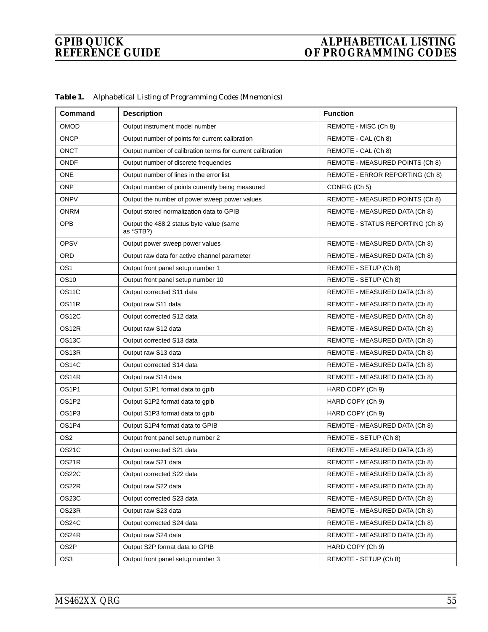| Command                        | <b>Description</b>                                         | <b>Function</b>                  |
|--------------------------------|------------------------------------------------------------|----------------------------------|
| OMOD                           | Output instrument model number                             | REMOTE - MISC (Ch 8)             |
| <b>ONCP</b>                    | Output number of points for current calibration            | REMOTE - CAL (Ch 8)              |
| <b>ONCT</b>                    | Output number of calibration terms for current calibration | REMOTE - CAL (Ch 8)              |
| <b>ONDF</b>                    | Output number of discrete frequencies                      | REMOTE - MEASURED POINTS (Ch 8)  |
| <b>ONE</b>                     | Output number of lines in the error list                   | REMOTE - ERROR REPORTING (Ch 8)  |
| <b>ONP</b>                     | Output number of points currently being measured           | CONFIG (Ch 5)                    |
| <b>ONPV</b>                    | Output the number of power sweep power values              | REMOTE - MEASURED POINTS (Ch 8)  |
| <b>ONRM</b>                    | Output stored normalization data to GPIB                   | REMOTE - MEASURED DATA (Ch 8)    |
| OPB                            | Output the 488.2 status byte value (same<br>as *STB?)      | REMOTE - STATUS REPORTING (Ch 8) |
| <b>OPSV</b>                    | Output power sweep power values                            | REMOTE - MEASURED DATA (Ch 8)    |
| ORD                            | Output raw data for active channel parameter               | REMOTE - MEASURED DATA (Ch 8)    |
| OS <sub>1</sub>                | Output front panel setup number 1                          | REMOTE - SETUP (Ch 8)            |
| OS10                           | Output front panel setup number 10                         | REMOTE - SETUP (Ch 8)            |
| OS <sub>11</sub> C             | Output corrected S11 data                                  | REMOTE - MEASURED DATA (Ch 8)    |
| OS11R                          | Output raw S11 data                                        | REMOTE - MEASURED DATA (Ch 8)    |
| OS <sub>12</sub> C             | Output corrected S12 data                                  | REMOTE - MEASURED DATA (Ch 8)    |
| OS <sub>12R</sub>              | Output raw S12 data                                        | REMOTE - MEASURED DATA (Ch 8)    |
| OS <sub>13</sub> C             | Output corrected S13 data                                  | REMOTE - MEASURED DATA (Ch 8)    |
| OS <sub>13R</sub>              | Output raw S13 data                                        | REMOTE - MEASURED DATA (Ch 8)    |
| OS14C                          | Output corrected S14 data                                  | REMOTE - MEASURED DATA (Ch 8)    |
| OS <sub>14</sub> R             | Output raw S14 data                                        | REMOTE - MEASURED DATA (Ch 8)    |
| OS1P1                          | Output S1P1 format data to gpib                            | HARD COPY (Ch 9)                 |
| OS <sub>1</sub> P <sub>2</sub> | Output S1P2 format data to gpib                            | HARD COPY (Ch 9)                 |
| OS1P3                          | Output S1P3 format data to gpib                            | HARD COPY (Ch 9)                 |
| OS <sub>1</sub> P <sub>4</sub> | Output S1P4 format data to GPIB                            | REMOTE - MEASURED DATA (Ch 8)    |
| OS <sub>2</sub>                | Output front panel setup number 2                          | REMOTE - SETUP (Ch 8)            |
| OS21C                          | Output corrected S21 data                                  | REMOTE - MEASURED DATA (Ch 8)    |
| OS21R                          | Output raw S21 data                                        | REMOTE - MEASURED DATA (Ch 8)    |
| OS22C                          | Output corrected S22 data                                  | REMOTE - MEASURED DATA (Ch 8)    |
| OS22R                          | Output raw S22 data                                        | REMOTE - MEASURED DATA (Ch 8)    |
| OS23C                          | Output corrected S23 data                                  | REMOTE - MEASURED DATA (Ch 8)    |
| OS23R                          | Output raw S23 data                                        | REMOTE - MEASURED DATA (Ch 8)    |
| OS24C                          | Output corrected S24 data                                  | REMOTE - MEASURED DATA (Ch 8)    |
| OS24R                          | Output raw S24 data                                        | REMOTE - MEASURED DATA (Ch 8)    |
| OS2P                           | Output S2P format data to GPIB                             | HARD COPY (Ch 9)                 |
| OS <sub>3</sub>                | Output front panel setup number 3                          | REMOTE - SETUP (Ch 8)            |

*Table 1. Alphabetical Listing of Programming Codes (Mnemonics)*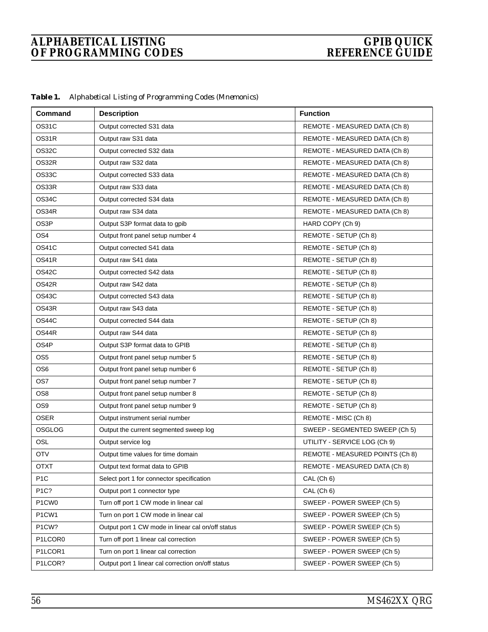| Table 1. |  |  | Alphabetical Listing of Programming Codes (Mnemonics) |  |  |
|----------|--|--|-------------------------------------------------------|--|--|
|----------|--|--|-------------------------------------------------------|--|--|

| Command                        | <b>Description</b>                                | <b>Function</b>                 |
|--------------------------------|---------------------------------------------------|---------------------------------|
| <b>OS31C</b>                   | Output corrected S31 data                         | REMOTE - MEASURED DATA (Ch 8)   |
| OS31R                          | Output raw S31 data                               | REMOTE - MEASURED DATA (Ch 8)   |
| <b>OS32C</b>                   | Output corrected S32 data                         | REMOTE - MEASURED DATA (Ch 8)   |
| OS32R                          | Output raw S32 data                               | REMOTE - MEASURED DATA (Ch 8)   |
| OS33C                          | Output corrected S33 data                         | REMOTE - MEASURED DATA (Ch 8)   |
| OS33R                          | Output raw S33 data                               | REMOTE - MEASURED DATA (Ch 8)   |
| OS34C                          | Output corrected S34 data                         | REMOTE - MEASURED DATA (Ch 8)   |
| OS34R                          | Output raw S34 data                               | REMOTE - MEASURED DATA (Ch 8)   |
| OS3P                           | Output S3P format data to gpib                    | HARD COPY (Ch 9)                |
| OS4                            | Output front panel setup number 4                 | REMOTE - SETUP (Ch 8)           |
| OS41C                          | Output corrected S41 data                         | REMOTE - SETUP (Ch 8)           |
| OS41R                          | Output raw S41 data                               | REMOTE - SETUP (Ch 8)           |
| OS42C                          | Output corrected S42 data                         | REMOTE - SETUP (Ch 8)           |
| OS42R                          | Output raw S42 data                               | REMOTE - SETUP (Ch 8)           |
| OS43C                          | Output corrected S43 data                         | REMOTE - SETUP (Ch 8)           |
| OS43R                          | Output raw S43 data                               | REMOTE - SETUP (Ch 8)           |
| OS44C                          | Output corrected S44 data                         | REMOTE - SETUP (Ch 8)           |
| OS44R                          | Output raw S44 data                               | REMOTE - SETUP (Ch 8)           |
| OS4P                           | Output S3P format data to GPIB                    | REMOTE - SETUP (Ch 8)           |
| OS <sub>5</sub>                | Output front panel setup number 5                 | REMOTE - SETUP (Ch 8)           |
| OS6                            | Output front panel setup number 6                 | REMOTE - SETUP (Ch 8)           |
| OS7                            | Output front panel setup number 7                 | REMOTE - SETUP (Ch 8)           |
| OS8                            | Output front panel setup number 8                 | REMOTE - SETUP (Ch 8)           |
| OS <sub>9</sub>                | Output front panel setup number 9                 | REMOTE - SETUP (Ch 8)           |
| <b>OSER</b>                    | Output instrument serial number                   | REMOTE - MISC (Ch 8)            |
| OSGLOG                         | Output the current segmented sweep log            | SWEEP - SEGMENTED SWEEP (Ch 5)  |
| OSL                            | Output service log                                | UTILITY - SERVICE LOG (Ch 9)    |
| <b>OTV</b>                     | Output time values for time domain                | REMOTE - MEASURED POINTS (Ch 8) |
| <b>OTXT</b>                    | Output text format data to GPIB                   | REMOTE - MEASURED DATA (Ch 8)   |
| P <sub>1</sub> C               | Select port 1 for connector specification         | CAL (Ch 6)                      |
| P <sub>1</sub> C?              | Output port 1 connector type                      | CAL (Ch 6)                      |
| P <sub>1</sub> CW <sub>0</sub> | Turn off port 1 CW mode in linear cal             | SWEEP - POWER SWEEP (Ch 5)      |
| P1CW1                          | Turn on port 1 CW mode in linear cal              | SWEEP - POWER SWEEP (Ch 5)      |
| P1CW?                          | Output port 1 CW mode in linear cal on/off status | SWEEP - POWER SWEEP (Ch 5)      |
| P1LCOR0                        | Turn off port 1 linear cal correction             | SWEEP - POWER SWEEP (Ch 5)      |
| P1LCOR1                        | Turn on port 1 linear cal correction              | SWEEP - POWER SWEEP (Ch 5)      |
| P1LCOR?                        | Output port 1 linear cal correction on/off status | SWEEP - POWER SWEEP (Ch 5)      |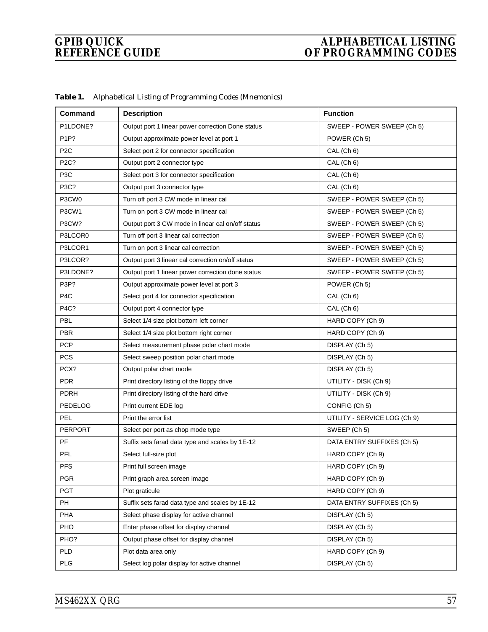| Command           | <b>Description</b>                                | <b>Function</b>              |
|-------------------|---------------------------------------------------|------------------------------|
| P1LDONE?          | Output port 1 linear power correction Done status | SWEEP - POWER SWEEP (Ch 5)   |
| P <sub>1</sub> P? | Output approximate power level at port 1          | POWER (Ch 5)                 |
| P <sub>2</sub> C  | Select port 2 for connector specification         | CAL (Ch 6)                   |
| P <sub>2C</sub> ? | Output port 2 connector type                      | CAL (Ch 6)                   |
| P <sub>3</sub> C  | Select port 3 for connector specification         | CAL (Ch 6)                   |
| P <sub>3</sub> C? | Output port 3 connector type                      | CAL (Ch 6)                   |
| P3CW0             | Turn off port 3 CW mode in linear cal             | SWEEP - POWER SWEEP (Ch 5)   |
| P3CW1             | Turn on port 3 CW mode in linear cal              | SWEEP - POWER SWEEP (Ch 5)   |
| P3CW?             | Output port 3 CW mode in linear cal on/off status | SWEEP - POWER SWEEP (Ch 5)   |
| P3LCOR0           | Turn off port 3 linear cal correction             | SWEEP - POWER SWEEP (Ch 5)   |
| P3LCOR1           | Turn on port 3 linear cal correction              | SWEEP - POWER SWEEP (Ch 5)   |
| P3LCOR?           | Output port 3 linear cal correction on/off status | SWEEP - POWER SWEEP (Ch 5)   |
| P3LDONE?          | Output port 1 linear power correction done status | SWEEP - POWER SWEEP (Ch 5)   |
| P3P?              | Output approximate power level at port 3          | POWER (Ch 5)                 |
| P <sub>4</sub> C  | Select port 4 for connector specification         | CAL (Ch 6)                   |
| P <sub>4C</sub> ? | Output port 4 connector type                      | CAL (Ch 6)                   |
| PBL               | Select 1/4 size plot bottom left corner           | HARD COPY (Ch 9)             |
| <b>PBR</b>        | Select 1/4 size plot bottom right corner          | HARD COPY (Ch 9)             |
| <b>PCP</b>        | Select measurement phase polar chart mode         | DISPLAY (Ch 5)               |
| <b>PCS</b>        | Select sweep position polar chart mode            | DISPLAY (Ch 5)               |
| PCX?              | Output polar chart mode                           | DISPLAY (Ch 5)               |
| <b>PDR</b>        | Print directory listing of the floppy drive       | UTILITY - DISK (Ch 9)        |
| <b>PDRH</b>       | Print directory listing of the hard drive         | UTILITY - DISK (Ch 9)        |
| <b>PEDELOG</b>    | Print current EDE log                             | CONFIG (Ch 5)                |
| PEL               | Print the error list                              | UTILITY - SERVICE LOG (Ch 9) |
| <b>PERPORT</b>    | Select per port as chop mode type                 | SWEEP (Ch 5)                 |
| PF                | Suffix sets farad data type and scales by 1E-12   | DATA ENTRY SUFFIXES (Ch 5)   |
| <b>PFL</b>        | Select full-size plot                             | HARD COPY (Ch 9)             |
| <b>PFS</b>        | Print full screen image                           | HARD COPY (Ch 9)             |
| <b>PGR</b>        | Print graph area screen image                     | HARD COPY (Ch 9)             |
| <b>PGT</b>        | Plot graticule                                    | HARD COPY (Ch 9)             |
| PH                | Suffix sets farad data type and scales by 1E-12   | DATA ENTRY SUFFIXES (Ch 5)   |
| <b>PHA</b>        | Select phase display for active channel           | DISPLAY (Ch 5)               |
| <b>PHO</b>        | Enter phase offset for display channel            | DISPLAY (Ch 5)               |
| PHO?              | Output phase offset for display channel           | DISPLAY (Ch 5)               |
| <b>PLD</b>        | Plot data area only                               | HARD COPY (Ch 9)             |
| PLG               | Select log polar display for active channel       | DISPLAY (Ch 5)               |

*Table 1. Alphabetical Listing of Programming Codes (Mnemonics)*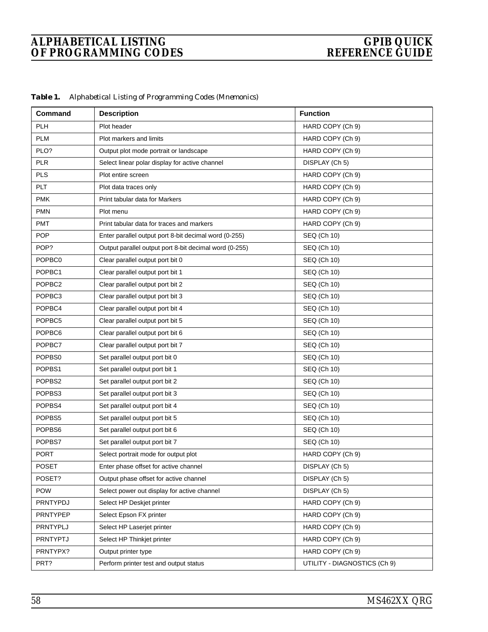| Command            | <b>Description</b>                                     | <b>Function</b>              |
|--------------------|--------------------------------------------------------|------------------------------|
| <b>PLH</b>         | Plot header                                            | HARD COPY (Ch 9)             |
| <b>PLM</b>         | Plot markers and limits                                | HARD COPY (Ch 9)             |
| PLO?               | Output plot mode portrait or landscape                 | HARD COPY (Ch 9)             |
| <b>PLR</b>         | Select linear polar display for active channel         | DISPLAY (Ch 5)               |
| <b>PLS</b>         | Plot entire screen                                     | HARD COPY (Ch 9)             |
| PLT                | Plot data traces only                                  | HARD COPY (Ch 9)             |
| <b>PMK</b>         | Print tabular data for Markers                         | HARD COPY (Ch 9)             |
| <b>PMN</b>         | Plot menu                                              | HARD COPY (Ch 9)             |
| <b>PMT</b>         | Print tabular data for traces and markers              | HARD COPY (Ch 9)             |
| <b>POP</b>         | Enter parallel output port 8-bit decimal word (0-255)  | SEQ (Ch 10)                  |
| POP?               | Output parallel output port 8-bit decimal word (0-255) | SEQ (Ch 10)                  |
| POPBC0             | Clear parallel output port bit 0                       | SEQ (Ch 10)                  |
| POPBC1             | Clear parallel output port bit 1                       | SEQ (Ch 10)                  |
| POPBC <sub>2</sub> | Clear parallel output port bit 2                       | SEQ (Ch 10)                  |
| POPBC3             | Clear parallel output port bit 3                       | SEQ (Ch 10)                  |
| POPBC4             | Clear parallel output port bit 4                       | SEQ (Ch 10)                  |
| POPBC <sub>5</sub> | Clear parallel output port bit 5                       | SEQ (Ch 10)                  |
| POPBC6             | Clear parallel output port bit 6                       | SEQ (Ch 10)                  |
| POPBC7             | Clear parallel output port bit 7                       | SEQ (Ch 10)                  |
| POPBS0             | Set parallel output port bit 0                         | SEQ (Ch 10)                  |
| POPBS1             | Set parallel output port bit 1                         | SEQ (Ch 10)                  |
| POPBS2             | Set parallel output port bit 2                         | SEQ (Ch 10)                  |
| POPBS3             | Set parallel output port bit 3                         | SEQ (Ch 10)                  |
| POPBS4             | Set parallel output port bit 4                         | SEQ (Ch 10)                  |
| POPBS5             | Set parallel output port bit 5                         | SEQ (Ch 10)                  |
| POPBS6             | Set parallel output port bit 6                         | SEQ (Ch 10)                  |
| POPBS7             | Set parallel output port bit 7                         | SEQ (Ch 10)                  |
| <b>PORT</b>        | Select portrait mode for output plot                   | HARD COPY (Ch 9)             |
| POSET              | Enter phase offset for active channel                  | DISPLAY (Ch 5)               |
| POSET?             | Output phase offset for active channel                 | DISPLAY (Ch 5)               |
| <b>POW</b>         | Select power out display for active channel            | DISPLAY (Ch 5)               |
| PRNTYPDJ           | Select HP Deskjet printer                              | HARD COPY (Ch 9)             |
| <b>PRNTYPEP</b>    | Select Epson FX printer                                | HARD COPY (Ch 9)             |
| PRNTYPLJ           | Select HP Laserjet printer                             | HARD COPY (Ch 9)             |
| <b>PRNTYPTJ</b>    | Select HP Thinkjet printer                             | HARD COPY (Ch 9)             |
| PRNTYPX?           | Output printer type                                    | HARD COPY (Ch 9)             |
| PRT?               | Perform printer test and output status                 | UTILITY - DIAGNOSTICS (Ch 9) |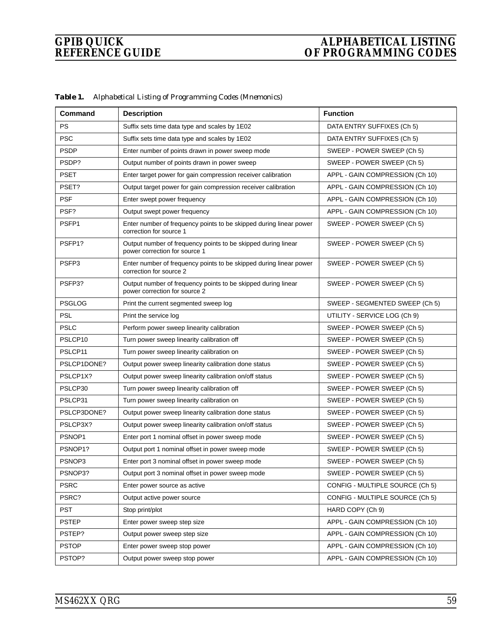| Command             | <b>Description</b>                                                                             | <b>Function</b>                 |
|---------------------|------------------------------------------------------------------------------------------------|---------------------------------|
| <b>PS</b>           | Suffix sets time data type and scales by 1E02                                                  | DATA ENTRY SUFFIXES (Ch 5)      |
| <b>PSC</b>          | Suffix sets time data type and scales by 1E02                                                  | DATA ENTRY SUFFIXES (Ch 5)      |
| <b>PSDP</b>         | Enter number of points drawn in power sweep mode                                               | SWEEP - POWER SWEEP (Ch 5)      |
| PSDP?               | Output number of points drawn in power sweep                                                   | SWEEP - POWER SWEEP (Ch 5)      |
| <b>PSET</b>         | Enter target power for gain compression receiver calibration                                   | APPL - GAIN COMPRESSION (Ch 10) |
| PSET?               | Output target power for gain compression receiver calibration                                  | APPL - GAIN COMPRESSION (Ch 10) |
| <b>PSF</b>          | Enter swept power frequency                                                                    | APPL - GAIN COMPRESSION (Ch 10) |
| PSF?                | Output swept power frequency                                                                   | APPL - GAIN COMPRESSION (Ch 10) |
| PSFP1               | Enter number of frequency points to be skipped during linear power<br>correction for source 1  | SWEEP - POWER SWEEP (Ch 5)      |
| PSFP <sub>1?</sub>  | Output number of frequency points to be skipped during linear<br>power correction for source 1 | SWEEP - POWER SWEEP (Ch 5)      |
| PSFP3               | Enter number of frequency points to be skipped during linear power<br>correction for source 2  | SWEEP - POWER SWEEP (Ch 5)      |
| PSFP3?              | Output number of frequency points to be skipped during linear<br>power correction for source 2 | SWEEP - POWER SWEEP (Ch 5)      |
| <b>PSGLOG</b>       | Print the current segmented sweep log                                                          | SWEEP - SEGMENTED SWEEP (Ch 5)  |
| <b>PSL</b>          | Print the service log                                                                          | UTILITY - SERVICE LOG (Ch 9)    |
| <b>PSLC</b>         | Perform power sweep linearity calibration                                                      | SWEEP - POWER SWEEP (Ch 5)      |
| PSLCP <sub>10</sub> | Turn power sweep linearity calibration off                                                     | SWEEP - POWER SWEEP (Ch 5)      |
| PSLCP11             | Turn power sweep linearity calibration on                                                      | SWEEP - POWER SWEEP (Ch 5)      |
| PSLCP1DONE?         | Output power sweep linearity calibration done status                                           | SWEEP - POWER SWEEP (Ch 5)      |
| PSLCP1X?            | Output power sweep linearity calibration on/off status                                         | SWEEP - POWER SWEEP (Ch 5)      |
| PSLCP30             | Turn power sweep linearity calibration off                                                     | SWEEP - POWER SWEEP (Ch 5)      |
| PSLCP31             | Turn power sweep linearity calibration on                                                      | SWEEP - POWER SWEEP (Ch 5)      |
| PSLCP3DONE?         | Output power sweep linearity calibration done status                                           | SWEEP - POWER SWEEP (Ch 5)      |
| PSLCP3X?            | Output power sweep linearity calibration on/off status                                         | SWEEP - POWER SWEEP (Ch 5)      |
| PSNOP1              | Enter port 1 nominal offset in power sweep mode                                                | SWEEP - POWER SWEEP (Ch 5)      |
| PSNOP <sub>1?</sub> | Output port 1 nominal offset in power sweep mode                                               | SWEEP - POWER SWEEP (Ch 5)      |
| PSNOP3              | Enter port 3 nominal offset in power sweep mode                                                | SWEEP - POWER SWEEP (Ch 5)      |
| PSNOP3?             | Output port 3 nominal offset in power sweep mode                                               | SWEEP - POWER SWEEP (Ch 5)      |
| <b>PSRC</b>         | Enter power source as active                                                                   | CONFIG - MULTIPLE SOURCE (Ch 5) |
| PSRC?               | Output active power source                                                                     | CONFIG - MULTIPLE SOURCE (Ch 5) |
| <b>PST</b>          | Stop print/plot                                                                                | HARD COPY (Ch 9)                |
| <b>PSTEP</b>        | Enter power sweep step size                                                                    | APPL - GAIN COMPRESSION (Ch 10) |
| PSTEP?              | Output power sweep step size                                                                   | APPL - GAIN COMPRESSION (Ch 10) |
| <b>PSTOP</b>        | Enter power sweep stop power                                                                   | APPL - GAIN COMPRESSION (Ch 10) |
| PSTOP?              | Output power sweep stop power                                                                  | APPL - GAIN COMPRESSION (Ch 10) |

*Table 1. Alphabetical Listing of Programming Codes (Mnemonics)*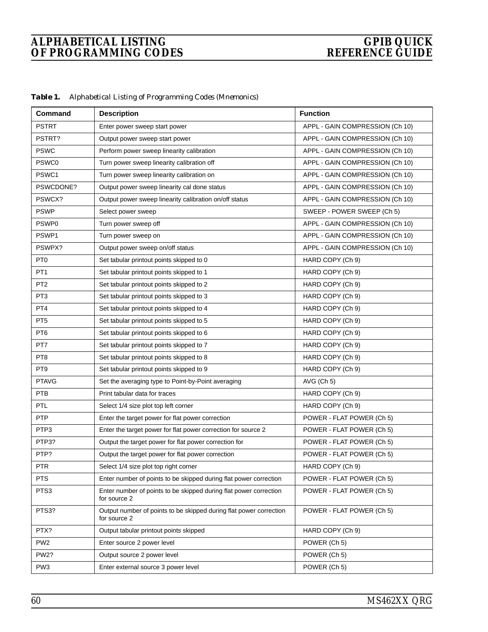| Table 1. |  |  | Alphabetical Listing of Programming Codes (Mnemonics) |  |  |
|----------|--|--|-------------------------------------------------------|--|--|
|----------|--|--|-------------------------------------------------------|--|--|

| Command          | <b>Description</b>                                                                 | <b>Function</b>                 |
|------------------|------------------------------------------------------------------------------------|---------------------------------|
| <b>PSTRT</b>     | Enter power sweep start power                                                      | APPL - GAIN COMPRESSION (Ch 10) |
| PSTRT?           | Output power sweep start power                                                     | APPL - GAIN COMPRESSION (Ch 10) |
| <b>PSWC</b>      | Perform power sweep linearity calibration                                          | APPL - GAIN COMPRESSION (Ch 10) |
| PSWC0            | Turn power sweep linearity calibration off                                         | APPL - GAIN COMPRESSION (Ch 10) |
| PSWC1            | Turn power sweep linearity calibration on                                          | APPL - GAIN COMPRESSION (Ch 10) |
| PSWCDONE?        | Output power sweep linearity cal done status                                       | APPL - GAIN COMPRESSION (Ch 10) |
| PSWCX?           | Output power sweep linearity calibration on/off status                             | APPL - GAIN COMPRESSION (Ch 10) |
| <b>PSWP</b>      | Select power sweep                                                                 | SWEEP - POWER SWEEP (Ch 5)      |
| PSWP0            | Turn power sweep off                                                               | APPL - GAIN COMPRESSION (Ch 10) |
| PSWP1            | Turn power sweep on                                                                | APPL - GAIN COMPRESSION (Ch 10) |
| PSWPX?           | Output power sweep on/off status                                                   | APPL - GAIN COMPRESSION (Ch 10) |
| PT <sub>0</sub>  | Set tabular printout points skipped to 0                                           | HARD COPY (Ch 9)                |
| PT <sub>1</sub>  | Set tabular printout points skipped to 1                                           | HARD COPY (Ch 9)                |
| PT <sub>2</sub>  | Set tabular printout points skipped to 2                                           | HARD COPY (Ch 9)                |
| PT <sub>3</sub>  | Set tabular printout points skipped to 3                                           | HARD COPY (Ch 9)                |
| PT4              | Set tabular printout points skipped to 4                                           | HARD COPY (Ch 9)                |
| PT <sub>5</sub>  | Set tabular printout points skipped to 5                                           | HARD COPY (Ch 9)                |
| PT6              | Set tabular printout points skipped to 6                                           | HARD COPY (Ch 9)                |
| PT7              | Set tabular printout points skipped to 7                                           | HARD COPY (Ch 9)                |
| PT <sub>8</sub>  | Set tabular printout points skipped to 8                                           | HARD COPY (Ch 9)                |
| PT <sub>9</sub>  | Set tabular printout points skipped to 9                                           | HARD COPY (Ch 9)                |
| <b>PTAVG</b>     | Set the averaging type to Point-by-Point averaging                                 | AVG (Ch 5)                      |
| <b>PTB</b>       | Print tabular data for traces                                                      | HARD COPY (Ch 9)                |
| PTL              | Select 1/4 size plot top left corner                                               | HARD COPY (Ch 9)                |
| <b>PTP</b>       | Enter the target power for flat power correction                                   | POWER - FLAT POWER (Ch 5)       |
| PTP <sub>3</sub> | Enter the target power for flat power correction for source 2                      | POWER - FLAT POWER (Ch 5)       |
| PTP3?            | Output the target power for flat power correction for                              | POWER - FLAT POWER (Ch 5)       |
| PTP?             | Output the target power for flat power correction                                  | POWER - FLAT POWER (Ch 5)       |
| <b>PTR</b>       | Select 1/4 size plot top right corner                                              | HARD COPY (Ch 9)                |
| <b>PTS</b>       | Enter number of points to be skipped during flat power correction                  | POWER - FLAT POWER (Ch 5)       |
| PTS3             | Enter number of points to be skipped during flat power correction<br>for source 2  | POWER - FLAT POWER (Ch 5)       |
| PTS3?            | Output number of points to be skipped during flat power correction<br>for source 2 | POWER - FLAT POWER (Ch 5)       |
| PTX?             | Output tabular printout points skipped                                             | HARD COPY (Ch 9)                |
| PW <sub>2</sub>  | Enter source 2 power level                                                         | POWER (Ch 5)                    |
| <b>PW2?</b>      | Output source 2 power level                                                        | POWER (Ch 5)                    |
| PW <sub>3</sub>  | Enter external source 3 power level                                                | POWER (Ch 5)                    |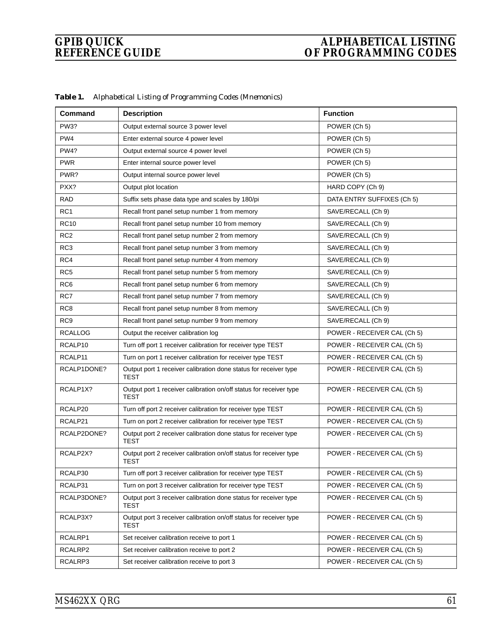| <b>Command</b>  | <b>Description</b>                                                                | <b>Function</b>             |
|-----------------|-----------------------------------------------------------------------------------|-----------------------------|
| <b>PW3?</b>     | Output external source 3 power level                                              | POWER (Ch 5)                |
| PW <sub>4</sub> | Enter external source 4 power level                                               | POWER (Ch 5)                |
| <b>PW4?</b>     | Output external source 4 power level                                              | POWER (Ch 5)                |
| <b>PWR</b>      | Enter internal source power level                                                 | POWER (Ch 5)                |
| PWR?            | Output internal source power level                                                | POWER (Ch 5)                |
| PXX?            | Output plot location                                                              | HARD COPY (Ch 9)            |
| RAD             | Suffix sets phase data type and scales by 180/pi                                  | DATA ENTRY SUFFIXES (Ch 5)  |
| RC1             | Recall front panel setup number 1 from memory                                     | SAVE/RECALL (Ch 9)          |
| <b>RC10</b>     | Recall front panel setup number 10 from memory                                    | SAVE/RECALL (Ch 9)          |
| RC <sub>2</sub> | Recall front panel setup number 2 from memory                                     | SAVE/RECALL (Ch 9)          |
| RC3             | Recall front panel setup number 3 from memory                                     | SAVE/RECALL (Ch 9)          |
| RC4             | Recall front panel setup number 4 from memory                                     | SAVE/RECALL (Ch 9)          |
| RC <sub>5</sub> | Recall front panel setup number 5 from memory                                     | SAVE/RECALL (Ch 9)          |
| RC <sub>6</sub> | Recall front panel setup number 6 from memory                                     | SAVE/RECALL (Ch 9)          |
| RC7             | Recall front panel setup number 7 from memory                                     | SAVE/RECALL (Ch 9)          |
| RC <sub>8</sub> | Recall front panel setup number 8 from memory                                     | SAVE/RECALL (Ch 9)          |
| RC <sub>9</sub> | Recall front panel setup number 9 from memory                                     | SAVE/RECALL (Ch 9)          |
| <b>RCALLOG</b>  | Output the receiver calibration log                                               | POWER - RECEIVER CAL (Ch 5) |
| RCALP10         | Turn off port 1 receiver calibration for receiver type TEST                       | POWER - RECEIVER CAL (Ch 5) |
| RCALP11         | Turn on port 1 receiver calibration for receiver type TEST                        | POWER - RECEIVER CAL (Ch 5) |
| RCALP1DONE?     | Output port 1 receiver calibration done status for receiver type<br><b>TEST</b>   | POWER - RECEIVER CAL (Ch 5) |
| RCALP1X?        | Output port 1 receiver calibration on/off status for receiver type<br><b>TEST</b> | POWER - RECEIVER CAL (Ch 5) |
| RCALP20         | Turn off port 2 receiver calibration for receiver type TEST                       | POWER - RECEIVER CAL (Ch 5) |
| RCALP21         | Turn on port 2 receiver calibration for receiver type TEST                        | POWER - RECEIVER CAL (Ch 5) |
| RCALP2DONE?     | Output port 2 receiver calibration done status for receiver type<br><b>TEST</b>   | POWER - RECEIVER CAL (Ch 5) |
| RCALP2X?        | Output port 2 receiver calibration on/off status for receiver type<br>TEST        | POWER - RECEIVER CAL (Ch 5) |
| RCALP30         | Turn off port 3 receiver calibration for receiver type TEST                       | POWER - RECEIVER CAL (Ch 5) |
| RCALP31         | Turn on port 3 receiver calibration for receiver type TEST                        | POWER - RECEIVER CAL (Ch 5) |
| RCALP3DONE?     | Output port 3 receiver calibration done status for receiver type<br>TEST          | POWER - RECEIVER CAL (Ch 5) |
| RCALP3X?        | Output port 3 receiver calibration on/off status for receiver type<br><b>TEST</b> | POWER - RECEIVER CAL (Ch 5) |
| RCALRP1         | Set receiver calibration receive to port 1                                        | POWER - RECEIVER CAL (Ch 5) |
| RCALRP2         | Set receiver calibration receive to port 2                                        | POWER - RECEIVER CAL (Ch 5) |
| RCALRP3         | Set receiver calibration receive to port 3                                        | POWER - RECEIVER CAL (Ch 5) |

*Table 1. Alphabetical Listing of Programming Codes (Mnemonics)*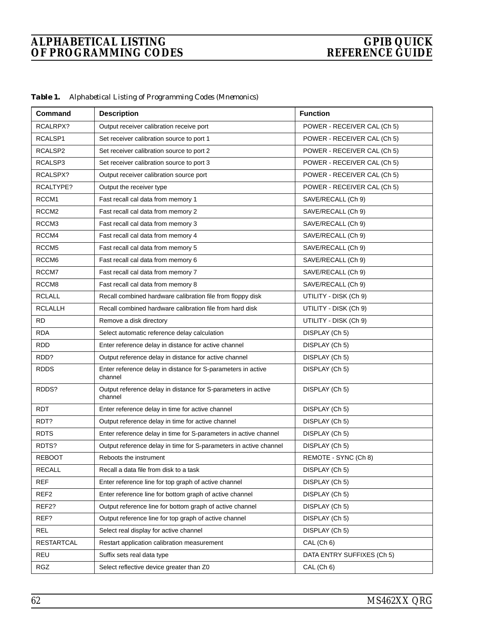| Command           | <b>Description</b>                                                       | <b>Function</b>             |
|-------------------|--------------------------------------------------------------------------|-----------------------------|
| RCALRPX?          | Output receiver calibration receive port                                 | POWER - RECEIVER CAL (Ch 5) |
| RCALSP1           | Set receiver calibration source to port 1<br>POWER - RECEIVER CAL (Ch 5) |                             |
| RCALSP2           | Set receiver calibration source to port 2                                | POWER - RECEIVER CAL (Ch 5) |
| RCALSP3           | Set receiver calibration source to port 3                                | POWER - RECEIVER CAL (Ch 5) |
| RCALSPX?          | Output receiver calibration source port                                  | POWER - RECEIVER CAL (Ch 5) |
| RCALTYPE?         | Output the receiver type                                                 | POWER - RECEIVER CAL (Ch 5) |
| RCCM1             | Fast recall cal data from memory 1                                       | SAVE/RECALL (Ch 9)          |
| RCCM <sub>2</sub> | Fast recall cal data from memory 2                                       | SAVE/RECALL (Ch 9)          |
| RCCM3             | Fast recall cal data from memory 3                                       | SAVE/RECALL (Ch 9)          |
| RCCM4             | Fast recall cal data from memory 4                                       | SAVE/RECALL (Ch 9)          |
| RCCM <sub>5</sub> | Fast recall cal data from memory 5                                       | SAVE/RECALL (Ch 9)          |
| RCCM <sub>6</sub> | Fast recall cal data from memory 6                                       | SAVE/RECALL (Ch 9)          |
| RCCM7             | Fast recall cal data from memory 7                                       | SAVE/RECALL (Ch 9)          |
| RCCM <sub>8</sub> | Fast recall cal data from memory 8                                       | SAVE/RECALL (Ch 9)          |
| <b>RCLALL</b>     | Recall combined hardware calibration file from floppy disk               | UTILITY - DISK (Ch 9)       |
| <b>RCLALLH</b>    | Recall combined hardware calibration file from hard disk                 | UTILITY - DISK (Ch 9)       |
| <b>RD</b>         | Remove a disk directory                                                  | UTILITY - DISK (Ch 9)       |
| <b>RDA</b>        | Select automatic reference delay calculation                             | DISPLAY (Ch 5)              |
| <b>RDD</b>        | Enter reference delay in distance for active channel                     | DISPLAY (Ch 5)              |
| RDD?              | Output reference delay in distance for active channel                    | DISPLAY (Ch 5)              |
| <b>RDDS</b>       | Enter reference delay in distance for S-parameters in active<br>channel  | DISPLAY (Ch 5)              |
| RDDS?             | Output reference delay in distance for S-parameters in active<br>channel | DISPLAY (Ch 5)              |
| RDT               | Enter reference delay in time for active channel                         | DISPLAY (Ch 5)              |
| RDT?              | Output reference delay in time for active channel                        | DISPLAY (Ch 5)              |
| <b>RDTS</b>       | Enter reference delay in time for S-parameters in active channel         | DISPLAY (Ch 5)              |
| RDTS?             | Output reference delay in time for S-parameters in active channel        | DISPLAY (Ch 5)              |
| <b>REBOOT</b>     | Reboots the instrument                                                   | REMOTE - SYNC (Ch 8)        |
| <b>RECALL</b>     | Recall a data file from disk to a task                                   | DISPLAY (Ch 5)              |
| <b>REF</b>        | Enter reference line for top graph of active channel                     | DISPLAY (Ch 5)              |
| REF <sub>2</sub>  | Enter reference line for bottom graph of active channel                  | DISPLAY (Ch 5)              |
| REF2?             | Output reference line for bottom graph of active channel                 | DISPLAY (Ch 5)              |
| REF?              | Output reference line for top graph of active channel                    | DISPLAY (Ch 5)              |
| <b>REL</b>        | Select real display for active channel                                   | DISPLAY (Ch 5)              |
| <b>RESTARTCAL</b> | Restart application calibration measurement                              | CAL (Ch 6)                  |
| <b>REU</b>        | Suffix sets real data type                                               | DATA ENTRY SUFFIXES (Ch 5)  |
| <b>RGZ</b>        | Select reflective device greater than Z0                                 | CAL (Ch 6)                  |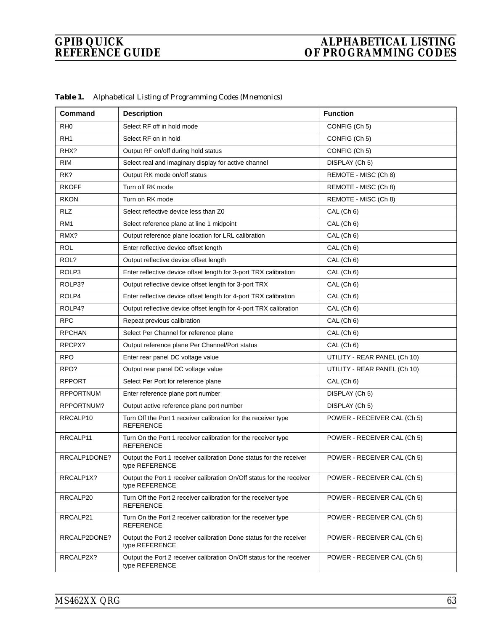| Command          | <b>Description</b>                                                                      | <b>Function</b>              |
|------------------|-----------------------------------------------------------------------------------------|------------------------------|
| RH <sub>0</sub>  | Select RF off in hold mode                                                              | CONFIG (Ch 5)                |
| RH <sub>1</sub>  | Select RF on in hold                                                                    | CONFIG (Ch 5)                |
| RHX?             | Output RF on/off during hold status                                                     | CONFIG (Ch 5)                |
| <b>RIM</b>       | Select real and imaginary display for active channel                                    | DISPLAY (Ch 5)               |
| RK?              | Output RK mode on/off status                                                            | REMOTE - MISC (Ch 8)         |
| <b>RKOFF</b>     | Turn off RK mode                                                                        | REMOTE - MISC (Ch 8)         |
| <b>RKON</b>      | Turn on RK mode                                                                         | REMOTE - MISC (Ch 8)         |
| <b>RLZ</b>       | Select reflective device less than Z0                                                   | CAL (Ch 6)                   |
| RM <sub>1</sub>  | Select reference plane at line 1 midpoint                                               | CAL (Ch 6)                   |
| RMX?             | Output reference plane location for LRL calibration                                     | CAL (Ch 6)                   |
| <b>ROL</b>       | Enter reflective device offset length                                                   | CAL (Ch 6)                   |
| ROL?             | Output reflective device offset length                                                  | CAL (Ch 6)                   |
| ROLP3            | Enter reflective device offset length for 3-port TRX calibration                        | CAL (Ch 6)                   |
| ROLP3?           | Output reflective device offset length for 3-port TRX                                   | CAL (Ch 6)                   |
| ROLP4            | Enter reflective device offset length for 4-port TRX calibration                        | CAL (Ch 6)                   |
| ROLP4?           | Output reflective device offset length for 4-port TRX calibration                       | CAL (Ch 6)                   |
| <b>RPC</b>       | Repeat previous calibration                                                             | CAL (Ch 6)                   |
| <b>RPCHAN</b>    | Select Per Channel for reference plane                                                  | CAL (Ch 6)                   |
| RPCPX?           | Output reference plane Per Channel/Port status                                          | CAL (Ch 6)                   |
| <b>RPO</b>       | Enter rear panel DC voltage value                                                       | UTILITY - REAR PANEL (Ch 10) |
| RPO?             | Output rear panel DC voltage value                                                      | UTILITY - REAR PANEL (Ch 10) |
| <b>RPPORT</b>    | Select Per Port for reference plane                                                     | CAL (Ch 6)                   |
| <b>RPPORTNUM</b> | Enter reference plane port number                                                       | DISPLAY (Ch 5)               |
| RPPORTNUM?       | Output active reference plane port number                                               | DISPLAY (Ch 5)               |
| RRCALP10         | Turn Off the Port 1 receiver calibration for the receiver type<br><b>REFERENCE</b>      | POWER - RECEIVER CAL (Ch 5)  |
| RRCALP11         | Turn On the Port 1 receiver calibration for the receiver type<br><b>REFERENCE</b>       | POWER - RECEIVER CAL (Ch 5)  |
| RRCALP1DONE?     | Output the Port 1 receiver calibration Done status for the receiver<br>type REFERENCE   | POWER - RECEIVER CAL (Ch 5)  |
| RRCALP1X?        | Output the Port 1 receiver calibration On/Off status for the receiver<br>type REFERENCE | POWER - RECEIVER CAL (Ch 5)  |
| RRCALP20         | Turn Off the Port 2 receiver calibration for the receiver type<br><b>REFERENCE</b>      | POWER - RECEIVER CAL (Ch 5)  |
| RRCALP21         | Turn On the Port 2 receiver calibration for the receiver type<br><b>REFERENCE</b>       | POWER - RECEIVER CAL (Ch 5)  |
| RRCALP2DONE?     | Output the Port 2 receiver calibration Done status for the receiver<br>type REFERENCE   | POWER - RECEIVER CAL (Ch 5)  |
| RRCALP2X?        | Output the Port 2 receiver calibration On/Off status for the receiver<br>type REFERENCE | POWER - RECEIVER CAL (Ch 5)  |

*Table 1. Alphabetical Listing of Programming Codes (Mnemonics)*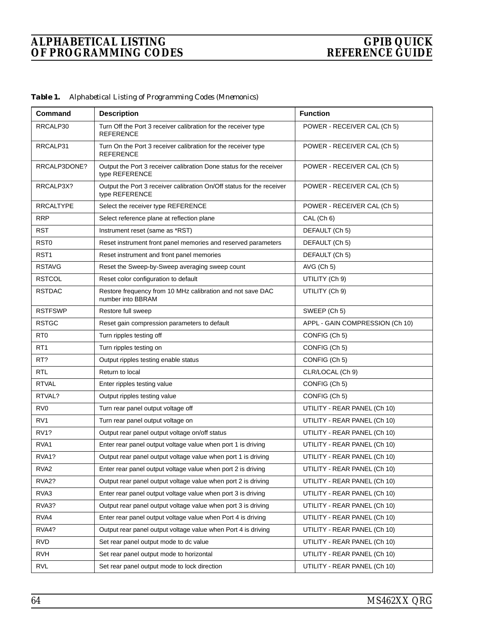| Table 1. |  |  | Alphabetical Listing of Programming Codes (Mnemonics) |  |  |
|----------|--|--|-------------------------------------------------------|--|--|
|----------|--|--|-------------------------------------------------------|--|--|

| Command            | <b>Description</b>                                                                      | <b>Function</b>                 |  |
|--------------------|-----------------------------------------------------------------------------------------|---------------------------------|--|
| RRCALP30           | Turn Off the Port 3 receiver calibration for the receiver type<br><b>REFERENCE</b>      | POWER - RECEIVER CAL (Ch 5)     |  |
| RRCALP31           | Turn On the Port 3 receiver calibration for the receiver type<br><b>REFERENCE</b>       | POWER - RECEIVER CAL (Ch 5)     |  |
| RRCALP3DONE?       | Output the Port 3 receiver calibration Done status for the receiver<br>type REFERENCE   | POWER - RECEIVER CAL (Ch 5)     |  |
| RRCALP3X?          | Output the Port 3 receiver calibration On/Off status for the receiver<br>type REFERENCE | POWER - RECEIVER CAL (Ch 5)     |  |
| <b>RRCALTYPE</b>   | Select the receiver type REFERENCE                                                      | POWER - RECEIVER CAL (Ch 5)     |  |
| <b>RRP</b>         | Select reference plane at reflection plane                                              | CAL (Ch 6)                      |  |
| RST                | Instrument reset (same as *RST)                                                         | DEFAULT (Ch 5)                  |  |
| RST <sub>0</sub>   | Reset instrument front panel memories and reserved parameters                           | DEFAULT (Ch 5)                  |  |
| RST <sub>1</sub>   | Reset instrument and front panel memories                                               | DEFAULT (Ch 5)                  |  |
| <b>RSTAVG</b>      | Reset the Sweep-by-Sweep averaging sweep count                                          | AVG (Ch 5)                      |  |
| <b>RSTCOL</b>      | Reset color configuration to default                                                    | UTILITY (Ch 9)                  |  |
| <b>RSTDAC</b>      | Restore frequency from 10 MHz calibration and not save DAC<br>number into BBRAM         | UTILITY (Ch 9)                  |  |
| <b>RSTFSWP</b>     | Restore full sweep                                                                      | SWEEP (Ch 5)                    |  |
| <b>RSTGC</b>       | Reset gain compression parameters to default                                            | APPL - GAIN COMPRESSION (Ch 10) |  |
| RT <sub>0</sub>    | Turn ripples testing off                                                                | CONFIG (Ch 5)                   |  |
| RT <sub>1</sub>    | Turn ripples testing on                                                                 | CONFIG (Ch 5)                   |  |
| RT?                | Output ripples testing enable status                                                    | CONFIG (Ch 5)                   |  |
| <b>RTL</b>         | Return to local                                                                         | CLR/LOCAL (Ch 9)                |  |
| <b>RTVAL</b>       | Enter ripples testing value                                                             | CONFIG (Ch 5)                   |  |
| RTVAL?             | Output ripples testing value                                                            | CONFIG (Ch 5)                   |  |
| RV <sub>0</sub>    | Turn rear panel output voltage off                                                      | UTILITY - REAR PANEL (Ch 10)    |  |
| RV <sub>1</sub>    | Turn rear panel output voltage on                                                       | UTILITY - REAR PANEL (Ch 10)    |  |
| <b>RV1?</b>        | Output rear panel output voltage on/off status                                          | UTILITY - REAR PANEL (Ch 10)    |  |
| RVA <sub>1</sub>   | Enter rear panel output voltage value when port 1 is driving                            | UTILITY - REAR PANEL (Ch 10)    |  |
| RVA <sub>1</sub> ? | Output rear panel output voltage value when port 1 is driving                           | UTILITY - REAR PANEL (Ch 10)    |  |
| RVA <sub>2</sub>   | Enter rear panel output voltage value when port 2 is driving                            | UTILITY - REAR PANEL (Ch 10)    |  |
| RVA <sub>2?</sub>  | Output rear panel output voltage value when port 2 is driving                           | UTILITY - REAR PANEL (Ch 10)    |  |
| RVA3               | Enter rear panel output voltage value when port 3 is driving                            | UTILITY - REAR PANEL (Ch 10)    |  |
| RVA3?              | Output rear panel output voltage value when port 3 is driving                           | UTILITY - REAR PANEL (Ch 10)    |  |
| RVA4               | Enter rear panel output voltage value when Port 4 is driving                            | UTILITY - REAR PANEL (Ch 10)    |  |
| RVA4?              | Output rear panel output voltage value when Port 4 is driving                           | UTILITY - REAR PANEL (Ch 10)    |  |
| <b>RVD</b>         | Set rear panel output mode to dc value                                                  | UTILITY - REAR PANEL (Ch 10)    |  |
| <b>RVH</b>         | Set rear panel output mode to horizontal                                                | UTILITY - REAR PANEL (Ch 10)    |  |
| <b>RVL</b>         | Set rear panel output mode to lock direction                                            | UTILITY - REAR PANEL (Ch 10)    |  |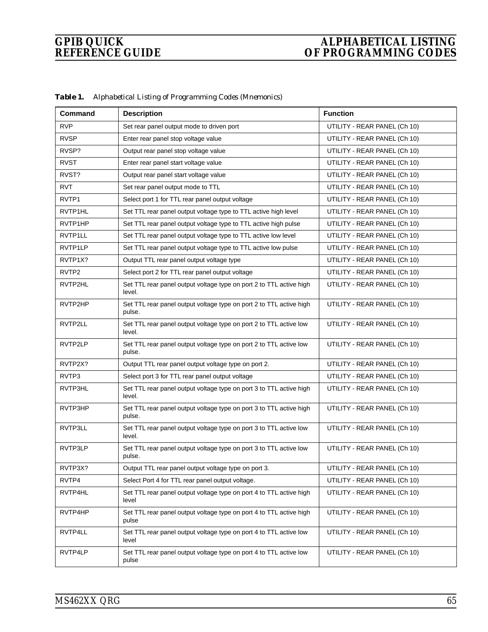| Command           | <b>Description</b>                                                            | <b>Function</b>              |
|-------------------|-------------------------------------------------------------------------------|------------------------------|
| <b>RVP</b>        | Set rear panel output mode to driven port                                     | UTILITY - REAR PANEL (Ch 10) |
| <b>RVSP</b>       | Enter rear panel stop voltage value                                           | UTILITY - REAR PANEL (Ch 10) |
| RVSP?             | Output rear panel stop voltage value                                          | UTILITY - REAR PANEL (Ch 10) |
| <b>RVST</b>       | Enter rear panel start voltage value                                          | UTILITY - REAR PANEL (Ch 10) |
| RVST?             | Output rear panel start voltage value                                         | UTILITY - REAR PANEL (Ch 10) |
| <b>RVT</b>        | Set rear panel output mode to TTL                                             | UTILITY - REAR PANEL (Ch 10) |
| RVTP1             | Select port 1 for TTL rear panel output voltage                               | UTILITY - REAR PANEL (Ch 10) |
| RVTP1HL           | Set TTL rear panel output voltage type to TTL active high level               | UTILITY - REAR PANEL (Ch 10) |
| RVTP1HP           | Set TTL rear panel output voltage type to TTL active high pulse               | UTILITY - REAR PANEL (Ch 10) |
| RVTP1LL           | Set TTL rear panel output voltage type to TTL active low level                | UTILITY - REAR PANEL (Ch 10) |
| RVTP1LP           | Set TTL rear panel output voltage type to TTL active low pulse                | UTILITY - REAR PANEL (Ch 10) |
| RVTP1X?           | Output TTL rear panel output voltage type                                     | UTILITY - REAR PANEL (Ch 10) |
| RVTP <sub>2</sub> | Select port 2 for TTL rear panel output voltage                               | UTILITY - REAR PANEL (Ch 10) |
| RVTP2HL           | Set TTL rear panel output voltage type on port 2 to TTL active high<br>level. | UTILITY - REAR PANEL (Ch 10) |
| RVTP2HP           | Set TTL rear panel output voltage type on port 2 to TTL active high<br>pulse. | UTILITY - REAR PANEL (Ch 10) |
| RVTP2LL           | Set TTL rear panel output voltage type on port 2 to TTL active low<br>level.  | UTILITY - REAR PANEL (Ch 10) |
| RVTP2LP           | Set TTL rear panel output voltage type on port 2 to TTL active low<br>pulse.  | UTILITY - REAR PANEL (Ch 10) |
| RVTP2X?           | Output TTL rear panel output voltage type on port 2.                          | UTILITY - REAR PANEL (Ch 10) |
| RVTP3             | Select port 3 for TTL rear panel output voltage                               | UTILITY - REAR PANEL (Ch 10) |
| RVTP3HL           | Set TTL rear panel output voltage type on port 3 to TTL active high<br>level. | UTILITY - REAR PANEL (Ch 10) |
| RVTP3HP           | Set TTL rear panel output voltage type on port 3 to TTL active high<br>pulse. | UTILITY - REAR PANEL (Ch 10) |
| RVTP3LL           | Set TTL rear panel output voltage type on port 3 to TTL active low<br>level.  | UTILITY - REAR PANEL (Ch 10) |
| RVTP3LP           | Set TTL rear panel output voltage type on port 3 to TTL active low<br>pulse.  | UTILITY - REAR PANEL (Ch 10) |
| RVTP3X?           | Output TTL rear panel output voltage type on port 3.                          | UTILITY - REAR PANEL (Ch 10) |
| RVTP4             | Select Port 4 for TTL rear panel output voltage.                              | UTILITY - REAR PANEL (Ch 10) |
| RVTP4HL           | Set TTL rear panel output voltage type on port 4 to TTL active high<br>level  | UTILITY - REAR PANEL (Ch 10) |
| RVTP4HP           | Set TTL rear panel output voltage type on port 4 to TTL active high<br>pulse  | UTILITY - REAR PANEL (Ch 10) |
| RVTP4LL           | Set TTL rear panel output voltage type on port 4 to TTL active low<br>level   | UTILITY - REAR PANEL (Ch 10) |
| RVTP4LP           | Set TTL rear panel output voltage type on port 4 to TTL active low<br>pulse   | UTILITY - REAR PANEL (Ch 10) |

*Table 1. Alphabetical Listing of Programming Codes (Mnemonics)*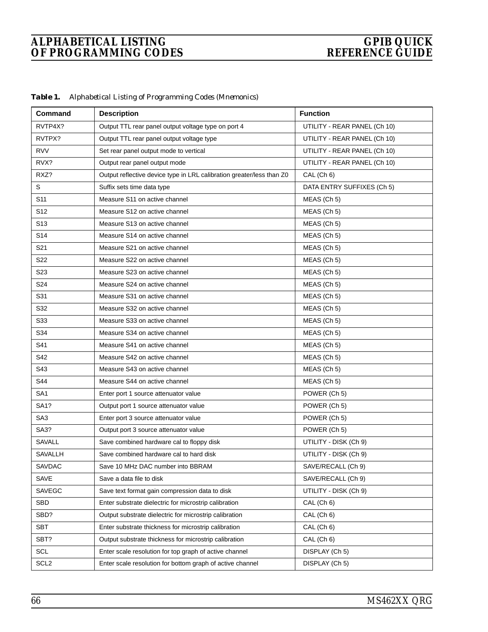| Command          | <b>Description</b>                                                    | <b>Function</b>              |
|------------------|-----------------------------------------------------------------------|------------------------------|
| RVTP4X?          | Output TTL rear panel output voltage type on port 4                   | UTILITY - REAR PANEL (Ch 10) |
| RVTPX?           | Output TTL rear panel output voltage type                             | UTILITY - REAR PANEL (Ch 10) |
| <b>RVV</b>       | Set rear panel output mode to vertical                                | UTILITY - REAR PANEL (Ch 10) |
| RVX?             | Output rear panel output mode                                         | UTILITY - REAR PANEL (Ch 10) |
| RXZ?             | Output reflective device type in LRL calibration greater/less than Z0 | CAL (Ch 6)                   |
| S                | Suffix sets time data type                                            | DATA ENTRY SUFFIXES (Ch 5)   |
| S <sub>11</sub>  | Measure S11 on active channel                                         | MEAS (Ch 5)                  |
| S <sub>12</sub>  | Measure S12 on active channel                                         | MEAS (Ch 5)                  |
| S <sub>13</sub>  | Measure S13 on active channel                                         | MEAS (Ch 5)                  |
| S <sub>14</sub>  | Measure S14 on active channel                                         | MEAS (Ch 5)                  |
| S21              | Measure S21 on active channel                                         | MEAS (Ch 5)                  |
| S22              | Measure S22 on active channel                                         | MEAS (Ch 5)                  |
| S <sub>23</sub>  | Measure S23 on active channel                                         | MEAS (Ch 5)                  |
| S24              | Measure S24 on active channel                                         | MEAS (Ch 5)                  |
| S31              | Measure S31 on active channel                                         | MEAS (Ch 5)                  |
| S32              | Measure S32 on active channel                                         | MEAS (Ch 5)                  |
| S33              | Measure S33 on active channel                                         | MEAS (Ch 5)                  |
| S34              | Measure S34 on active channel                                         | MEAS (Ch 5)                  |
| S41              | Measure S41 on active channel                                         | MEAS (Ch 5)                  |
| S42              | Measure S42 on active channel                                         | MEAS (Ch 5)                  |
| S43              | Measure S43 on active channel                                         | MEAS (Ch 5)                  |
| S44              | Measure S44 on active channel                                         | MEAS (Ch 5)                  |
| SA <sub>1</sub>  | Enter port 1 source attenuator value                                  | POWER (Ch 5)                 |
| <b>SA1?</b>      | Output port 1 source attenuator value                                 | POWER (Ch 5)                 |
| SA <sub>3</sub>  | Enter port 3 source attenuator value                                  | POWER (Ch 5)                 |
| SA3?             | Output port 3 source attenuator value                                 | POWER (Ch 5)                 |
| <b>SAVALL</b>    | Save combined hardware cal to floppy disk                             | UTILITY - DISK (Ch 9)        |
| <b>SAVALLH</b>   | Save combined hardware cal to hard disk                               | UTILITY - DISK (Ch 9)        |
| <b>SAVDAC</b>    | Save 10 MHz DAC number into BBRAM                                     | SAVE/RECALL (Ch 9)           |
| SAVE             | Save a data file to disk                                              | SAVE/RECALL (Ch 9)           |
| SAVEGC           | Save text format gain compression data to disk                        | UTILITY - DISK (Ch 9)        |
| SBD              | Enter substrate dielectric for microstrip calibration                 | CAL (Ch 6)                   |
| SBD?             | Output substrate dielectric for microstrip calibration                | CAL (Ch 6)                   |
| SBT              | Enter substrate thickness for microstrip calibration                  | CAL (Ch 6)                   |
| SBT?             | Output substrate thickness for microstrip calibration                 | CAL (Ch 6)                   |
| SCL              | Enter scale resolution for top graph of active channel                | DISPLAY (Ch 5)               |
| SCL <sub>2</sub> | Enter scale resolution for bottom graph of active channel             | DISPLAY (Ch 5)               |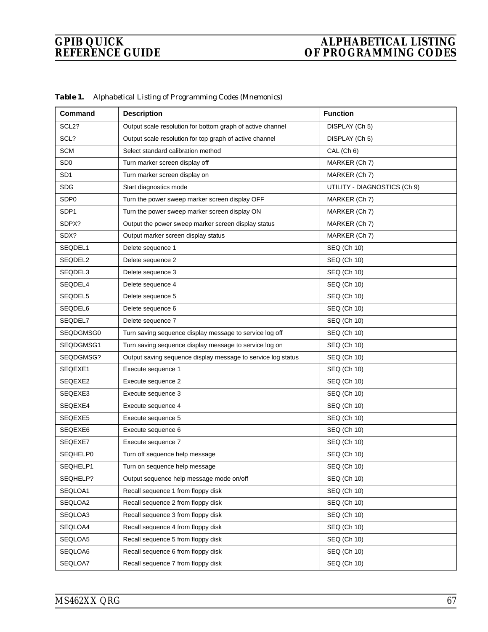| Command           | <b>Description</b>                                           | <b>Function</b>              |
|-------------------|--------------------------------------------------------------|------------------------------|
| SCL <sub>2?</sub> | Output scale resolution for bottom graph of active channel   | DISPLAY (Ch 5)               |
| SCL?              | Output scale resolution for top graph of active channel      | DISPLAY (Ch 5)               |
| <b>SCM</b>        | Select standard calibration method                           | CAL (Ch 6)                   |
| SD <sub>0</sub>   | Turn marker screen display off                               | MARKER (Ch 7)                |
| SD <sub>1</sub>   | Turn marker screen display on                                | MARKER (Ch 7)                |
| <b>SDG</b>        | Start diagnostics mode                                       | UTILITY - DIAGNOSTICS (Ch 9) |
| SDP <sub>0</sub>  | Turn the power sweep marker screen display OFF               | MARKER (Ch 7)                |
| SDP1              | Turn the power sweep marker screen display ON                | MARKER (Ch 7)                |
| SDPX?             | Output the power sweep marker screen display status          | MARKER (Ch 7)                |
| SDX?              | Output marker screen display status                          | MARKER (Ch 7)                |
| SEQDEL1           | Delete sequence 1                                            | SEQ (Ch 10)                  |
| SEQDEL2           | Delete sequence 2                                            | SEQ (Ch 10)                  |
| SEQDEL3           | Delete sequence 3                                            | SEQ (Ch 10)                  |
| SEQDEL4           | Delete sequence 4                                            | SEQ (Ch 10)                  |
| SEQDEL5           | Delete sequence 5                                            | SEQ (Ch 10)                  |
| SEQDEL6           | Delete sequence 6                                            | SEQ (Ch 10)                  |
| SEQDEL7           | Delete sequence 7                                            | SEQ (Ch 10)                  |
| SEQDGMSG0         | Turn saving sequence display message to service log off      | SEQ (Ch 10)                  |
| SEQDGMSG1         | Turn saving sequence display message to service log on       | SEQ (Ch 10)                  |
| SEQDGMSG?         | Output saving sequence display message to service log status | SEQ (Ch 10)                  |
| SEQEXE1           | Execute sequence 1                                           | SEQ (Ch 10)                  |
| SEQEXE2           | Execute sequence 2                                           | SEQ (Ch 10)                  |
| SEQEXE3           | Execute sequence 3                                           | SEQ (Ch 10)                  |
| SEQEXE4           | Execute sequence 4                                           | SEQ (Ch 10)                  |
| SEQEXE5           | Execute sequence 5                                           | SEQ (Ch 10)                  |
| SEQEXE6           | Execute sequence 6                                           | SEQ (Ch 10)                  |
| SEQEXE7           | Execute sequence 7                                           | SEQ (Ch 10)                  |
| SEQHELP0          | Turn off sequence help message                               | SEQ (Ch 10)                  |
| SEQHELP1          | Turn on sequence help message                                | SEQ (Ch 10)                  |
| SEQHELP?          | Output sequence help message mode on/off                     | SEQ (Ch 10)                  |
| SEQLOA1           | Recall sequence 1 from floppy disk                           | SEQ (Ch 10)                  |
| SEQLOA2           | Recall sequence 2 from floppy disk                           | SEQ (Ch 10)                  |
| SEQLOA3           | Recall sequence 3 from floppy disk                           | SEQ (Ch 10)                  |
| SEQLOA4           | Recall sequence 4 from floppy disk                           | SEQ (Ch 10)                  |
| SEQLOA5           | Recall sequence 5 from floppy disk                           | SEQ (Ch 10)                  |
| SEQLOA6           | Recall sequence 6 from floppy disk                           | SEQ (Ch 10)                  |
| SEQLOA7           | Recall sequence 7 from floppy disk                           | SEQ (Ch 10)                  |

*Table 1. Alphabetical Listing of Programming Codes (Mnemonics)*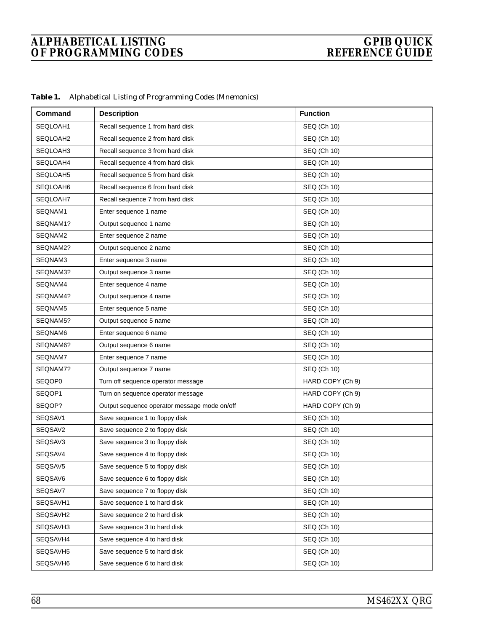| Table 1. |  |  | Alphabetical Listing of Programming Codes (Mnemonics) |  |  |
|----------|--|--|-------------------------------------------------------|--|--|
|----------|--|--|-------------------------------------------------------|--|--|

| Command  | <b>Description</b>                           | <b>Function</b>  |
|----------|----------------------------------------------|------------------|
| SEQLOAH1 | Recall sequence 1 from hard disk             | SEQ (Ch 10)      |
| SEQLOAH2 | Recall sequence 2 from hard disk             | SEQ (Ch 10)      |
| SEQLOAH3 | Recall sequence 3 from hard disk             | SEQ (Ch 10)      |
| SEQLOAH4 | Recall sequence 4 from hard disk             | SEQ (Ch 10)      |
| SEQLOAH5 | Recall sequence 5 from hard disk             | SEQ (Ch 10)      |
| SEQLOAH6 | Recall sequence 6 from hard disk             | SEQ (Ch 10)      |
| SEQLOAH7 | Recall sequence 7 from hard disk             | SEQ (Ch 10)      |
| SEQNAM1  | Enter sequence 1 name                        | SEQ (Ch 10)      |
| SEQNAM1? | Output sequence 1 name                       | SEQ (Ch 10)      |
| SEQNAM2  | Enter sequence 2 name                        | SEQ (Ch 10)      |
| SEQNAM2? | Output sequence 2 name                       | SEQ (Ch 10)      |
| SEQNAM3  | Enter sequence 3 name                        | SEQ (Ch 10)      |
| SEQNAM3? | Output sequence 3 name                       | SEQ (Ch 10)      |
| SEQNAM4  | Enter sequence 4 name                        | SEQ (Ch 10)      |
| SEQNAM4? | Output sequence 4 name                       | SEQ (Ch 10)      |
| SEQNAM5  | Enter sequence 5 name                        | SEQ (Ch 10)      |
| SEQNAM5? | Output sequence 5 name                       | SEQ (Ch 10)      |
| SEQNAM6  | Enter sequence 6 name                        | SEQ (Ch 10)      |
| SEQNAM6? | Output sequence 6 name                       | SEQ (Ch 10)      |
| SEQNAM7  | Enter sequence 7 name                        | SEQ (Ch 10)      |
| SEQNAM7? | Output sequence 7 name                       | SEQ (Ch 10)      |
| SEQOP0   | Turn off sequence operator message           | HARD COPY (Ch 9) |
| SEQOP1   | Turn on sequence operator message            | HARD COPY (Ch 9) |
| SEQOP?   | Output sequence operator message mode on/off | HARD COPY (Ch 9) |
| SEQSAV1  | Save sequence 1 to floppy disk               | SEQ (Ch 10)      |
| SEQSAV2  | Save sequence 2 to floppy disk               | SEQ (Ch 10)      |
| SEQSAV3  | Save sequence 3 to floppy disk               | SEQ (Ch 10)      |
| SEQSAV4  | Save sequence 4 to floppy disk               | SEQ (Ch 10)      |
| SEQSAV5  | Save sequence 5 to floppy disk               | SEQ (Ch 10)      |
| SEQSAV6  | Save sequence 6 to floppy disk               | SEQ (Ch 10)      |
| SEQSAV7  | Save sequence 7 to floppy disk               | SEQ (Ch 10)      |
| SEQSAVH1 | Save sequence 1 to hard disk                 | SEQ (Ch 10)      |
| SEQSAVH2 | Save sequence 2 to hard disk                 | SEQ (Ch 10)      |
| SEQSAVH3 | Save sequence 3 to hard disk                 | SEQ (Ch 10)      |
| SEQSAVH4 | Save sequence 4 to hard disk                 | SEQ (Ch 10)      |
| SEQSAVH5 | Save sequence 5 to hard disk                 | SEQ (Ch 10)      |
| SEQSAVH6 | Save sequence 6 to hard disk                 | SEQ (Ch 10)      |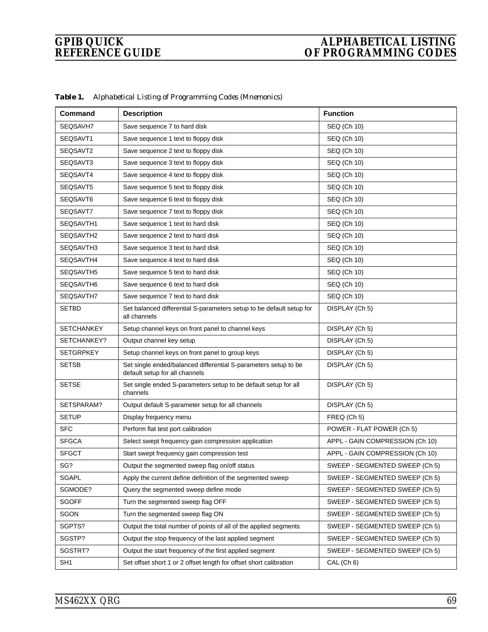| Command           | <b>Description</b>                                                                                | <b>Function</b>                 |
|-------------------|---------------------------------------------------------------------------------------------------|---------------------------------|
| SEQSAVH7          | Save sequence 7 to hard disk                                                                      | SEQ (Ch 10)                     |
| SEQSAVT1          | Save sequence 1 text to floppy disk                                                               | SEQ (Ch 10)                     |
| SEQSAVT2          | Save sequence 2 text to floppy disk                                                               | SEQ (Ch 10)                     |
| SEQSAVT3          | Save sequence 3 text to floppy disk                                                               | SEQ (Ch 10)                     |
| SEQSAVT4          | Save sequence 4 text to floppy disk                                                               | SEQ (Ch 10)                     |
| SEQSAVT5          | Save sequence 5 text to floppy disk                                                               | SEQ (Ch 10)                     |
| SEQSAVT6          | Save sequence 6 text to floppy disk                                                               | SEQ (Ch 10)                     |
| SEQSAVT7          | Save sequence 7 text to floppy disk                                                               | SEQ (Ch 10)                     |
| SEQSAVTH1         | Save sequence 1 text to hard disk                                                                 | SEQ (Ch 10)                     |
| SEQSAVTH2         | Save sequence 2 text to hard disk                                                                 | SEQ (Ch 10)                     |
| SEQSAVTH3         | Save sequence 3 text to hard disk                                                                 | SEQ (Ch 10)                     |
| SEQSAVTH4         | Save sequence 4 text to hard disk                                                                 | SEQ (Ch 10)                     |
| SEQSAVTH5         | Save sequence 5 text to hard disk                                                                 | SEQ (Ch 10)                     |
| SEQSAVTH6         | Save sequence 6 text to hard disk                                                                 | SEQ (Ch 10)                     |
| SEQSAVTH7         | Save sequence 7 text to hard disk                                                                 | SEQ (Ch 10)                     |
| <b>SETBD</b>      | Set balanced differential S-parameters setup to be default setup for<br>all channels              | DISPLAY (Ch 5)                  |
| <b>SETCHANKEY</b> | Setup channel keys on front panel to channel keys                                                 | DISPLAY (Ch 5)                  |
| SETCHANKEY?       | Output channel key setup                                                                          | DISPLAY (Ch 5)                  |
| <b>SETGRPKEY</b>  | Setup channel keys on front panel to group keys                                                   | DISPLAY (Ch 5)                  |
| <b>SETSB</b>      | Set single ended/balanced differential S-parameters setup to be<br>default setup for all channels | DISPLAY (Ch 5)                  |
| <b>SETSE</b>      | Set single ended S-parameters setup to be default setup for all<br>channels                       | DISPLAY (Ch 5)                  |
| SETSPARAM?        | Output default S-parameter setup for all channels                                                 | DISPLAY (Ch 5)                  |
| <b>SETUP</b>      | Display frequency menu                                                                            | FREQ (Ch 5)                     |
| <b>SFC</b>        | Perform flat test port calibration                                                                | POWER - FLAT POWER (Ch 5)       |
| <b>SFGCA</b>      | Select swept frequency gain compression application                                               | APPL - GAIN COMPRESSION (Ch 10) |
| <b>SFGCT</b>      | Start swept frequency gain compression test                                                       | APPL - GAIN COMPRESSION (Ch 10) |
| SG?               | Output the segmented sweep flag on/off status                                                     | SWEEP - SEGMENTED SWEEP (Ch 5)  |
| <b>SGAPL</b>      | Apply the current define definition of the segmented sweep                                        | SWEEP - SEGMENTED SWEEP (Ch 5)  |
| SGMODE?           | Query the segmented sweep define mode                                                             | SWEEP - SEGMENTED SWEEP (Ch 5)  |
| <b>SGOFF</b>      | Turn the segmented sweep flag OFF                                                                 | SWEEP - SEGMENTED SWEEP (Ch 5)  |
| SGON              | Turn the segmented sweep flag ON                                                                  | SWEEP - SEGMENTED SWEEP (Ch 5)  |
| SGPTS?            | Output the total number of points of all of the applied segments                                  | SWEEP - SEGMENTED SWEEP (Ch 5)  |
| SGSTP?            | Output the stop frequency of the last applied segment                                             | SWEEP - SEGMENTED SWEEP (Ch 5)  |
| SGSTRT?           | Output the start frequency of the first applied segment                                           | SWEEP - SEGMENTED SWEEP (Ch 5)  |
| SH <sub>1</sub>   | Set offset short 1 or 2 offset length for offset short calibration                                | CAL (Ch 6)                      |

*Table 1. Alphabetical Listing of Programming Codes (Mnemonics)*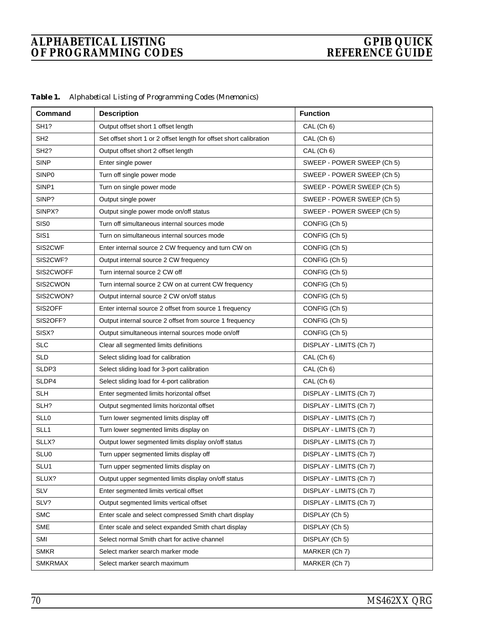| Table 1. |  |  | Alphabetical Listing of Programming Codes (Mnemonics) |  |  |
|----------|--|--|-------------------------------------------------------|--|--|
|----------|--|--|-------------------------------------------------------|--|--|

| Command           | <b>Description</b>                                                 | <b>Function</b>            |
|-------------------|--------------------------------------------------------------------|----------------------------|
| SH <sub>1</sub> ? | Output offset short 1 offset length                                | CAL (Ch 6)                 |
| SH <sub>2</sub>   | Set offset short 1 or 2 offset length for offset short calibration | CAL (Ch 6)                 |
| SH <sub>2</sub> ? | Output offset short 2 offset length                                | CAL (Ch 6)                 |
| <b>SINP</b>       | Enter single power                                                 | SWEEP - POWER SWEEP (Ch 5) |
| SINP <sub>0</sub> | Turn off single power mode                                         | SWEEP - POWER SWEEP (Ch 5) |
| SINP1             | Turn on single power mode                                          | SWEEP - POWER SWEEP (Ch 5) |
| SINP?             | Output single power                                                | SWEEP - POWER SWEEP (Ch 5) |
| SINPX?            | Output single power mode on/off status                             | SWEEP - POWER SWEEP (Ch 5) |
| SIS <sub>0</sub>  | Turn off simultaneous internal sources mode                        | CONFIG (Ch 5)              |
| SIS1              | Turn on simultaneous internal sources mode                         | CONFIG (Ch 5)              |
| SIS2CWF           | Enter internal source 2 CW frequency and turn CW on                | CONFIG (Ch 5)              |
| SIS2CWF?          | Output internal source 2 CW frequency                              | CONFIG (Ch 5)              |
| SIS2CWOFF         | Turn internal source 2 CW off                                      | CONFIG (Ch 5)              |
| SIS2CWON          | Turn internal source 2 CW on at current CW frequency               | CONFIG (Ch 5)              |
| SIS2CWON?         | Output internal source 2 CW on/off status                          | CONFIG (Ch 5)              |
| SIS2OFF           | Enter internal source 2 offset from source 1 frequency             | CONFIG (Ch 5)              |
| SIS2OFF?          | Output internal source 2 offset from source 1 frequency            | CONFIG (Ch 5)              |
| SISX?             | Output simultaneous internal sources mode on/off                   | CONFIG (Ch 5)              |
| <b>SLC</b>        | Clear all segmented limits definitions                             | DISPLAY - LIMITS (Ch 7)    |
| <b>SLD</b>        | Select sliding load for calibration                                | CAL (Ch 6)                 |
| SLDP3             | Select sliding load for 3-port calibration                         | CAL (Ch 6)                 |
| SLDP4             | Select sliding load for 4-port calibration                         | CAL (Ch 6)                 |
| <b>SLH</b>        | Enter segmented limits horizontal offset                           | DISPLAY - LIMITS (Ch 7)    |
| SLH?              | Output segmented limits horizontal offset                          | DISPLAY - LIMITS (Ch 7)    |
| <b>SLL0</b>       | Turn lower segmented limits display off                            | DISPLAY - LIMITS (Ch 7)    |
| SLL1              | Turn lower segmented limits display on                             | DISPLAY - LIMITS (Ch 7)    |
| SLLX?             | Output lower segmented limits display on/off status                | DISPLAY - LIMITS (Ch 7)    |
| <b>SLU0</b>       | Turn upper segmented limits display off                            | DISPLAY - LIMITS (Ch 7)    |
| SLU1              | Turn upper segmented limits display on                             | DISPLAY - LIMITS (Ch 7)    |
| SLUX?             | Output upper segmented limits display on/off status                | DISPLAY - LIMITS (Ch 7)    |
| <b>SLV</b>        | Enter segmented limits vertical offset                             | DISPLAY - LIMITS (Ch 7)    |
| SLV?              | Output segmented limits vertical offset                            | DISPLAY - LIMITS (Ch 7)    |
| <b>SMC</b>        | Enter scale and select compressed Smith chart display              | DISPLAY (Ch 5)             |
| <b>SME</b>        | Enter scale and select expanded Smith chart display                | DISPLAY (Ch 5)             |
| SMI               | Select normal Smith chart for active channel                       | DISPLAY (Ch 5)             |
| <b>SMKR</b>       | Select marker search marker mode                                   | MARKER (Ch 7)              |
| <b>SMKRMAX</b>    | Select marker search maximum                                       | MARKER (Ch 7)              |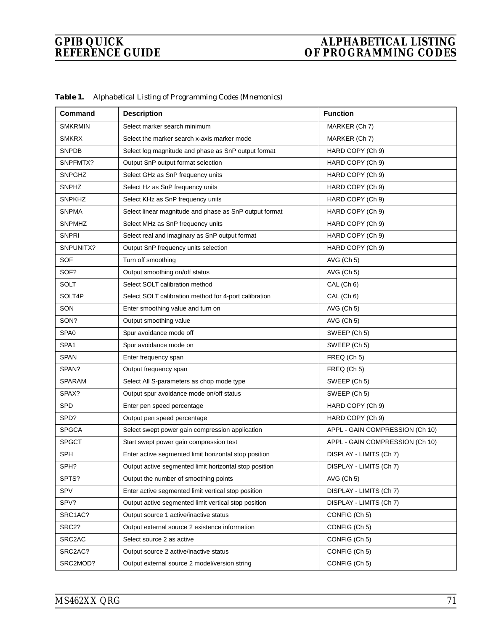| Command        | <b>Description</b>                                     | <b>Function</b>                 |
|----------------|--------------------------------------------------------|---------------------------------|
| <b>SMKRMIN</b> | Select marker search minimum                           | MARKER (Ch 7)                   |
| <b>SMKRX</b>   | Select the marker search x-axis marker mode            | MARKER (Ch 7)                   |
| <b>SNPDB</b>   | Select log magnitude and phase as SnP output format    | HARD COPY (Ch 9)                |
| SNPFMTX?       | Output SnP output format selection                     | HARD COPY (Ch 9)                |
| <b>SNPGHZ</b>  | Select GHz as SnP frequency units                      | HARD COPY (Ch 9)                |
| <b>SNPHZ</b>   | Select Hz as SnP frequency units                       | HARD COPY (Ch 9)                |
| <b>SNPKHZ</b>  | Select KHz as SnP frequency units                      | HARD COPY (Ch 9)                |
| <b>SNPMA</b>   | Select linear magnitude and phase as SnP output format | HARD COPY (Ch 9)                |
| <b>SNPMHZ</b>  | Select MHz as SnP frequency units                      | HARD COPY (Ch 9)                |
| <b>SNPRI</b>   | Select real and imaginary as SnP output format         | HARD COPY (Ch 9)                |
| SNPUNITX?      | Output SnP frequency units selection                   | HARD COPY (Ch 9)                |
| SOF            | Turn off smoothing                                     | AVG (Ch 5)                      |
| SOF?           | Output smoothing on/off status                         | AVG (Ch 5)                      |
| <b>SOLT</b>    | Select SOLT calibration method                         | CAL (Ch 6)                      |
| SOLT4P         | Select SOLT calibration method for 4-port calibration  | CAL (Ch 6)                      |
| SON            | Enter smoothing value and turn on                      | AVG (Ch 5)                      |
| SON?           | Output smoothing value                                 | AVG (Ch 5)                      |
| SPA0           | Spur avoidance mode off                                | SWEEP (Ch 5)                    |
| SPA1           | Spur avoidance mode on                                 | SWEEP (Ch 5)                    |
| <b>SPAN</b>    | Enter frequency span                                   | FREQ (Ch 5)                     |
| SPAN?          | Output frequency span                                  | FREQ (Ch 5)                     |
| <b>SPARAM</b>  | Select All S-parameters as chop mode type              | SWEEP (Ch 5)                    |
| SPAX?          | Output spur avoidance mode on/off status               | SWEEP (Ch 5)                    |
| SPD            | Enter pen speed percentage                             | HARD COPY (Ch 9)                |
| SPD?           | Output pen speed percentage                            | HARD COPY (Ch 9)                |
| <b>SPGCA</b>   | Select swept power gain compression application        | APPL - GAIN COMPRESSION (Ch 10) |
| <b>SPGCT</b>   | Start swept power gain compression test                | APPL - GAIN COMPRESSION (Ch 10) |
| <b>SPH</b>     | Enter active segmented limit horizontal stop position  | DISPLAY - LIMITS (Ch 7)         |
| SPH?           | Output active segmented limit horizontal stop position | DISPLAY - LIMITS (Ch 7)         |
| SPTS?          | Output the number of smoothing points                  | AVG (Ch 5)                      |
| SPV            | Enter active segmented limit vertical stop position    | DISPLAY - LIMITS (Ch 7)         |
| SPV?           | Output active segmented limit vertical stop position   | DISPLAY - LIMITS (Ch 7)         |
| SRC1AC?        | Output source 1 active/inactive status                 | CONFIG (Ch 5)                   |
| SRC2?          | Output external source 2 existence information         | CONFIG (Ch 5)                   |
| SRC2AC         | Select source 2 as active                              | CONFIG (Ch 5)                   |
| SRC2AC?        | Output source 2 active/inactive status                 | CONFIG (Ch 5)                   |
| SRC2MOD?       | Output external source 2 model/version string          | CONFIG (Ch 5)                   |

*Table 1. Alphabetical Listing of Programming Codes (Mnemonics)*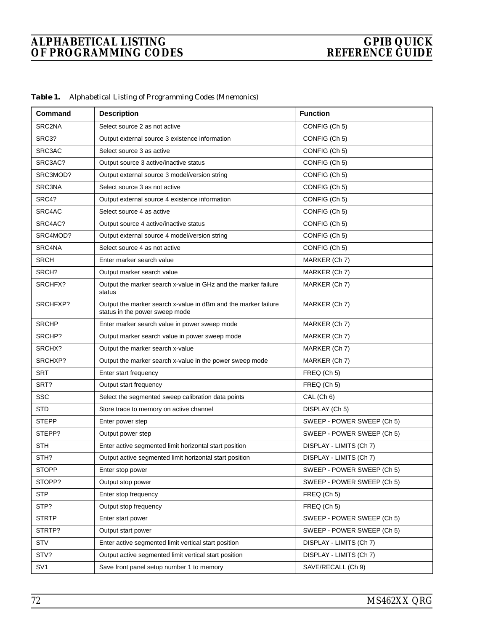| Table 1. |  |  | Alphabetical Listing of Programming Codes (Mnemonics) |  |  |
|----------|--|--|-------------------------------------------------------|--|--|
|----------|--|--|-------------------------------------------------------|--|--|

| Command         | <b>Description</b>                                                                               | <b>Function</b>            |
|-----------------|--------------------------------------------------------------------------------------------------|----------------------------|
| SRC2NA          | Select source 2 as not active                                                                    | CONFIG (Ch 5)              |
| SRC3?           | Output external source 3 existence information                                                   | CONFIG (Ch 5)              |
| SRC3AC          | Select source 3 as active                                                                        | CONFIG (Ch 5)              |
| SRC3AC?         | Output source 3 active/inactive status                                                           | CONFIG (Ch 5)              |
| SRC3MOD?        | Output external source 3 model/version string                                                    | CONFIG (Ch 5)              |
| SRC3NA          | Select source 3 as not active                                                                    | CONFIG (Ch 5)              |
| SRC4?           | Output external source 4 existence information                                                   | CONFIG (Ch 5)              |
| SRC4AC          | Select source 4 as active                                                                        | CONFIG (Ch 5)              |
| SRC4AC?         | Output source 4 active/inactive status                                                           | CONFIG (Ch 5)              |
| SRC4MOD?        | Output external source 4 model/version string                                                    | CONFIG (Ch 5)              |
| SRC4NA          | Select source 4 as not active                                                                    | CONFIG (Ch 5)              |
| <b>SRCH</b>     | Enter marker search value                                                                        | MARKER (Ch 7)              |
| SRCH?           | Output marker search value                                                                       | MARKER (Ch 7)              |
| SRCHFX?         | Output the marker search x-value in GHz and the marker failure<br>status                         | MARKER (Ch 7)              |
| SRCHFXP?        | Output the marker search x-value in dBm and the marker failure<br>status in the power sweep mode | MARKER (Ch 7)              |
| <b>SRCHP</b>    | Enter marker search value in power sweep mode                                                    | MARKER (Ch 7)              |
| SRCHP?          | Output marker search value in power sweep mode                                                   | MARKER (Ch 7)              |
| SRCHX?          | Output the marker search x-value                                                                 | MARKER (Ch 7)              |
| SRCHXP?         | Output the marker search x-value in the power sweep mode                                         | MARKER (Ch 7)              |
| <b>SRT</b>      | Enter start frequency                                                                            | FREQ (Ch 5)                |
| SRT?            | Output start frequency                                                                           | FREQ (Ch 5)                |
| <b>SSC</b>      | Select the segmented sweep calibration data points                                               | CAL (Ch 6)                 |
| STD             | Store trace to memory on active channel                                                          | DISPLAY (Ch 5)             |
| <b>STEPP</b>    | Enter power step                                                                                 | SWEEP - POWER SWEEP (Ch 5) |
| STEPP?          | Output power step                                                                                | SWEEP - POWER SWEEP (Ch 5) |
| <b>STH</b>      | Enter active segmented limit horizontal start position                                           | DISPLAY - LIMITS (Ch 7)    |
| STH?            | Output active segmented limit horizontal start position                                          | DISPLAY - LIMITS (Ch 7)    |
| <b>STOPP</b>    | Enter stop power                                                                                 | SWEEP - POWER SWEEP (Ch 5) |
| STOPP?          | Output stop power                                                                                | SWEEP - POWER SWEEP (Ch 5) |
| <b>STP</b>      | Enter stop frequency                                                                             | FREQ (Ch 5)                |
| STP?            | Output stop frequency                                                                            | FREQ (Ch 5)                |
| <b>STRTP</b>    | Enter start power                                                                                | SWEEP - POWER SWEEP (Ch 5) |
| STRTP?          | Output start power                                                                               | SWEEP - POWER SWEEP (Ch 5) |
| <b>STV</b>      | Enter active segmented limit vertical start position                                             | DISPLAY - LIMITS (Ch 7)    |
| STV?            | Output active segmented limit vertical start position                                            | DISPLAY - LIMITS (Ch 7)    |
| SV <sub>1</sub> | Save front panel setup number 1 to memory                                                        | SAVE/RECALL (Ch 9)         |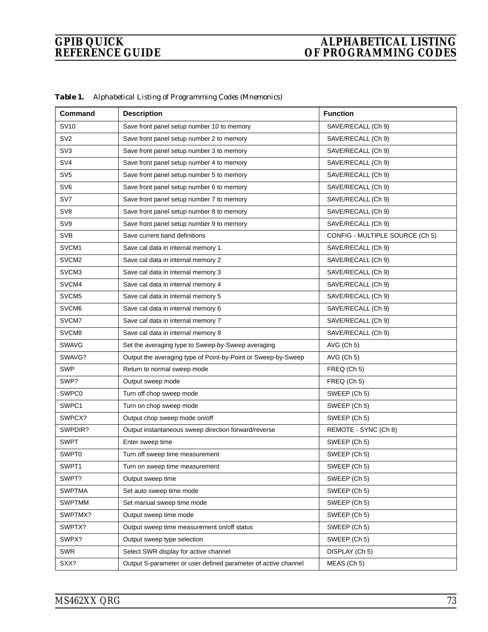| <b>Command</b>    | <b>Description</b>                                             | <b>Function</b>                 |
|-------------------|----------------------------------------------------------------|---------------------------------|
| <b>SV10</b>       | Save front panel setup number 10 to memory                     | SAVE/RECALL (Ch 9)              |
| SV <sub>2</sub>   | Save front panel setup number 2 to memory                      | SAVE/RECALL (Ch 9)              |
| SV <sub>3</sub>   | Save front panel setup number 3 to memory                      | SAVE/RECALL (Ch 9)              |
| SV4               | Save front panel setup number 4 to memory                      | SAVE/RECALL (Ch 9)              |
| SV <sub>5</sub>   | Save front panel setup number 5 to memory                      | SAVE/RECALL (Ch 9)              |
| SV6               | Save front panel setup number 6 to memory                      | SAVE/RECALL (Ch 9)              |
| SV7               | Save front panel setup number 7 to memory                      | SAVE/RECALL (Ch 9)              |
| SV <sub>8</sub>   | Save front panel setup number 8 to memory                      | SAVE/RECALL (Ch 9)              |
| SV9               | Save front panel setup number 9 to memory                      | SAVE/RECALL (Ch 9)              |
| <b>SVB</b>        | Save current band definitions                                  | CONFIG - MULTIPLE SOURCE (Ch 5) |
| SVCM1             | Save cal data in internal memory 1                             | SAVE/RECALL (Ch 9)              |
| SVCM <sub>2</sub> | Save cal data in internal memory 2                             | SAVE/RECALL (Ch 9)              |
| SVCM3             | Save cal data in internal memory 3                             | SAVE/RECALL (Ch 9)              |
| SVCM4             | Save cal data in internal memory 4                             | SAVE/RECALL (Ch 9)              |
| SVCM <sub>5</sub> | Save cal data in internal memory 5                             | SAVE/RECALL (Ch 9)              |
| SVCM <sub>6</sub> | Save cal data in internal memory 6                             | SAVE/RECALL (Ch 9)              |
| SVCM7             | Save cal data in internal memory 7                             | SAVE/RECALL (Ch 9)              |
| SVCM8             | Save cal data in internal memory 8                             | SAVE/RECALL (Ch 9)              |
| <b>SWAVG</b>      | Set the averaging type to Sweep-by-Sweep averaging             | $AVG$ (Ch 5)                    |
| SWAVG?            | Output the averaging type of Point-by-Point or Sweep-by-Sweep  | AVG (Ch 5)                      |
| <b>SWP</b>        | Return to normal sweep mode                                    | FREQ (Ch 5)                     |
| SWP?              | Output sweep mode                                              | FREQ (Ch 5)                     |
| SWPC0             | Turn off chop sweep mode                                       | SWEEP (Ch 5)                    |
| SWPC1             | Turn on chop sweep mode                                        | SWEEP (Ch 5)                    |
| SWPCX?            | Output chop sweep mode on/off                                  | SWEEP (Ch 5)                    |
| SWPDIR?           | Output instantaneous sweep direction forward/reverse           | REMOTE - SYNC (Ch 8)            |
| <b>SWPT</b>       | Enter sweep time                                               | SWEEP (Ch 5)                    |
| SWPT <sub>0</sub> | Turn off sweep time measurement                                | SWEEP (Ch 5)                    |
| SWPT1             | Turn on sweep time measurement                                 | SWEEP (Ch 5)                    |
| SWPT?             | Output sweep time                                              | SWEEP (Ch 5)                    |
| <b>SWPTMA</b>     | Set auto sweep time mode                                       | SWEEP (Ch 5)                    |
| <b>SWPTMM</b>     | Set manual sweep time mode                                     | SWEEP (Ch 5)                    |
| SWPTMX?           | Output sweep time mode                                         | SWEEP (Ch 5)                    |
| SWPTX?            | Output sweep time measurement on/off status                    | SWEEP (Ch 5)                    |
| SWPX?             | Output sweep type selection                                    | SWEEP (Ch 5)                    |
| <b>SWR</b>        | Select SWR display for active channel                          | DISPLAY (Ch 5)                  |
| SXX?              | Output S-parameter or user defined parameter of active channel | MEAS (Ch 5)                     |

*Table 1. Alphabetical Listing of Programming Codes (Mnemonics)*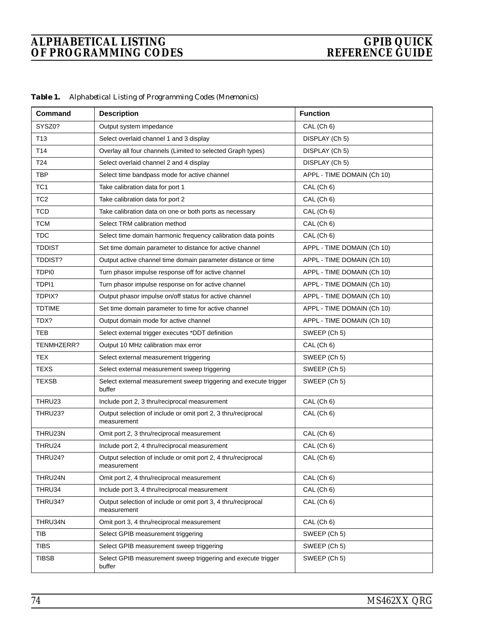| Command         | <b>Description</b>                                                           | <b>Function</b>            |
|-----------------|------------------------------------------------------------------------------|----------------------------|
| SYSZ0?          | Output system impedance                                                      | CAL (Ch 6)                 |
| T <sub>13</sub> | Select overlaid channel 1 and 3 display                                      | DISPLAY (Ch 5)             |
| T14             | Overlay all four channels (Limited to selected Graph types)                  | DISPLAY (Ch 5)             |
| T <sub>24</sub> | Select overlaid channel 2 and 4 display                                      | DISPLAY (Ch 5)             |
| <b>TBP</b>      | Select time bandpass mode for active channel                                 | APPL - TIME DOMAIN (Ch 10) |
| TC <sub>1</sub> | Take calibration data for port 1                                             | CAL (Ch 6)                 |
| TC <sub>2</sub> | Take calibration data for port 2                                             | CAL (Ch 6)                 |
| <b>TCD</b>      | Take calibration data on one or both ports as necessary                      | CAL (Ch 6)                 |
| <b>TCM</b>      | Select TRM calibration method                                                | CAL (Ch 6)                 |
| <b>TDC</b>      | Select time domain harmonic frequency calibration data points                | CAL (Ch 6)                 |
| <b>TDDIST</b>   | Set time domain parameter to distance for active channel                     | APPL - TIME DOMAIN (Ch 10) |
| TDDIST?         | Output active channel time domain parameter distance or time                 | APPL - TIME DOMAIN (Ch 10) |
| TDPI0           | Turn phasor impulse response off for active channel                          | APPL - TIME DOMAIN (Ch 10) |
| TDPI1           | Turn phasor impulse response on for active channel                           | APPL - TIME DOMAIN (Ch 10) |
| TDPIX?          | Output phasor impulse on/off status for active channel                       | APPL - TIME DOMAIN (Ch 10) |
| <b>TDTIME</b>   | Set time domain parameter to time for active channel                         | APPL - TIME DOMAIN (Ch 10) |
| TDX?            | Output domain mode for active channel                                        | APPL - TIME DOMAIN (Ch 10) |
| <b>TEB</b>      | Select external trigger executes *DDT definition                             | SWEEP (Ch 5)               |
| TENMHZERR?      | Output 10 MHz calibration max error                                          | CAL (Ch 6)                 |
| <b>TEX</b>      | Select external measurement triggering                                       | SWEEP (Ch 5)               |
| <b>TEXS</b>     | Select external measurement sweep triggering                                 | SWEEP (Ch 5)               |
| <b>TEXSB</b>    | Select external measurement sweep triggering and execute trigger<br>buffer   | SWEEP (Ch 5)               |
| THRU23          | Include port 2, 3 thru/reciprocal measurement                                | CAL (Ch 6)                 |
| THRU23?         | Output selection of include or omit port 2, 3 thru/reciprocal<br>measurement | CAL (Ch 6)                 |
| THRU23N         | Omit port 2, 3 thru/reciprocal measurement                                   | CAL (Ch 6)                 |
| THRU24          | Include port 2, 4 thru/reciprocal measurement                                | CAL (Ch 6)                 |
| THRU24?         | Output selection of include or omit port 2, 4 thru/reciprocal<br>measurement | CAL (Ch 6)                 |
| THRU24N         | Omit port 2, 4 thru/reciprocal measurement                                   | CAL (Ch 6)                 |
| THRU34          | Include port 3, 4 thru/reciprocal measurement                                | CAL (Ch 6)                 |
| THRU34?         | Output selection of include or omit port 3, 4 thru/reciprocal<br>measurement | CAL (Ch 6)                 |
| THRU34N         | Omit port 3, 4 thru/reciprocal measurement                                   | CAL (Ch 6)                 |
| TIB             | Select GPIB measurement triggering                                           | SWEEP (Ch 5)               |
| <b>TIBS</b>     | Select GPIB measurement sweep triggering                                     | SWEEP (Ch 5)               |
| <b>TIBSB</b>    | Select GPIB measurement sweep triggering and execute trigger<br>buffer       | SWEEP (Ch 5)               |

### *Table 1. Alphabetical Listing of Programming Codes (Mnemonics)*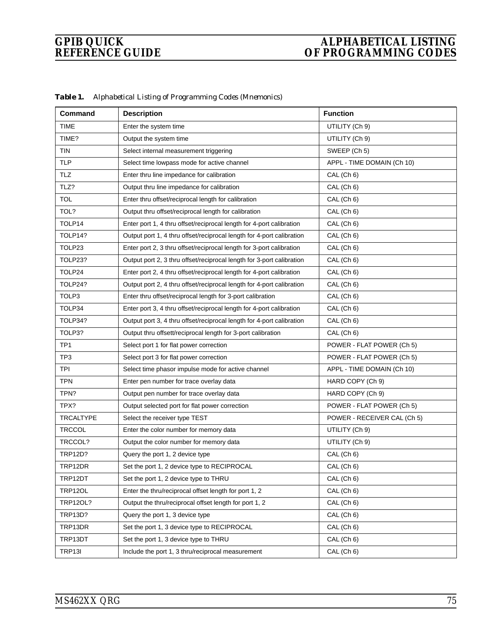| Command         | <b>Description</b>                                                    | <b>Function</b>             |
|-----------------|-----------------------------------------------------------------------|-----------------------------|
| <b>TIME</b>     | Enter the system time                                                 | UTILITY (Ch 9)              |
| TIME?           | Output the system time                                                | UTILITY (Ch 9)              |
| <b>TIN</b>      | Select internal measurement triggering                                | SWEEP (Ch 5)                |
| <b>TLP</b>      | Select time lowpass mode for active channel                           | APPL - TIME DOMAIN (Ch 10)  |
| TLZ             | Enter thru line impedance for calibration                             | CAL (Ch 6)                  |
| TLZ?            | Output thru line impedance for calibration                            | CAL (Ch 6)                  |
| <b>TOL</b>      | Enter thru offset/reciprocal length for calibration                   | CAL (Ch 6)                  |
| TOL?            | Output thru offset/reciprocal length for calibration                  | CAL (Ch 6)                  |
| TOLP14          | Enter port 1, 4 thru offset/reciprocal length for 4-port calibration  | CAL (Ch 6)                  |
| TOLP14?         | Output port 1, 4 thru offset/reciprocal length for 4-port calibration | CAL (Ch 6)                  |
| TOLP23          | Enter port 2, 3 thru offset/reciprocal length for 3-port calibration  | CAL (Ch 6)                  |
| TOLP23?         | Output port 2, 3 thru offset/reciprocal length for 3-port calibration | CAL (Ch 6)                  |
| TOLP24          | Enter port 2, 4 thru offset/reciprocal length for 4-port calibration  | CAL (Ch 6)                  |
| TOLP24?         | Output port 2, 4 thru offset/reciprocal length for 4-port calibration | CAL (Ch 6)                  |
| TOLP3           | Enter thru offset/reciprocal length for 3-port calibration            | CAL (Ch 6)                  |
| TOLP34          | Enter port 3, 4 thru offset/reciprocal length for 4-port calibration  | CAL (Ch 6)                  |
| TOLP34?         | Output port 3, 4 thru offset/reciprocal length for 4-port calibration | CAL (Ch 6)                  |
| TOLP3?          | Output thru offsett/reciprocal length for 3-port calibration          | CAL (Ch 6)                  |
| TP <sub>1</sub> | Select port 1 for flat power correction                               | POWER - FLAT POWER (Ch 5)   |
| TP3             | Select port 3 for flat power correction                               | POWER - FLAT POWER (Ch 5)   |
| TPI             | Select time phasor impulse mode for active channel                    | APPL - TIME DOMAIN (Ch 10)  |
| <b>TPN</b>      | Enter pen number for trace overlay data                               | HARD COPY (Ch 9)            |
| TPN?            | Output pen number for trace overlay data                              | HARD COPY (Ch 9)            |
| TPX?            | Output selected port for flat power correction                        | POWER - FLAT POWER (Ch 5)   |
| TRCALTYPE       | Select the receiver type TEST                                         | POWER - RECEIVER CAL (Ch 5) |
| <b>TRCCOL</b>   | Enter the color number for memory data                                | UTILITY (Ch 9)              |
| TRCCOL?         | Output the color number for memory data                               | UTILITY (Ch 9)              |
| <b>TRP12D?</b>  | Query the port 1, 2 device type                                       | CAL (Ch 6)                  |
| TRP12DR         | Set the port 1, 2 device type to RECIPROCAL                           | CAL (Ch 6)                  |
| TRP12DT         | Set the port 1, 2 device type to THRU                                 | CAL (Ch 6)                  |
| TRP12OL         | Enter the thru/reciprocal offset length for port 1, 2                 | CAL (Ch 6)                  |
| <b>TRP12OL?</b> | Output the thru/reciprocal offset length for port 1, 2                | CAL (Ch 6)                  |
| TRP13D?         | Query the port 1, 3 device type                                       | CAL (Ch 6)                  |
| TRP13DR         | Set the port 1, 3 device type to RECIPROCAL                           | CAL (Ch 6)                  |
| TRP13DT         | Set the port 1, 3 device type to THRU                                 | CAL (Ch 6)                  |
| <b>TRP13I</b>   | Include the port 1, 3 thru/reciprocal measurement                     | CAL (Ch 6)                  |

*Table 1. Alphabetical Listing of Programming Codes (Mnemonics)*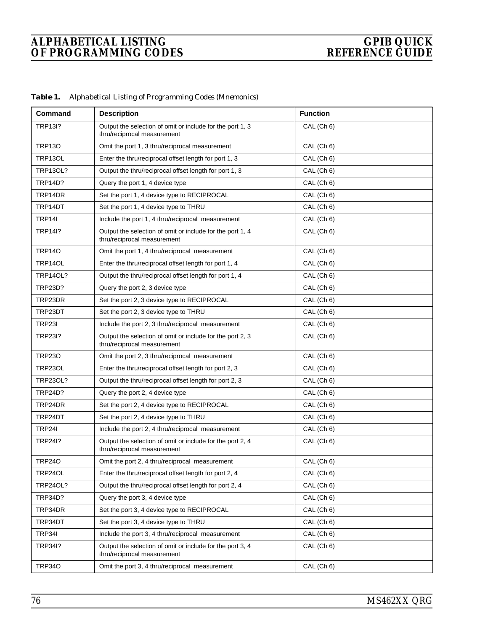| Command         | <b>Description</b>                                                                       | <b>Function</b> |
|-----------------|------------------------------------------------------------------------------------------|-----------------|
| <b>TRP13I?</b>  | Output the selection of omit or include for the port 1, 3<br>thru/reciprocal measurement | CAL (Ch 6)      |
| <b>TRP130</b>   | Omit the port 1, 3 thru/reciprocal measurement                                           | CAL (Ch 6)      |
| TRP13OL         | Enter the thru/reciprocal offset length for port 1, 3                                    | CAL (Ch 6)      |
| TRP13OL?        | Output the thru/reciprocal offset length for port 1, 3                                   | CAL (Ch 6)      |
| TRP14D?         | Query the port 1, 4 device type                                                          | CAL (Ch 6)      |
| TRP14DR         | Set the port 1, 4 device type to RECIPROCAL                                              | CAL (Ch 6)      |
| TRP14DT         | Set the port 1, 4 device type to THRU                                                    | CAL (Ch 6)      |
| <b>TRP14I</b>   | Include the port 1, 4 thru/reciprocal measurement                                        | CAL (Ch 6)      |
| TRP14I?         | Output the selection of omit or include for the port 1, 4<br>thru/reciprocal measurement | CAL (Ch 6)      |
| <b>TRP14O</b>   | Omit the port 1, 4 thru/reciprocal measurement                                           | CAL (Ch 6)      |
| TRP14OL         | Enter the thru/reciprocal offset length for port 1, 4                                    | CAL (Ch 6)      |
| <b>TRP14OL?</b> | Output the thru/reciprocal offset length for port 1, 4                                   | CAL (Ch 6)      |
| TRP23D?         | Query the port 2, 3 device type                                                          | CAL (Ch 6)      |
| TRP23DR         | Set the port 2, 3 device type to RECIPROCAL                                              | CAL (Ch 6)      |
| TRP23DT         | Set the port 2, 3 device type to THRU                                                    | CAL (Ch 6)      |
| <b>TRP23I</b>   | Include the port 2, 3 thru/reciprocal measurement                                        | CAL (Ch 6)      |
| <b>TRP23I?</b>  | Output the selection of omit or include for the port 2, 3<br>thru/reciprocal measurement | CAL (Ch 6)      |
| <b>TRP230</b>   | Omit the port 2, 3 thru/reciprocal measurement                                           | CAL (Ch 6)      |
| TRP23OL         | Enter the thru/reciprocal offset length for port 2, 3                                    | CAL (Ch 6)      |
| <b>TRP23OL?</b> | Output the thru/reciprocal offset length for port 2, 3                                   | CAL (Ch 6)      |
| TRP24D?         | Query the port 2, 4 device type                                                          | CAL (Ch 6)      |
| TRP24DR         | Set the port 2, 4 device type to RECIPROCAL                                              | CAL (Ch 6)      |
| TRP24DT         | Set the port 2, 4 device type to THRU                                                    | CAL (Ch 6)      |
| <b>TRP24I</b>   | Include the port 2, 4 thru/reciprocal measurement                                        | CAL (Ch 6)      |
| TRP241?         | Output the selection of omit or include for the port 2, 4<br>thru/reciprocal measurement | CAL (Ch 6)      |
| <b>TRP240</b>   | Omit the port 2, 4 thru/reciprocal measurement                                           | CAL (Ch 6)      |
| TRP24OL         | Enter the thru/reciprocal offset length for port 2, 4                                    | CAL (Ch 6)      |
| <b>TRP24OL?</b> | Output the thru/reciprocal offset length for port 2, 4                                   | CAL (Ch 6)      |
| TRP34D?         | Query the port 3, 4 device type                                                          | CAL (Ch 6)      |
| TRP34DR         | Set the port 3, 4 device type to RECIPROCAL                                              | CAL (Ch 6)      |
| TRP34DT         | Set the port 3, 4 device type to THRU                                                    | CAL (Ch 6)      |
| <b>TRP34I</b>   | Include the port 3, 4 thru/reciprocal measurement                                        | CAL (Ch 6)      |
| <b>TRP34I?</b>  | Output the selection of omit or include for the port 3, 4<br>thru/reciprocal measurement | CAL (Ch 6)      |
| <b>TRP340</b>   | Omit the port 3, 4 thru/reciprocal measurement                                           | CAL (Ch 6)      |

## *Table 1. Alphabetical Listing of Programming Codes (Mnemonics)*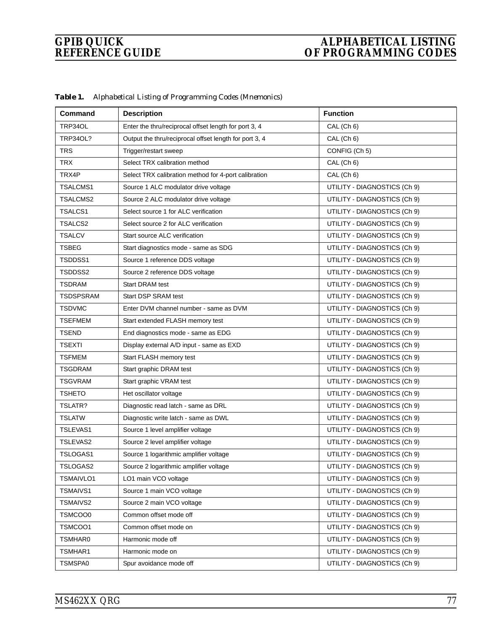| Command         | <b>Description</b>                                     | <b>Function</b>              |
|-----------------|--------------------------------------------------------|------------------------------|
| TRP34OL         | Enter the thru/reciprocal offset length for port 3, 4  | CAL (Ch 6)                   |
| <b>TRP34OL?</b> | Output the thru/reciprocal offset length for port 3, 4 | CAL (Ch 6)                   |
| <b>TRS</b>      | Trigger/restart sweep                                  | CONFIG (Ch 5)                |
| <b>TRX</b>      | Select TRX calibration method                          | CAL (Ch 6)                   |
| TRX4P           | Select TRX calibration method for 4-port calibration   | CAL (Ch 6)                   |
| <b>TSALCMS1</b> | Source 1 ALC modulator drive voltage                   | UTILITY - DIAGNOSTICS (Ch 9) |
| TSALCMS2        | Source 2 ALC modulator drive voltage                   | UTILITY - DIAGNOSTICS (Ch 9) |
| <b>TSALCS1</b>  | Select source 1 for ALC verification                   | UTILITY - DIAGNOSTICS (Ch 9) |
| <b>TSALCS2</b>  | Select source 2 for ALC verification                   | UTILITY - DIAGNOSTICS (Ch 9) |
| <b>TSALCV</b>   | Start source ALC verification                          | UTILITY - DIAGNOSTICS (Ch 9) |
| <b>TSBEG</b>    | Start diagnostics mode - same as SDG                   | UTILITY - DIAGNOSTICS (Ch 9) |
| TSDDSS1         | Source 1 reference DDS voltage                         | UTILITY - DIAGNOSTICS (Ch 9) |
| TSDDSS2         | Source 2 reference DDS voltage                         | UTILITY - DIAGNOSTICS (Ch 9) |
| <b>TSDRAM</b>   | Start DRAM test                                        | UTILITY - DIAGNOSTICS (Ch 9) |
| TSDSPSRAM       | Start DSP SRAM test                                    | UTILITY - DIAGNOSTICS (Ch 9) |
| <b>TSDVMC</b>   | Enter DVM channel number - same as DVM                 | UTILITY - DIAGNOSTICS (Ch 9) |
| <b>TSEFMEM</b>  | Start extended FLASH memory test                       | UTILITY - DIAGNOSTICS (Ch 9) |
| <b>TSEND</b>    | End diagnostics mode - same as EDG                     | UTILITY - DIAGNOSTICS (Ch 9) |
| <b>TSEXTI</b>   | Display external A/D input - same as EXD               | UTILITY - DIAGNOSTICS (Ch 9) |
| <b>TSFMEM</b>   | Start FLASH memory test                                | UTILITY - DIAGNOSTICS (Ch 9) |
| <b>TSGDRAM</b>  | Start graphic DRAM test                                | UTILITY - DIAGNOSTICS (Ch 9) |
| <b>TSGVRAM</b>  | Start graphic VRAM test                                | UTILITY - DIAGNOSTICS (Ch 9) |
| <b>TSHETO</b>   | Het oscillator voltage                                 | UTILITY - DIAGNOSTICS (Ch 9) |
| TSLATR?         | Diagnostic read latch - same as DRL                    | UTILITY - DIAGNOSTICS (Ch 9) |
| <b>TSLATW</b>   | Diagnostic write latch - same as DWL                   | UTILITY - DIAGNOSTICS (Ch 9) |
| TSLEVAS1        | Source 1 level amplifier voltage                       | UTILITY - DIAGNOSTICS (Ch 9) |
| TSLEVAS2        | Source 2 level amplifier voltage                       | UTILITY - DIAGNOSTICS (Ch 9) |
| TSLOGAS1        | Source 1 logarithmic amplifier voltage                 | UTILITY - DIAGNOSTICS (Ch 9) |
| TSLOGAS2        | Source 2 logarithmic amplifier voltage                 | UTILITY - DIAGNOSTICS (Ch 9) |
| TSMAIVLO1       | LO1 main VCO voltage                                   | UTILITY - DIAGNOSTICS (Ch 9) |
| TSMAIVS1        | Source 1 main VCO voltage                              | UTILITY - DIAGNOSTICS (Ch 9) |
| TSMAIVS2        | Source 2 main VCO voltage                              | UTILITY - DIAGNOSTICS (Ch 9) |
| TSMCOO0         | Common offset mode off                                 | UTILITY - DIAGNOSTICS (Ch 9) |
| TSMCOO1         | Common offset mode on                                  | UTILITY - DIAGNOSTICS (Ch 9) |
| TSMHAR0         | Harmonic mode off                                      | UTILITY - DIAGNOSTICS (Ch 9) |
| TSMHAR1         | Harmonic mode on                                       | UTILITY - DIAGNOSTICS (Ch 9) |
| TSMSPA0         | Spur avoidance mode off                                | UTILITY - DIAGNOSTICS (Ch 9) |

*Table 1. Alphabetical Listing of Programming Codes (Mnemonics)*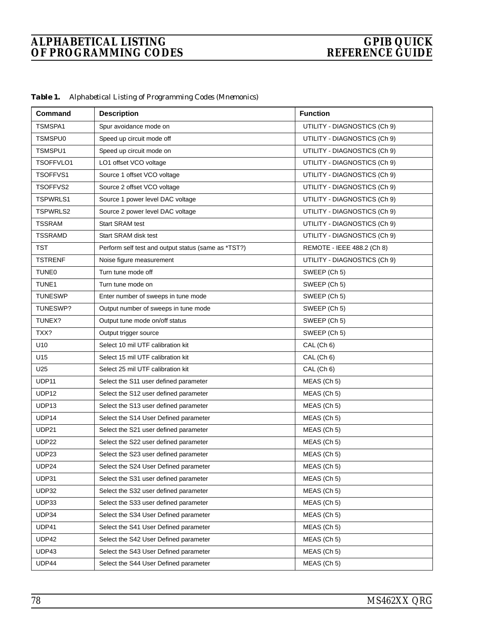| Table 1. |  |  | Alphabetical Listing of Programming Codes (Mnemonics) |  |  |
|----------|--|--|-------------------------------------------------------|--|--|
|----------|--|--|-------------------------------------------------------|--|--|

| Command        | <b>Description</b>                                  | <b>Function</b>              |
|----------------|-----------------------------------------------------|------------------------------|
| TSMSPA1        | Spur avoidance mode on                              | UTILITY - DIAGNOSTICS (Ch 9) |
| TSMSPU0        | Speed up circuit mode off                           | UTILITY - DIAGNOSTICS (Ch 9) |
| TSMSPU1        | Speed up circuit mode on                            | UTILITY - DIAGNOSTICS (Ch 9) |
| TSOFFVLO1      | LO1 offset VCO voltage                              | UTILITY - DIAGNOSTICS (Ch 9) |
| TSOFFVS1       | Source 1 offset VCO voltage                         | UTILITY - DIAGNOSTICS (Ch 9) |
| TSOFFVS2       | Source 2 offset VCO voltage                         | UTILITY - DIAGNOSTICS (Ch 9) |
| TSPWRLS1       | Source 1 power level DAC voltage                    | UTILITY - DIAGNOSTICS (Ch 9) |
| TSPWRLS2       | Source 2 power level DAC voltage                    | UTILITY - DIAGNOSTICS (Ch 9) |
| <b>TSSRAM</b>  | Start SRAM test                                     | UTILITY - DIAGNOSTICS (Ch 9) |
| TSSRAMD        | Start SRAM disk test                                | UTILITY - DIAGNOSTICS (Ch 9) |
| <b>TST</b>     | Perform self test and output status (same as *TST?) | REMOTE - IEEE 488.2 (Ch 8)   |
| <b>TSTRENF</b> | Noise figure measurement                            | UTILITY - DIAGNOSTICS (Ch 9) |
| TUNE0          | Turn tune mode off                                  | SWEEP (Ch 5)                 |
| TUNE1          | Turn tune mode on                                   | SWEEP (Ch 5)                 |
| <b>TUNESWP</b> | Enter number of sweeps in tune mode                 | SWEEP (Ch 5)                 |
| TUNESWP?       | Output number of sweeps in tune mode                | SWEEP (Ch 5)                 |
| TUNEX?         | Output tune mode on/off status                      | SWEEP (Ch 5)                 |
| TXX?           | Output trigger source                               | SWEEP (Ch 5)                 |
| U10            | Select 10 mil UTF calibration kit                   | CAL (Ch 6)                   |
| U15            | Select 15 mil UTF calibration kit                   | CAL (Ch 6)                   |
| U25            | Select 25 mil UTF calibration kit                   | CAL (Ch 6)                   |
| UDP11          | Select the S11 user defined parameter               | MEAS (Ch 5)                  |
| UDP12          | Select the S12 user defined parameter               | MEAS (Ch 5)                  |
| UDP13          | Select the S13 user defined parameter               | MEAS (Ch 5)                  |
| UDP14          | Select the S14 User Defined parameter               | MEAS (Ch 5)                  |
| <b>UDP21</b>   | Select the S21 user defined parameter               | MEAS (Ch 5)                  |
| <b>UDP22</b>   | Select the S22 user defined parameter               | MEAS (Ch 5)                  |
| UDP23          | Select the S23 user defined parameter               | MEAS (Ch 5)                  |
| UDP24          | Select the S24 User Defined parameter               | MEAS (Ch 5)                  |
| UDP31          | Select the S31 user defined parameter               | MEAS (Ch 5)                  |
| UDP32          | Select the S32 user defined parameter               | MEAS (Ch 5)                  |
| UDP33          | Select the S33 user defined parameter               | MEAS (Ch 5)                  |
| UDP34          | Select the S34 User Defined parameter               | MEAS (Ch 5)                  |
| UDP41          | Select the S41 User Defined parameter               | MEAS (Ch 5)                  |
| UDP42          | Select the S42 User Defined parameter               | MEAS (Ch 5)                  |
| UDP43          | Select the S43 User Defined parameter               | MEAS (Ch 5)                  |
| UDP44          | Select the S44 User Defined parameter               | MEAS (Ch 5)                  |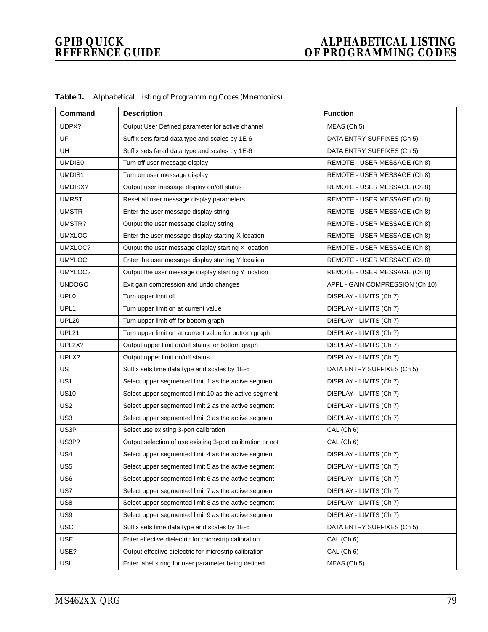| Command          | <b>Description</b>                                         | <b>Function</b>                 |
|------------------|------------------------------------------------------------|---------------------------------|
| UDPX?            | Output User Defined parameter for active channel           | MEAS (Ch 5)                     |
| UF               | Suffix sets farad data type and scales by 1E-6             | DATA ENTRY SUFFIXES (Ch 5)      |
| UH               | Suffix sets farad data type and scales by 1E-6             | DATA ENTRY SUFFIXES (Ch 5)      |
| UMDIS0           | Turn off user message display                              | REMOTE - USER MESSAGE (Ch 8)    |
| UMDIS1           | Turn on user message display                               | REMOTE - USER MESSAGE (Ch 8)    |
| UMDISX?          | Output user message display on/off status                  | REMOTE - USER MESSAGE (Ch 8)    |
| <b>UMRST</b>     | Reset all user message display parameters                  | REMOTE - USER MESSAGE (Ch 8)    |
| <b>UMSTR</b>     | Enter the user message display string                      | REMOTE - USER MESSAGE (Ch 8)    |
| UMSTR?           | Output the user message display string                     | REMOTE - USER MESSAGE (Ch 8)    |
| <b>UMXLOC</b>    | Enter the user message display starting X location         | REMOTE - USER MESSAGE (Ch 8)    |
| UMXLOC?          | Output the user message display starting X location        | REMOTE - USER MESSAGE (Ch 8)    |
| <b>UMYLOC</b>    | Enter the user message display starting Y location         | REMOTE - USER MESSAGE (Ch 8)    |
| UMYLOC?          | Output the user message display starting Y location        | REMOTE - USER MESSAGE (Ch 8)    |
| <b>UNDOGC</b>    | Exit gain compression and undo changes                     | APPL - GAIN COMPRESSION (Ch 10) |
| UPL <sub>0</sub> | Turn upper limit off                                       | DISPLAY - LIMITS (Ch 7)         |
| UPL1             | Turn upper limit on at current value                       | DISPLAY - LIMITS (Ch 7)         |
| <b>UPL20</b>     | Turn upper limit off for bottom graph                      | DISPLAY - LIMITS (Ch 7)         |
| UPL21            | Turn upper limit on at current value for bottom graph      | DISPLAY - LIMITS (Ch 7)         |
| UPL2X?           | Output upper limit on/off status for bottom graph          | DISPLAY - LIMITS (Ch 7)         |
| UPLX?            | Output upper limit on/off status                           | DISPLAY - LIMITS (Ch 7)         |
| US               | Suffix sets time data type and scales by 1E-6              | DATA ENTRY SUFFIXES (Ch 5)      |
| US <sub>1</sub>  | Select upper segmented limit 1 as the active segment       | DISPLAY - LIMITS (Ch 7)         |
| <b>US10</b>      | Select upper segmented limit 10 as the active segment      | DISPLAY - LIMITS (Ch 7)         |
| US <sub>2</sub>  | Select upper segmented limit 2 as the active segment       | DISPLAY - LIMITS (Ch 7)         |
| US3              | Select upper segmented limit 3 as the active segment       | DISPLAY - LIMITS (Ch 7)         |
| US3P             | Select use existing 3-port calibration                     | CAL (Ch 6)                      |
| US3P?            | Output selection of use existing 3-port calibration or not | CAL (Ch 6)                      |
| US4              | Select upper segmented limit 4 as the active segment       | DISPLAY - LIMITS (Ch 7)         |
| US <sub>5</sub>  | Select upper segmented limit 5 as the active segment       | DISPLAY - LIMITS (Ch 7)         |
| US <sub>6</sub>  | Select upper segmented limit 6 as the active segment       | DISPLAY - LIMITS (Ch 7)         |
| US7              | Select upper segmented limit 7 as the active segment       | DISPLAY - LIMITS (Ch 7)         |
| US8              | Select upper segmented limit 8 as the active segment       | DISPLAY - LIMITS (Ch 7)         |
| US9              | Select upper segmented limit 9 as the active segment       | DISPLAY - LIMITS (Ch 7)         |
| <b>USC</b>       | Suffix sets time data type and scales by 1E-6              | DATA ENTRY SUFFIXES (Ch 5)      |
| <b>USE</b>       | Enter effective dielectric for microstrip calibration      | CAL (Ch 6)                      |
| USE?             | Output effective dielectric for microstrip calibration     | CAL (Ch 6)                      |
| USL              | Enter label string for user parameter being defined        | MEAS (Ch 5)                     |

*Table 1. Alphabetical Listing of Programming Codes (Mnemonics)*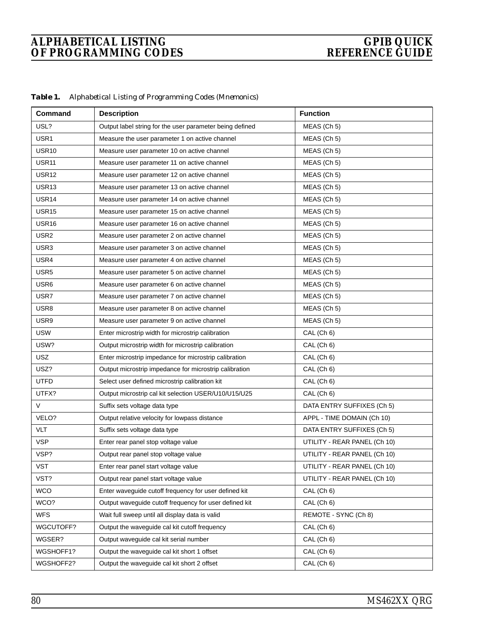| Command           | <b>Description</b>                                       | <b>Function</b>              |
|-------------------|----------------------------------------------------------|------------------------------|
| USL?              | Output label string for the user parameter being defined | MEAS (Ch 5)                  |
| USR1              | Measure the user parameter 1 on active channel           | MEAS (Ch 5)                  |
| <b>USR10</b>      | Measure user parameter 10 on active channel              | MEAS (Ch 5)                  |
| USR <sub>11</sub> | Measure user parameter 11 on active channel              | MEAS (Ch 5)                  |
| <b>USR12</b>      | Measure user parameter 12 on active channel              | MEAS (Ch 5)                  |
| USR <sub>13</sub> | Measure user parameter 13 on active channel              | MEAS (Ch 5)                  |
| USR14             | Measure user parameter 14 on active channel              | MEAS (Ch 5)                  |
| <b>USR15</b>      | Measure user parameter 15 on active channel              | MEAS (Ch 5)                  |
| USR16             | Measure user parameter 16 on active channel              | MEAS (Ch 5)                  |
| USR <sub>2</sub>  | Measure user parameter 2 on active channel               | MEAS (Ch 5)                  |
| USR3              | Measure user parameter 3 on active channel               | MEAS (Ch 5)                  |
| USR4              | Measure user parameter 4 on active channel               | MEAS (Ch 5)                  |
| USR <sub>5</sub>  | Measure user parameter 5 on active channel               | MEAS (Ch 5)                  |
| USR6              | Measure user parameter 6 on active channel               | MEAS (Ch 5)                  |
| USR7              | Measure user parameter 7 on active channel               | MEAS (Ch 5)                  |
| USR8              | Measure user parameter 8 on active channel               | MEAS (Ch 5)                  |
| USR9              | Measure user parameter 9 on active channel               | MEAS (Ch 5)                  |
| <b>USW</b>        | Enter microstrip width for microstrip calibration        | CAL (Ch 6)                   |
| USW?              | Output microstrip width for microstrip calibration       | CAL (Ch 6)                   |
| <b>USZ</b>        | Enter microstrip impedance for microstrip calibration    | CAL (Ch 6)                   |
| USZ?              | Output microstrip impedance for microstrip calibration   | CAL (Ch 6)                   |
| <b>UTFD</b>       | Select user defined microstrip calibration kit           | CAL (Ch 6)                   |
| UTFX?             | Output microstrip cal kit selection USER/U10/U15/U25     | CAL (Ch 6)                   |
| V                 | Suffix sets voltage data type                            | DATA ENTRY SUFFIXES (Ch 5)   |
| VELO?             | Output relative velocity for lowpass distance            | APPL - TIME DOMAIN (Ch 10)   |
| <b>VLT</b>        | Suffix sets voltage data type                            | DATA ENTRY SUFFIXES (Ch 5)   |
| <b>VSP</b>        | Enter rear panel stop voltage value                      | UTILITY - REAR PANEL (Ch 10) |
| VSP?              | Output rear panel stop voltage value                     | UTILITY - REAR PANEL (Ch 10) |
| <b>VST</b>        | Enter rear panel start voltage value                     | UTILITY - REAR PANEL (Ch 10) |
| VST?              | Output rear panel start voltage value                    | UTILITY - REAR PANEL (Ch 10) |
| <b>WCO</b>        | Enter waveguide cutoff frequency for user defined kit    | CAL (Ch 6)                   |
| WCO?              | Output waveguide cutoff frequency for user defined kit   | CAL (Ch 6)                   |
| <b>WFS</b>        | Wait full sweep until all display data is valid          | REMOTE - SYNC (Ch 8)         |
| WGCUTOFF?         | Output the waveguide cal kit cutoff frequency            | CAL (Ch 6)                   |
| WGSER?            | Output waveguide cal kit serial number                   | CAL (Ch 6)                   |
| WGSHOFF1?         | Output the waveguide cal kit short 1 offset              | CAL (Ch 6)                   |
| WGSHOFF2?         | Output the waveguide cal kit short 2 offset              | CAL (Ch 6)                   |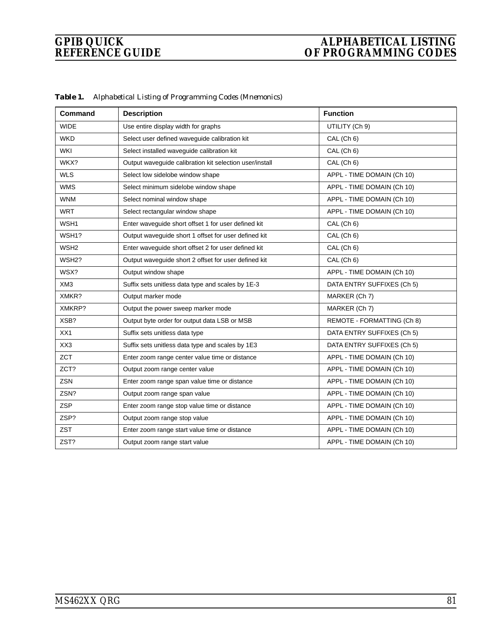| <b>Command</b>    | <b>Description</b>                                      | <b>Function</b>            |
|-------------------|---------------------------------------------------------|----------------------------|
| <b>WIDE</b>       | Use entire display width for graphs                     | UTILITY (Ch 9)             |
| <b>WKD</b>        | Select user defined waveguide calibration kit           | CAL (Ch 6)                 |
| <b>WKI</b>        | Select installed waveguide calibration kit              | CAL (Ch 6)                 |
| WKX?              | Output waveguide calibration kit selection user/install | CAL (Ch 6)                 |
| <b>WLS</b>        | Select low sidelobe window shape                        | APPL - TIME DOMAIN (Ch 10) |
| <b>WMS</b>        | Select minimum sidelobe window shape                    | APPL - TIME DOMAIN (Ch 10) |
| <b>WNM</b>        | Select nominal window shape                             | APPL - TIME DOMAIN (Ch 10) |
| <b>WRT</b>        | Select rectangular window shape                         | APPL - TIME DOMAIN (Ch 10) |
| WSH1              | Enter waveguide short offset 1 for user defined kit     | CAL (Ch 6)                 |
| WSH1?             | Output waveguide short 1 offset for user defined kit    | CAL (Ch 6)                 |
| WSH <sub>2</sub>  | Enter waveguide short offset 2 for user defined kit     | CAL (Ch 6)                 |
| WSH <sub>2?</sub> | Output waveguide short 2 offset for user defined kit    | CAL (Ch 6)                 |
| WSX?              | Output window shape                                     | APPL - TIME DOMAIN (Ch 10) |
| XM <sub>3</sub>   | Suffix sets unitless data type and scales by 1E-3       | DATA ENTRY SUFFIXES (Ch 5) |
| XMKR?             | Output marker mode                                      | MARKER (Ch 7)              |
| XMKRP?            | Output the power sweep marker mode                      | MARKER (Ch 7)              |
| XSB?              | Output byte order for output data LSB or MSB            | REMOTE - FORMATTING (Ch 8) |
| XX1               | Suffix sets unitless data type                          | DATA ENTRY SUFFIXES (Ch 5) |
| XX3               | Suffix sets unitless data type and scales by 1E3        | DATA ENTRY SUFFIXES (Ch 5) |
| ZCT               | Enter zoom range center value time or distance          | APPL - TIME DOMAIN (Ch 10) |
| ZCT?              | Output zoom range center value                          | APPL - TIME DOMAIN (Ch 10) |
| ZSN               | Enter zoom range span value time or distance            | APPL - TIME DOMAIN (Ch 10) |
| ZSN?              | Output zoom range span value                            | APPL - TIME DOMAIN (Ch 10) |
| <b>ZSP</b>        | Enter zoom range stop value time or distance            | APPL - TIME DOMAIN (Ch 10) |
| ZSP?              | Output zoom range stop value                            | APPL - TIME DOMAIN (Ch 10) |
| <b>ZST</b>        | Enter zoom range start value time or distance           | APPL - TIME DOMAIN (Ch 10) |
| ZST?              | Output zoom range start value                           | APPL - TIME DOMAIN (Ch 10) |
|                   |                                                         |                            |

*Table 1. Alphabetical Listing of Programming Codes (Mnemonics)*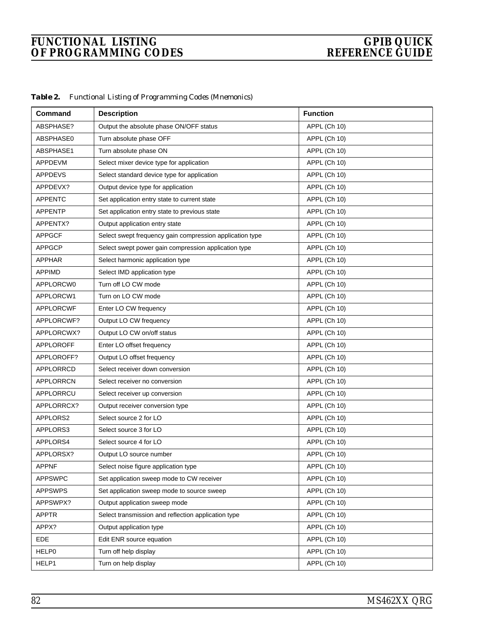| <i>Table 2.</i> | Functional Listing of Programming Codes (Mnemonics) |  |  |  |  |  |  |
|-----------------|-----------------------------------------------------|--|--|--|--|--|--|
|-----------------|-----------------------------------------------------|--|--|--|--|--|--|

| Command          | <b>Description</b>                                       | <b>Function</b> |
|------------------|----------------------------------------------------------|-----------------|
| ABSPHASE?        | Output the absolute phase ON/OFF status                  | APPL (Ch 10)    |
| ABSPHASE0        | Turn absolute phase OFF                                  | APPL (Ch 10)    |
| ABSPHASE1        | Turn absolute phase ON                                   | APPL (Ch 10)    |
| APPDEVM          | Select mixer device type for application                 | APPL (Ch 10)    |
| <b>APPDEVS</b>   | Select standard device type for application              | APPL (Ch 10)    |
| APPDEVX?         | Output device type for application                       | APPL (Ch 10)    |
| <b>APPENTC</b>   | Set application entry state to current state             | APPL (Ch 10)    |
| <b>APPENTP</b>   | Set application entry state to previous state            | APPL (Ch 10)    |
| APPENTX?         | Output application entry state                           | APPL (Ch 10)    |
| <b>APPGCF</b>    | Select swept frequency gain compression application type | APPL (Ch 10)    |
| <b>APPGCP</b>    | Select swept power gain compression application type     | APPL (Ch 10)    |
| <b>APPHAR</b>    | Select harmonic application type                         | APPL (Ch 10)    |
| <b>APPIMD</b>    | Select IMD application type                              | APPL (Ch 10)    |
| APPLORCW0        | Turn off LO CW mode                                      | APPL (Ch 10)    |
| APPLORCW1        | Turn on LO CW mode                                       | APPL (Ch 10)    |
| <b>APPLORCWF</b> | Enter LO CW frequency                                    | APPL (Ch 10)    |
| APPLORCWF?       | Output LO CW frequency                                   | APPL (Ch 10)    |
| APPLORCWX?       | Output LO CW on/off status                               | APPL (Ch 10)    |
| <b>APPLOROFF</b> | Enter LO offset frequency                                | APPL (Ch 10)    |
| APPLOROFF?       | Output LO offset frequency                               | APPL (Ch 10)    |
| APPLORRCD        | Select receiver down conversion                          | APPL (Ch 10)    |
| APPLORRCN        | Select receiver no conversion                            | APPL (Ch 10)    |
| APPLORRCU        | Select receiver up conversion                            | APPL (Ch 10)    |
| APPLORRCX?       | Output receiver conversion type                          | APPL (Ch 10)    |
| APPLORS2         | Select source 2 for LO                                   | APPL (Ch 10)    |
| APPLORS3         | Select source 3 for LO                                   | APPL (Ch 10)    |
| APPLORS4         | Select source 4 for LO                                   | APPL (Ch 10)    |
| APPLORSX?        | Output LO source number                                  | APPL (Ch 10)    |
| <b>APPNF</b>     | Select noise figure application type                     | APPL (Ch 10)    |
| <b>APPSWPC</b>   | Set application sweep mode to CW receiver                | APPL (Ch 10)    |
| <b>APPSWPS</b>   | Set application sweep mode to source sweep               | APPL (Ch 10)    |
| APPSWPX?         | Output application sweep mode                            | APPL (Ch 10)    |
| <b>APPTR</b>     | Select transmission and reflection application type      | APPL (Ch 10)    |
| APPX?            | Output application type                                  | APPL (Ch 10)    |
| <b>EDE</b>       | Edit ENR source equation                                 | APPL (Ch 10)    |
| HELP0            | Turn off help display                                    | APPL (Ch 10)    |
| HELP1            | Turn on help display                                     | APPL (Ch 10)    |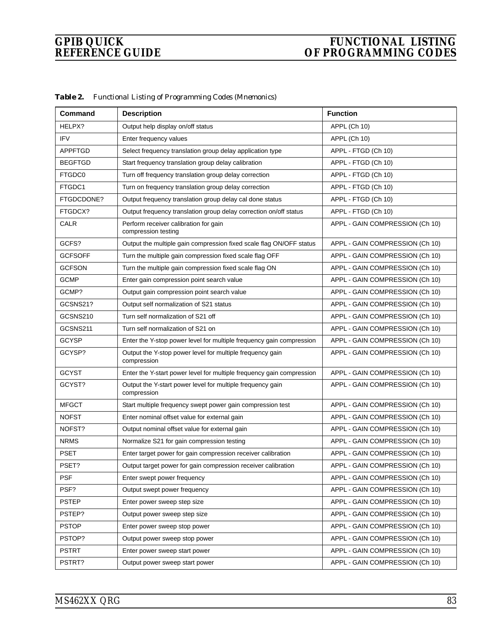| Command        | <b>Description</b>                                                        | <b>Function</b>                 |
|----------------|---------------------------------------------------------------------------|---------------------------------|
| HELPX?         | Output help display on/off status                                         | APPL (Ch 10)                    |
| <b>IFV</b>     | Enter frequency values                                                    | APPL (Ch 10)                    |
| APPFTGD        | Select frequency translation group delay application type                 | APPL - FTGD (Ch 10)             |
| <b>BEGFTGD</b> | Start frequency translation group delay calibration                       | APPL - FTGD (Ch 10)             |
| FTGDC0         | Turn off frequency translation group delay correction                     | APPL - FTGD (Ch 10)             |
| FTGDC1         | Turn on frequency translation group delay correction                      | APPL - FTGD (Ch 10)             |
| FTGDCDONE?     | Output frequency translation group delay cal done status                  | APPL - FTGD (Ch 10)             |
| FTGDCX?        | Output frequency translation group delay correction on/off status         | APPL - FTGD (Ch 10)             |
| CALR           | Perform receiver calibration for gain<br>compression testing              | APPL - GAIN COMPRESSION (Ch 10) |
| GCFS?          | Output the multiple gain compression fixed scale flag ON/OFF status       | APPL - GAIN COMPRESSION (Ch 10) |
| <b>GCFSOFF</b> | Turn the multiple gain compression fixed scale flag OFF                   | APPL - GAIN COMPRESSION (Ch 10) |
| <b>GCFSON</b>  | Turn the multiple gain compression fixed scale flag ON                    | APPL - GAIN COMPRESSION (Ch 10) |
| <b>GCMP</b>    | Enter gain compression point search value                                 | APPL - GAIN COMPRESSION (Ch 10) |
| GCMP?          | Output gain compression point search value                                | APPL - GAIN COMPRESSION (Ch 10) |
| GCSNS21?       | Output self normalization of S21 status                                   | APPL - GAIN COMPRESSION (Ch 10) |
| GCSNS210       | Turn self normalization of S21 off                                        | APPL - GAIN COMPRESSION (Ch 10) |
| GCSNS211       | Turn self normalization of S21 on                                         | APPL - GAIN COMPRESSION (Ch 10) |
| <b>GCYSP</b>   | Enter the Y-stop power level for multiple frequency gain compression      | APPL - GAIN COMPRESSION (Ch 10) |
| GCYSP?         | Output the Y-stop power level for multiple frequency gain<br>compression  | APPL - GAIN COMPRESSION (Ch 10) |
| <b>GCYST</b>   | Enter the Y-start power level for multiple frequency gain compression     | APPL - GAIN COMPRESSION (Ch 10) |
| GCYST?         | Output the Y-start power level for multiple frequency gain<br>compression | APPL - GAIN COMPRESSION (Ch 10) |
| <b>MFGCT</b>   | Start multiple frequency swept power gain compression test                | APPL - GAIN COMPRESSION (Ch 10) |
| <b>NOFST</b>   | Enter nominal offset value for external gain                              | APPL - GAIN COMPRESSION (Ch 10) |
| NOFST?         | Output nominal offset value for external gain                             | APPL - GAIN COMPRESSION (Ch 10) |
| <b>NRMS</b>    | Normalize S21 for gain compression testing                                | APPL - GAIN COMPRESSION (Ch 10) |
| PSET           | Enter target power for gain compression receiver calibration              | APPL - GAIN COMPRESSION (Ch 10) |
| PSET?          | Output target power for gain compression receiver calibration             | APPL - GAIN COMPRESSION (Ch 10) |
| PSF            | Enter swept power frequency                                               | APPL - GAIN COMPRESSION (Ch 10) |
| PSF?           | Output swept power frequency                                              | APPL - GAIN COMPRESSION (Ch 10) |
| <b>PSTEP</b>   | Enter power sweep step size                                               | APPL - GAIN COMPRESSION (Ch 10) |
| PSTEP?         | Output power sweep step size                                              | APPL - GAIN COMPRESSION (Ch 10) |
| <b>PSTOP</b>   | Enter power sweep stop power                                              | APPL - GAIN COMPRESSION (Ch 10) |
| PSTOP?         | Output power sweep stop power                                             | APPL - GAIN COMPRESSION (Ch 10) |
| PSTRT          | Enter power sweep start power                                             | APPL - GAIN COMPRESSION (Ch 10) |
| PSTRT?         | Output power sweep start power                                            | APPL - GAIN COMPRESSION (Ch 10) |

*Table 2. Functional Listing of Programming Codes (Mnemonics)*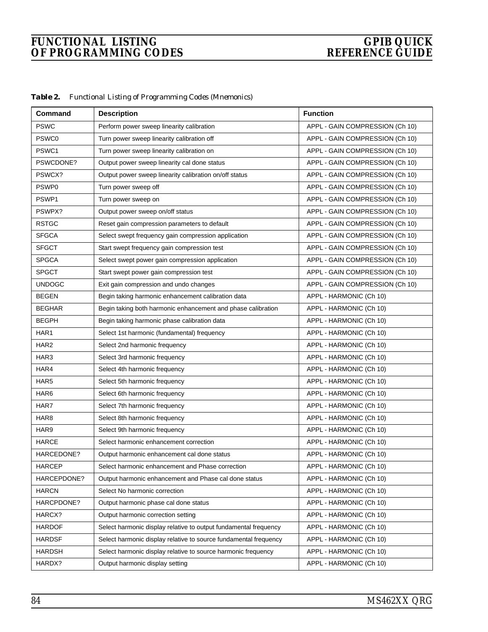| Command           | <b>Description</b>                                               | <b>Function</b>                 |
|-------------------|------------------------------------------------------------------|---------------------------------|
| <b>PSWC</b>       | Perform power sweep linearity calibration                        | APPL - GAIN COMPRESSION (Ch 10) |
| PSWC0             | Turn power sweep linearity calibration off                       | APPL - GAIN COMPRESSION (Ch 10) |
| PSWC1             | Turn power sweep linearity calibration on                        | APPL - GAIN COMPRESSION (Ch 10) |
| PSWCDONE?         | Output power sweep linearity cal done status                     | APPL - GAIN COMPRESSION (Ch 10) |
| PSWCX?            | Output power sweep linearity calibration on/off status           | APPL - GAIN COMPRESSION (Ch 10) |
| PSWP <sub>0</sub> | Turn power sweep off                                             | APPL - GAIN COMPRESSION (Ch 10) |
| PSWP1             | Turn power sweep on                                              | APPL - GAIN COMPRESSION (Ch 10) |
| PSWPX?            | Output power sweep on/off status                                 | APPL - GAIN COMPRESSION (Ch 10) |
| <b>RSTGC</b>      | Reset gain compression parameters to default                     | APPL - GAIN COMPRESSION (Ch 10) |
| <b>SFGCA</b>      | Select swept frequency gain compression application              | APPL - GAIN COMPRESSION (Ch 10) |
| <b>SFGCT</b>      | Start swept frequency gain compression test                      | APPL - GAIN COMPRESSION (Ch 10) |
| <b>SPGCA</b>      | Select swept power gain compression application                  | APPL - GAIN COMPRESSION (Ch 10) |
| <b>SPGCT</b>      | Start swept power gain compression test                          | APPL - GAIN COMPRESSION (Ch 10) |
| <b>UNDOGC</b>     | Exit gain compression and undo changes                           | APPL - GAIN COMPRESSION (Ch 10) |
| <b>BEGEN</b>      | Begin taking harmonic enhancement calibration data               | APPL - HARMONIC (Ch 10)         |
| <b>BEGHAR</b>     | Begin taking both harmonic enhancement and phase calibration     | APPL - HARMONIC (Ch 10)         |
| <b>BEGPH</b>      | Begin taking harmonic phase calibration data                     | APPL - HARMONIC (Ch 10)         |
| HAR1              | Select 1st harmonic (fundamental) frequency                      | APPL - HARMONIC (Ch 10)         |
| HAR2              | Select 2nd harmonic frequency                                    | APPL - HARMONIC (Ch 10)         |
| HAR3              | Select 3rd harmonic frequency                                    | APPL - HARMONIC (Ch 10)         |
| HAR4              | Select 4th harmonic frequency                                    | APPL - HARMONIC (Ch 10)         |
| HAR5              | Select 5th harmonic frequency                                    | APPL - HARMONIC (Ch 10)         |
| HAR6              | Select 6th harmonic frequency                                    | APPL - HARMONIC (Ch 10)         |
| HAR7              | Select 7th harmonic frequency                                    | APPL - HARMONIC (Ch 10)         |
| HAR8              | Select 8th harmonic frequency                                    | APPL - HARMONIC (Ch 10)         |
| HAR9              | Select 9th harmonic frequency                                    | APPL - HARMONIC (Ch 10)         |
| <b>HARCE</b>      | Select harmonic enhancement correction                           | APPL - HARMONIC (Ch 10)         |
| HARCEDONE?        | Output harmonic enhancement cal done status                      | APPL - HARMONIC (Ch 10)         |
| <b>HARCEP</b>     | Select harmonic enhancement and Phase correction                 | APPL - HARMONIC (Ch 10)         |
| HARCEPDONE?       | Output harmonic enhancement and Phase cal done status            | APPL - HARMONIC (Ch 10)         |
| <b>HARCN</b>      | Select No harmonic correction                                    | APPL - HARMONIC (Ch 10)         |
| HARCPDONE?        | Output harmonic phase cal done status                            | APPL - HARMONIC (Ch 10)         |
| HARCX?            | Output harmonic correction setting                               | APPL - HARMONIC (Ch 10)         |
| <b>HARDOF</b>     | Select harmonic display relative to output fundamental frequency | APPL - HARMONIC (Ch 10)         |
| <b>HARDSF</b>     | Select harmonic display relative to source fundamental frequency | APPL - HARMONIC (Ch 10)         |
| <b>HARDSH</b>     | Select harmonic display relative to source harmonic frequency    | APPL - HARMONIC (Ch 10)         |
| HARDX?            | Output harmonic display setting                                  | APPL - HARMONIC (Ch 10)         |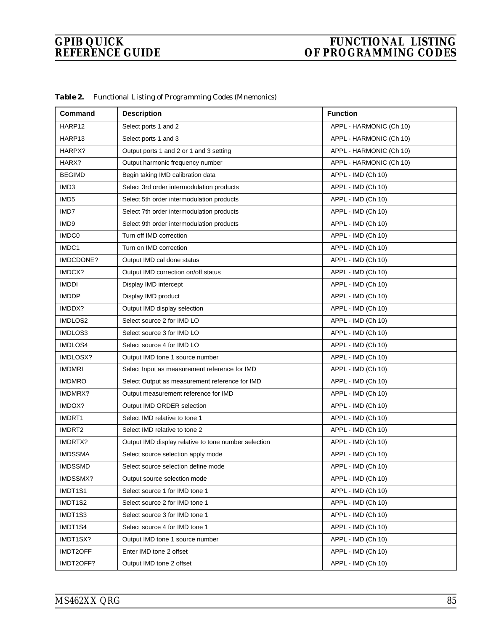| Command          | <b>Description</b>                                   | <b>Function</b>         |
|------------------|------------------------------------------------------|-------------------------|
| HARP12           | Select ports 1 and 2                                 | APPL - HARMONIC (Ch 10) |
| HARP13           | Select ports 1 and 3<br>APPL - HARMONIC (Ch 10)      |                         |
| HARPX?           | Output ports 1 and 2 or 1 and 3 setting              | APPL - HARMONIC (Ch 10) |
| HARX?            | Output harmonic frequency number                     | APPL - HARMONIC (Ch 10) |
| <b>BEGIMD</b>    | Begin taking IMD calibration data                    | APPL - IMD (Ch 10)      |
| IMD3             | Select 3rd order intermodulation products            | APPL - IMD (Ch 10)      |
| IMD <sub>5</sub> | Select 5th order intermodulation products            | APPL - IMD (Ch 10)      |
| IMD7             | Select 7th order intermodulation products            | APPL - IMD (Ch 10)      |
| IMD9             | Select 9th order intermodulation products            | APPL - IMD (Ch 10)      |
| IMDC0            | Turn off IMD correction                              | APPL - IMD (Ch 10)      |
| IMDC1            | Turn on IMD correction                               | APPL - IMD (Ch 10)      |
| IMDCDONE?        | Output IMD cal done status                           | APPL - IMD (Ch 10)      |
| IMDCX?           | Output IMD correction on/off status                  | APPL - IMD (Ch 10)      |
| <b>IMDDI</b>     | Display IMD intercept                                | APPL - IMD (Ch 10)      |
| <b>IMDDP</b>     | Display IMD product                                  | APPL - IMD (Ch 10)      |
| IMDDX?           | Output IMD display selection                         | APPL - IMD (Ch 10)      |
| IMDLOS2          | Select source 2 for IMD LO                           | APPL - IMD (Ch 10)      |
| IMDLOS3          | Select source 3 for IMD LO                           | APPL - IMD (Ch 10)      |
| IMDLOS4          | Select source 4 for IMD LO                           | APPL - IMD (Ch 10)      |
| IMDLOSX?         | Output IMD tone 1 source number                      | APPL - IMD (Ch 10)      |
| <b>IMDMRI</b>    | Select Input as measurement reference for IMD        | APPL - IMD (Ch 10)      |
| <b>IMDMRO</b>    | Select Output as measurement reference for IMD       | APPL - IMD (Ch 10)      |
| IMDMRX?          | Output measurement reference for IMD                 | APPL - IMD (Ch 10)      |
| IMDOX?           | Output IMD ORDER selection                           | APPL - IMD (Ch 10)      |
| IMDRT1           | Select IMD relative to tone 1                        | APPL - IMD (Ch 10)      |
| IMDRT2           | Select IMD relative to tone 2                        | APPL - IMD (Ch 10)      |
| IMDRTX?          | Output IMD display relative to tone number selection | APPL - IMD (Ch 10)      |
| <b>IMDSSMA</b>   | Select source selection apply mode                   | APPL - IMD (Ch 10)      |
| <b>IMDSSMD</b>   | Select source selection define mode                  | APPL - IMD (Ch 10)      |
| IMDSSMX?         | Output source selection mode                         | APPL - IMD (Ch 10)      |
| IMDT1S1          | Select source 1 for IMD tone 1                       | APPL - IMD (Ch 10)      |
| IMDT1S2          | Select source 2 for IMD tone 1                       | APPL - IMD (Ch 10)      |
| IMDT1S3          | Select source 3 for IMD tone 1                       | APPL - IMD (Ch 10)      |
| IMDT1S4          | Select source 4 for IMD tone 1                       | APPL - IMD (Ch 10)      |
| IMDT1SX?         | Output IMD tone 1 source number                      | APPL - IMD (Ch 10)      |
| IMDT2OFF         | Enter IMD tone 2 offset                              | APPL - IMD (Ch 10)      |
| IMDT2OFF?        | Output IMD tone 2 offset                             | APPL - IMD (Ch 10)      |

*Table 2. Functional Listing of Programming Codes (Mnemonics)*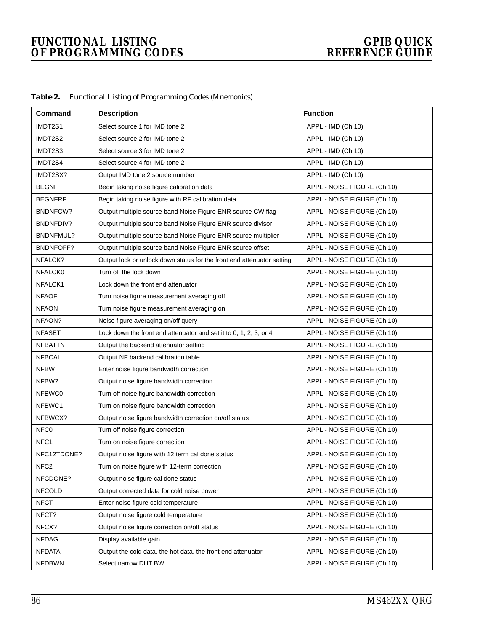| Command          | <b>Description</b>                                                     | <b>Function</b>             |
|------------------|------------------------------------------------------------------------|-----------------------------|
| IMDT2S1          | Select source 1 for IMD tone 2                                         | APPL - IMD (Ch 10)          |
| IMDT2S2          | Select source 2 for IMD tone 2                                         | APPL - IMD (Ch 10)          |
| IMDT2S3          | Select source 3 for IMD tone 2                                         | APPL - IMD (Ch 10)          |
| IMDT2S4          | Select source 4 for IMD tone 2                                         | APPL - IMD (Ch 10)          |
| IMDT2SX?         | Output IMD tone 2 source number                                        | APPL - IMD (Ch 10)          |
| <b>BEGNF</b>     | Begin taking noise figure calibration data                             | APPL - NOISE FIGURE (Ch 10) |
| <b>BEGNFRF</b>   | Begin taking noise figure with RF calibration data                     | APPL - NOISE FIGURE (Ch 10) |
| <b>BNDNFCW?</b>  | Output multiple source band Noise Figure ENR source CW flag            | APPL - NOISE FIGURE (Ch 10) |
| BNDNFDIV?        | Output multiple source band Noise Figure ENR source divisor            | APPL - NOISE FIGURE (Ch 10) |
| <b>BNDNFMUL?</b> | Output multiple source band Noise Figure ENR source multiplier         | APPL - NOISE FIGURE (Ch 10) |
| BNDNFOFF?        | Output multiple source band Noise Figure ENR source offset             | APPL - NOISE FIGURE (Ch 10) |
| NFALCK?          | Output lock or unlock down status for the front end attenuator setting | APPL - NOISE FIGURE (Ch 10) |
| NFALCK0          | Turn off the lock down                                                 | APPL - NOISE FIGURE (Ch 10) |
| NFALCK1          | Lock down the front end attenuator                                     | APPL - NOISE FIGURE (Ch 10) |
| <b>NFAOF</b>     | Turn noise figure measurement averaging off                            | APPL - NOISE FIGURE (Ch 10) |
| <b>NFAON</b>     | Turn noise figure measurement averaging on                             | APPL - NOISE FIGURE (Ch 10) |
| NFAON?           | Noise figure averaging on/off query                                    | APPL - NOISE FIGURE (Ch 10) |
| <b>NFASET</b>    | Lock down the front end attenuator and set it to 0, 1, 2, 3, or 4      | APPL - NOISE FIGURE (Ch 10) |
| <b>NFBATTN</b>   | Output the backend attenuator setting                                  | APPL - NOISE FIGURE (Ch 10) |
| <b>NFBCAL</b>    | Output NF backend calibration table                                    | APPL - NOISE FIGURE (Ch 10) |
| <b>NFBW</b>      | Enter noise figure bandwidth correction                                | APPL - NOISE FIGURE (Ch 10) |
| NFBW?            | Output noise figure bandwidth correction                               | APPL - NOISE FIGURE (Ch 10) |
| NFBWC0           | Turn off noise figure bandwidth correction                             | APPL - NOISE FIGURE (Ch 10) |
| NFBWC1           | Turn on noise figure bandwidth correction                              | APPL - NOISE FIGURE (Ch 10) |
| NFBWCX?          | Output noise figure bandwidth correction on/off status                 | APPL - NOISE FIGURE (Ch 10) |
| NFC <sub>0</sub> | Turn off noise figure correction                                       | APPL - NOISE FIGURE (Ch 10) |
| NFC <sub>1</sub> | Turn on noise figure correction                                        | APPL - NOISE FIGURE (Ch 10) |
| NFC12TDONE?      | Output noise figure with 12 term cal done status                       | APPL - NOISE FIGURE (Ch 10) |
| NFC <sub>2</sub> | Turn on noise figure with 12-term correction                           | APPL - NOISE FIGURE (Ch 10) |
| NFCDONE?         | Output noise figure cal done status                                    | APPL - NOISE FIGURE (Ch 10) |
| <b>NFCOLD</b>    | Output corrected data for cold noise power                             | APPL - NOISE FIGURE (Ch 10) |
| <b>NFCT</b>      | Enter noise figure cold temperature                                    | APPL - NOISE FIGURE (Ch 10) |
| NFCT?            | Output noise figure cold temperature                                   | APPL - NOISE FIGURE (Ch 10) |
| NFCX?            | Output noise figure correction on/off status                           | APPL - NOISE FIGURE (Ch 10) |
| <b>NFDAG</b>     | Display available gain                                                 | APPL - NOISE FIGURE (Ch 10) |
| <b>NFDATA</b>    | Output the cold data, the hot data, the front end attenuator           | APPL - NOISE FIGURE (Ch 10) |
| <b>NFDBWN</b>    | Select narrow DUT BW                                                   | APPL - NOISE FIGURE (Ch 10) |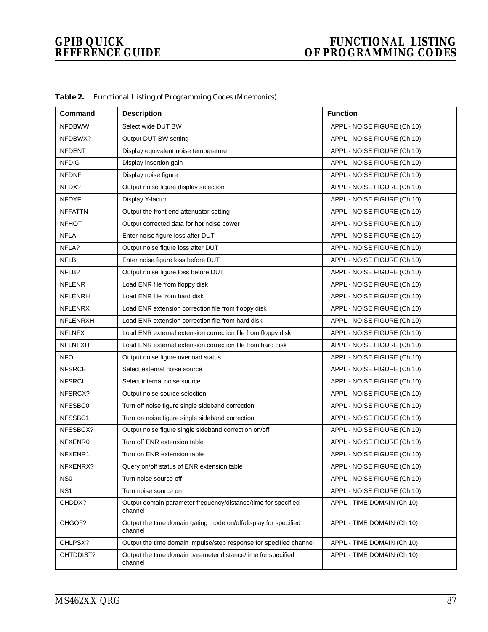| Command         | <b>Description</b>                                                         | <b>Function</b>             |
|-----------------|----------------------------------------------------------------------------|-----------------------------|
| <b>NFDBWW</b>   | Select wide DUT BW                                                         | APPL - NOISE FIGURE (Ch 10) |
| NFDBWX?         | Output DUT BW setting                                                      | APPL - NOISE FIGURE (Ch 10) |
| <b>NFDENT</b>   | Display equivalent noise temperature                                       | APPL - NOISE FIGURE (Ch 10) |
| <b>NFDIG</b>    | Display insertion gain                                                     | APPL - NOISE FIGURE (Ch 10) |
| <b>NFDNF</b>    | Display noise figure                                                       | APPL - NOISE FIGURE (Ch 10) |
| NFDX?           | Output noise figure display selection                                      | APPL - NOISE FIGURE (Ch 10) |
| <b>NFDYF</b>    | Display Y-factor                                                           | APPL - NOISE FIGURE (Ch 10) |
| <b>NFFATTN</b>  | Output the front end attenuator setting                                    | APPL - NOISE FIGURE (Ch 10) |
| <b>NFHOT</b>    | Output corrected data for hot noise power                                  | APPL - NOISE FIGURE (Ch 10) |
| <b>NFLA</b>     | Enter noise figure loss after DUT                                          | APPL - NOISE FIGURE (Ch 10) |
| NFLA?           | Output noise figure loss after DUT                                         | APPL - NOISE FIGURE (Ch 10) |
| <b>NFLB</b>     | Enter noise figure loss before DUT                                         | APPL - NOISE FIGURE (Ch 10) |
| NFLB?           | Output noise figure loss before DUT                                        | APPL - NOISE FIGURE (Ch 10) |
| <b>NFLENR</b>   | Load ENR file from floppy disk                                             | APPL - NOISE FIGURE (Ch 10) |
| <b>NFLENRH</b>  | Load ENR file from hard disk                                               | APPL - NOISE FIGURE (Ch 10) |
| <b>NFLENRX</b>  | Load ENR extension correction file from floppy disk                        | APPL - NOISE FIGURE (Ch 10) |
| NFLENRXH        | Load ENR extension correction file from hard disk                          | APPL - NOISE FIGURE (Ch 10) |
| <b>NFLNFX</b>   | Load ENR external extension correction file from floppy disk               | APPL - NOISE FIGURE (Ch 10) |
| <b>NFLNFXH</b>  | Load ENR external extension correction file from hard disk                 | APPL - NOISE FIGURE (Ch 10) |
| <b>NFOL</b>     | Output noise figure overload status                                        | APPL - NOISE FIGURE (Ch 10) |
| <b>NFSRCE</b>   | Select external noise source                                               | APPL - NOISE FIGURE (Ch 10) |
| <b>NFSRCI</b>   | Select internal noise source                                               | APPL - NOISE FIGURE (Ch 10) |
| NFSRCX?         | Output noise source selection                                              | APPL - NOISE FIGURE (Ch 10) |
| NFSSBC0         | Turn off noise figure single sideband correction                           | APPL - NOISE FIGURE (Ch 10) |
| NFSSBC1         | Turn on noise figure single sideband correction                            | APPL - NOISE FIGURE (Ch 10) |
| NFSSBCX?        | Output noise figure single sideband correction on/off                      | APPL - NOISE FIGURE (Ch 10) |
| NFXENR0         | Turn off ENR extension table                                               | APPL - NOISE FIGURE (Ch 10) |
| NFXENR1         | Turn on ENR extension table                                                | APPL - NOISE FIGURE (Ch 10) |
| NFXENRX?        | Query on/off status of ENR extension table                                 | APPL - NOISE FIGURE (Ch 10) |
| NS <sub>0</sub> | Turn noise source off                                                      | APPL - NOISE FIGURE (Ch 10) |
| NS <sub>1</sub> | Turn noise source on                                                       | APPL - NOISE FIGURE (Ch 10) |
| CHDDX?          | Output domain parameter frequency/distance/time for specified<br>channel   | APPL - TIME DOMAIN (Ch 10)  |
| CHGOF?          | Output the time domain gating mode on/off/display for specified<br>channel | APPL - TIME DOMAIN (Ch 10)  |
| CHLPSX?         | Output the time domain impulse/step response for specified channel         | APPL - TIME DOMAIN (Ch 10)  |
| CHTDDIST?       | Output the time domain parameter distance/time for specified<br>channel    | APPL - TIME DOMAIN (Ch 10)  |

*Table 2. Functional Listing of Programming Codes (Mnemonics)*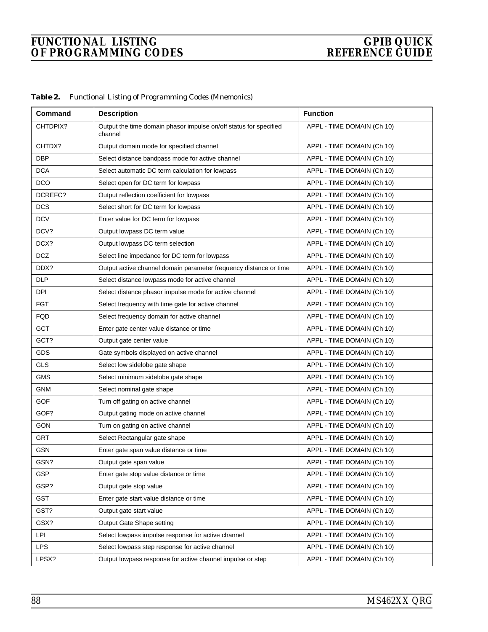| Command    | <b>Description</b>                                                           | <b>Function</b>            |
|------------|------------------------------------------------------------------------------|----------------------------|
| CHTDPIX?   | Output the time domain phasor impulse on/off status for specified<br>channel | APPL - TIME DOMAIN (Ch 10) |
| CHTDX?     | Output domain mode for specified channel                                     | APPL - TIME DOMAIN (Ch 10) |
| <b>DBP</b> | Select distance bandpass mode for active channel                             | APPL - TIME DOMAIN (Ch 10) |
| <b>DCA</b> | Select automatic DC term calculation for lowpass                             | APPL - TIME DOMAIN (Ch 10) |
| <b>DCO</b> | Select open for DC term for lowpass                                          | APPL - TIME DOMAIN (Ch 10) |
| DCREFC?    | Output reflection coefficient for lowpass                                    | APPL - TIME DOMAIN (Ch 10) |
| <b>DCS</b> | Select short for DC term for lowpass                                         | APPL - TIME DOMAIN (Ch 10) |
| <b>DCV</b> | Enter value for DC term for lowpass                                          | APPL - TIME DOMAIN (Ch 10) |
| DCV?       | Output lowpass DC term value                                                 | APPL - TIME DOMAIN (Ch 10) |
| DCX?       | Output lowpass DC term selection                                             | APPL - TIME DOMAIN (Ch 10) |
| <b>DCZ</b> | Select line impedance for DC term for lowpass                                | APPL - TIME DOMAIN (Ch 10) |
| DDX?       | Output active channel domain parameter frequency distance or time            | APPL - TIME DOMAIN (Ch 10) |
| <b>DLP</b> | Select distance lowpass mode for active channel                              | APPL - TIME DOMAIN (Ch 10) |
| DPI        | Select distance phasor impulse mode for active channel                       | APPL - TIME DOMAIN (Ch 10) |
| <b>FGT</b> | Select frequency with time gate for active channel                           | APPL - TIME DOMAIN (Ch 10) |
| FQD        | Select frequency domain for active channel                                   | APPL - TIME DOMAIN (Ch 10) |
| <b>GCT</b> | Enter gate center value distance or time                                     | APPL - TIME DOMAIN (Ch 10) |
| GCT?       | Output gate center value                                                     | APPL - TIME DOMAIN (Ch 10) |
| GDS        | Gate symbols displayed on active channel                                     | APPL - TIME DOMAIN (Ch 10) |
| <b>GLS</b> | Select low sidelobe gate shape                                               | APPL - TIME DOMAIN (Ch 10) |
| <b>GMS</b> | Select minimum sidelobe gate shape                                           | APPL - TIME DOMAIN (Ch 10) |
| <b>GNM</b> | Select nominal gate shape                                                    | APPL - TIME DOMAIN (Ch 10) |
| <b>GOF</b> | Turn off gating on active channel                                            | APPL - TIME DOMAIN (Ch 10) |
| GOF?       | Output gating mode on active channel                                         | APPL - TIME DOMAIN (Ch 10) |
| <b>GON</b> | Turn on gating on active channel                                             | APPL - TIME DOMAIN (Ch 10) |
| <b>GRT</b> | Select Rectangular gate shape                                                | APPL - TIME DOMAIN (Ch 10) |
| <b>GSN</b> | Enter gate span value distance or time                                       | APPL - TIME DOMAIN (Ch 10) |
| GSN?       | Output gate span value                                                       | APPL - TIME DOMAIN (Ch 10) |
| GSP        | Enter gate stop value distance or time                                       | APPL - TIME DOMAIN (Ch 10) |
| GSP?       | Output gate stop value                                                       | APPL - TIME DOMAIN (Ch 10) |
| <b>GST</b> | Enter gate start value distance or time                                      | APPL - TIME DOMAIN (Ch 10) |
| GST?       | Output gate start value                                                      | APPL - TIME DOMAIN (Ch 10) |
| GSX?       | Output Gate Shape setting                                                    | APPL - TIME DOMAIN (Ch 10) |
| LPI        | Select lowpass impulse response for active channel                           | APPL - TIME DOMAIN (Ch 10) |
| <b>LPS</b> | Select lowpass step response for active channel                              | APPL - TIME DOMAIN (Ch 10) |
| LPSX?      | Output lowpass response for active channel impulse or step                   | APPL - TIME DOMAIN (Ch 10) |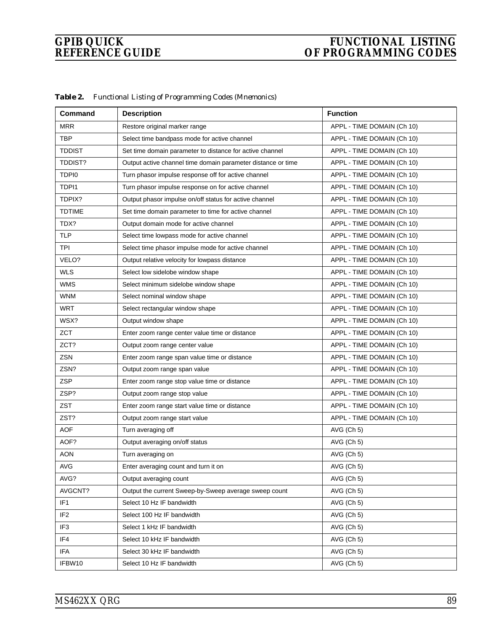| Command         | <b>Description</b>                                           | <b>Function</b>            |
|-----------------|--------------------------------------------------------------|----------------------------|
| <b>MRR</b>      | Restore original marker range                                | APPL - TIME DOMAIN (Ch 10) |
| <b>TBP</b>      | Select time bandpass mode for active channel                 | APPL - TIME DOMAIN (Ch 10) |
| <b>TDDIST</b>   | Set time domain parameter to distance for active channel     | APPL - TIME DOMAIN (Ch 10) |
| TDDIST?         | Output active channel time domain parameter distance or time | APPL - TIME DOMAIN (Ch 10) |
| TDPI0           | Turn phasor impulse response off for active channel          | APPL - TIME DOMAIN (Ch 10) |
| TDPI1           | Turn phasor impulse response on for active channel           | APPL - TIME DOMAIN (Ch 10) |
| TDPIX?          | Output phasor impulse on/off status for active channel       | APPL - TIME DOMAIN (Ch 10) |
| <b>TDTIME</b>   | Set time domain parameter to time for active channel         | APPL - TIME DOMAIN (Ch 10) |
| TDX?            | Output domain mode for active channel                        | APPL - TIME DOMAIN (Ch 10) |
| TLP             | Select time lowpass mode for active channel                  | APPL - TIME DOMAIN (Ch 10) |
| <b>TPI</b>      | Select time phasor impulse mode for active channel           | APPL - TIME DOMAIN (Ch 10) |
| VELO?           | Output relative velocity for lowpass distance                | APPL - TIME DOMAIN (Ch 10) |
| <b>WLS</b>      | Select low sidelobe window shape                             | APPL - TIME DOMAIN (Ch 10) |
| <b>WMS</b>      | Select minimum sidelobe window shape                         | APPL - TIME DOMAIN (Ch 10) |
| <b>WNM</b>      | Select nominal window shape                                  | APPL - TIME DOMAIN (Ch 10) |
| <b>WRT</b>      | Select rectangular window shape                              | APPL - TIME DOMAIN (Ch 10) |
| WSX?            | Output window shape                                          | APPL - TIME DOMAIN (Ch 10) |
| <b>ZCT</b>      | Enter zoom range center value time or distance               | APPL - TIME DOMAIN (Ch 10) |
| ZCT?            | Output zoom range center value                               | APPL - TIME DOMAIN (Ch 10) |
| ZSN             | Enter zoom range span value time or distance                 | APPL - TIME DOMAIN (Ch 10) |
| ZSN?            | Output zoom range span value                                 | APPL - TIME DOMAIN (Ch 10) |
| ZSP             | Enter zoom range stop value time or distance                 | APPL - TIME DOMAIN (Ch 10) |
| ZSP?            | Output zoom range stop value                                 | APPL - TIME DOMAIN (Ch 10) |
| ZST             | Enter zoom range start value time or distance                | APPL - TIME DOMAIN (Ch 10) |
| ZST?            | Output zoom range start value                                | APPL - TIME DOMAIN (Ch 10) |
| <b>AOF</b>      | Turn averaging off                                           | AVG (Ch 5)                 |
| AOF?            | Output averaging on/off status                               | AVG (Ch 5)                 |
| <b>AON</b>      | Turn averaging on                                            | AVG (Ch 5)                 |
| AVG             | Enter averaging count and turn it on                         | AVG (Ch 5)                 |
| AVG?            | Output averaging count                                       | $AVG$ (Ch 5)               |
| AVGCNT?         | Output the current Sweep-by-Sweep average sweep count        | $AVG$ (Ch 5)               |
| IF1             | Select 10 Hz IF bandwidth                                    | AVG (Ch 5)                 |
| IF <sub>2</sub> | Select 100 Hz IF bandwidth                                   | $AVG$ (Ch 5)               |
| IF <sub>3</sub> | Select 1 kHz IF bandwidth                                    | $AVG$ (Ch 5)               |
| IF4             | Select 10 kHz IF bandwidth                                   | AVG (Ch 5)                 |
| IFA             | Select 30 kHz IF bandwidth                                   | $AVG$ (Ch 5)               |
| IFBW10          | Select 10 Hz IF bandwidth                                    | AVG (Ch 5)                 |

*Table 2. Functional Listing of Programming Codes (Mnemonics)*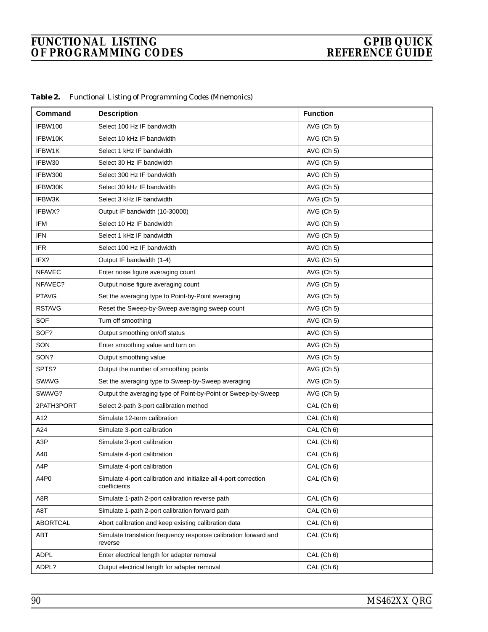| <i>Table 2.</i> | Functional Listing of Programming Codes (Mnemonics) |  |  |  |  |  |  |
|-----------------|-----------------------------------------------------|--|--|--|--|--|--|
|-----------------|-----------------------------------------------------|--|--|--|--|--|--|

| Command         | <b>Description</b>                                                               | <b>Function</b> |
|-----------------|----------------------------------------------------------------------------------|-----------------|
| IFBW100         | Select 100 Hz IF bandwidth                                                       | AVG (Ch 5)      |
| IFBW10K         | Select 10 kHz IF bandwidth                                                       | AVG (Ch 5)      |
| IFBW1K          | Select 1 kHz IF bandwidth                                                        | AVG (Ch 5)      |
| IFBW30          | Select 30 Hz IF bandwidth                                                        | AVG (Ch 5)      |
| IFBW300         | Select 300 Hz IF bandwidth                                                       | AVG (Ch 5)      |
| IFBW30K         | Select 30 kHz IF bandwidth                                                       | AVG (Ch 5)      |
| IFBW3K          | Select 3 kHz IF bandwidth                                                        | AVG (Ch 5)      |
| IFBWX?          | Output IF bandwidth (10-30000)                                                   | AVG (Ch 5)      |
| IFM             | Select 10 Hz IF bandwidth                                                        | AVG (Ch 5)      |
| IFN             | Select 1 kHz IF bandwidth                                                        | AVG (Ch 5)      |
| <b>IFR</b>      | Select 100 Hz IF bandwidth                                                       | AVG (Ch 5)      |
| IFX?            | Output IF bandwidth (1-4)                                                        | AVG (Ch 5)      |
| <b>NFAVEC</b>   | Enter noise figure averaging count                                               | AVG (Ch 5)      |
| NFAVEC?         | Output noise figure averaging count                                              | AVG (Ch 5)      |
| <b>PTAVG</b>    | Set the averaging type to Point-by-Point averaging                               | AVG (Ch 5)      |
| <b>RSTAVG</b>   | Reset the Sweep-by-Sweep averaging sweep count                                   | AVG (Ch 5)      |
| SOF             | Turn off smoothing                                                               | AVG (Ch 5)      |
| SOF?            | Output smoothing on/off status                                                   | AVG (Ch 5)      |
| SON             | Enter smoothing value and turn on                                                | AVG (Ch 5)      |
| SON?            | Output smoothing value                                                           | AVG (Ch 5)      |
| SPTS?           | Output the number of smoothing points                                            | AVG (Ch 5)      |
| <b>SWAVG</b>    | Set the averaging type to Sweep-by-Sweep averaging                               | AVG (Ch 5)      |
| SWAVG?          | Output the averaging type of Point-by-Point or Sweep-by-Sweep                    | AVG (Ch 5)      |
| 2PATH3PORT      | Select 2-path 3-port calibration method                                          | CAL (Ch 6)      |
| A12             | Simulate 12-term calibration                                                     | CAL (Ch 6)      |
| A24             | Simulate 3-port calibration                                                      | CAL (Ch 6)      |
| A3P             | Simulate 3-port calibration                                                      | CAL (Ch 6)      |
| A40             | Simulate 4-port calibration                                                      | CAL (Ch 6)      |
| A4P             | Simulate 4-port calibration                                                      | CAL (Ch 6)      |
| A4P0            | Simulate 4-port calibration and initialize all 4-port correction<br>coefficients | CAL (Ch 6)      |
| A8R             | Simulate 1-path 2-port calibration reverse path                                  | CAL (Ch 6)      |
| A8T             | Simulate 1-path 2-port calibration forward path                                  | CAL (Ch 6)      |
| <b>ABORTCAL</b> | Abort calibration and keep existing calibration data                             | CAL (Ch 6)      |
| ABT             | Simulate translation frequency response calibration forward and<br>reverse       | CAL (Ch 6)      |
| <b>ADPL</b>     | Enter electrical length for adapter removal                                      | CAL (Ch 6)      |
| ADPL?           | Output electrical length for adapter removal                                     | CAL (Ch 6)      |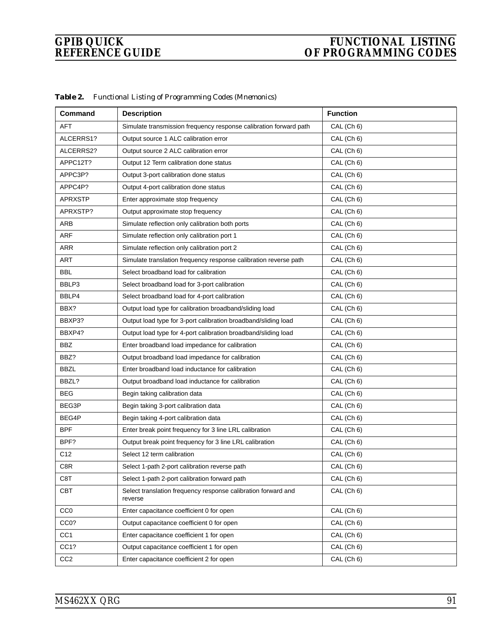| Command          | <b>Description</b>                                                       | <b>Function</b> |
|------------------|--------------------------------------------------------------------------|-----------------|
| <b>AFT</b>       | Simulate transmission frequency response calibration forward path        | CAL (Ch 6)      |
| ALCERRS1?        | Output source 1 ALC calibration error                                    | CAL (Ch 6)      |
| ALCERRS2?        | Output source 2 ALC calibration error                                    | CAL (Ch 6)      |
| APPC12T?         | Output 12 Term calibration done status                                   | CAL (Ch 6)      |
| APPC3P?          | Output 3-port calibration done status                                    | CAL (Ch 6)      |
| APPC4P?          | Output 4-port calibration done status                                    | CAL (Ch 6)      |
| APRXSTP          | Enter approximate stop frequency                                         | CAL (Ch 6)      |
| APRXSTP?         | Output approximate stop frequency                                        | CAL (Ch 6)      |
| ARB              | Simulate reflection only calibration both ports                          | CAL (Ch 6)      |
| ARF              | Simulate reflection only calibration port 1                              | CAL (Ch 6)      |
| ARR              | Simulate reflection only calibration port 2                              | CAL (Ch 6)      |
| <b>ART</b>       | Simulate translation frequency response calibration reverse path         | CAL (Ch 6)      |
| <b>BBL</b>       | Select broadband load for calibration                                    | CAL (Ch 6)      |
| BBLP3            | Select broadband load for 3-port calibration                             | CAL (Ch 6)      |
| BBLP4            | Select broadband load for 4-port calibration                             | CAL (Ch 6)      |
| BBX?             | Output load type for calibration broadband/sliding load                  | CAL (Ch 6)      |
| BBXP3?           | Output load type for 3-port calibration broadband/sliding load           | CAL (Ch 6)      |
| BBXP4?           | Output load type for 4-port calibration broadband/sliding load           | CAL (Ch 6)      |
| <b>BBZ</b>       | Enter broadband load impedance for calibration                           | CAL (Ch 6)      |
| BBZ?             | Output broadband load impedance for calibration                          | CAL (Ch 6)      |
| <b>BBZL</b>      | Enter broadband load inductance for calibration                          | CAL (Ch 6)      |
| BBZL?            | Output broadband load inductance for calibration                         | CAL (Ch 6)      |
| <b>BEG</b>       | Begin taking calibration data                                            | CAL (Ch 6)      |
| BEG3P            | Begin taking 3-port calibration data                                     | CAL (Ch 6)      |
| BEG4P            | Begin taking 4-port calibration data                                     | CAL (Ch 6)      |
| <b>BPF</b>       | Enter break point frequency for 3 line LRL calibration                   | CAL (Ch 6)      |
| BPF?             | Output break point frequency for 3 line LRL calibration                  | CAL (Ch 6)      |
| C <sub>12</sub>  | Select 12 term calibration                                               | CAL (Ch 6)      |
| C8R              | Select 1-path 2-port calibration reverse path                            | CAL (Ch 6)      |
| C8T              | Select 1-path 2-port calibration forward path                            | CAL (Ch 6)      |
| <b>CBT</b>       | Select translation frequency response calibration forward and<br>reverse | CAL (Ch 6)      |
| CC <sub>0</sub>  | Enter capacitance coefficient 0 for open                                 | CAL (Ch 6)      |
| CC <sub>0?</sub> | Output capacitance coefficient 0 for open                                | CAL (Ch 6)      |
| CC <sub>1</sub>  | Enter capacitance coefficient 1 for open                                 | CAL (Ch 6)      |
| CC <sub>1?</sub> | Output capacitance coefficient 1 for open                                | CAL (Ch 6)      |
| CC <sub>2</sub>  | Enter capacitance coefficient 2 for open                                 | CAL (Ch 6)      |

*Table 2. Functional Listing of Programming Codes (Mnemonics)*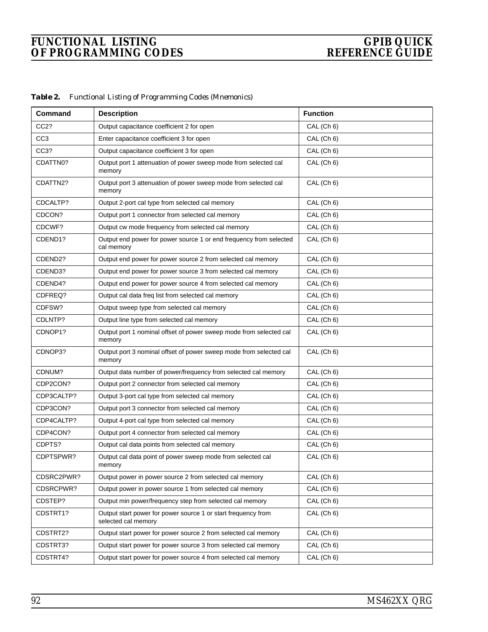| Command           | <b>Description</b>                                                                   | <b>Function</b> |
|-------------------|--------------------------------------------------------------------------------------|-----------------|
| CC <sub>2</sub> ? | Output capacitance coefficient 2 for open                                            | CAL (Ch 6)      |
| CC <sub>3</sub>   | Enter capacitance coefficient 3 for open                                             | CAL (Ch 6)      |
| CC3?              | Output capacitance coefficient 3 for open                                            | CAL (Ch 6)      |
| CDATTN0?          | Output port 1 attenuation of power sweep mode from selected cal<br>memory            | CAL (Ch 6)      |
| CDATTN2?          | Output port 3 attenuation of power sweep mode from selected cal<br>memory            | CAL (Ch 6)      |
| CDCALTP?          | Output 2-port cal type from selected cal memory                                      | CAL (Ch 6)      |
| CDCON?            | Output port 1 connector from selected cal memory                                     | CAL (Ch 6)      |
| CDCWF?            | Output cw mode frequency from selected cal memory                                    | CAL (Ch 6)      |
| CDEND1?           | Output end power for power source 1 or end frequency from selected<br>cal memory     | CAL (Ch 6)      |
| CDEND2?           | Output end power for power source 2 from selected cal memory                         | CAL (Ch 6)      |
| CDEND3?           | Output end power for power source 3 from selected cal memory                         | CAL (Ch 6)      |
| CDEND4?           | Output end power for power source 4 from selected cal memory                         | CAL (Ch 6)      |
| CDFREQ?           | Output cal data freq list from selected cal memory                                   | CAL (Ch 6)      |
| CDFSW?            | Output sweep type from selected cal memory                                           | CAL (Ch 6)      |
| CDLNTP?           | Output line type from selected cal memory                                            | CAL (Ch 6)      |
| CDNOP1?           | Output port 1 nominal offset of power sweep mode from selected cal<br>memory         | CAL (Ch 6)      |
| CDNOP3?           | Output port 3 nominal offset of power sweep mode from selected cal<br>memory         | CAL (Ch 6)      |
| CDNUM?            | Output data number of power/frequency from selected cal memory                       | CAL (Ch 6)      |
| CDP2CON?          | Output port 2 connector from selected cal memory                                     | CAL (Ch 6)      |
| CDP3CALTP?        | Output 3-port cal type from selected cal memory                                      | CAL (Ch 6)      |
| CDP3CON?          | Output port 3 connector from selected cal memory                                     | CAL (Ch 6)      |
| CDP4CALTP?        | Output 4-port cal type from selected cal memory                                      | CAL (Ch 6)      |
| CDP4CON?          | Output port 4 connector from selected cal memory                                     | CAL (Ch 6)      |
| CDPTS?            | Output cal data points from selected cal memory                                      | CAL (Ch 6)      |
| CDPTSPWR?         | Output cal data point of power sweep mode from selected cal<br>memory                | CAL (Ch 6)      |
| CDSRC2PWR?        | Output power in power source 2 from selected cal memory                              | CAL (Ch 6)      |
| CDSRCPWR?         | Output power in power source 1 from selected cal memory                              | CAL (Ch 6)      |
| CDSTEP?           | Output min power/frequency step from selected cal memory                             | CAL (Ch 6)      |
| CDSTRT1?          | Output start power for power source 1 or start frequency from<br>selected cal memory | CAL (Ch 6)      |
| CDSTRT2?          | Output start power for power source 2 from selected cal memory                       | CAL (Ch 6)      |
| CDSTRT3?          | Output start power for power source 3 from selected cal memory                       | CAL (Ch 6)      |
| CDSTRT4?          | Output start power for power source 4 from selected cal memory                       | CAL (Ch 6)      |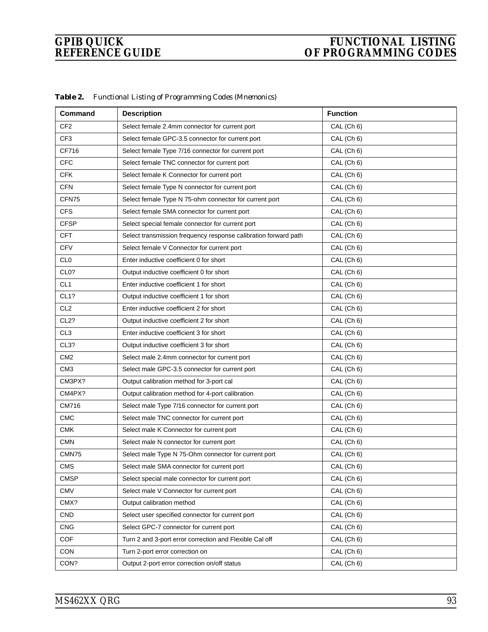| Command           | <b>Description</b>                                              | <b>Function</b> |
|-------------------|-----------------------------------------------------------------|-----------------|
| CF <sub>2</sub>   | Select female 2.4mm connector for current port                  | CAL (Ch 6)      |
| CF <sub>3</sub>   | Select female GPC-3.5 connector for current port                | CAL (Ch 6)      |
| CF716             | Select female Type 7/16 connector for current port              | CAL (Ch 6)      |
| <b>CFC</b>        | Select female TNC connector for current port                    | CAL (Ch 6)      |
| <b>CFK</b>        | Select female K Connector for current port                      | CAL (Ch 6)      |
| <b>CFN</b>        | Select female Type N connector for current port                 | CAL (Ch 6)      |
| CFN75             | Select female Type N 75-ohm connector for current port          | CAL (Ch 6)      |
| <b>CFS</b>        | Select female SMA connector for current port                    | CAL (Ch 6)      |
| <b>CFSP</b>       | Select special female connector for current port                | CAL (Ch 6)      |
| <b>CFT</b>        | Select transmission frequency response calibration forward path | CAL (Ch 6)      |
| <b>CFV</b>        | Select female V Connector for current port                      | CAL (Ch 6)      |
| CL <sub>0</sub>   | Enter inductive coefficient 0 for short                         | CAL (Ch 6)      |
| CL <sub>0</sub> ? | Output inductive coefficient 0 for short                        | CAL (Ch 6)      |
| CL <sub>1</sub>   | Enter inductive coefficient 1 for short                         | CAL (Ch 6)      |
| CL <sub>1?</sub>  | Output inductive coefficient 1 for short                        | CAL (Ch 6)      |
| CL <sub>2</sub>   | Enter inductive coefficient 2 for short                         | CAL (Ch 6)      |
| CL <sub>2</sub> ? | Output inductive coefficient 2 for short                        | CAL (Ch 6)      |
| CL <sub>3</sub>   | Enter inductive coefficient 3 for short                         | CAL (Ch 6)      |
| CL <sub>3</sub> ? | Output inductive coefficient 3 for short                        | CAL (Ch 6)      |
| CM <sub>2</sub>   | Select male 2.4mm connector for current port                    | CAL (Ch 6)      |
| CM <sub>3</sub>   | Select male GPC-3.5 connector for current port                  | CAL (Ch 6)      |
| CM3PX?            | Output calibration method for 3-port cal                        | CAL (Ch 6)      |
| CM4PX?            | Output calibration method for 4-port calibration                | CAL (Ch 6)      |
| CM716             | Select male Type 7/16 connector for current port                | CAL (Ch 6)      |
| <b>CMC</b>        | Select male TNC connector for current port                      | CAL (Ch 6)      |
| <b>CMK</b>        | Select male K Connector for current port                        | CAL (Ch 6)      |
| <b>CMN</b>        | Select male N connector for current port                        | CAL (Ch 6)      |
| CMN75             | Select male Type N 75-Ohm connector for current port            | CAL (Ch 6)      |
| <b>CMS</b>        | Select male SMA connector for current port                      | CAL (Ch 6)      |
| <b>CMSP</b>       | Select special male connector for current port                  | CAL (Ch 6)      |
| <b>CMV</b>        | Select male V Connector for current port                        | CAL (Ch 6)      |
| CMX?              | Output calibration method                                       | CAL (Ch 6)      |
| <b>CND</b>        | Select user specified connector for current port                | CAL (Ch 6)      |
| <b>CNG</b>        | Select GPC-7 connector for current port                         | CAL (Ch 6)      |
| <b>COF</b>        | Turn 2 and 3-port error correction and Flexible Cal off         | CAL (Ch 6)      |
| CON               | Turn 2-port error correction on                                 | CAL (Ch 6)      |
| CON?              | Output 2-port error correction on/off status                    | CAL (Ch 6)      |

*Table 2. Functional Listing of Programming Codes (Mnemonics)*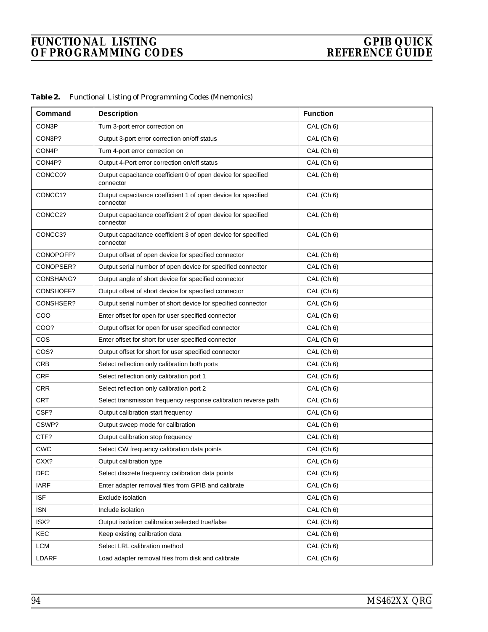| Command     | <b>Description</b>                                                         | <b>Function</b> |
|-------------|----------------------------------------------------------------------------|-----------------|
| CON3P       | Turn 3-port error correction on                                            | CAL (Ch 6)      |
| CON3P?      | Output 3-port error correction on/off status                               | CAL (Ch 6)      |
| CON4P       | Turn 4-port error correction on                                            | CAL (Ch 6)      |
| CON4P?      | Output 4-Port error correction on/off status                               | CAL (Ch 6)      |
| CONCC0?     | Output capacitance coefficient 0 of open device for specified<br>connector | CAL (Ch 6)      |
| CONCC1?     | Output capacitance coefficient 1 of open device for specified<br>connector | CAL (Ch 6)      |
| CONCC2?     | Output capacitance coefficient 2 of open device for specified<br>connector | CAL (Ch 6)      |
| CONCC3?     | Output capacitance coefficient 3 of open device for specified<br>connector | CAL (Ch 6)      |
| CONOPOFF?   | Output offset of open device for specified connector                       | CAL (Ch 6)      |
| CONOPSER?   | Output serial number of open device for specified connector                | CAL (Ch 6)      |
| CONSHANG?   | Output angle of short device for specified connector                       | CAL (Ch 6)      |
| CONSHOFF?   | Output offset of short device for specified connector                      | CAL (Ch 6)      |
| CONSHSER?   | Output serial number of short device for specified connector               | CAL (Ch 6)      |
| COO         | Enter offset for open for user specified connector                         | CAL (Ch 6)      |
| COO?        | Output offset for open for user specified connector                        | CAL (Ch 6)      |
| COS         | Enter offset for short for user specified connector                        | CAL (Ch 6)      |
| COS?        | Output offset for short for user specified connector                       | CAL (Ch 6)      |
| <b>CRB</b>  | Select reflection only calibration both ports                              | CAL (Ch 6)      |
| <b>CRF</b>  | Select reflection only calibration port 1                                  | CAL (Ch 6)      |
| <b>CRR</b>  | Select reflection only calibration port 2                                  | CAL (Ch 6)      |
| <b>CRT</b>  | Select transmission frequency response calibration reverse path            | CAL (Ch 6)      |
| CSF?        | Output calibration start frequency                                         | CAL (Ch 6)      |
| CSWP?       | Output sweep mode for calibration                                          | CAL (Ch 6)      |
| CTF?        | Output calibration stop frequency                                          | CAL (Ch 6)      |
| <b>CWC</b>  | Select CW frequency calibration data points                                | CAL (Ch 6)      |
| CXX?        | Output calibration type                                                    | CAL (Ch 6)      |
| <b>DFC</b>  | Select discrete frequency calibration data points                          | CAL (Ch 6)      |
| <b>IARF</b> | Enter adapter removal files from GPIB and calibrate                        | CAL (Ch 6)      |
| <b>ISF</b>  | Exclude isolation                                                          | CAL (Ch 6)      |
| <b>ISN</b>  | Include isolation                                                          | CAL (Ch 6)      |
| ISX?        | Output isolation calibration selected true/false                           | CAL (Ch 6)      |
| KEC         | Keep existing calibration data                                             | CAL (Ch 6)      |
| LCM         | Select LRL calibration method                                              | CAL (Ch 6)      |
| LDARF       | Load adapter removal files from disk and calibrate                         | CAL (Ch 6)      |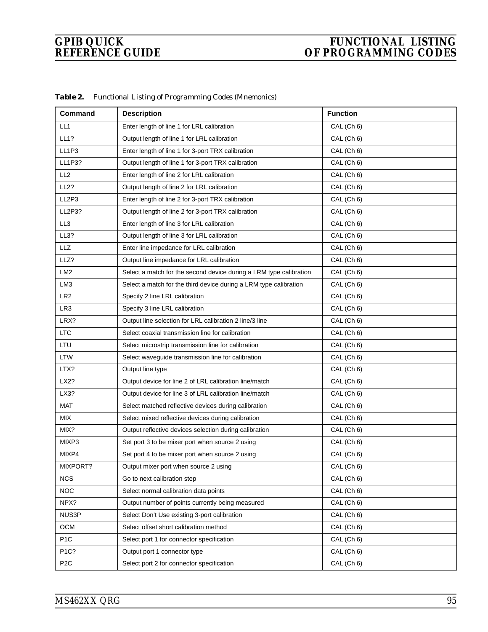| Command           | <b>Description</b>                                                 | <b>Function</b> |
|-------------------|--------------------------------------------------------------------|-----------------|
| LL1               | Enter length of line 1 for LRL calibration                         | CAL (Ch 6)      |
| <b>LL1?</b>       | Output length of line 1 for LRL calibration                        | CAL (Ch 6)      |
| LL1P3             | Enter length of line 1 for 3-port TRX calibration                  | CAL (Ch 6)      |
| <b>LL1P3?</b>     | Output length of line 1 for 3-port TRX calibration                 | CAL (Ch 6)      |
| LL <sub>2</sub>   | Enter length of line 2 for LRL calibration                         | CAL (Ch 6)      |
| <b>LL2?</b>       | Output length of line 2 for LRL calibration                        | CAL (Ch 6)      |
| LL2P3             | Enter length of line 2 for 3-port TRX calibration                  | CAL (Ch 6)      |
| LL2P3?            | Output length of line 2 for 3-port TRX calibration                 | CAL (Ch 6)      |
| LL3               | Enter length of line 3 for LRL calibration                         | CAL (Ch 6)      |
| LL3?              | Output length of line 3 for LRL calibration                        | CAL (Ch 6)      |
| LLZ               | Enter line impedance for LRL calibration                           | CAL (Ch 6)      |
| LLZ?              | Output line impedance for LRL calibration                          | CAL (Ch 6)      |
| LM <sub>2</sub>   | Select a match for the second device during a LRM type calibration | CAL (Ch 6)      |
| LM <sub>3</sub>   | Select a match for the third device during a LRM type calibration  | CAL (Ch 6)      |
| LR <sub>2</sub>   | Specify 2 line LRL calibration                                     | CAL (Ch 6)      |
| LR <sub>3</sub>   | Specify 3 line LRL calibration                                     | CAL (Ch 6)      |
| LRX?              | Output line selection for LRL calibration 2 line/3 line            | CAL (Ch 6)      |
| <b>LTC</b>        | Select coaxial transmission line for calibration                   | CAL (Ch 6)      |
| LTU               | Select microstrip transmission line for calibration                | CAL (Ch 6)      |
| <b>LTW</b>        | Select waveguide transmission line for calibration                 | CAL (Ch 6)      |
| LTX?              | Output line type                                                   | CAL (Ch 6)      |
| LX2?              | Output device for line 2 of LRL calibration line/match             | CAL (Ch 6)      |
| LX3?              | Output device for line 3 of LRL calibration line/match             | CAL (Ch 6)      |
| <b>MAT</b>        | Select matched reflective devices during calibration               | CAL (Ch 6)      |
| MIX               | Select mixed reflective devices during calibration                 | CAL (Ch 6)      |
| MIX?              | Output reflective devices selection during calibration             | CAL (Ch 6)      |
| MIXP3             | Set port 3 to be mixer port when source 2 using                    | CAL (Ch 6)      |
| MIXP4             | Set port 4 to be mixer port when source 2 using                    | CAL (Ch 6)      |
| MIXPORT?          | Output mixer port when source 2 using                              | CAL (Ch 6)      |
| <b>NCS</b>        | Go to next calibration step                                        | CAL (Ch 6)      |
| <b>NOC</b>        | Select normal calibration data points                              | CAL (Ch 6)      |
| NPX?              | Output number of points currently being measured                   | CAL (Ch 6)      |
| NUS3P             | Select Don't Use existing 3-port calibration                       | CAL (Ch 6)      |
| <b>OCM</b>        | Select offset short calibration method                             | CAL (Ch 6)      |
| P <sub>1</sub> C  | Select port 1 for connector specification                          | CAL (Ch 6)      |
| P <sub>1C</sub> ? | Output port 1 connector type                                       | CAL (Ch 6)      |
| P <sub>2</sub> C  | Select port 2 for connector specification                          | CAL (Ch 6)      |

*Table 2. Functional Listing of Programming Codes (Mnemonics)*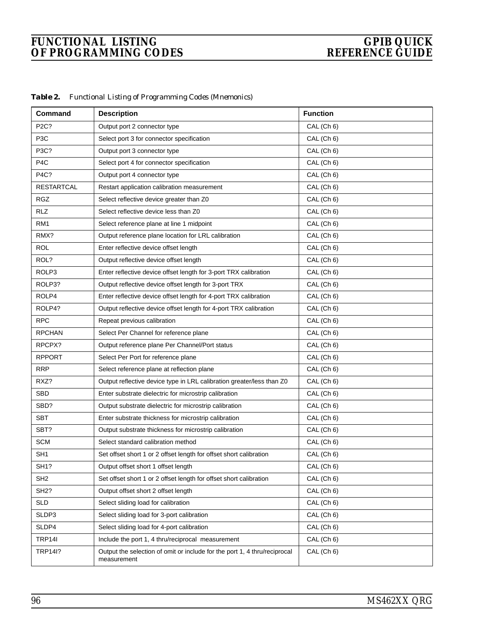| Command           | <b>Description</b>                                                                       | <b>Function</b> |
|-------------------|------------------------------------------------------------------------------------------|-----------------|
| P <sub>2C</sub> ? | Output port 2 connector type                                                             | CAL (Ch 6)      |
| P <sub>3</sub> C  | Select port 3 for connector specification                                                | CAL (Ch 6)      |
| P3C?              | Output port 3 connector type                                                             | CAL (Ch 6)      |
| P <sub>4</sub> C  | Select port 4 for connector specification                                                | CAL (Ch 6)      |
| P4C?              | Output port 4 connector type                                                             | CAL (Ch 6)      |
| <b>RESTARTCAL</b> | Restart application calibration measurement                                              | CAL (Ch 6)      |
| <b>RGZ</b>        | Select reflective device greater than Z0                                                 | CAL (Ch 6)      |
| <b>RLZ</b>        | Select reflective device less than Z0                                                    | CAL (Ch 6)      |
| RM <sub>1</sub>   | Select reference plane at line 1 midpoint                                                | CAL (Ch 6)      |
| RMX?              | Output reference plane location for LRL calibration                                      | CAL (Ch 6)      |
| <b>ROL</b>        | Enter reflective device offset length                                                    | CAL (Ch 6)      |
| ROL?              | Output reflective device offset length                                                   | CAL (Ch 6)      |
| ROLP3             | Enter reflective device offset length for 3-port TRX calibration                         | CAL (Ch 6)      |
| ROLP3?            | Output reflective device offset length for 3-port TRX                                    | CAL (Ch 6)      |
| ROLP4             | Enter reflective device offset length for 4-port TRX calibration                         | CAL (Ch 6)      |
| ROLP4?            | Output reflective device offset length for 4-port TRX calibration                        | CAL (Ch 6)      |
| <b>RPC</b>        | Repeat previous calibration                                                              | CAL (Ch 6)      |
| <b>RPCHAN</b>     | Select Per Channel for reference plane                                                   | CAL (Ch 6)      |
| RPCPX?            | Output reference plane Per Channel/Port status                                           | CAL (Ch 6)      |
| <b>RPPORT</b>     | Select Per Port for reference plane                                                      | CAL (Ch 6)      |
| <b>RRP</b>        | Select reference plane at reflection plane                                               | CAL (Ch 6)      |
| RXZ?              | Output reflective device type in LRL calibration greater/less than Z0                    | CAL (Ch 6)      |
| <b>SBD</b>        | Enter substrate dielectric for microstrip calibration                                    | CAL (Ch 6)      |
| SBD?              | Output substrate dielectric for microstrip calibration                                   | CAL (Ch 6)      |
| <b>SBT</b>        | Enter substrate thickness for microstrip calibration                                     | CAL (Ch 6)      |
| SBT?              | Output substrate thickness for microstrip calibration                                    | CAL (Ch 6)      |
| <b>SCM</b>        | Select standard calibration method                                                       | CAL (Ch 6)      |
| SH <sub>1</sub>   | Set offset short 1 or 2 offset length for offset short calibration                       | CAL (Ch 6)      |
| <b>SH1?</b>       | Output offset short 1 offset length                                                      | CAL (Ch 6)      |
| SH <sub>2</sub>   | Set offset short 1 or 2 offset length for offset short calibration                       | CAL (Ch 6)      |
| SH <sub>2</sub> ? | Output offset short 2 offset length                                                      | CAL (Ch 6)      |
| <b>SLD</b>        | Select sliding load for calibration                                                      | CAL (Ch 6)      |
| SLDP3             | Select sliding load for 3-port calibration                                               | CAL (Ch 6)      |
| SLDP4             | Select sliding load for 4-port calibration                                               | CAL (Ch 6)      |
| TRP14I            | Include the port 1, 4 thru/reciprocal measurement                                        | CAL (Ch 6)      |
| <b>TRP14I?</b>    | Output the selection of omit or include for the port 1, 4 thru/reciprocal<br>measurement | CAL (Ch 6)      |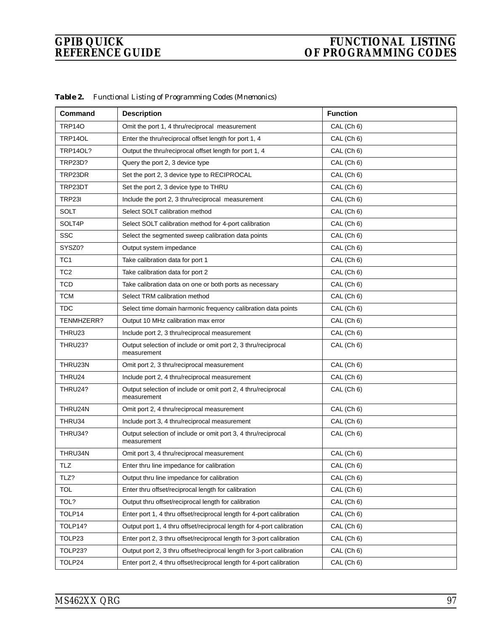| Command         | <b>Description</b>                                                           | <b>Function</b> |
|-----------------|------------------------------------------------------------------------------|-----------------|
| <b>TRP140</b>   | Omit the port 1, 4 thru/reciprocal measurement                               | CAL (Ch 6)      |
| TRP14OL         | Enter the thru/reciprocal offset length for port 1, 4                        | CAL (Ch 6)      |
| <b>TRP14OL?</b> | Output the thru/reciprocal offset length for port 1, 4                       | CAL (Ch 6)      |
| TRP23D?         | Query the port 2, 3 device type                                              | CAL (Ch 6)      |
| TRP23DR         | Set the port 2, 3 device type to RECIPROCAL                                  | CAL (Ch 6)      |
| TRP23DT         | Set the port 2, 3 device type to THRU                                        | CAL (Ch 6)      |
| TRP23I          | Include the port 2, 3 thru/reciprocal measurement                            | CAL (Ch 6)      |
| <b>SOLT</b>     | Select SOLT calibration method                                               | CAL (Ch 6)      |
| SOLT4P          | Select SOLT calibration method for 4-port calibration                        | CAL (Ch 6)      |
| <b>SSC</b>      | Select the segmented sweep calibration data points                           | CAL (Ch 6)      |
| SYSZ0?          | Output system impedance                                                      | CAL (Ch 6)      |
| TC <sub>1</sub> | Take calibration data for port 1                                             | CAL (Ch 6)      |
| TC <sub>2</sub> | Take calibration data for port 2                                             | CAL (Ch 6)      |
| <b>TCD</b>      | Take calibration data on one or both ports as necessary                      | CAL (Ch 6)      |
| <b>TCM</b>      | Select TRM calibration method                                                | CAL (Ch 6)      |
| <b>TDC</b>      | Select time domain harmonic frequency calibration data points                | CAL (Ch 6)      |
| TENMHZERR?      | Output 10 MHz calibration max error                                          | CAL (Ch 6)      |
| THRU23          | Include port 2, 3 thru/reciprocal measurement                                | CAL (Ch 6)      |
| THRU23?         | Output selection of include or omit port 2, 3 thru/reciprocal<br>measurement | CAL (Ch 6)      |
| THRU23N         | Omit port 2, 3 thru/reciprocal measurement                                   | CAL (Ch 6)      |
| THRU24          | Include port 2, 4 thru/reciprocal measurement                                | CAL (Ch 6)      |
| THRU24?         | Output selection of include or omit port 2, 4 thru/reciprocal<br>measurement | CAL (Ch 6)      |
| THRU24N         | Omit port 2, 4 thru/reciprocal measurement                                   | CAL (Ch 6)      |
| THRU34          | Include port 3, 4 thru/reciprocal measurement                                | CAL (Ch 6)      |
| THRU34?         | Output selection of include or omit port 3, 4 thru/reciprocal<br>measurement | CAL (Ch 6)      |
| THRU34N         | Omit port 3, 4 thru/reciprocal measurement                                   | CAL (Ch 6)      |
| TLZ             | Enter thru line impedance for calibration                                    | CAL (Ch 6)      |
| TLZ?            | Output thru line impedance for calibration                                   | CAL (Ch 6)      |
| TOL             | Enter thru offset/reciprocal length for calibration                          | CAL (Ch 6)      |
| TOL?            | Output thru offset/reciprocal length for calibration                         | CAL (Ch 6)      |
| TOLP14          | Enter port 1, 4 thru offset/reciprocal length for 4-port calibration         | CAL (Ch 6)      |
| TOLP14?         | Output port 1, 4 thru offset/reciprocal length for 4-port calibration        | CAL (Ch 6)      |
| TOLP23          | Enter port 2, 3 thru offset/reciprocal length for 3-port calibration         | CAL (Ch 6)      |
| TOLP23?         | Output port 2, 3 thru offset/reciprocal length for 3-port calibration        | CAL (Ch 6)      |
| TOLP24          | Enter port 2, 4 thru offset/reciprocal length for 4-port calibration         | CAL (Ch 6)      |

*Table 2. Functional Listing of Programming Codes (Mnemonics)*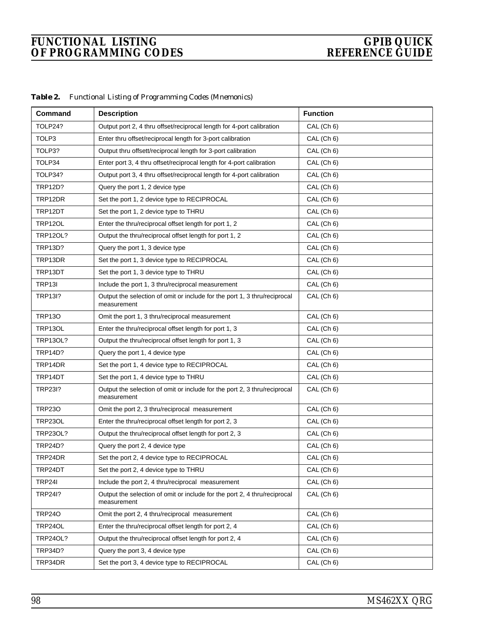| Table 2. | Functional Listing of Programming Codes (Mnemonics) |  |  |  |  |  |  |
|----------|-----------------------------------------------------|--|--|--|--|--|--|
|----------|-----------------------------------------------------|--|--|--|--|--|--|

| Command         | <b>Description</b>                                                                       | <b>Function</b> |
|-----------------|------------------------------------------------------------------------------------------|-----------------|
| TOLP24?         | Output port 2, 4 thru offset/reciprocal length for 4-port calibration                    | CAL (Ch 6)      |
| TOLP3           | Enter thru offset/reciprocal length for 3-port calibration                               | CAL (Ch 6)      |
| TOLP3?          | Output thru offsett/reciprocal length for 3-port calibration                             | CAL (Ch 6)      |
| TOLP34          | Enter port 3, 4 thru offset/reciprocal length for 4-port calibration                     | CAL (Ch 6)      |
| TOLP34?         | Output port 3, 4 thru offset/reciprocal length for 4-port calibration                    | CAL (Ch 6)      |
| <b>TRP12D?</b>  | Query the port 1, 2 device type                                                          | CAL (Ch 6)      |
| TRP12DR         | Set the port 1, 2 device type to RECIPROCAL                                              | CAL (Ch 6)      |
| TRP12DT         | Set the port 1, 2 device type to THRU                                                    | CAL (Ch 6)      |
| TRP12OL         | Enter the thru/reciprocal offset length for port 1, 2                                    | CAL (Ch 6)      |
| <b>TRP12OL?</b> | Output the thru/reciprocal offset length for port 1, 2                                   | CAL (Ch 6)      |
| <b>TRP13D?</b>  | Query the port 1, 3 device type                                                          | CAL (Ch 6)      |
| TRP13DR         | Set the port 1, 3 device type to RECIPROCAL                                              | CAL (Ch 6)      |
| TRP13DT         | Set the port 1, 3 device type to THRU                                                    | CAL (Ch 6)      |
| <b>TRP13I</b>   | Include the port 1, 3 thru/reciprocal measurement                                        | CAL (Ch 6)      |
| <b>TRP13I?</b>  | Output the selection of omit or include for the port 1, 3 thru/reciprocal<br>measurement | CAL (Ch 6)      |
| <b>TRP130</b>   | Omit the port 1, 3 thru/reciprocal measurement                                           | CAL (Ch 6)      |
| <b>TRP13OL</b>  | Enter the thru/reciprocal offset length for port 1, 3                                    | CAL (Ch 6)      |
| <b>TRP13OL?</b> | Output the thru/reciprocal offset length for port 1, 3                                   | CAL (Ch 6)      |
| TRP14D?         | Query the port 1, 4 device type                                                          | CAL (Ch 6)      |
| TRP14DR         | Set the port 1, 4 device type to RECIPROCAL                                              | CAL (Ch 6)      |
| TRP14DT         | Set the port 1, 4 device type to THRU                                                    | CAL (Ch 6)      |
| <b>TRP23I?</b>  | Output the selection of omit or include for the port 2, 3 thru/reciprocal<br>measurement | CAL (Ch 6)      |
| <b>TRP230</b>   | Omit the port 2, 3 thru/reciprocal measurement                                           | CAL (Ch 6)      |
| TRP23OL         | Enter the thru/reciprocal offset length for port 2, 3                                    | CAL (Ch 6)      |
| <b>TRP23OL?</b> | Output the thru/reciprocal offset length for port 2, 3                                   | CAL (Ch 6)      |
| <b>TRP24D?</b>  | Query the port 2, 4 device type                                                          | CAL (Ch 6)      |
| TRP24DR         | Set the port 2, 4 device type to RECIPROCAL                                              | CAL (Ch 6)      |
| TRP24DT         | Set the port 2, 4 device type to THRU                                                    | CAL (Ch 6)      |
| <b>TRP241</b>   | Include the port 2, 4 thru/reciprocal measurement                                        | CAL (Ch 6)      |
| <b>TRP24I?</b>  | Output the selection of omit or include for the port 2, 4 thru/reciprocal<br>measurement | CAL (Ch 6)      |
| <b>TRP240</b>   | Omit the port 2, 4 thru/reciprocal measurement                                           | CAL (Ch 6)      |
| TRP24OL         | Enter the thru/reciprocal offset length for port 2, 4                                    | CAL (Ch 6)      |
| <b>TRP24OL?</b> | Output the thru/reciprocal offset length for port 2, 4                                   | CAL (Ch 6)      |
| TRP34D?         | Query the port 3, 4 device type                                                          | CAL (Ch 6)      |
| TRP34DR         | Set the port 3, 4 device type to RECIPROCAL                                              | CAL (Ch 6)      |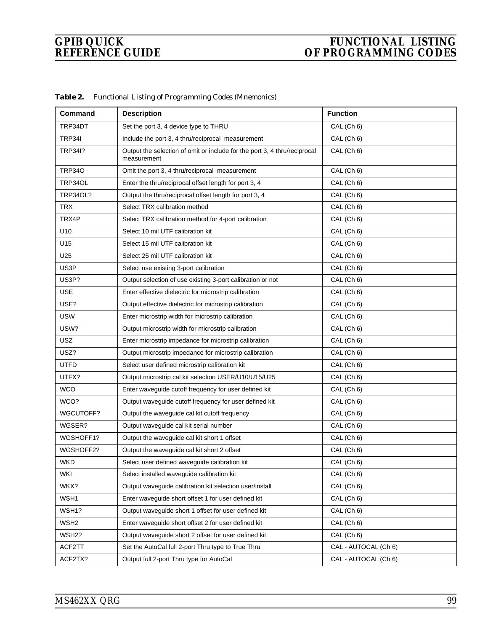| Command            | <b>Description</b>                                                                       | <b>Function</b>      |
|--------------------|------------------------------------------------------------------------------------------|----------------------|
| TRP34DT            | Set the port 3, 4 device type to THRU                                                    | CAL (Ch 6)           |
| <b>TRP34I</b>      | Include the port 3, 4 thru/reciprocal measurement                                        | CAL (Ch 6)           |
| <b>TRP34I?</b>     | Output the selection of omit or include for the port 3, 4 thru/reciprocal<br>measurement | CAL (Ch 6)           |
| <b>TRP340</b>      | Omit the port 3, 4 thru/reciprocal measurement                                           | CAL (Ch 6)           |
| TRP34OL            | Enter the thru/reciprocal offset length for port 3, 4                                    | CAL (Ch 6)           |
| <b>TRP34OL?</b>    | Output the thru/reciprocal offset length for port 3, 4                                   | CAL (Ch 6)           |
| <b>TRX</b>         | Select TRX calibration method                                                            | CAL (Ch 6)           |
| TRX4P              | Select TRX calibration method for 4-port calibration                                     | CAL (Ch 6)           |
| U10                | Select 10 mil UTF calibration kit                                                        | CAL (Ch 6)           |
| U15                | Select 15 mil UTF calibration kit                                                        | CAL (Ch 6)           |
| U25                | Select 25 mil UTF calibration kit                                                        | CAL (Ch 6)           |
| US3P               | Select use existing 3-port calibration                                                   | CAL (Ch 6)           |
| US3P?              | Output selection of use existing 3-port calibration or not                               | CAL (Ch 6)           |
| <b>USE</b>         | Enter effective dielectric for microstrip calibration                                    | CAL (Ch 6)           |
| USE?               | Output effective dielectric for microstrip calibration                                   | CAL (Ch 6)           |
| <b>USW</b>         | Enter microstrip width for microstrip calibration                                        | CAL (Ch 6)           |
| USW?               | Output microstrip width for microstrip calibration                                       | CAL (Ch 6)           |
| <b>USZ</b>         | Enter microstrip impedance for microstrip calibration                                    | CAL (Ch 6)           |
| USZ?               | Output microstrip impedance for microstrip calibration                                   | CAL (Ch 6)           |
| <b>UTFD</b>        | Select user defined microstrip calibration kit                                           | CAL (Ch 6)           |
| UTFX?              | Output microstrip cal kit selection USER/U10/U15/U25                                     | CAL (Ch 6)           |
| <b>WCO</b>         | Enter waveguide cutoff frequency for user defined kit                                    | CAL (Ch 6)           |
| WCO?               | Output waveguide cutoff frequency for user defined kit                                   | CAL (Ch 6)           |
| WGCUTOFF?          | Output the waveguide cal kit cutoff frequency                                            | CAL (Ch 6)           |
| WGSER?             | Output waveguide cal kit serial number                                                   | CAL (Ch 6)           |
| WGSHOFF1?          | Output the waveguide cal kit short 1 offset                                              | CAL (Ch 6)           |
| WGSHOFF2?          | Output the waveguide cal kit short 2 offset                                              | CAL (Ch 6)           |
| <b>WKD</b>         | Select user defined waveguide calibration kit                                            | CAL (Ch 6)           |
| <b>WKI</b>         | Select installed waveguide calibration kit                                               | CAL (Ch 6)           |
| WKX?               | Output wavequide calibration kit selection user/install                                  | CAL (Ch 6)           |
| WSH1               | Enter waveguide short offset 1 for user defined kit                                      | CAL (Ch 6)           |
| WSH1?              | Output waveguide short 1 offset for user defined kit                                     | CAL (Ch 6)           |
| WSH <sub>2</sub>   | Enter waveguide short offset 2 for user defined kit                                      | CAL (Ch 6)           |
| WSH <sub>2</sub> ? | Output waveguide short 2 offset for user defined kit                                     | CAL (Ch 6)           |
| ACF2TT             | Set the AutoCal full 2-port Thru type to True Thru                                       | CAL - AUTOCAL (Ch 6) |
| ACF2TX?            | Output full 2-port Thru type for AutoCal                                                 | CAL - AUTOCAL (Ch 6) |

*Table 2. Functional Listing of Programming Codes (Mnemonics)*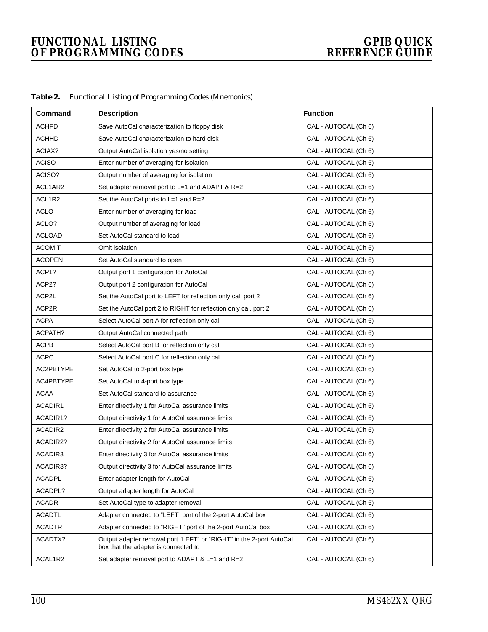| <i>Table 2.</i> | Functional Listing of Programming Codes (Mnemonics) |  |  |  |  |  |  |
|-----------------|-----------------------------------------------------|--|--|--|--|--|--|
|-----------------|-----------------------------------------------------|--|--|--|--|--|--|

| Command           | <b>Description</b>                                                                                          | <b>Function</b>      |
|-------------------|-------------------------------------------------------------------------------------------------------------|----------------------|
| <b>ACHFD</b>      | Save AutoCal characterization to floppy disk                                                                | CAL - AUTOCAL (Ch 6) |
| <b>ACHHD</b>      | Save AutoCal characterization to hard disk                                                                  | CAL - AUTOCAL (Ch 6) |
| ACIAX?            | Output AutoCal isolation yes/no setting                                                                     | CAL - AUTOCAL (Ch 6) |
| <b>ACISO</b>      | Enter number of averaging for isolation                                                                     | CAL - AUTOCAL (Ch 6) |
| ACISO?            | Output number of averaging for isolation                                                                    | CAL - AUTOCAL (Ch 6) |
| ACL1AR2           | Set adapter removal port to L=1 and ADAPT & R=2                                                             | CAL - AUTOCAL (Ch 6) |
| ACL1R2            | Set the AutoCal ports to L=1 and R=2                                                                        | CAL - AUTOCAL (Ch 6) |
| <b>ACLO</b>       | Enter number of averaging for load                                                                          | CAL - AUTOCAL (Ch 6) |
| ACLO?             | Output number of averaging for load                                                                         | CAL - AUTOCAL (Ch 6) |
| <b>ACLOAD</b>     | Set AutoCal standard to load                                                                                | CAL - AUTOCAL (Ch 6) |
| <b>ACOMIT</b>     | Omit isolation                                                                                              | CAL - AUTOCAL (Ch 6) |
| <b>ACOPEN</b>     | Set AutoCal standard to open                                                                                | CAL - AUTOCAL (Ch 6) |
| ACP <sub>1?</sub> | Output port 1 configuration for AutoCal                                                                     | CAL - AUTOCAL (Ch 6) |
| ACP2?             | Output port 2 configuration for AutoCal                                                                     | CAL - AUTOCAL (Ch 6) |
| ACP2L             | Set the AutoCal port to LEFT for reflection only cal, port 2                                                | CAL - AUTOCAL (Ch 6) |
| ACP2R             | Set the AutoCal port 2 to RIGHT for reflection only cal, port 2                                             | CAL - AUTOCAL (Ch 6) |
| <b>ACPA</b>       | Select AutoCal port A for reflection only cal                                                               | CAL - AUTOCAL (Ch 6) |
| ACPATH?           | Output AutoCal connected path                                                                               | CAL - AUTOCAL (Ch 6) |
| ACPB              | Select AutoCal port B for reflection only cal                                                               | CAL - AUTOCAL (Ch 6) |
| <b>ACPC</b>       | Select AutoCal port C for reflection only cal                                                               | CAL - AUTOCAL (Ch 6) |
| AC2PBTYPE         | Set AutoCal to 2-port box type                                                                              | CAL - AUTOCAL (Ch 6) |
| AC4PBTYPE         | Set AutoCal to 4-port box type                                                                              | CAL - AUTOCAL (Ch 6) |
| <b>ACAA</b>       | Set AutoCal standard to assurance                                                                           | CAL - AUTOCAL (Ch 6) |
| ACADIR1           | Enter directivity 1 for AutoCal assurance limits                                                            | CAL - AUTOCAL (Ch 6) |
| ACADIR1?          | Output directivity 1 for AutoCal assurance limits                                                           | CAL - AUTOCAL (Ch 6) |
| ACADIR2           | Enter directivity 2 for AutoCal assurance limits                                                            | CAL - AUTOCAL (Ch 6) |
| ACADIR2?          | Output directivity 2 for AutoCal assurance limits                                                           | CAL - AUTOCAL (Ch 6) |
| ACADIR3           | Enter directivity 3 for AutoCal assurance limits                                                            | CAL - AUTOCAL (Ch 6) |
| ACADIR3?          | Output directivity 3 for AutoCal assurance limits                                                           | CAL - AUTOCAL (Ch 6) |
| <b>ACADPL</b>     | Enter adapter length for AutoCal                                                                            | CAL - AUTOCAL (Ch 6) |
| ACADPL?           | Output adapter length for AutoCal                                                                           | CAL - AUTOCAL (Ch 6) |
| <b>ACADR</b>      | Set AutoCal type to adapter removal                                                                         | CAL - AUTOCAL (Ch 6) |
| <b>ACADTL</b>     | Adapter connected to "LEFT" port of the 2-port AutoCal box                                                  | CAL - AUTOCAL (Ch 6) |
| ACADTR            | Adapter connected to "RIGHT" port of the 2-port AutoCal box                                                 | CAL - AUTOCAL (Ch 6) |
| ACADTX?           | Output adapter removal port "LEFT" or "RIGHT" in the 2-port AutoCal<br>box that the adapter is connected to | CAL - AUTOCAL (Ch 6) |
| ACAL1R2           | Set adapter removal port to ADAPT & $L=1$ and R=2                                                           | CAL - AUTOCAL (Ch 6) |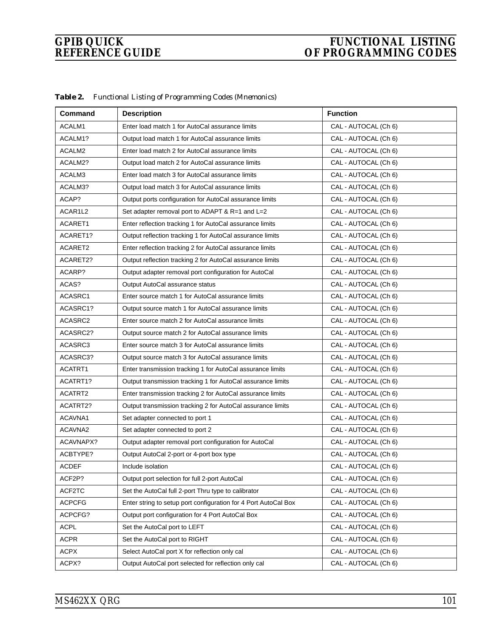| Command       | <b>Description</b>                                              | <b>Function</b>      |
|---------------|-----------------------------------------------------------------|----------------------|
| ACALM1        | Enter load match 1 for AutoCal assurance limits                 | CAL - AUTOCAL (Ch 6) |
| ACALM1?       | Output load match 1 for AutoCal assurance limits                | CAL - AUTOCAL (Ch 6) |
| ACALM2        | Enter load match 2 for AutoCal assurance limits                 | CAL - AUTOCAL (Ch 6) |
| ACALM2?       | Output load match 2 for AutoCal assurance limits                | CAL - AUTOCAL (Ch 6) |
| ACALM3        | Enter load match 3 for AutoCal assurance limits                 | CAL - AUTOCAL (Ch 6) |
| ACALM3?       | Output load match 3 for AutoCal assurance limits                | CAL - AUTOCAL (Ch 6) |
| ACAP?         | Output ports configuration for AutoCal assurance limits         | CAL - AUTOCAL (Ch 6) |
| ACAR1L2       | Set adapter removal port to ADAPT & R=1 and L=2                 | CAL - AUTOCAL (Ch 6) |
| ACARET1       | Enter reflection tracking 1 for AutoCal assurance limits        | CAL - AUTOCAL (Ch 6) |
| ACARET1?      | Output reflection tracking 1 for AutoCal assurance limits       | CAL - AUTOCAL (Ch 6) |
| ACARET2       | Enter reflection tracking 2 for AutoCal assurance limits        | CAL - AUTOCAL (Ch 6) |
| ACARET2?      | Output reflection tracking 2 for AutoCal assurance limits       | CAL - AUTOCAL (Ch 6) |
| ACARP?        | Output adapter removal port configuration for AutoCal           | CAL - AUTOCAL (Ch 6) |
| ACAS?         | Output AutoCal assurance status                                 | CAL - AUTOCAL (Ch 6) |
| ACASRC1       | Enter source match 1 for AutoCal assurance limits               | CAL - AUTOCAL (Ch 6) |
| ACASRC1?      | Output source match 1 for AutoCal assurance limits              | CAL - AUTOCAL (Ch 6) |
| ACASRC2       | Enter source match 2 for AutoCal assurance limits               | CAL - AUTOCAL (Ch 6) |
| ACASRC2?      | Output source match 2 for AutoCal assurance limits              | CAL - AUTOCAL (Ch 6) |
| ACASRC3       | Enter source match 3 for AutoCal assurance limits               | CAL - AUTOCAL (Ch 6) |
| ACASRC3?      | Output source match 3 for AutoCal assurance limits              | CAL - AUTOCAL (Ch 6) |
| ACATRT1       | Enter transmission tracking 1 for AutoCal assurance limits      | CAL - AUTOCAL (Ch 6) |
| ACATRT1?      | Output transmission tracking 1 for AutoCal assurance limits     | CAL - AUTOCAL (Ch 6) |
| ACATRT2       | Enter transmission tracking 2 for AutoCal assurance limits      | CAL - AUTOCAL (Ch 6) |
| ACATRT2?      | Output transmission tracking 2 for AutoCal assurance limits     | CAL - AUTOCAL (Ch 6) |
| ACAVNA1       | Set adapter connected to port 1                                 | CAL - AUTOCAL (Ch 6) |
| ACAVNA2       | Set adapter connected to port 2                                 | CAL - AUTOCAL (Ch 6) |
| ACAVNAPX?     | Output adapter removal port configuration for AutoCal           | CAL - AUTOCAL (Ch 6) |
| ACBTYPE?      | Output AutoCal 2-port or 4-port box type                        | CAL - AUTOCAL (Ch 6) |
| <b>ACDEF</b>  | Include isolation                                               | CAL - AUTOCAL (Ch 6) |
| ACF2P?        | Output port selection for full 2-port AutoCal                   | CAL - AUTOCAL (Ch 6) |
| ACF2TC        | Set the AutoCal full 2-port Thru type to calibrator             | CAL - AUTOCAL (Ch 6) |
| <b>ACPCFG</b> | Enter string to setup port configuration for 4 Port AutoCal Box | CAL - AUTOCAL (Ch 6) |
| ACPCFG?       | Output port configuration for 4 Port AutoCal Box                | CAL - AUTOCAL (Ch 6) |
| <b>ACPL</b>   | Set the AutoCal port to LEFT                                    | CAL - AUTOCAL (Ch 6) |
| <b>ACPR</b>   | Set the AutoCal port to RIGHT                                   | CAL - AUTOCAL (Ch 6) |
| <b>ACPX</b>   | Select AutoCal port X for reflection only cal                   | CAL - AUTOCAL (Ch 6) |
| ACPX?         | Output AutoCal port selected for reflection only cal            | CAL - AUTOCAL (Ch 6) |

*Table 2. Functional Listing of Programming Codes (Mnemonics)*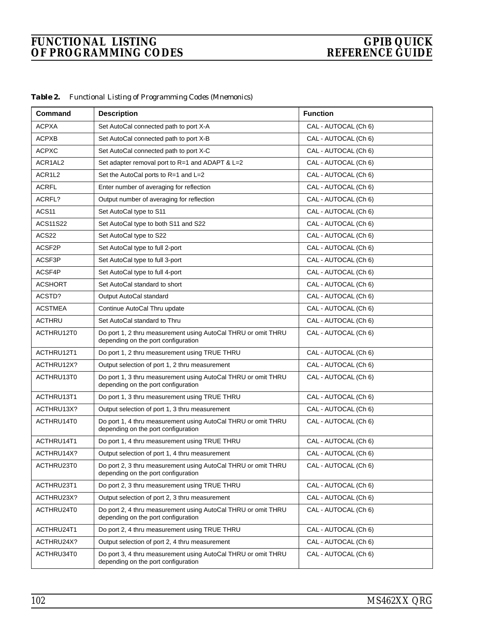| Table 2. | Functional Listing of Programming Codes (Mnemonics) |  |  |  |  |  |  |
|----------|-----------------------------------------------------|--|--|--|--|--|--|
|----------|-----------------------------------------------------|--|--|--|--|--|--|

| Command        | <b>Description</b>                                                                                   | <b>Function</b>      |
|----------------|------------------------------------------------------------------------------------------------------|----------------------|
| <b>ACPXA</b>   | Set AutoCal connected path to port X-A                                                               | CAL - AUTOCAL (Ch 6) |
| <b>ACPXB</b>   | Set AutoCal connected path to port X-B                                                               | CAL - AUTOCAL (Ch 6) |
| <b>ACPXC</b>   | Set AutoCal connected path to port X-C                                                               | CAL - AUTOCAL (Ch 6) |
| ACR1AL2        | Set adapter removal port to R=1 and ADAPT & L=2                                                      | CAL - AUTOCAL (Ch 6) |
| ACR1L2         | Set the AutoCal ports to R=1 and L=2                                                                 | CAL - AUTOCAL (Ch 6) |
| <b>ACRFL</b>   | Enter number of averaging for reflection                                                             | CAL - AUTOCAL (Ch 6) |
| ACRFL?         | Output number of averaging for reflection                                                            | CAL - AUTOCAL (Ch 6) |
| ACS11          | Set AutoCal type to S11                                                                              | CAL - AUTOCAL (Ch 6) |
| ACS11S22       | Set AutoCal type to both S11 and S22                                                                 | CAL - AUTOCAL (Ch 6) |
| ACS22          | Set AutoCal type to S22                                                                              | CAL - AUTOCAL (Ch 6) |
| ACSF2P         | Set AutoCal type to full 2-port                                                                      | CAL - AUTOCAL (Ch 6) |
| ACSF3P         | Set AutoCal type to full 3-port                                                                      | CAL - AUTOCAL (Ch 6) |
| ACSF4P         | Set AutoCal type to full 4-port                                                                      | CAL - AUTOCAL (Ch 6) |
| <b>ACSHORT</b> | Set AutoCal standard to short                                                                        | CAL - AUTOCAL (Ch 6) |
| ACSTD?         | Output AutoCal standard                                                                              | CAL - AUTOCAL (Ch 6) |
| <b>ACSTMEA</b> | Continue AutoCal Thru update                                                                         | CAL - AUTOCAL (Ch 6) |
| <b>ACTHRU</b>  | Set AutoCal standard to Thru                                                                         | CAL - AUTOCAL (Ch 6) |
| ACTHRU12T0     | Do port 1, 2 thru measurement using AutoCal THRU or omit THRU<br>depending on the port configuration | CAL - AUTOCAL (Ch 6) |
| ACTHRU12T1     | Do port 1, 2 thru measurement using TRUE THRU                                                        | CAL - AUTOCAL (Ch 6) |
| ACTHRU12X?     | Output selection of port 1, 2 thru measurement                                                       | CAL - AUTOCAL (Ch 6) |
| ACTHRU13T0     | Do port 1, 3 thru measurement using AutoCal THRU or omit THRU<br>depending on the port configuration | CAL - AUTOCAL (Ch 6) |
| ACTHRU13T1     | Do port 1, 3 thru measurement using TRUE THRU                                                        | CAL - AUTOCAL (Ch 6) |
| ACTHRU13X?     | Output selection of port 1, 3 thru measurement                                                       | CAL - AUTOCAL (Ch 6) |
| ACTHRU14T0     | Do port 1, 4 thru measurement using AutoCal THRU or omit THRU<br>depending on the port configuration | CAL - AUTOCAL (Ch 6) |
| ACTHRU14T1     | Do port 1, 4 thru measurement using TRUE THRU                                                        | CAL - AUTOCAL (Ch 6) |
| ACTHRU14X?     | Output selection of port 1, 4 thru measurement                                                       | CAL - AUTOCAL (Ch 6) |
| ACTHRU23T0     | Do port 2, 3 thru measurement using AutoCal THRU or omit THRU<br>depending on the port configuration | CAL - AUTOCAL (Ch 6) |
| ACTHRU23T1     | Do port 2, 3 thru measurement using TRUE THRU                                                        | CAL - AUTOCAL (Ch 6) |
| ACTHRU23X?     | Output selection of port 2, 3 thru measurement                                                       | CAL - AUTOCAL (Ch 6) |
| ACTHRU24T0     | Do port 2, 4 thru measurement using AutoCal THRU or omit THRU<br>depending on the port configuration | CAL - AUTOCAL (Ch 6) |
| ACTHRU24T1     | Do port 2, 4 thru measurement using TRUE THRU                                                        | CAL - AUTOCAL (Ch 6) |
| ACTHRU24X?     | Output selection of port 2, 4 thru measurement                                                       | CAL - AUTOCAL (Ch 6) |
| ACTHRU34T0     | Do port 3, 4 thru measurement using AutoCal THRU or omit THRU<br>depending on the port configuration | CAL - AUTOCAL (Ch 6) |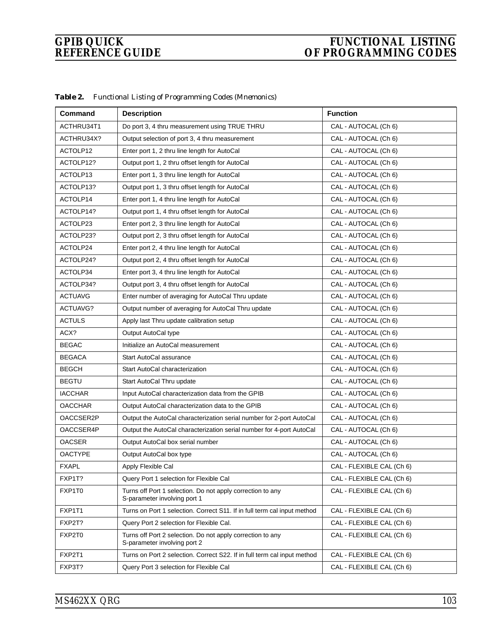| Command        | <b>Description</b>                                                                         | <b>Function</b>           |
|----------------|--------------------------------------------------------------------------------------------|---------------------------|
| ACTHRU34T1     | Do port 3, 4 thru measurement using TRUE THRU                                              | CAL - AUTOCAL (Ch 6)      |
| ACTHRU34X?     | Output selection of port 3, 4 thru measurement                                             | CAL - AUTOCAL (Ch 6)      |
| ACTOLP12       | Enter port 1, 2 thru line length for AutoCal                                               | CAL - AUTOCAL (Ch 6)      |
| ACTOLP12?      | Output port 1, 2 thru offset length for AutoCal                                            | CAL - AUTOCAL (Ch 6)      |
| ACTOLP13       | Enter port 1, 3 thru line length for AutoCal                                               | CAL - AUTOCAL (Ch 6)      |
| ACTOLP13?      | Output port 1, 3 thru offset length for AutoCal                                            | CAL - AUTOCAL (Ch 6)      |
| ACTOLP14       | Enter port 1, 4 thru line length for AutoCal                                               | CAL - AUTOCAL (Ch 6)      |
| ACTOLP14?      | Output port 1, 4 thru offset length for AutoCal                                            | CAL - AUTOCAL (Ch 6)      |
| ACTOLP23       | Enter port 2, 3 thru line length for AutoCal                                               | CAL - AUTOCAL (Ch 6)      |
| ACTOLP23?      | Output port 2, 3 thru offset length for AutoCal                                            | CAL - AUTOCAL (Ch 6)      |
| ACTOLP24       | Enter port 2, 4 thru line length for AutoCal                                               | CAL - AUTOCAL (Ch 6)      |
| ACTOLP24?      | Output port 2, 4 thru offset length for AutoCal                                            | CAL - AUTOCAL (Ch 6)      |
| ACTOLP34       | Enter port 3, 4 thru line length for AutoCal                                               | CAL - AUTOCAL (Ch 6)      |
| ACTOLP34?      | Output port 3, 4 thru offset length for AutoCal                                            | CAL - AUTOCAL (Ch 6)      |
| <b>ACTUAVG</b> | Enter number of averaging for AutoCal Thru update                                          | CAL - AUTOCAL (Ch 6)      |
| ACTUAVG?       | Output number of averaging for AutoCal Thru update                                         | CAL - AUTOCAL (Ch 6)      |
| <b>ACTULS</b>  | Apply last Thru update calibration setup                                                   | CAL - AUTOCAL (Ch 6)      |
| ACX?           | Output AutoCal type                                                                        | CAL - AUTOCAL (Ch 6)      |
| <b>BEGAC</b>   | Initialize an AutoCal measurement                                                          | CAL - AUTOCAL (Ch 6)      |
| <b>BEGACA</b>  | Start AutoCal assurance                                                                    | CAL - AUTOCAL (Ch 6)      |
| <b>BEGCH</b>   | Start AutoCal characterization                                                             | CAL - AUTOCAL (Ch 6)      |
| <b>BEGTU</b>   | Start AutoCal Thru update                                                                  | CAL - AUTOCAL (Ch 6)      |
| <b>IACCHAR</b> | Input AutoCal characterization data from the GPIB                                          | CAL - AUTOCAL (Ch 6)      |
| <b>OACCHAR</b> | Output AutoCal characterization data to the GPIB                                           | CAL - AUTOCAL (Ch 6)      |
| OACCSER2P      | Output the AutoCal characterization serial number for 2-port AutoCal                       | CAL - AUTOCAL (Ch 6)      |
| OACCSER4P      | Output the AutoCal characterization serial number for 4-port AutoCal                       | CAL - AUTOCAL (Ch 6)      |
| <b>OACSER</b>  | Output AutoCal box serial number                                                           | CAL - AUTOCAL (Ch 6)      |
| <b>OACTYPE</b> | Output AutoCal box type                                                                    | CAL - AUTOCAL (Ch 6)      |
| <b>FXAPL</b>   | Apply Flexible Cal                                                                         | CAL - FLEXIBLE CAL (Ch 6) |
| FXP1T?         | Query Port 1 selection for Flexible Cal                                                    | CAL - FLEXIBLE CAL (Ch 6) |
| FXP1T0         | Turns off Port 1 selection. Do not apply correction to any<br>S-parameter involving port 1 | CAL - FLEXIBLE CAL (Ch 6) |
| FXP1T1         | Turns on Port 1 selection. Correct S11. If in full term cal input method                   | CAL - FLEXIBLE CAL (Ch 6) |
| FXP2T?         | Query Port 2 selection for Flexible Cal.                                                   | CAL - FLEXIBLE CAL (Ch 6) |
| FXP2T0         | Turns off Port 2 selection. Do not apply correction to any<br>S-parameter involving port 2 | CAL - FLEXIBLE CAL (Ch 6) |
| FXP2T1         | Turns on Port 2 selection. Correct S22. If in full term cal input method                   | CAL - FLEXIBLE CAL (Ch 6) |
| FXP3T?         | Query Port 3 selection for Flexible Cal                                                    | CAL - FLEXIBLE CAL (Ch 6) |

*Table 2. Functional Listing of Programming Codes (Mnemonics)*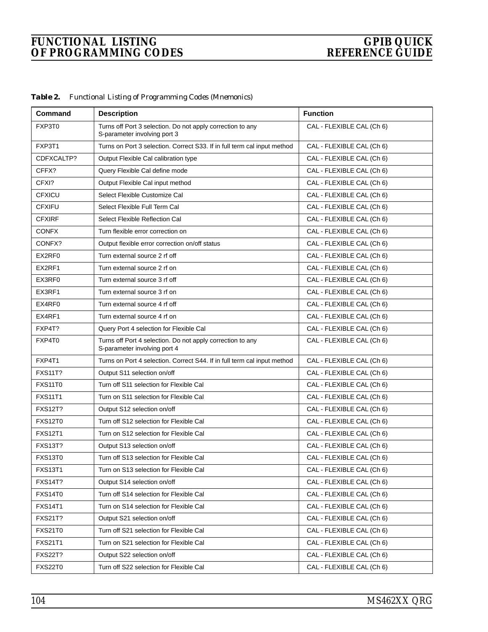| <i>Table 2.</i> | Functional Listing of Programming Codes (Mnemonics) |  |  |  |  |  |  |
|-----------------|-----------------------------------------------------|--|--|--|--|--|--|
|-----------------|-----------------------------------------------------|--|--|--|--|--|--|

| Command        | <b>Description</b>                                                                         | <b>Function</b>           |
|----------------|--------------------------------------------------------------------------------------------|---------------------------|
| FXP3T0         | Turns off Port 3 selection. Do not apply correction to any<br>S-parameter involving port 3 | CAL - FLEXIBLE CAL (Ch 6) |
| FXP3T1         | Turns on Port 3 selection. Correct S33. If in full term cal input method                   | CAL - FLEXIBLE CAL (Ch 6) |
| CDFXCALTP?     | Output Flexible Cal calibration type                                                       | CAL - FLEXIBLE CAL (Ch 6) |
| CFFX?          | Query Flexible Cal define mode                                                             | CAL - FLEXIBLE CAL (Ch 6) |
| CFXI?          | Output Flexible Cal input method                                                           | CAL - FLEXIBLE CAL (Ch 6) |
| <b>CFXICU</b>  | Select Flexible Customize Cal                                                              | CAL - FLEXIBLE CAL (Ch 6) |
| <b>CFXIFU</b>  | Select Flexible Full Term Cal                                                              | CAL - FLEXIBLE CAL (Ch 6) |
| <b>CFXIRF</b>  | Select Flexible Reflection Cal                                                             | CAL - FLEXIBLE CAL (Ch 6) |
| <b>CONFX</b>   | Turn flexible error correction on                                                          | CAL - FLEXIBLE CAL (Ch 6) |
| CONFX?         | Output flexible error correction on/off status                                             | CAL - FLEXIBLE CAL (Ch 6) |
| EX2RF0         | Turn external source 2 rf off                                                              | CAL - FLEXIBLE CAL (Ch 6) |
| EX2RF1         | Turn external source 2 rf on                                                               | CAL - FLEXIBLE CAL (Ch 6) |
| EX3RF0         | Turn external source 3 rf off                                                              | CAL - FLEXIBLE CAL (Ch 6) |
| EX3RF1         | Turn external source 3 rf on                                                               | CAL - FLEXIBLE CAL (Ch 6) |
| EX4RF0         | Turn external source 4 rf off                                                              | CAL - FLEXIBLE CAL (Ch 6) |
| EX4RF1         | Turn external source 4 rf on                                                               | CAL - FLEXIBLE CAL (Ch 6) |
| FXP4T?         | Query Port 4 selection for Flexible Cal                                                    | CAL - FLEXIBLE CAL (Ch 6) |
| FXP4T0         | Turns off Port 4 selection. Do not apply correction to any<br>S-parameter involving port 4 | CAL - FLEXIBLE CAL (Ch 6) |
| FXP4T1         | Turns on Port 4 selection. Correct S44. If in full term cal input method                   | CAL - FLEXIBLE CAL (Ch 6) |
| <b>FXS11T?</b> | Output S11 selection on/off                                                                | CAL - FLEXIBLE CAL (Ch 6) |
| <b>FXS11T0</b> | Turn off S11 selection for Flexible Cal                                                    | CAL - FLEXIBLE CAL (Ch 6) |
| <b>FXS11T1</b> | Turn on S11 selection for Flexible Cal                                                     | CAL - FLEXIBLE CAL (Ch 6) |
| <b>FXS12T?</b> | Output S12 selection on/off                                                                | CAL - FLEXIBLE CAL (Ch 6) |
| <b>FXS12T0</b> | Turn off S12 selection for Flexible Cal                                                    | CAL - FLEXIBLE CAL (Ch 6) |
| <b>FXS12T1</b> | Turn on S12 selection for Flexible Cal                                                     | CAL - FLEXIBLE CAL (Ch 6) |
| <b>FXS13T?</b> | Output S13 selection on/off                                                                | CAL - FLEXIBLE CAL (Ch 6) |
| <b>FXS13T0</b> | Turn off S13 selection for Flexible Cal                                                    | CAL - FLEXIBLE CAL (Ch 6) |
| <b>FXS13T1</b> | Turn on S13 selection for Flexible Cal                                                     | CAL - FLEXIBLE CAL (Ch 6) |
| <b>FXS14T?</b> | Output S14 selection on/off                                                                | CAL - FLEXIBLE CAL (Ch 6) |
| <b>FXS14T0</b> | Turn off S14 selection for Flexible Cal                                                    | CAL - FLEXIBLE CAL (Ch 6) |
| <b>FXS14T1</b> | Turn on S14 selection for Flexible Cal                                                     | CAL - FLEXIBLE CAL (Ch 6) |
| <b>FXS21T?</b> | Output S21 selection on/off                                                                | CAL - FLEXIBLE CAL (Ch 6) |
| <b>FXS21T0</b> | Turn off S21 selection for Flexible Cal                                                    | CAL - FLEXIBLE CAL (Ch 6) |
| <b>FXS21T1</b> | Turn on S21 selection for Flexible Cal                                                     | CAL - FLEXIBLE CAL (Ch 6) |
| <b>FXS22T?</b> | Output S22 selection on/off                                                                | CAL - FLEXIBLE CAL (Ch 6) |
| <b>FXS22T0</b> | Turn off S22 selection for Flexible Cal                                                    | CAL - FLEXIBLE CAL (Ch 6) |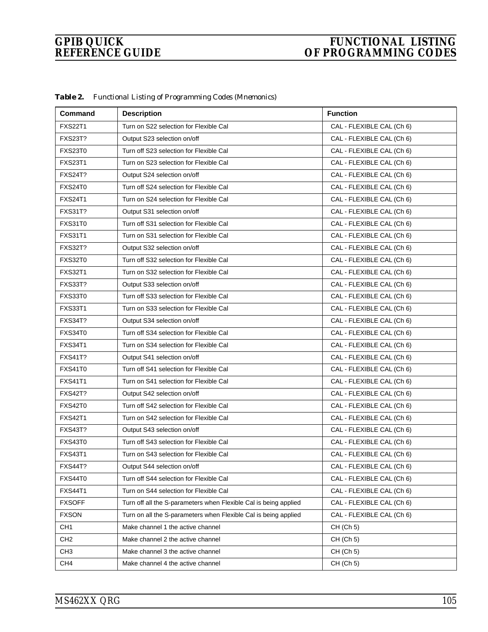| Command         | <b>Description</b>                                               | <b>Function</b>           |
|-----------------|------------------------------------------------------------------|---------------------------|
| <b>FXS22T1</b>  | Turn on S22 selection for Flexible Cal                           | CAL - FLEXIBLE CAL (Ch 6) |
| <b>FXS23T?</b>  | Output S23 selection on/off                                      | CAL - FLEXIBLE CAL (Ch 6) |
| <b>FXS23T0</b>  | Turn off S23 selection for Flexible Cal                          | CAL - FLEXIBLE CAL (Ch 6) |
| <b>FXS23T1</b>  | Turn on S23 selection for Flexible Cal                           | CAL - FLEXIBLE CAL (Ch 6) |
| <b>FXS24T?</b>  | Output S24 selection on/off                                      | CAL - FLEXIBLE CAL (Ch 6) |
| <b>FXS24T0</b>  | Turn off S24 selection for Flexible Cal                          | CAL - FLEXIBLE CAL (Ch 6) |
| <b>FXS24T1</b>  | Turn on S24 selection for Flexible Cal                           | CAL - FLEXIBLE CAL (Ch 6) |
| <b>FXS31T?</b>  | Output S31 selection on/off                                      | CAL - FLEXIBLE CAL (Ch 6) |
| <b>FXS31T0</b>  | Turn off S31 selection for Flexible Cal                          | CAL - FLEXIBLE CAL (Ch 6) |
| <b>FXS31T1</b>  | Turn on S31 selection for Flexible Cal                           | CAL - FLEXIBLE CAL (Ch 6) |
| <b>FXS32T?</b>  | Output S32 selection on/off                                      | CAL - FLEXIBLE CAL (Ch 6) |
| <b>FXS32T0</b>  | Turn off S32 selection for Flexible Cal                          | CAL - FLEXIBLE CAL (Ch 6) |
| <b>FXS32T1</b>  | Turn on S32 selection for Flexible Cal                           | CAL - FLEXIBLE CAL (Ch 6) |
| <b>FXS33T?</b>  | Output S33 selection on/off                                      | CAL - FLEXIBLE CAL (Ch 6) |
| FXS33T0         | Turn off S33 selection for Flexible Cal                          | CAL - FLEXIBLE CAL (Ch 6) |
| <b>FXS33T1</b>  | Turn on S33 selection for Flexible Cal                           | CAL - FLEXIBLE CAL (Ch 6) |
| <b>FXS34T?</b>  | Output S34 selection on/off                                      | CAL - FLEXIBLE CAL (Ch 6) |
| <b>FXS34T0</b>  | Turn off S34 selection for Flexible Cal                          | CAL - FLEXIBLE CAL (Ch 6) |
| <b>FXS34T1</b>  | Turn on S34 selection for Flexible Cal                           | CAL - FLEXIBLE CAL (Ch 6) |
| <b>FXS41T?</b>  | Output S41 selection on/off                                      | CAL - FLEXIBLE CAL (Ch 6) |
| <b>FXS41T0</b>  | Turn off S41 selection for Flexible Cal                          | CAL - FLEXIBLE CAL (Ch 6) |
| <b>FXS41T1</b>  | Turn on S41 selection for Flexible Cal                           | CAL - FLEXIBLE CAL (Ch 6) |
| <b>FXS42T?</b>  | Output S42 selection on/off                                      | CAL - FLEXIBLE CAL (Ch 6) |
| <b>FXS42T0</b>  | Turn off S42 selection for Flexible Cal                          | CAL - FLEXIBLE CAL (Ch 6) |
| <b>FXS42T1</b>  | Turn on S42 selection for Flexible Cal                           | CAL - FLEXIBLE CAL (Ch 6) |
| <b>FXS43T?</b>  | Output S43 selection on/off                                      | CAL - FLEXIBLE CAL (Ch 6) |
| <b>FXS43T0</b>  | Turn off S43 selection for Flexible Cal                          | CAL - FLEXIBLE CAL (Ch 6) |
| <b>FXS43T1</b>  | Turn on S43 selection for Flexible Cal                           | CAL - FLEXIBLE CAL (Ch 6) |
| <b>FXS44T?</b>  | Output S44 selection on/off                                      | CAL - FLEXIBLE CAL (Ch 6) |
| <b>FXS44T0</b>  | Turn off S44 selection for Flexible Cal                          | CAL - FLEXIBLE CAL (Ch 6) |
| <b>FXS44T1</b>  | Turn on S44 selection for Flexible Cal                           | CAL - FLEXIBLE CAL (Ch 6) |
| <b>FXSOFF</b>   | Turn off all the S-parameters when Flexible Cal is being applied | CAL - FLEXIBLE CAL (Ch 6) |
| <b>FXSON</b>    | Turn on all the S-parameters when Flexible Cal is being applied  | CAL - FLEXIBLE CAL (Ch 6) |
| CH <sub>1</sub> | Make channel 1 the active channel                                | CH (Ch 5)                 |
| CH <sub>2</sub> | Make channel 2 the active channel                                | CH (Ch 5)                 |
| CH <sub>3</sub> | Make channel 3 the active channel                                | CH (Ch 5)                 |
| CH <sub>4</sub> | Make channel 4 the active channel                                | CH (Ch 5)                 |

*Table 2. Functional Listing of Programming Codes (Mnemonics)*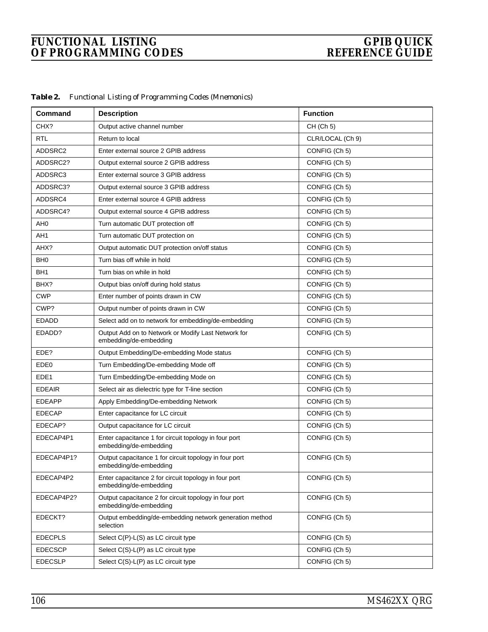|  | Table 2. Functional Listing of Programming Codes (Mnemonics) |  |  |  |  |  |  |
|--|--------------------------------------------------------------|--|--|--|--|--|--|
|--|--------------------------------------------------------------|--|--|--|--|--|--|

| Command          | <b>Description</b>                                                               | <b>Function</b>  |
|------------------|----------------------------------------------------------------------------------|------------------|
| CHX?             | Output active channel number                                                     | CH (Ch 5)        |
| <b>RTL</b>       | Return to local                                                                  | CLR/LOCAL (Ch 9) |
| ADDSRC2          | Enter external source 2 GPIB address                                             | CONFIG (Ch 5)    |
| ADDSRC2?         | Output external source 2 GPIB address                                            | CONFIG (Ch 5)    |
| ADDSRC3          | Enter external source 3 GPIB address                                             | CONFIG (Ch 5)    |
| ADDSRC3?         | Output external source 3 GPIB address                                            | CONFIG (Ch 5)    |
| ADDSRC4          | Enter external source 4 GPIB address                                             | CONFIG (Ch 5)    |
| ADDSRC4?         | Output external source 4 GPIB address                                            | CONFIG (Ch 5)    |
| AH <sub>0</sub>  | Turn automatic DUT protection off                                                | CONFIG (Ch 5)    |
| AH1              | Turn automatic DUT protection on                                                 | CONFIG (Ch 5)    |
| AHX?             | Output automatic DUT protection on/off status                                    | CONFIG (Ch 5)    |
| BH <sub>0</sub>  | Turn bias off while in hold                                                      | CONFIG (Ch 5)    |
| BH <sub>1</sub>  | Turn bias on while in hold                                                       | CONFIG (Ch 5)    |
| BHX?             | Output bias on/off during hold status                                            | CONFIG (Ch 5)    |
| <b>CWP</b>       | Enter number of points drawn in CW                                               | CONFIG (Ch 5)    |
| CWP?             | Output number of points drawn in CW                                              | CONFIG (Ch 5)    |
| <b>EDADD</b>     | Select add on to network for embedding/de-embedding                              | CONFIG (Ch 5)    |
| EDADD?           | Output Add on to Network or Modify Last Network for<br>embedding/de-embedding    | CONFIG (Ch 5)    |
| EDE?             | Output Embedding/De-embedding Mode status                                        | CONFIG (Ch 5)    |
| EDE <sub>0</sub> | Turn Embedding/De-embedding Mode off                                             | CONFIG (Ch 5)    |
| EDE1             | Turn Embedding/De-embedding Mode on                                              | CONFIG (Ch 5)    |
| <b>EDEAIR</b>    | Select air as dielectric type for T-line section                                 | CONFIG (Ch 5)    |
| <b>EDEAPP</b>    | Apply Embedding/De-embedding Network                                             | CONFIG (Ch 5)    |
| <b>EDECAP</b>    | Enter capacitance for LC circuit                                                 | CONFIG (Ch 5)    |
| EDECAP?          | Output capacitance for LC circuit                                                | CONFIG (Ch 5)    |
| EDECAP4P1        | Enter capacitance 1 for circuit topology in four port<br>embedding/de-embedding  | CONFIG (Ch 5)    |
| EDECAP4P1?       | Output capacitance 1 for circuit topology in four port<br>embedding/de-embedding | CONFIG (Ch 5)    |
| EDECAP4P2        | Enter capacitance 2 for circuit topology in four port<br>embedding/de-embedding  | CONFIG (Ch 5)    |
| EDECAP4P2?       | Output capacitance 2 for circuit topology in four port<br>embedding/de-embedding | CONFIG (Ch 5)    |
| EDECKT?          | Output embedding/de-embedding network generation method<br>selection             | CONFIG (Ch 5)    |
| <b>EDECPLS</b>   | Select C(P)-L(S) as LC circuit type                                              | CONFIG (Ch 5)    |
| <b>EDECSCP</b>   | Select C(S)-L(P) as LC circuit type                                              | CONFIG (Ch 5)    |
| <b>EDECSLP</b>   | Select C(S)-L(P) as LC circuit type                                              | CONFIG (Ch 5)    |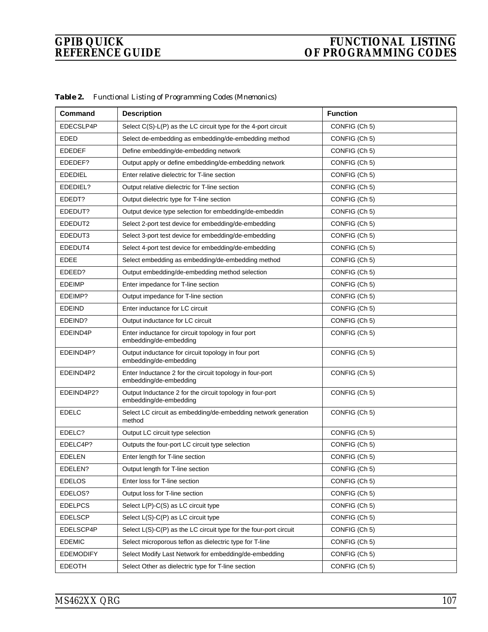| <b>Command</b>   | <b>Description</b>                                                                  | <b>Function</b> |
|------------------|-------------------------------------------------------------------------------------|-----------------|
| EDECSLP4P        |                                                                                     |                 |
|                  | Select C(S)-L(P) as the LC circuit type for the 4-port circuit                      | CONFIG (Ch 5)   |
| EDED             | Select de-embedding as embedding/de-embedding method                                | CONFIG (Ch 5)   |
| <b>EDEDEF</b>    | Define embedding/de-embedding network                                               | CONFIG (Ch 5)   |
| EDEDEF?          | Output apply or define embedding/de-embedding network                               | CONFIG (Ch 5)   |
| <b>EDEDIEL</b>   | Enter relative dielectric for T-line section                                        | CONFIG (Ch 5)   |
| EDEDIEL?         | Output relative dielectric for T-line section                                       | CONFIG (Ch 5)   |
| EDEDT?           | Output dielectric type for T-line section                                           | CONFIG (Ch 5)   |
| EDEDUT?          | Output device type selection for embedding/de-embeddin                              | CONFIG (Ch 5)   |
| EDEDUT2          | Select 2-port test device for embedding/de-embedding                                | CONFIG (Ch 5)   |
| EDEDUT3          | Select 3-port test device for embedding/de-embedding                                | CONFIG (Ch 5)   |
| EDEDUT4          | Select 4-port test device for embedding/de-embedding                                | CONFIG (Ch 5)   |
| <b>EDEE</b>      | Select embedding as embedding/de-embedding method                                   | CONFIG (Ch 5)   |
| EDEED?           | Output embedding/de-embedding method selection                                      | CONFIG (Ch 5)   |
| <b>EDEIMP</b>    | Enter impedance for T-line section                                                  | CONFIG (Ch 5)   |
| EDEIMP?          | Output impedance for T-line section                                                 | CONFIG (Ch 5)   |
| <b>EDEIND</b>    | Enter inductance for LC circuit                                                     | CONFIG (Ch 5)   |
| EDEIND?          | Output inductance for LC circuit                                                    | CONFIG (Ch 5)   |
| EDEIND4P         | Enter inductance for circuit topology in four port<br>embedding/de-embedding        | CONFIG (Ch 5)   |
| EDEIND4P?        | Output inductance for circuit topology in four port<br>embedding/de-embedding       | CONFIG (Ch 5)   |
| EDEIND4P2        | Enter Inductance 2 for the circuit topology in four-port<br>embedding/de-embedding  | CONFIG (Ch 5)   |
| EDEIND4P2?       | Output Inductance 2 for the circuit topology in four-port<br>embedding/de-embedding | CONFIG (Ch 5)   |
| <b>EDELC</b>     | Select LC circuit as embedding/de-embedding network generation<br>method            | CONFIG (Ch 5)   |
| EDELC?           | Output LC circuit type selection                                                    | CONFIG (Ch 5)   |
| EDELC4P?         | Outputs the four-port LC circuit type selection                                     | CONFIG (Ch 5)   |
| <b>EDELEN</b>    | Enter length for T-line section                                                     | CONFIG (Ch 5)   |
| EDELEN?          | Output length for T-line section                                                    | CONFIG (Ch 5)   |
| <b>EDELOS</b>    | Enter loss for T-line section                                                       | CONFIG (Ch 5)   |
| EDELOS?          | Output loss for T-line section                                                      | CONFIG (Ch 5)   |
| <b>EDELPCS</b>   | Select L(P)-C(S) as LC circuit type                                                 | CONFIG (Ch 5)   |
| <b>EDELSCP</b>   | Select L(S)-C(P) as LC circuit type                                                 | CONFIG (Ch 5)   |
| EDELSCP4P        | Select $L(S)$ -C(P) as the LC circuit type for the four-port circuit                | CONFIG (Ch 5)   |
| <b>EDEMIC</b>    | Select microporous teflon as dielectric type for T-line                             | CONFIG (Ch 5)   |
| <b>EDEMODIFY</b> | Select Modify Last Network for embedding/de-embedding                               | CONFIG (Ch 5)   |
| <b>EDEOTH</b>    | Select Other as dielectric type for T-line section                                  | CONFIG (Ch 5)   |

*Table 2. Functional Listing of Programming Codes (Mnemonics)*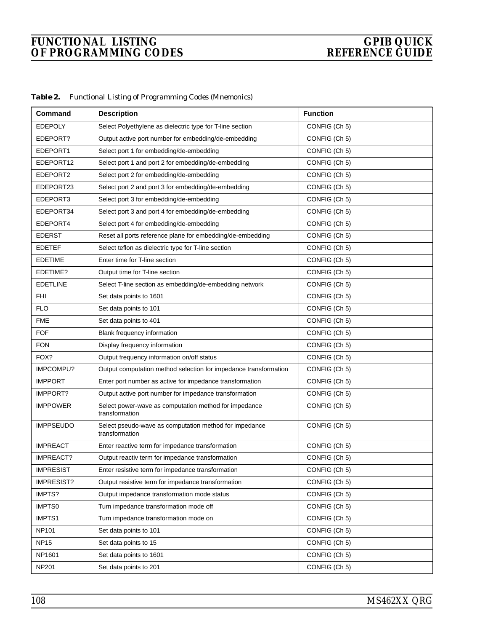| Table 2. | Functional Listing of Programming Codes (Mnemonics) |  |  |  |  |  |  |
|----------|-----------------------------------------------------|--|--|--|--|--|--|
|----------|-----------------------------------------------------|--|--|--|--|--|--|

| Command           | <b>Description</b>                                                       | <b>Function</b> |
|-------------------|--------------------------------------------------------------------------|-----------------|
| <b>EDEPOLY</b>    | Select Polyethylene as dielectric type for T-line section                | CONFIG (Ch 5)   |
| EDEPORT?          | Output active port number for embedding/de-embedding                     | CONFIG (Ch 5)   |
| EDEPORT1          | Select port 1 for embedding/de-embedding                                 | CONFIG (Ch 5)   |
| EDEPORT12         | Select port 1 and port 2 for embedding/de-embedding                      | CONFIG (Ch 5)   |
| EDEPORT2          | Select port 2 for embedding/de-embedding                                 | CONFIG (Ch 5)   |
| EDEPORT23         | Select port 2 and port 3 for embedding/de-embedding                      | CONFIG (Ch 5)   |
| EDEPORT3          | Select port 3 for embedding/de-embedding                                 | CONFIG (Ch 5)   |
| EDEPORT34         | Select port 3 and port 4 for embedding/de-embedding                      | CONFIG (Ch 5)   |
| EDEPORT4          | Select port 4 for embedding/de-embedding                                 | CONFIG (Ch 5)   |
| <b>EDERST</b>     | Reset all ports reference plane for embedding/de-embedding               | CONFIG (Ch 5)   |
| <b>EDETEF</b>     | Select teflon as dielectric type for T-line section                      | CONFIG (Ch 5)   |
| <b>EDETIME</b>    | Enter time for T-line section                                            | CONFIG (Ch 5)   |
| EDETIME?          | Output time for T-line section                                           | CONFIG (Ch 5)   |
| <b>EDETLINE</b>   | Select T-line section as embedding/de-embedding network                  | CONFIG (Ch 5)   |
| FHI               | Set data points to 1601                                                  | CONFIG (Ch 5)   |
| FLO               | Set data points to 101                                                   | CONFIG (Ch 5)   |
| <b>FME</b>        | Set data points to 401                                                   | CONFIG (Ch 5)   |
| <b>FOF</b>        | Blank frequency information                                              | CONFIG (Ch 5)   |
| <b>FON</b>        | Display frequency information                                            | CONFIG (Ch 5)   |
| FOX?              | Output frequency information on/off status                               | CONFIG (Ch 5)   |
| IMPCOMPU?         | Output computation method selection for impedance transformation         | CONFIG (Ch 5)   |
| <b>IMPPORT</b>    | Enter port number as active for impedance transformation                 | CONFIG (Ch 5)   |
| IMPPORT?          | Output active port number for impedance transformation                   | CONFIG (Ch 5)   |
| <b>IMPPOWER</b>   | Select power-wave as computation method for impedance<br>transformation  | CONFIG (Ch 5)   |
| <b>IMPPSEUDO</b>  | Select pseudo-wave as computation method for impedance<br>transformation | CONFIG (Ch 5)   |
| IMPREACT          | Enter reactive term for impedance transformation                         | CONFIG (Ch 5)   |
| <b>IMPREACT?</b>  | Output reactiv term for impedance transformation                         | CONFIG (Ch 5)   |
| <b>IMPRESIST</b>  | Enter resistive term for impedance transformation                        | CONFIG (Ch 5)   |
| <b>IMPRESIST?</b> | Output resistive term for impedance transformation                       | CONFIG (Ch 5)   |
| IMPTS?            | Output impedance transformation mode status                              | CONFIG (Ch 5)   |
| <b>IMPTS0</b>     | Turn impedance transformation mode off                                   | CONFIG (Ch 5)   |
| <b>IMPTS1</b>     | Turn impedance transformation mode on                                    | CONFIG (Ch 5)   |
| <b>NP101</b>      | Set data points to 101                                                   | CONFIG (Ch 5)   |
| <b>NP15</b>       | Set data points to 15                                                    | CONFIG (Ch 5)   |
| NP1601            | Set data points to 1601                                                  | CONFIG (Ch 5)   |
| <b>NP201</b>      | Set data points to 201                                                   | CONFIG (Ch 5)   |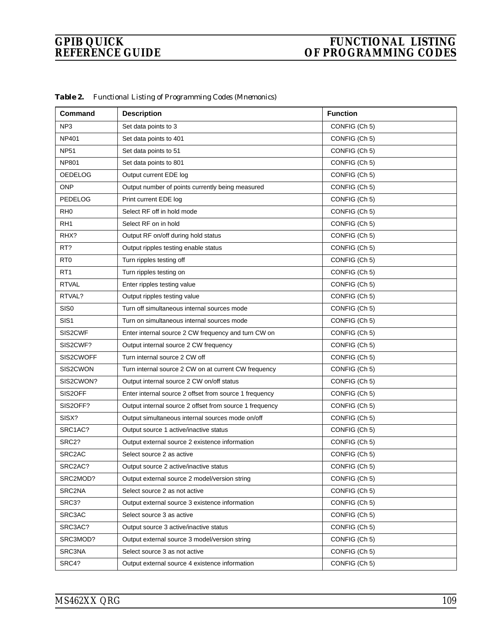| Command          | <b>Description</b>                                      | <b>Function</b> |
|------------------|---------------------------------------------------------|-----------------|
| NP <sub>3</sub>  | Set data points to 3                                    | CONFIG (Ch 5)   |
| NP401            | Set data points to 401                                  | CONFIG (Ch 5)   |
| <b>NP51</b>      | Set data points to 51                                   | CONFIG (Ch 5)   |
| NP801            | Set data points to 801                                  | CONFIG (Ch 5)   |
| <b>OEDELOG</b>   | Output current EDE log                                  | CONFIG (Ch 5)   |
| <b>ONP</b>       | Output number of points currently being measured        | CONFIG (Ch 5)   |
| PEDELOG          | Print current EDE log                                   | CONFIG (Ch 5)   |
| RH <sub>0</sub>  | Select RF off in hold mode                              | CONFIG (Ch 5)   |
| RH <sub>1</sub>  | Select RF on in hold                                    | CONFIG (Ch 5)   |
| RHX?             | Output RF on/off during hold status                     | CONFIG (Ch 5)   |
| RT?              | Output ripples testing enable status                    | CONFIG (Ch 5)   |
| R <sub>T0</sub>  | Turn ripples testing off                                | CONFIG (Ch 5)   |
| RT <sub>1</sub>  | Turn ripples testing on                                 | CONFIG (Ch 5)   |
| <b>RTVAL</b>     | Enter ripples testing value                             | CONFIG (Ch 5)   |
| RTVAL?           | Output ripples testing value                            | CONFIG (Ch 5)   |
| SIS <sub>0</sub> | Turn off simultaneous internal sources mode             | CONFIG (Ch 5)   |
| SIS <sub>1</sub> | Turn on simultaneous internal sources mode              | CONFIG (Ch 5)   |
| SIS2CWF          | Enter internal source 2 CW frequency and turn CW on     | CONFIG (Ch 5)   |
| SIS2CWF?         | Output internal source 2 CW frequency                   | CONFIG (Ch 5)   |
| SIS2CWOFF        | Turn internal source 2 CW off                           | CONFIG (Ch 5)   |
| SIS2CWON         | Turn internal source 2 CW on at current CW frequency    | CONFIG (Ch 5)   |
| SIS2CWON?        | Output internal source 2 CW on/off status               | CONFIG (Ch 5)   |
| SIS2OFF          | Enter internal source 2 offset from source 1 frequency  | CONFIG (Ch 5)   |
| SIS2OFF?         | Output internal source 2 offset from source 1 frequency | CONFIG (Ch 5)   |
| SISX?            | Output simultaneous internal sources mode on/off        | CONFIG (Ch 5)   |
| SRC1AC?          | Output source 1 active/inactive status                  | CONFIG (Ch 5)   |
| SRC2?            | Output external source 2 existence information          | CONFIG (Ch 5)   |
| SRC2AC           | Select source 2 as active                               | CONFIG (Ch 5)   |
| SRC2AC?          | Output source 2 active/inactive status                  | CONFIG (Ch 5)   |
| SRC2MOD?         | Output external source 2 model/version string           | CONFIG (Ch 5)   |
| SRC2NA           | Select source 2 as not active                           | CONFIG (Ch 5)   |
| SRC3?            | Output external source 3 existence information          | CONFIG (Ch 5)   |
| SRC3AC           | Select source 3 as active                               | CONFIG (Ch 5)   |
| SRC3AC?          | Output source 3 active/inactive status                  | CONFIG (Ch 5)   |
| SRC3MOD?         | Output external source 3 model/version string           | CONFIG (Ch 5)   |
| SRC3NA           | Select source 3 as not active                           | CONFIG (Ch 5)   |
| SRC4?            | Output external source 4 existence information          | CONFIG (Ch 5)   |

*Table 2. Functional Listing of Programming Codes (Mnemonics)*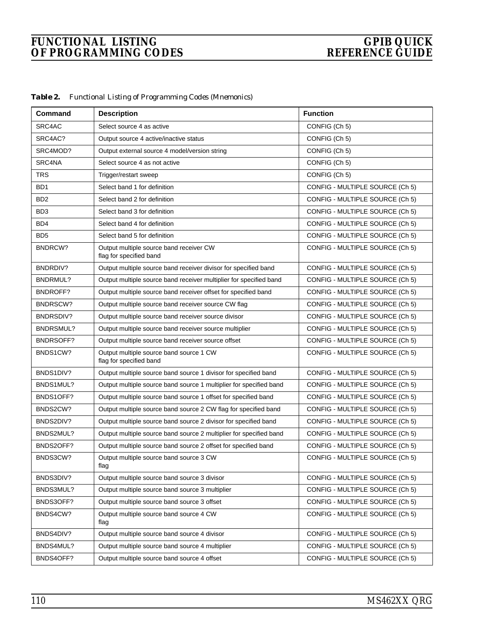| Table 2. | Functional Listing of Programming Codes (Mnemonics) |  |  |  |  |  |  |
|----------|-----------------------------------------------------|--|--|--|--|--|--|
|----------|-----------------------------------------------------|--|--|--|--|--|--|

| Command          | <b>Description</b>                                                 | <b>Function</b>                 |
|------------------|--------------------------------------------------------------------|---------------------------------|
| SRC4AC           | Select source 4 as active                                          | CONFIG (Ch 5)                   |
| SRC4AC?          | Output source 4 active/inactive status                             | CONFIG (Ch 5)                   |
| SRC4MOD?         | Output external source 4 model/version string                      | CONFIG (Ch 5)                   |
| SRC4NA           | Select source 4 as not active                                      | CONFIG (Ch 5)                   |
| <b>TRS</b>       | Trigger/restart sweep                                              | CONFIG (Ch 5)                   |
| BD1              | Select band 1 for definition                                       | CONFIG - MULTIPLE SOURCE (Ch 5) |
| BD <sub>2</sub>  | Select band 2 for definition                                       | CONFIG - MULTIPLE SOURCE (Ch 5) |
| BD <sub>3</sub>  | Select band 3 for definition                                       | CONFIG - MULTIPLE SOURCE (Ch 5) |
| BD4              | Select band 4 for definition                                       | CONFIG - MULTIPLE SOURCE (Ch 5) |
| BD <sub>5</sub>  | Select band 5 for definition                                       | CONFIG - MULTIPLE SOURCE (Ch 5) |
| BNDRCW?          | Output multiple source band receiver CW<br>flag for specified band | CONFIG - MULTIPLE SOURCE (Ch 5) |
| BNDRDIV?         | Output multiple source band receiver divisor for specified band    | CONFIG - MULTIPLE SOURCE (Ch 5) |
| BNDRMUL?         | Output multiple source band receiver multiplier for specified band | CONFIG - MULTIPLE SOURCE (Ch 5) |
| <b>BNDROFF?</b>  | Output multiple source band receiver offset for specified band     | CONFIG - MULTIPLE SOURCE (Ch 5) |
| BNDRSCW?         | Output multiple source band receiver source CW flag                | CONFIG - MULTIPLE SOURCE (Ch 5) |
| BNDRSDIV?        | Output multiple source band receiver source divisor                | CONFIG - MULTIPLE SOURCE (Ch 5) |
| <b>BNDRSMUL?</b> | Output multiple source band receiver source multiplier             | CONFIG - MULTIPLE SOURCE (Ch 5) |
| BNDRSOFF?        | Output multiple source band receiver source offset                 | CONFIG - MULTIPLE SOURCE (Ch 5) |
| BNDS1CW?         | Output multiple source band source 1 CW<br>flag for specified band | CONFIG - MULTIPLE SOURCE (Ch 5) |
| BNDS1DIV?        | Output multiple source band source 1 divisor for specified band    | CONFIG - MULTIPLE SOURCE (Ch 5) |
| BNDS1MUL?        | Output multiple source band source 1 multiplier for specified band | CONFIG - MULTIPLE SOURCE (Ch 5) |
| BNDS1OFF?        | Output multiple source band source 1 offset for specified band     | CONFIG - MULTIPLE SOURCE (Ch 5) |
| BNDS2CW?         | Output multiple source band source 2 CW flag for specified band    | CONFIG - MULTIPLE SOURCE (Ch 5) |
| BNDS2DIV?        | Output multiple source band source 2 divisor for specified band    | CONFIG - MULTIPLE SOURCE (Ch 5) |
| BNDS2MUL?        | Output multiple source band source 2 multiplier for specified band | CONFIG - MULTIPLE SOURCE (Ch 5) |
| BNDS2OFF?        | Output multiple source band source 2 offset for specified band     | CONFIG - MULTIPLE SOURCE (Ch 5) |
| BNDS3CW?         | Output multiple source band source 3 CW<br>flag                    | CONFIG - MULTIPLE SOURCE (Ch 5) |
| BNDS3DIV?        | Output multiple source band source 3 divisor                       | CONFIG - MULTIPLE SOURCE (Ch 5) |
| BNDS3MUL?        | Output multiple source band source 3 multiplier                    | CONFIG - MULTIPLE SOURCE (Ch 5) |
| BNDS3OFF?        | Output multiple source band source 3 offset                        | CONFIG - MULTIPLE SOURCE (Ch 5) |
| BNDS4CW?         | Output multiple source band source 4 CW<br>flag                    | CONFIG - MULTIPLE SOURCE (Ch 5) |
| BNDS4DIV?        | Output multiple source band source 4 divisor                       | CONFIG - MULTIPLE SOURCE (Ch 5) |
| BNDS4MUL?        | Output multiple source band source 4 multiplier                    | CONFIG - MULTIPLE SOURCE (Ch 5) |
| BNDS4OFF?        | Output multiple source band source 4 offset                        | CONFIG - MULTIPLE SOURCE (Ch 5) |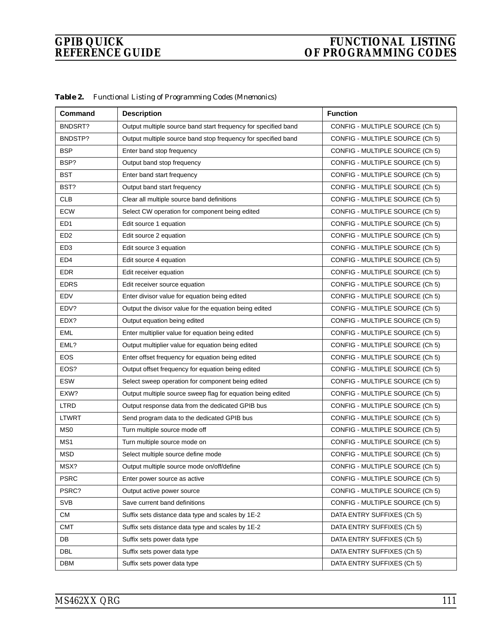| Command         | <b>Description</b>                                             | <b>Function</b>                 |
|-----------------|----------------------------------------------------------------|---------------------------------|
| BNDSRT?         | Output multiple source band start frequency for specified band | CONFIG - MULTIPLE SOURCE (Ch 5) |
| BNDSTP?         | Output multiple source band stop frequency for specified band  | CONFIG - MULTIPLE SOURCE (Ch 5) |
| <b>BSP</b>      | Enter band stop frequency                                      | CONFIG - MULTIPLE SOURCE (Ch 5) |
| BSP?            | Output band stop frequency                                     | CONFIG - MULTIPLE SOURCE (Ch 5) |
| <b>BST</b>      | Enter band start frequency                                     | CONFIG - MULTIPLE SOURCE (Ch 5) |
| BST?            | Output band start frequency                                    | CONFIG - MULTIPLE SOURCE (Ch 5) |
| <b>CLB</b>      | Clear all multiple source band definitions                     | CONFIG - MULTIPLE SOURCE (Ch 5) |
| <b>ECW</b>      | Select CW operation for component being edited                 | CONFIG - MULTIPLE SOURCE (Ch 5) |
| ED <sub>1</sub> | Edit source 1 equation                                         | CONFIG - MULTIPLE SOURCE (Ch 5) |
| ED <sub>2</sub> | Edit source 2 equation                                         | CONFIG - MULTIPLE SOURCE (Ch 5) |
| ED <sub>3</sub> | Edit source 3 equation                                         | CONFIG - MULTIPLE SOURCE (Ch 5) |
| ED4             | Edit source 4 equation                                         | CONFIG - MULTIPLE SOURCE (Ch 5) |
| <b>EDR</b>      | Edit receiver equation                                         | CONFIG - MULTIPLE SOURCE (Ch 5) |
| <b>EDRS</b>     | Edit receiver source equation                                  | CONFIG - MULTIPLE SOURCE (Ch 5) |
| EDV             | Enter divisor value for equation being edited                  | CONFIG - MULTIPLE SOURCE (Ch 5) |
| EDV?            | Output the divisor value for the equation being edited         | CONFIG - MULTIPLE SOURCE (Ch 5) |
| EDX?            | Output equation being edited                                   | CONFIG - MULTIPLE SOURCE (Ch 5) |
| <b>EML</b>      | Enter multiplier value for equation being edited               | CONFIG - MULTIPLE SOURCE (Ch 5) |
| EML?            | Output multiplier value for equation being edited              | CONFIG - MULTIPLE SOURCE (Ch 5) |
| EOS             | Enter offset frequency for equation being edited               | CONFIG - MULTIPLE SOURCE (Ch 5) |
| EOS?            | Output offset frequency for equation being edited              | CONFIG - MULTIPLE SOURCE (Ch 5) |
| <b>ESW</b>      | Select sweep operation for component being edited              | CONFIG - MULTIPLE SOURCE (Ch 5) |
| EXW?            | Output multiple source sweep flag for equation being edited    | CONFIG - MULTIPLE SOURCE (Ch 5) |
| <b>LTRD</b>     | Output response data from the dedicated GPIB bus               | CONFIG - MULTIPLE SOURCE (Ch 5) |
| <b>LTWRT</b>    | Send program data to the dedicated GPIB bus                    | CONFIG - MULTIPLE SOURCE (Ch 5) |
| MS <sub>0</sub> | Turn multiple source mode off                                  | CONFIG - MULTIPLE SOURCE (Ch 5) |
| MS1             | Turn multiple source mode on                                   | CONFIG - MULTIPLE SOURCE (Ch 5) |
| <b>MSD</b>      | Select multiple source define mode                             | CONFIG - MULTIPLE SOURCE (Ch 5) |
| MSX?            | Output multiple source mode on/off/define                      | CONFIG - MULTIPLE SOURCE (Ch 5) |
| <b>PSRC</b>     | Enter power source as active                                   | CONFIG - MULTIPLE SOURCE (Ch 5) |
| PSRC?           | Output active power source                                     | CONFIG - MULTIPLE SOURCE (Ch 5) |
| <b>SVB</b>      | Save current band definitions                                  | CONFIG - MULTIPLE SOURCE (Ch 5) |
| <b>CM</b>       | Suffix sets distance data type and scales by 1E-2              | DATA ENTRY SUFFIXES (Ch 5)      |
| <b>CMT</b>      | Suffix sets distance data type and scales by 1E-2              | DATA ENTRY SUFFIXES (Ch 5)      |
| DB              | Suffix sets power data type                                    | DATA ENTRY SUFFIXES (Ch 5)      |
| DBL             | Suffix sets power data type                                    | DATA ENTRY SUFFIXES (Ch 5)      |
| DBM             | Suffix sets power data type                                    | DATA ENTRY SUFFIXES (Ch 5)      |

*Table 2. Functional Listing of Programming Codes (Mnemonics)*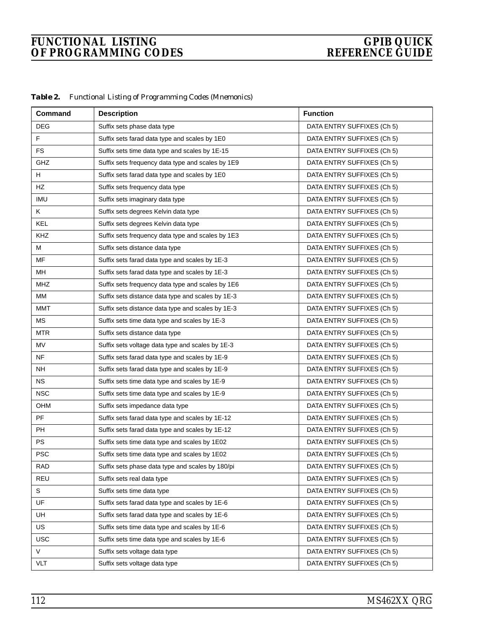| Table 2. | Functional Listing of Programming Codes (Mnemonics) |  |  |  |  |  |  |
|----------|-----------------------------------------------------|--|--|--|--|--|--|
|----------|-----------------------------------------------------|--|--|--|--|--|--|

| Command    | <b>Description</b>                                | <b>Function</b>            |
|------------|---------------------------------------------------|----------------------------|
| <b>DEG</b> | Suffix sets phase data type                       | DATA ENTRY SUFFIXES (Ch 5) |
| F          | Suffix sets farad data type and scales by 1E0     | DATA ENTRY SUFFIXES (Ch 5) |
| <b>FS</b>  | Suffix sets time data type and scales by 1E-15    | DATA ENTRY SUFFIXES (Ch 5) |
| GHZ        | Suffix sets frequency data type and scales by 1E9 | DATA ENTRY SUFFIXES (Ch 5) |
| H          | Suffix sets farad data type and scales by 1E0     | DATA ENTRY SUFFIXES (Ch 5) |
| HZ         | Suffix sets frequency data type                   | DATA ENTRY SUFFIXES (Ch 5) |
| <b>IMU</b> | Suffix sets imaginary data type                   | DATA ENTRY SUFFIXES (Ch 5) |
| Κ          | Suffix sets degrees Kelvin data type              | DATA ENTRY SUFFIXES (Ch 5) |
| <b>KEL</b> | Suffix sets degrees Kelvin data type              | DATA ENTRY SUFFIXES (Ch 5) |
| KHZ        | Suffix sets frequency data type and scales by 1E3 | DATA ENTRY SUFFIXES (Ch 5) |
| М          | Suffix sets distance data type                    | DATA ENTRY SUFFIXES (Ch 5) |
| MF         | Suffix sets farad data type and scales by 1E-3    | DATA ENTRY SUFFIXES (Ch 5) |
| MH         | Suffix sets farad data type and scales by 1E-3    | DATA ENTRY SUFFIXES (Ch 5) |
| <b>MHZ</b> | Suffix sets frequency data type and scales by 1E6 | DATA ENTRY SUFFIXES (Ch 5) |
| MМ         | Suffix sets distance data type and scales by 1E-3 | DATA ENTRY SUFFIXES (Ch 5) |
| <b>MMT</b> | Suffix sets distance data type and scales by 1E-3 | DATA ENTRY SUFFIXES (Ch 5) |
| <b>MS</b>  | Suffix sets time data type and scales by 1E-3     | DATA ENTRY SUFFIXES (Ch 5) |
| <b>MTR</b> | Suffix sets distance data type                    | DATA ENTRY SUFFIXES (Ch 5) |
| MV         | Suffix sets voltage data type and scales by 1E-3  | DATA ENTRY SUFFIXES (Ch 5) |
| <b>NF</b>  | Suffix sets farad data type and scales by 1E-9    | DATA ENTRY SUFFIXES (Ch 5) |
| NH         | Suffix sets farad data type and scales by 1E-9    | DATA ENTRY SUFFIXES (Ch 5) |
| <b>NS</b>  | Suffix sets time data type and scales by 1E-9     | DATA ENTRY SUFFIXES (Ch 5) |
| <b>NSC</b> | Suffix sets time data type and scales by 1E-9     | DATA ENTRY SUFFIXES (Ch 5) |
| OHM        | Suffix sets impedance data type                   | DATA ENTRY SUFFIXES (Ch 5) |
| PF         | Suffix sets farad data type and scales by 1E-12   | DATA ENTRY SUFFIXES (Ch 5) |
| PH         | Suffix sets farad data type and scales by 1E-12   | DATA ENTRY SUFFIXES (Ch 5) |
| <b>PS</b>  | Suffix sets time data type and scales by 1E02     | DATA ENTRY SUFFIXES (Ch 5) |
| <b>PSC</b> | Suffix sets time data type and scales by 1E02     | DATA ENTRY SUFFIXES (Ch 5) |
| <b>RAD</b> | Suffix sets phase data type and scales by 180/pi  | DATA ENTRY SUFFIXES (Ch 5) |
| REU        | Suffix sets real data type                        | DATA ENTRY SUFFIXES (Ch 5) |
| S          | Suffix sets time data type                        | DATA ENTRY SUFFIXES (Ch 5) |
| UF         | Suffix sets farad data type and scales by 1E-6    | DATA ENTRY SUFFIXES (Ch 5) |
| UH         | Suffix sets farad data type and scales by 1E-6    | DATA ENTRY SUFFIXES (Ch 5) |
| US         | Suffix sets time data type and scales by 1E-6     | DATA ENTRY SUFFIXES (Ch 5) |
| <b>USC</b> | Suffix sets time data type and scales by 1E-6     | DATA ENTRY SUFFIXES (Ch 5) |
| V          | Suffix sets voltage data type                     | DATA ENTRY SUFFIXES (Ch 5) |
| <b>VLT</b> | Suffix sets voltage data type                     | DATA ENTRY SUFFIXES (Ch 5) |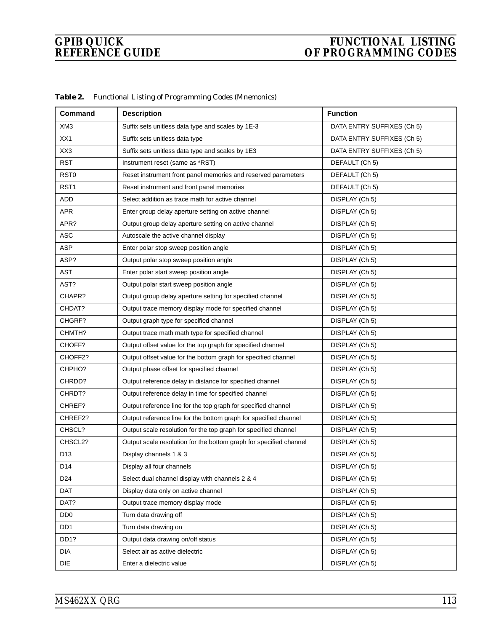| Command           | <b>Description</b>                                                 | <b>Function</b>            |
|-------------------|--------------------------------------------------------------------|----------------------------|
| XM <sub>3</sub>   | Suffix sets unitless data type and scales by 1E-3                  | DATA ENTRY SUFFIXES (Ch 5) |
| XX1               | Suffix sets unitless data type                                     | DATA ENTRY SUFFIXES (Ch 5) |
| XX3               |                                                                    |                            |
|                   | Suffix sets unitless data type and scales by 1E3                   | DATA ENTRY SUFFIXES (Ch 5) |
| <b>RST</b>        | Instrument reset (same as *RST)                                    | DEFAULT (Ch 5)             |
| RST <sub>0</sub>  | Reset instrument front panel memories and reserved parameters      | DEFAULT (Ch 5)             |
| RST <sub>1</sub>  | Reset instrument and front panel memories                          | DEFAULT (Ch 5)             |
| <b>ADD</b>        | Select addition as trace math for active channel                   | DISPLAY (Ch 5)             |
| APR               | Enter group delay aperture setting on active channel               | DISPLAY (Ch 5)             |
| APR?              | Output group delay aperture setting on active channel              | DISPLAY (Ch 5)             |
| ASC               | Autoscale the active channel display                               | DISPLAY (Ch 5)             |
| <b>ASP</b>        | Enter polar stop sweep position angle                              | DISPLAY (Ch 5)             |
| ASP?              | Output polar stop sweep position angle                             | DISPLAY (Ch 5)             |
| AST               | Enter polar start sweep position angle                             | DISPLAY (Ch 5)             |
| AST?              | Output polar start sweep position angle                            | DISPLAY (Ch 5)             |
| CHAPR?            | Output group delay aperture setting for specified channel          | DISPLAY (Ch 5)             |
| CHDAT?            | Output trace memory display mode for specified channel             | DISPLAY (Ch 5)             |
| CHGRF?            | Output graph type for specified channel                            | DISPLAY (Ch 5)             |
| CHMTH?            | Output trace math math type for specified channel                  | DISPLAY (Ch 5)             |
| CHOFF?            | Output offset value for the top graph for specified channel        | DISPLAY (Ch 5)             |
| CHOFF2?           | Output offset value for the bottom graph for specified channel     | DISPLAY (Ch 5)             |
| CHPHO?            | Output phase offset for specified channel                          | DISPLAY (Ch 5)             |
| CHRDD?            | Output reference delay in distance for specified channel           | DISPLAY (Ch 5)             |
| CHRDT?            | Output reference delay in time for specified channel               | DISPLAY (Ch 5)             |
| CHREF?            | Output reference line for the top graph for specified channel      | DISPLAY (Ch 5)             |
| CHREF2?           | Output reference line for the bottom graph for specified channel   | DISPLAY (Ch 5)             |
| CHSCL?            | Output scale resolution for the top graph for specified channel    | DISPLAY (Ch 5)             |
| CHSCL2?           | Output scale resolution for the bottom graph for specified channel | DISPLAY (Ch 5)             |
| D <sub>13</sub>   | Display channels 1 & 3                                             | DISPLAY (Ch 5)             |
| D14               | Display all four channels                                          | DISPLAY (Ch 5)             |
| D <sub>24</sub>   | Select dual channel display with channels 2 & 4                    | DISPLAY (Ch 5)             |
| DAT               | Display data only on active channel                                | DISPLAY (Ch 5)             |
| DAT?              | Output trace memory display mode                                   | DISPLAY (Ch 5)             |
| DD <sub>0</sub>   | Turn data drawing off                                              | DISPLAY (Ch 5)             |
| DD <sub>1</sub>   | Turn data drawing on                                               | DISPLAY (Ch 5)             |
| DD <sub>1</sub> ? | Output data drawing on/off status                                  | DISPLAY (Ch 5)             |
| DIA               | Select air as active dielectric                                    | DISPLAY (Ch 5)             |
| DIE               | Enter a dielectric value                                           | DISPLAY (Ch 5)             |

*Table 2. Functional Listing of Programming Codes (Mnemonics)*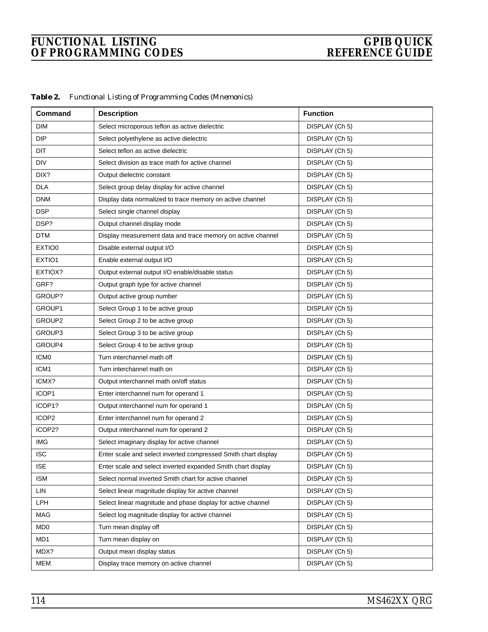| Table 2. | Functional Listing of Programming Codes (Mnemonics) |  |  |  |  |  |  |
|----------|-----------------------------------------------------|--|--|--|--|--|--|
|----------|-----------------------------------------------------|--|--|--|--|--|--|

| Command          | <b>Description</b>                                             | <b>Function</b> |
|------------------|----------------------------------------------------------------|-----------------|
| <b>DIM</b>       | Select microporous teflon as active dielectric                 | DISPLAY (Ch 5)  |
| <b>DIP</b>       | Select polyethylene as active dielectric                       | DISPLAY (Ch 5)  |
| DIT              | Select teflon as active dielectric                             | DISPLAY (Ch 5)  |
| <b>DIV</b>       | Select division as trace math for active channel               | DISPLAY (Ch 5)  |
| DIX?             | Output dielectric constant                                     | DISPLAY (Ch 5)  |
| <b>DLA</b>       | Select group delay display for active channel                  | DISPLAY (Ch 5)  |
| <b>DNM</b>       | Display data normalized to trace memory on active channel      | DISPLAY (Ch 5)  |
| <b>DSP</b>       | Select single channel display                                  | DISPLAY (Ch 5)  |
| DSP?             | Output channel display mode                                    | DISPLAY (Ch 5)  |
| DTM              | Display measurement data and trace memory on active channel    | DISPLAY (Ch 5)  |
| EXTIO0           | Disable external output I/O                                    | DISPLAY (Ch 5)  |
| EXTIO1           | Enable external output I/O                                     | DISPLAY (Ch 5)  |
| EXTIOX?          | Output external output I/O enable/disable status               | DISPLAY (Ch 5)  |
| GRF?             | Output graph type for active channel                           | DISPLAY (Ch 5)  |
| GROUP?           | Output active group number                                     | DISPLAY (Ch 5)  |
| GROUP1           | Select Group 1 to be active group                              | DISPLAY (Ch 5)  |
| GROUP2           | Select Group 2 to be active group                              | DISPLAY (Ch 5)  |
| GROUP3           | Select Group 3 to be active group                              | DISPLAY (Ch 5)  |
| GROUP4           | Select Group 4 to be active group                              | DISPLAY (Ch 5)  |
| ICM <sub>0</sub> | Turn interchannel math off                                     | DISPLAY (Ch 5)  |
| ICM1             | Turn interchannel math on                                      | DISPLAY (Ch 5)  |
| ICMX?            | Output interchannel math on/off status                         | DISPLAY (Ch 5)  |
| ICOP1            | Enter interchannel num for operand 1                           | DISPLAY (Ch 5)  |
| ICOP1?           | Output interchannel num for operand 1                          | DISPLAY (Ch 5)  |
| ICOP2            | Enter interchannel num for operand 2                           | DISPLAY (Ch 5)  |
| ICOP2?           | Output interchannel num for operand 2                          | DISPLAY (Ch 5)  |
| <b>IMG</b>       | Select imaginary display for active channel                    | DISPLAY (Ch 5)  |
| <b>ISC</b>       | Enter scale and select inverted compressed Smith chart display | DISPLAY (Ch 5)  |
| ISE              | Enter scale and select inverted expanded Smith chart display   | DISPLAY (Ch 5)  |
| <b>ISM</b>       | Select normal inverted Smith chart for active channel          | DISPLAY (Ch 5)  |
| LIN              | Select linear magnitude display for active channel             | DISPLAY (Ch 5)  |
| LPH              | Select linear magnitude and phase display for active channel   | DISPLAY (Ch 5)  |
| MAG              | Select log magnitude display for active channel                | DISPLAY (Ch 5)  |
| MD <sub>0</sub>  | Turn mean display off                                          | DISPLAY (Ch 5)  |
| MD1              | Turn mean display on                                           | DISPLAY (Ch 5)  |
| MDX?             | Output mean display status                                     | DISPLAY (Ch 5)  |
| <b>MEM</b>       | Display trace memory on active channel                         | DISPLAY (Ch 5)  |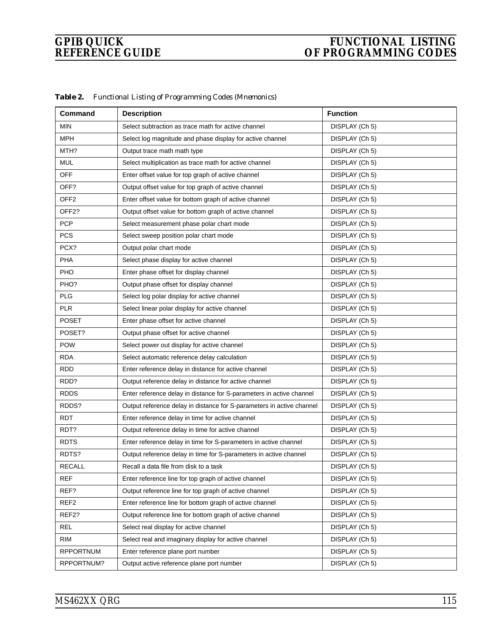| Command          | <b>Description</b>                                                    | <b>Function</b> |
|------------------|-----------------------------------------------------------------------|-----------------|
| <b>MIN</b>       | Select subtraction as trace math for active channel                   | DISPLAY (Ch 5)  |
| MPH              | Select log magnitude and phase display for active channel             | DISPLAY (Ch 5)  |
| MTH?             | Output trace math math type                                           | DISPLAY (Ch 5)  |
| MUL              | Select multiplication as trace math for active channel                | DISPLAY (Ch 5)  |
| <b>OFF</b>       | Enter offset value for top graph of active channel                    | DISPLAY (Ch 5)  |
| OFF?             | Output offset value for top graph of active channel                   | DISPLAY (Ch 5)  |
| OFF <sub>2</sub> | Enter offset value for bottom graph of active channel                 | DISPLAY (Ch 5)  |
| OFF2?            | Output offset value for bottom graph of active channel                | DISPLAY (Ch 5)  |
| <b>PCP</b>       | Select measurement phase polar chart mode                             | DISPLAY (Ch 5)  |
| <b>PCS</b>       | Select sweep position polar chart mode                                | DISPLAY (Ch 5)  |
| PCX?             | Output polar chart mode                                               | DISPLAY (Ch 5)  |
| PHA              | Select phase display for active channel                               | DISPLAY (Ch 5)  |
| PHO              | Enter phase offset for display channel                                | DISPLAY (Ch 5)  |
| PHO?             | Output phase offset for display channel                               | DISPLAY (Ch 5)  |
| <b>PLG</b>       | Select log polar display for active channel                           | DISPLAY (Ch 5)  |
| <b>PLR</b>       | Select linear polar display for active channel                        | DISPLAY (Ch 5)  |
| <b>POSET</b>     | Enter phase offset for active channel                                 | DISPLAY (Ch 5)  |
| POSET?           | Output phase offset for active channel                                | DISPLAY (Ch 5)  |
| <b>POW</b>       | Select power out display for active channel                           | DISPLAY (Ch 5)  |
| <b>RDA</b>       | Select automatic reference delay calculation                          | DISPLAY (Ch 5)  |
| <b>RDD</b>       | Enter reference delay in distance for active channel                  | DISPLAY (Ch 5)  |
| RDD?             | Output reference delay in distance for active channel                 | DISPLAY (Ch 5)  |
| <b>RDDS</b>      | Enter reference delay in distance for S-parameters in active channel  | DISPLAY (Ch 5)  |
| RDDS?            | Output reference delay in distance for S-parameters in active channel | DISPLAY (Ch 5)  |
| <b>RDT</b>       | Enter reference delay in time for active channel                      | DISPLAY (Ch 5)  |
| RDT?             | Output reference delay in time for active channel                     | DISPLAY (Ch 5)  |
| <b>RDTS</b>      | Enter reference delay in time for S-parameters in active channel      | DISPLAY (Ch 5)  |
| RDTS?            | Output reference delay in time for S-parameters in active channel     | DISPLAY (Ch 5)  |
| <b>RECALL</b>    | Recall a data file from disk to a task                                | DISPLAY (Ch 5)  |
| REF              | Enter reference line for top graph of active channel                  | DISPLAY (Ch 5)  |
| REF?             | Output reference line for top graph of active channel                 | DISPLAY (Ch 5)  |
| REF <sub>2</sub> | Enter reference line for bottom graph of active channel               | DISPLAY (Ch 5)  |
| REF2?            | Output reference line for bottom graph of active channel              | DISPLAY (Ch 5)  |
| <b>REL</b>       | Select real display for active channel                                | DISPLAY (Ch 5)  |
| <b>RIM</b>       | Select real and imaginary display for active channel                  | DISPLAY (Ch 5)  |
| <b>RPPORTNUM</b> | Enter reference plane port number                                     | DISPLAY (Ch 5)  |
| RPPORTNUM?       | Output active reference plane port number                             | DISPLAY (Ch 5)  |

*Table 2. Functional Listing of Programming Codes (Mnemonics)*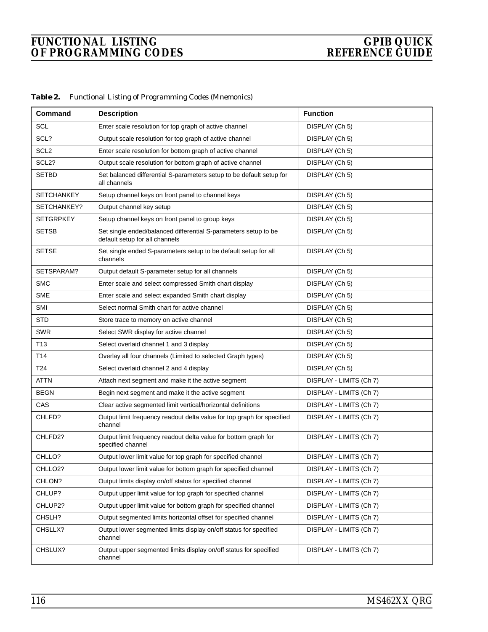| Command           | <b>Description</b>                                                                                | <b>Function</b>         |
|-------------------|---------------------------------------------------------------------------------------------------|-------------------------|
| <b>SCL</b>        | Enter scale resolution for top graph of active channel                                            | DISPLAY (Ch 5)          |
| SCL?              | Output scale resolution for top graph of active channel                                           | DISPLAY (Ch 5)          |
| SCL <sub>2</sub>  | Enter scale resolution for bottom graph of active channel                                         | DISPLAY (Ch 5)          |
| SCL <sub>2?</sub> | Output scale resolution for bottom graph of active channel                                        | DISPLAY (Ch 5)          |
| <b>SETBD</b>      | Set balanced differential S-parameters setup to be default setup for<br>all channels              | DISPLAY (Ch 5)          |
| <b>SETCHANKEY</b> | Setup channel keys on front panel to channel keys                                                 | DISPLAY (Ch 5)          |
| SETCHANKEY?       | Output channel key setup                                                                          | DISPLAY (Ch 5)          |
| <b>SETGRPKEY</b>  | Setup channel keys on front panel to group keys                                                   | DISPLAY (Ch 5)          |
| <b>SETSB</b>      | Set single ended/balanced differential S-parameters setup to be<br>default setup for all channels | DISPLAY (Ch 5)          |
| <b>SETSE</b>      | Set single ended S-parameters setup to be default setup for all<br>channels                       | DISPLAY (Ch 5)          |
| SETSPARAM?        | Output default S-parameter setup for all channels                                                 | DISPLAY (Ch 5)          |
| <b>SMC</b>        | Enter scale and select compressed Smith chart display                                             | DISPLAY (Ch 5)          |
| <b>SME</b>        | Enter scale and select expanded Smith chart display                                               | DISPLAY (Ch 5)          |
| SMI               | Select normal Smith chart for active channel                                                      | DISPLAY (Ch 5)          |
| <b>STD</b>        | Store trace to memory on active channel                                                           | DISPLAY (Ch 5)          |
| <b>SWR</b>        | Select SWR display for active channel                                                             | DISPLAY (Ch 5)          |
| T13               | Select overlaid channel 1 and 3 display                                                           | DISPLAY (Ch 5)          |
| T14               | Overlay all four channels (Limited to selected Graph types)                                       | DISPLAY (Ch 5)          |
| T24               | Select overlaid channel 2 and 4 display                                                           | DISPLAY (Ch 5)          |
| <b>ATTN</b>       | Attach next segment and make it the active segment                                                | DISPLAY - LIMITS (Ch 7) |
| <b>BEGN</b>       | Begin next segment and make it the active segment                                                 | DISPLAY - LIMITS (Ch 7) |
| CAS               | Clear active segmented limit vertical/horizontal definitions                                      | DISPLAY - LIMITS (Ch 7) |
| CHLFD?            | Output limit frequency readout delta value for top graph for specified<br>channel                 | DISPLAY - LIMITS (Ch 7) |
| CHLFD2?           | Output limit frequency readout delta value for bottom graph for<br>specified channel              | DISPLAY - LIMITS (Ch 7) |
| CHLLO?            | Output lower limit value for top graph for specified channel                                      | DISPLAY - LIMITS (Ch 7) |
| CHLLO2?           | Output lower limit value for bottom graph for specified channel                                   | DISPLAY - LIMITS (Ch 7) |
| CHLON?            | Output limits display on/off status for specified channel                                         | DISPLAY - LIMITS (Ch 7) |
| CHLUP?            | Output upper limit value for top graph for specified channel                                      | DISPLAY - LIMITS (Ch 7) |
| CHLUP2?           | Output upper limit value for bottom graph for specified channel                                   | DISPLAY - LIMITS (Ch 7) |
| CHSLH?            | Output segmented limits horizontal offset for specified channel                                   | DISPLAY - LIMITS (Ch 7) |
| CHSLLX?           | Output lower segmented limits display on/off status for specified<br>channel                      | DISPLAY - LIMITS (Ch 7) |
| CHSLUX?           | Output upper segmented limits display on/off status for specified<br>channel                      | DISPLAY - LIMITS (Ch 7) |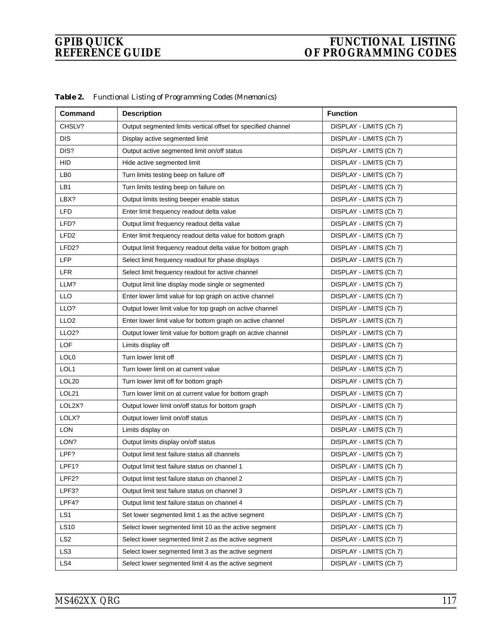| Command            | <b>Description</b>                                            | <b>Function</b>         |
|--------------------|---------------------------------------------------------------|-------------------------|
| CHSLV?             | Output segmented limits vertical offset for specified channel | DISPLAY - LIMITS (Ch 7) |
| <b>DIS</b>         | Display active segmented limit                                | DISPLAY - LIMITS (Ch 7) |
| DIS?               | Output active segmented limit on/off status                   | DISPLAY - LIMITS (Ch 7) |
| <b>HID</b>         | Hide active segmented limit                                   | DISPLAY - LIMITS (Ch 7) |
| LB <sub>0</sub>    | Turn limits testing beep on failure off                       | DISPLAY - LIMITS (Ch 7) |
| LB1                | Turn limits testing beep on failure on                        | DISPLAY - LIMITS (Ch 7) |
| LBX?               | Output limits testing beeper enable status                    | DISPLAY - LIMITS (Ch 7) |
| <b>LFD</b>         | Enter limit frequency readout delta value                     | DISPLAY - LIMITS (Ch 7) |
| LFD?               | Output limit frequency readout delta value                    | DISPLAY - LIMITS (Ch 7) |
| LFD <sub>2</sub>   | Enter limit frequency readout delta value for bottom graph    | DISPLAY - LIMITS (Ch 7) |
| LFD <sub>2</sub> ? | Output limit frequency readout delta value for bottom graph   | DISPLAY - LIMITS (Ch 7) |
| <b>LFP</b>         | Select limit frequency readout for phase displays             | DISPLAY - LIMITS (Ch 7) |
| <b>LFR</b>         | Select limit frequency readout for active channel             | DISPLAY - LIMITS (Ch 7) |
| LLM?               | Output limit line display mode single or segmented            | DISPLAY - LIMITS (Ch 7) |
| <b>LLO</b>         | Enter lower limit value for top graph on active channel       | DISPLAY - LIMITS (Ch 7) |
| LLO?               | Output lower limit value for top graph on active channel      | DISPLAY - LIMITS (Ch 7) |
| LLO <sub>2</sub>   | Enter lower limit value for bottom graph on active channel    | DISPLAY - LIMITS (Ch 7) |
| LLO2?              | Output lower limit value for bottom graph on active channel   | DISPLAY - LIMITS (Ch 7) |
| <b>LOF</b>         | Limits display off                                            | DISPLAY - LIMITS (Ch 7) |
| LOL <sub>0</sub>   | Turn lower limit off                                          | DISPLAY - LIMITS (Ch 7) |
| LOL1               | Turn lower limit on at current value                          | DISPLAY - LIMITS (Ch 7) |
| LOL20              | Turn lower limit off for bottom graph                         | DISPLAY - LIMITS (Ch 7) |
| LOL21              | Turn lower limit on at current value for bottom graph         | DISPLAY - LIMITS (Ch 7) |
| LOL2X?             | Output lower limit on/off status for bottom graph             | DISPLAY - LIMITS (Ch 7) |
| LOLX?              | Output lower limit on/off status                              | DISPLAY - LIMITS (Ch 7) |
| <b>LON</b>         | Limits display on                                             | DISPLAY - LIMITS (Ch 7) |
| LON?               | Output limits display on/off status                           | DISPLAY - LIMITS (Ch 7) |
| LPF?               | Output limit test failure status all channels                 | DISPLAY - LIMITS (Ch 7) |
| LPF1?              | Output limit test failure status on channel 1                 | DISPLAY - LIMITS (Ch 7) |
| LPF2?              | Output limit test failure status on channel 2                 | DISPLAY - LIMITS (Ch 7) |
| LPF3?              | Output limit test failure status on channel 3                 | DISPLAY - LIMITS (Ch 7) |
| LPF4?              | Output limit test failure status on channel 4                 | DISPLAY - LIMITS (Ch 7) |
| LS1                | Set lower segmented limit 1 as the active segment             | DISPLAY - LIMITS (Ch 7) |
| <b>LS10</b>        | Select lower segmented limit 10 as the active segment         | DISPLAY - LIMITS (Ch 7) |
| LS <sub>2</sub>    | Select lower segmented limit 2 as the active segment          | DISPLAY - LIMITS (Ch 7) |
| LS3                | Select lower segmented limit 3 as the active segment          | DISPLAY - LIMITS (Ch 7) |
| LS4                | Select lower segmented limit 4 as the active segment          | DISPLAY - LIMITS (Ch 7) |

*Table 2. Functional Listing of Programming Codes (Mnemonics)*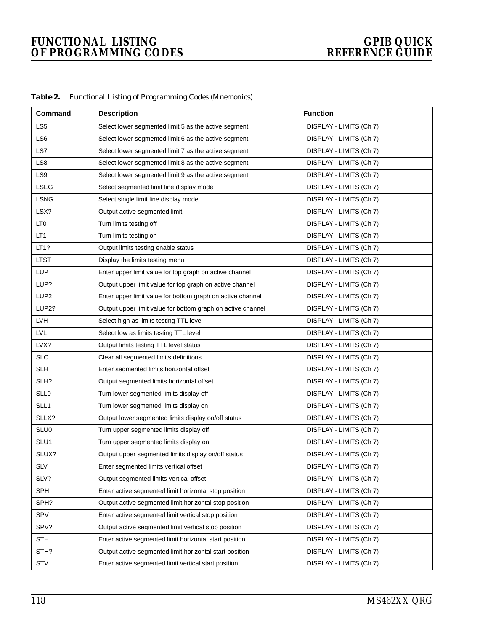| Table 2. | Functional Listing of Programming Codes (Mnemonics) |  |  |  |  |  |  |
|----------|-----------------------------------------------------|--|--|--|--|--|--|
|----------|-----------------------------------------------------|--|--|--|--|--|--|

| Command          | <b>Description</b>                                          | <b>Function</b>         |
|------------------|-------------------------------------------------------------|-------------------------|
| LS <sub>5</sub>  | Select lower segmented limit 5 as the active segment        | DISPLAY - LIMITS (Ch 7) |
| LS <sub>6</sub>  | Select lower segmented limit 6 as the active segment        | DISPLAY - LIMITS (Ch 7) |
| LS7              | Select lower segmented limit 7 as the active segment        | DISPLAY - LIMITS (Ch 7) |
| LS8              | Select lower segmented limit 8 as the active segment        | DISPLAY - LIMITS (Ch 7) |
| LS9              | Select lower segmented limit 9 as the active segment        | DISPLAY - LIMITS (Ch 7) |
| LSEG             | Select segmented limit line display mode                    | DISPLAY - LIMITS (Ch 7) |
| <b>LSNG</b>      | Select single limit line display mode                       | DISPLAY - LIMITS (Ch 7) |
| LSX?             | Output active segmented limit                               | DISPLAY - LIMITS (Ch 7) |
| LT <sub>0</sub>  | Turn limits testing off                                     | DISPLAY - LIMITS (Ch 7) |
| LT1              | Turn limits testing on                                      | DISPLAY - LIMITS (Ch 7) |
| LT1?             | Output limits testing enable status                         | DISPLAY - LIMITS (Ch 7) |
| <b>LTST</b>      | Display the limits testing menu                             | DISPLAY - LIMITS (Ch 7) |
| <b>LUP</b>       | Enter upper limit value for top graph on active channel     | DISPLAY - LIMITS (Ch 7) |
| LUP?             | Output upper limit value for top graph on active channel    | DISPLAY - LIMITS (Ch 7) |
| LUP <sub>2</sub> | Enter upper limit value for bottom graph on active channel  | DISPLAY - LIMITS (Ch 7) |
| LUP2?            | Output upper limit value for bottom graph on active channel | DISPLAY - LIMITS (Ch 7) |
| <b>LVH</b>       | Select high as limits testing TTL level                     | DISPLAY - LIMITS (Ch 7) |
| LVL              | Select low as limits testing TTL level                      | DISPLAY - LIMITS (Ch 7) |
| LVX?             | Output limits testing TTL level status                      | DISPLAY - LIMITS (Ch 7) |
| <b>SLC</b>       | Clear all segmented limits definitions                      | DISPLAY - LIMITS (Ch 7) |
| <b>SLH</b>       | Enter segmented limits horizontal offset                    | DISPLAY - LIMITS (Ch 7) |
| SLH?             | Output segmented limits horizontal offset                   | DISPLAY - LIMITS (Ch 7) |
| <b>SLLO</b>      | Turn lower segmented limits display off                     | DISPLAY - LIMITS (Ch 7) |
| SLL1             | Turn lower segmented limits display on                      | DISPLAY - LIMITS (Ch 7) |
| SLLX?            | Output lower segmented limits display on/off status         | DISPLAY - LIMITS (Ch 7) |
| <b>SLU0</b>      | Turn upper segmented limits display off                     | DISPLAY - LIMITS (Ch 7) |
| SLU1             | Turn upper segmented limits display on                      | DISPLAY - LIMITS (Ch 7) |
| SLUX?            | Output upper segmented limits display on/off status         | DISPLAY - LIMITS (Ch 7) |
| <b>SLV</b>       | Enter segmented limits vertical offset                      | DISPLAY - LIMITS (Ch 7) |
| SLV?             | Output segmented limits vertical offset                     | DISPLAY - LIMITS (Ch 7) |
| <b>SPH</b>       | Enter active segmented limit horizontal stop position       | DISPLAY - LIMITS (Ch 7) |
| SPH?             | Output active segmented limit horizontal stop position      | DISPLAY - LIMITS (Ch 7) |
| SPV              | Enter active segmented limit vertical stop position         | DISPLAY - LIMITS (Ch 7) |
| SPV?             | Output active segmented limit vertical stop position        | DISPLAY - LIMITS (Ch 7) |
| <b>STH</b>       | Enter active segmented limit horizontal start position      | DISPLAY - LIMITS (Ch 7) |
| STH?             | Output active segmented limit horizontal start position     | DISPLAY - LIMITS (Ch 7) |
| <b>STV</b>       | Enter active segmented limit vertical start position        | DISPLAY - LIMITS (Ch 7) |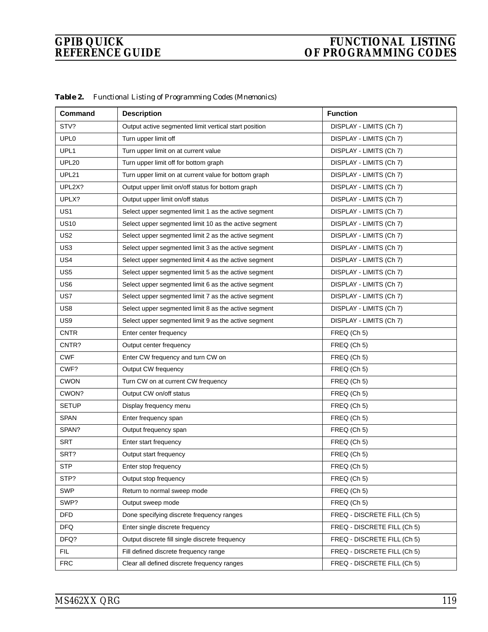| Command          | <b>Description</b>                                    | <b>Function</b>             |
|------------------|-------------------------------------------------------|-----------------------------|
| STV?             | Output active segmented limit vertical start position | DISPLAY - LIMITS (Ch 7)     |
| UPL <sub>0</sub> | Turn upper limit off                                  | DISPLAY - LIMITS (Ch 7)     |
| UPL1             | Turn upper limit on at current value                  | DISPLAY - LIMITS (Ch 7)     |
| <b>UPL20</b>     | Turn upper limit off for bottom graph                 | DISPLAY - LIMITS (Ch 7)     |
| <b>UPL21</b>     | Turn upper limit on at current value for bottom graph | DISPLAY - LIMITS (Ch 7)     |
| UPL2X?           | Output upper limit on/off status for bottom graph     | DISPLAY - LIMITS (Ch 7)     |
| UPLX?            | Output upper limit on/off status                      | DISPLAY - LIMITS (Ch 7)     |
| US <sub>1</sub>  | Select upper segmented limit 1 as the active segment  | DISPLAY - LIMITS (Ch 7)     |
| <b>US10</b>      | Select upper segmented limit 10 as the active segment | DISPLAY - LIMITS (Ch 7)     |
| US <sub>2</sub>  | Select upper segmented limit 2 as the active segment  | DISPLAY - LIMITS (Ch 7)     |
| US <sub>3</sub>  | Select upper segmented limit 3 as the active segment  | DISPLAY - LIMITS (Ch 7)     |
| US4              | Select upper segmented limit 4 as the active segment  | DISPLAY - LIMITS (Ch 7)     |
| US <sub>5</sub>  | Select upper segmented limit 5 as the active segment  | DISPLAY - LIMITS (Ch 7)     |
| US <sub>6</sub>  | Select upper segmented limit 6 as the active segment  | DISPLAY - LIMITS (Ch 7)     |
| US7              | Select upper segmented limit 7 as the active segment  | DISPLAY - LIMITS (Ch 7)     |
| US8              | Select upper segmented limit 8 as the active segment  | DISPLAY - LIMITS (Ch 7)     |
| US9              | Select upper segmented limit 9 as the active segment  | DISPLAY - LIMITS (Ch 7)     |
| <b>CNTR</b>      | Enter center frequency                                | FREQ (Ch 5)                 |
| CNTR?            | Output center frequency                               | FREQ (Ch 5)                 |
| <b>CWF</b>       | Enter CW frequency and turn CW on                     | FREQ (Ch 5)                 |
| CWF?             | Output CW frequency                                   | FREQ (Ch 5)                 |
| <b>CWON</b>      | Turn CW on at current CW frequency                    | FREQ (Ch 5)                 |
| CWON?            | Output CW on/off status                               | FREQ (Ch 5)                 |
| <b>SETUP</b>     | Display frequency menu                                | FREQ (Ch 5)                 |
| <b>SPAN</b>      | Enter frequency span                                  | FREQ (Ch 5)                 |
| SPAN?            | Output frequency span                                 | FREQ (Ch 5)                 |
| <b>SRT</b>       | Enter start frequency                                 | FREQ (Ch 5)                 |
| SRT?             | Output start frequency                                | FREQ (Ch 5)                 |
| STP              | Enter stop frequency                                  | FREQ (Ch 5)                 |
| STP?             | Output stop frequency                                 | FREQ (Ch 5)                 |
| <b>SWP</b>       | Return to normal sweep mode                           | FREQ (Ch 5)                 |
| SWP?             | Output sweep mode                                     | FREQ (Ch 5)                 |
| <b>DFD</b>       | Done specifying discrete frequency ranges             | FREQ - DISCRETE FILL (Ch 5) |
| <b>DFQ</b>       | Enter single discrete frequency                       | FREQ - DISCRETE FILL (Ch 5) |
| DFQ?             | Output discrete fill single discrete frequency        | FREQ - DISCRETE FILL (Ch 5) |
| <b>FIL</b>       | Fill defined discrete frequency range                 | FREQ - DISCRETE FILL (Ch 5) |
| <b>FRC</b>       | Clear all defined discrete frequency ranges           | FREQ - DISCRETE FILL (Ch 5) |

*Table 2. Functional Listing of Programming Codes (Mnemonics)*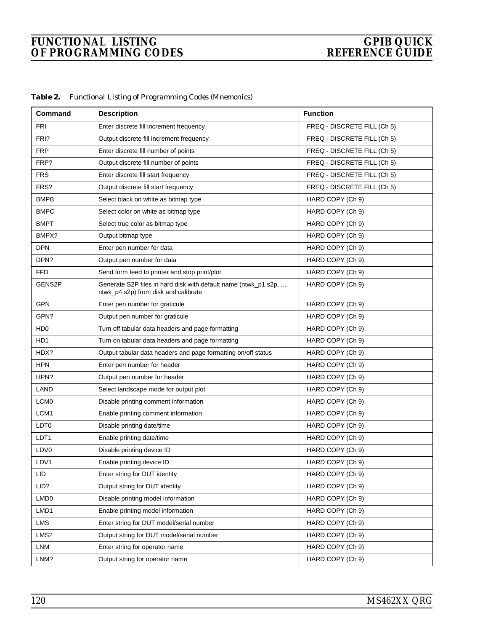| Table 2. | Functional Listing of Programming Codes (Mnemonics) |  |  |  |  |  |  |
|----------|-----------------------------------------------------|--|--|--|--|--|--|
|----------|-----------------------------------------------------|--|--|--|--|--|--|

| Command                     | <b>Description</b>                                                                                        | <b>Function</b>             |
|-----------------------------|-----------------------------------------------------------------------------------------------------------|-----------------------------|
| <b>FRI</b>                  | Enter discrete fill increment frequency                                                                   | FREQ - DISCRETE FILL (Ch 5) |
| FRI?                        | Output discrete fill increment frequency                                                                  | FREQ - DISCRETE FILL (Ch 5) |
| <b>FRP</b>                  | Enter discrete fill number of points                                                                      | FREQ - DISCRETE FILL (Ch 5) |
| FRP?                        | Output discrete fill number of points                                                                     | FREQ - DISCRETE FILL (Ch 5) |
| <b>FRS</b>                  | Enter discrete fill start frequency                                                                       | FREQ - DISCRETE FILL (Ch 5) |
| FRS?                        | Output discrete fill start frequency                                                                      | FREQ - DISCRETE FILL (Ch 5) |
| <b>BMPB</b>                 | Select black on white as bitmap type                                                                      | HARD COPY (Ch 9)            |
| <b>BMPC</b>                 | Select color on white as bitmap type                                                                      | HARD COPY (Ch 9)            |
| <b>BMPT</b>                 | Select true color as bitmap type                                                                          | HARD COPY (Ch 9)            |
| BMPX?                       | Output bitmap type                                                                                        | HARD COPY (Ch 9)            |
| <b>DPN</b>                  | Enter pen number for data                                                                                 | HARD COPY (Ch 9)            |
| DPN?                        | Output pen number for data                                                                                | HARD COPY (Ch 9)            |
| <b>FFD</b>                  | Send form feed to printer and stop print/plot                                                             | HARD COPY (Ch 9)            |
| GENS2P                      | Generate S2P files in hard disk with default name (ntwk_p1.s2p, ,<br>ntwk_p4.s2p) from disk and calibrate | HARD COPY (Ch 9)            |
| <b>GPN</b>                  | Enter pen number for graticule                                                                            | HARD COPY (Ch 9)            |
| GPN?                        | Output pen number for graticule                                                                           | HARD COPY (Ch 9)            |
| H <sub>D</sub> <sub>0</sub> | Turn off tabular data headers and page formatting                                                         | HARD COPY (Ch 9)            |
| HD1                         | Turn on tabular data headers and page formatting                                                          | HARD COPY (Ch 9)            |
| HDX?                        | Output tabular data headers and page formatting on/off status                                             | HARD COPY (Ch 9)            |
| <b>HPN</b>                  | Enter pen number for header                                                                               | HARD COPY (Ch 9)            |
| HPN?                        | Output pen number for header                                                                              | HARD COPY (Ch 9)            |
| LAND                        | Select landscape mode for output plot                                                                     | HARD COPY (Ch 9)            |
| LCM <sub>0</sub>            | Disable printing comment information                                                                      | HARD COPY (Ch 9)            |
| LCM1                        | Enable printing comment information                                                                       | HARD COPY (Ch 9)            |
| LDT <sub>0</sub>            | Disable printing date/time                                                                                | HARD COPY (Ch 9)            |
| LDT <sub>1</sub>            | Enable printing date/time                                                                                 | HARD COPY (Ch 9)            |
| LDV <sub>0</sub>            | Disable printing device ID                                                                                | HARD COPY (Ch 9)            |
| LDV1                        | Enable printing device ID                                                                                 | HARD COPY (Ch 9)            |
| LID.                        | Enter string for DUT identity                                                                             | HARD COPY (Ch 9)            |
| LID?                        | Output string for DUT identity                                                                            | HARD COPY (Ch 9)            |
| LMD <sub>0</sub>            | Disable printing model information                                                                        | HARD COPY (Ch 9)            |
| LMD1                        | Enable printing model information                                                                         | HARD COPY (Ch 9)            |
| LMS                         | Enter string for DUT model/serial number                                                                  | HARD COPY (Ch 9)            |
| LMS?                        | Output string for DUT model/serial number                                                                 | HARD COPY (Ch 9)            |
| LNM                         | Enter string for operator name                                                                            | HARD COPY (Ch 9)            |
| LNM?                        | Output string for operator name                                                                           | HARD COPY (Ch 9)            |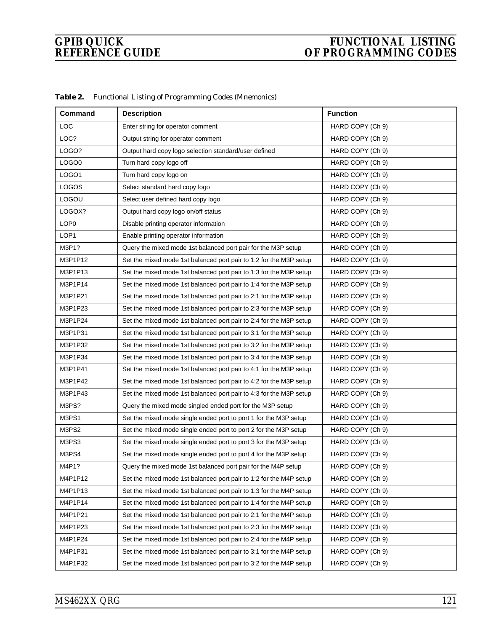| Command          | <b>Description</b>                                                 | <b>Function</b>  |
|------------------|--------------------------------------------------------------------|------------------|
| <b>LOC</b>       | Enter string for operator comment                                  | HARD COPY (Ch 9) |
| LOC?             | Output string for operator comment                                 | HARD COPY (Ch 9) |
| LOGO?            | Output hard copy logo selection standard/user defined              | HARD COPY (Ch 9) |
| LOGO0            | Turn hard copy logo off                                            | HARD COPY (Ch 9) |
| LOGO1            | Turn hard copy logo on                                             | HARD COPY (Ch 9) |
| <b>LOGOS</b>     | Select standard hard copy logo                                     | HARD COPY (Ch 9) |
| <b>LOGOU</b>     | Select user defined hard copy logo                                 | HARD COPY (Ch 9) |
| LOGOX?           | Output hard copy logo on/off status                                | HARD COPY (Ch 9) |
| LOP <sub>0</sub> | Disable printing operator information                              | HARD COPY (Ch 9) |
| LOP1             | Enable printing operator information                               | HARD COPY (Ch 9) |
| M3P1?            | Query the mixed mode 1st balanced port pair for the M3P setup      | HARD COPY (Ch 9) |
| M3P1P12          | Set the mixed mode 1st balanced port pair to 1:2 for the M3P setup | HARD COPY (Ch 9) |
| M3P1P13          | Set the mixed mode 1st balanced port pair to 1:3 for the M3P setup | HARD COPY (Ch 9) |
| M3P1P14          | Set the mixed mode 1st balanced port pair to 1:4 for the M3P setup | HARD COPY (Ch 9) |
| M3P1P21          | Set the mixed mode 1st balanced port pair to 2:1 for the M3P setup | HARD COPY (Ch 9) |
| M3P1P23          | Set the mixed mode 1st balanced port pair to 2:3 for the M3P setup | HARD COPY (Ch 9) |
| M3P1P24          | Set the mixed mode 1st balanced port pair to 2:4 for the M3P setup | HARD COPY (Ch 9) |
| M3P1P31          | Set the mixed mode 1st balanced port pair to 3:1 for the M3P setup | HARD COPY (Ch 9) |
| M3P1P32          | Set the mixed mode 1st balanced port pair to 3:2 for the M3P setup | HARD COPY (Ch 9) |
| M3P1P34          | Set the mixed mode 1st balanced port pair to 3:4 for the M3P setup | HARD COPY (Ch 9) |
| M3P1P41          | Set the mixed mode 1st balanced port pair to 4:1 for the M3P setup | HARD COPY (Ch 9) |
| M3P1P42          | Set the mixed mode 1st balanced port pair to 4:2 for the M3P setup | HARD COPY (Ch 9) |
| M3P1P43          | Set the mixed mode 1st balanced port pair to 4:3 for the M3P setup | HARD COPY (Ch 9) |
| M3PS?            | Query the mixed mode singled ended port for the M3P setup          | HARD COPY (Ch 9) |
| M3PS1            | Set the mixed mode single ended port to port 1 for the M3P setup   | HARD COPY (Ch 9) |
| M3PS2            | Set the mixed mode single ended port to port 2 for the M3P setup   | HARD COPY (Ch 9) |
| M3PS3            | Set the mixed mode single ended port to port 3 for the M3P setup   | HARD COPY (Ch 9) |
| M3PS4            | Set the mixed mode single ended port to port 4 for the M3P setup   | HARD COPY (Ch 9) |
| M4P1?            | Query the mixed mode 1st balanced port pair for the M4P setup      | HARD COPY (Ch 9) |
| M4P1P12          | Set the mixed mode 1st balanced port pair to 1:2 for the M4P setup | HARD COPY (Ch 9) |
| M4P1P13          | Set the mixed mode 1st balanced port pair to 1:3 for the M4P setup | HARD COPY (Ch 9) |
| M4P1P14          | Set the mixed mode 1st balanced port pair to 1:4 for the M4P setup | HARD COPY (Ch 9) |
| M4P1P21          | Set the mixed mode 1st balanced port pair to 2:1 for the M4P setup | HARD COPY (Ch 9) |
| M4P1P23          | Set the mixed mode 1st balanced port pair to 2:3 for the M4P setup | HARD COPY (Ch 9) |
| M4P1P24          | Set the mixed mode 1st balanced port pair to 2:4 for the M4P setup | HARD COPY (Ch 9) |
| M4P1P31          | Set the mixed mode 1st balanced port pair to 3:1 for the M4P setup | HARD COPY (Ch 9) |
| M4P1P32          | Set the mixed mode 1st balanced port pair to 3:2 for the M4P setup | HARD COPY (Ch 9) |

*Table 2. Functional Listing of Programming Codes (Mnemonics)*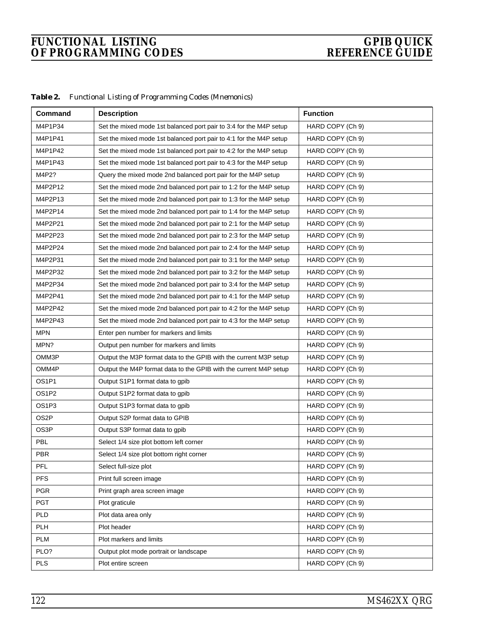| Command                        | <b>Description</b>                                                 | <b>Function</b>  |
|--------------------------------|--------------------------------------------------------------------|------------------|
| M4P1P34                        | Set the mixed mode 1st balanced port pair to 3:4 for the M4P setup | HARD COPY (Ch 9) |
| M4P1P41                        | Set the mixed mode 1st balanced port pair to 4:1 for the M4P setup | HARD COPY (Ch 9) |
| M4P1P42                        | Set the mixed mode 1st balanced port pair to 4:2 for the M4P setup | HARD COPY (Ch 9) |
| M4P1P43                        | Set the mixed mode 1st balanced port pair to 4:3 for the M4P setup | HARD COPY (Ch 9) |
| M4P2?                          | Query the mixed mode 2nd balanced port pair for the M4P setup      | HARD COPY (Ch 9) |
| M4P2P12                        | Set the mixed mode 2nd balanced port pair to 1:2 for the M4P setup | HARD COPY (Ch 9) |
| M4P2P13                        | Set the mixed mode 2nd balanced port pair to 1:3 for the M4P setup | HARD COPY (Ch 9) |
| M4P2P14                        | Set the mixed mode 2nd balanced port pair to 1:4 for the M4P setup | HARD COPY (Ch 9) |
| M4P2P21                        | Set the mixed mode 2nd balanced port pair to 2:1 for the M4P setup | HARD COPY (Ch 9) |
| M4P2P23                        | Set the mixed mode 2nd balanced port pair to 2:3 for the M4P setup | HARD COPY (Ch 9) |
| M4P2P24                        | Set the mixed mode 2nd balanced port pair to 2:4 for the M4P setup | HARD COPY (Ch 9) |
| M4P2P31                        | Set the mixed mode 2nd balanced port pair to 3:1 for the M4P setup | HARD COPY (Ch 9) |
| M4P2P32                        | Set the mixed mode 2nd balanced port pair to 3:2 for the M4P setup | HARD COPY (Ch 9) |
| M4P2P34                        | Set the mixed mode 2nd balanced port pair to 3:4 for the M4P setup | HARD COPY (Ch 9) |
| M4P2P41                        | Set the mixed mode 2nd balanced port pair to 4:1 for the M4P setup | HARD COPY (Ch 9) |
| M4P2P42                        | Set the mixed mode 2nd balanced port pair to 4:2 for the M4P setup | HARD COPY (Ch 9) |
| M4P2P43                        | Set the mixed mode 2nd balanced port pair to 4:3 for the M4P setup | HARD COPY (Ch 9) |
| <b>MPN</b>                     | Enter pen number for markers and limits                            | HARD COPY (Ch 9) |
| MPN?                           | Output pen number for markers and limits                           | HARD COPY (Ch 9) |
| OMM3P                          | Output the M3P format data to the GPIB with the current M3P setup  | HARD COPY (Ch 9) |
| OMM4P                          | Output the M4P format data to the GPIB with the current M4P setup  | HARD COPY (Ch 9) |
| OS <sub>1</sub> P <sub>1</sub> | Output S1P1 format data to gpib                                    | HARD COPY (Ch 9) |
| OS <sub>1</sub> P <sub>2</sub> | Output S1P2 format data to gpib                                    | HARD COPY (Ch 9) |
| OS1P3                          | Output S1P3 format data to gpib                                    | HARD COPY (Ch 9) |
| OS2P                           | Output S2P format data to GPIB                                     | HARD COPY (Ch 9) |
| OS3P                           | Output S3P format data to gpib                                     | HARD COPY (Ch 9) |
| PBL                            | Select 1/4 size plot bottom left corner                            | HARD COPY (Ch 9) |
| <b>PBR</b>                     | Select 1/4 size plot bottom right corner                           | HARD COPY (Ch 9) |
| <b>PFL</b>                     | Select full-size plot                                              | HARD COPY (Ch 9) |
| <b>PFS</b>                     | Print full screen image                                            | HARD COPY (Ch 9) |
| <b>PGR</b>                     | Print graph area screen image                                      | HARD COPY (Ch 9) |
| <b>PGT</b>                     | Plot graticule                                                     | HARD COPY (Ch 9) |
| <b>PLD</b>                     | Plot data area only                                                | HARD COPY (Ch 9) |
| PLH                            | Plot header                                                        | HARD COPY (Ch 9) |
| PLM                            | Plot markers and limits                                            | HARD COPY (Ch 9) |
| PLO?                           | Output plot mode portrait or landscape                             | HARD COPY (Ch 9) |
| <b>PLS</b>                     | Plot entire screen                                                 | HARD COPY (Ch 9) |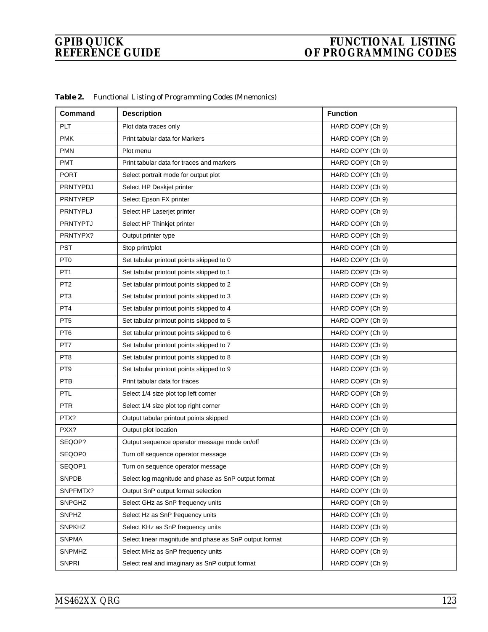| Command         | <b>Description</b>                                     | <b>Function</b>  |
|-----------------|--------------------------------------------------------|------------------|
| PLT             | Plot data traces only                                  | HARD COPY (Ch 9) |
| <b>PMK</b>      | Print tabular data for Markers                         | HARD COPY (Ch 9) |
| <b>PMN</b>      | Plot menu                                              | HARD COPY (Ch 9) |
| <b>PMT</b>      | Print tabular data for traces and markers              | HARD COPY (Ch 9) |
| <b>PORT</b>     | Select portrait mode for output plot                   | HARD COPY (Ch 9) |
| <b>PRNTYPDJ</b> | Select HP Deskjet printer                              | HARD COPY (Ch 9) |
| <b>PRNTYPEP</b> | Select Epson FX printer                                | HARD COPY (Ch 9) |
| <b>PRNTYPLJ</b> | Select HP Laserjet printer                             | HARD COPY (Ch 9) |
| <b>PRNTYPTJ</b> | Select HP Thinkjet printer                             | HARD COPY (Ch 9) |
| PRNTYPX?        | Output printer type                                    | HARD COPY (Ch 9) |
| <b>PST</b>      | Stop print/plot                                        | HARD COPY (Ch 9) |
| PT <sub>0</sub> | Set tabular printout points skipped to 0               | HARD COPY (Ch 9) |
| PT <sub>1</sub> | Set tabular printout points skipped to 1               | HARD COPY (Ch 9) |
| PT <sub>2</sub> | Set tabular printout points skipped to 2               | HARD COPY (Ch 9) |
| PT <sub>3</sub> | Set tabular printout points skipped to 3               | HARD COPY (Ch 9) |
| PT4             | Set tabular printout points skipped to 4               | HARD COPY (Ch 9) |
| PT <sub>5</sub> | Set tabular printout points skipped to 5               | HARD COPY (Ch 9) |
| PT <sub>6</sub> | Set tabular printout points skipped to 6               | HARD COPY (Ch 9) |
| PT7             | Set tabular printout points skipped to 7               | HARD COPY (Ch 9) |
| PT8             | Set tabular printout points skipped to 8               | HARD COPY (Ch 9) |
| PT <sub>9</sub> | Set tabular printout points skipped to 9               | HARD COPY (Ch 9) |
| <b>PTB</b>      | Print tabular data for traces                          | HARD COPY (Ch 9) |
| <b>PTL</b>      | Select 1/4 size plot top left corner                   | HARD COPY (Ch 9) |
| <b>PTR</b>      | Select 1/4 size plot top right corner                  | HARD COPY (Ch 9) |
| PTX?            | Output tabular printout points skipped                 | HARD COPY (Ch 9) |
| PXX?            | Output plot location                                   | HARD COPY (Ch 9) |
| SEQOP?          | Output sequence operator message mode on/off           | HARD COPY (Ch 9) |
| SEQOP0          | Turn off sequence operator message                     | HARD COPY (Ch 9) |
| SEQOP1          | Turn on sequence operator message                      | HARD COPY (Ch 9) |
| <b>SNPDB</b>    | Select log magnitude and phase as SnP output format    | HARD COPY (Ch 9) |
| SNPFMTX?        | Output SnP output format selection                     | HARD COPY (Ch 9) |
| <b>SNPGHZ</b>   | Select GHz as SnP frequency units                      | HARD COPY (Ch 9) |
| <b>SNPHZ</b>    | Select Hz as SnP frequency units                       | HARD COPY (Ch 9) |
| <b>SNPKHZ</b>   | Select KHz as SnP frequency units                      | HARD COPY (Ch 9) |
| <b>SNPMA</b>    | Select linear magnitude and phase as SnP output format | HARD COPY (Ch 9) |
| <b>SNPMHZ</b>   | Select MHz as SnP frequency units                      | HARD COPY (Ch 9) |
| <b>SNPRI</b>    | Select real and imaginary as SnP output format         | HARD COPY (Ch 9) |

*Table 2. Functional Listing of Programming Codes (Mnemonics)*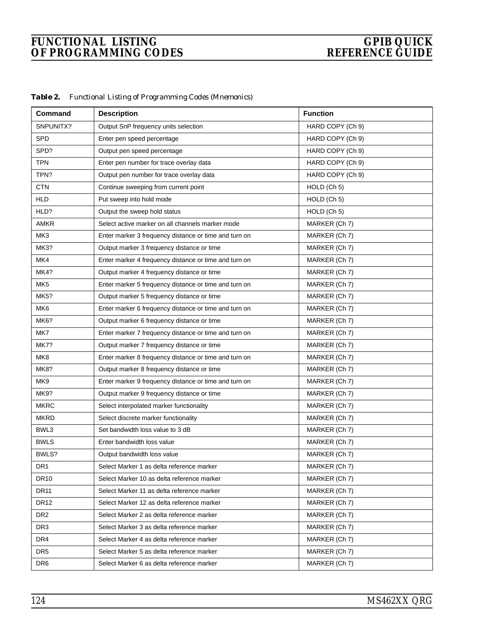| Table 2. | Functional Listing of Programming Codes (Mnemonics) |  |  |  |  |  |  |
|----------|-----------------------------------------------------|--|--|--|--|--|--|
|----------|-----------------------------------------------------|--|--|--|--|--|--|

| Command         | <b>Description</b>                                    | <b>Function</b>  |
|-----------------|-------------------------------------------------------|------------------|
| SNPUNITX?       | Output SnP frequency units selection                  | HARD COPY (Ch 9) |
| <b>SPD</b>      | Enter pen speed percentage                            | HARD COPY (Ch 9) |
| SPD?            | Output pen speed percentage                           | HARD COPY (Ch 9) |
| <b>TPN</b>      | Enter pen number for trace overlay data               | HARD COPY (Ch 9) |
| TPN?            | Output pen number for trace overlay data              | HARD COPY (Ch 9) |
| CTN             | Continue sweeping from current point                  | HOLD (Ch 5)      |
| <b>HLD</b>      | Put sweep into hold mode                              | HOLD (Ch 5)      |
| HLD?            | Output the sweep hold status                          | HOLD (Ch 5)      |
| <b>AMKR</b>     | Select active marker on all channels marker mode      | MARKER (Ch 7)    |
| MK3             | Enter marker 3 frequency distance or time and turn on | MARKER (Ch 7)    |
| MK3?            | Output marker 3 frequency distance or time            | MARKER (Ch 7)    |
| MK4             | Enter marker 4 frequency distance or time and turn on | MARKER (Ch 7)    |
| MK4?            | Output marker 4 frequency distance or time            | MARKER (Ch 7)    |
| MK <sub>5</sub> | Enter marker 5 frequency distance or time and turn on | MARKER (Ch 7)    |
| MK5?            | Output marker 5 frequency distance or time            | MARKER (Ch 7)    |
| MK <sub>6</sub> | Enter marker 6 frequency distance or time and turn on | MARKER (Ch 7)    |
| MK6?            | Output marker 6 frequency distance or time            | MARKER (Ch 7)    |
| MK7             | Enter marker 7 frequency distance or time and turn on | MARKER (Ch 7)    |
| <b>MK7?</b>     | Output marker 7 frequency distance or time            | MARKER (Ch 7)    |
| MK8             | Enter marker 8 frequency distance or time and turn on | MARKER (Ch 7)    |
| MK8?            | Output marker 8 frequency distance or time            | MARKER (Ch 7)    |
| MK9             | Enter marker 9 frequency distance or time and turn on | MARKER (Ch 7)    |
| MK9?            | Output marker 9 frequency distance or time            | MARKER (Ch 7)    |
| <b>MKRC</b>     | Select interpolated marker functionality              | MARKER (Ch 7)    |
| <b>MKRD</b>     | Select discrete marker functionality                  | MARKER (Ch 7)    |
| BWL3            | Set bandwidth loss value to 3 dB                      | MARKER (Ch 7)    |
| <b>BWLS</b>     | Enter bandwidth loss value                            | MARKER (Ch 7)    |
| BWLS?           | Output bandwidth loss value                           | MARKER (Ch 7)    |
| DR <sub>1</sub> | Select Marker 1 as delta reference marker             | MARKER (Ch 7)    |
| <b>DR10</b>     | Select Marker 10 as delta reference marker            | MARKER (Ch 7)    |
| <b>DR11</b>     | Select Marker 11 as delta reference marker            | MARKER (Ch 7)    |
| <b>DR12</b>     | Select Marker 12 as delta reference marker            | MARKER (Ch 7)    |
| DR <sub>2</sub> | Select Marker 2 as delta reference marker             | MARKER (Ch 7)    |
| DR <sub>3</sub> | Select Marker 3 as delta reference marker             | MARKER (Ch 7)    |
| DR4             | Select Marker 4 as delta reference marker             | MARKER (Ch 7)    |
| DR <sub>5</sub> | Select Marker 5 as delta reference marker             | MARKER (Ch 7)    |
| DR <sub>6</sub> | Select Marker 6 as delta reference marker             | MARKER (Ch 7)    |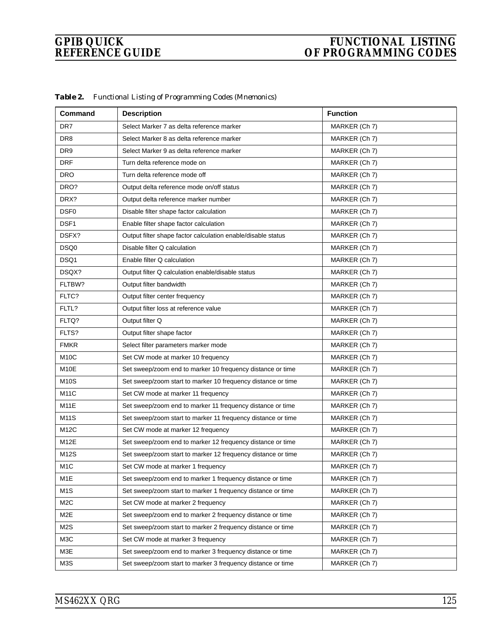| <b>Command</b>    | <b>Description</b>                                           | <b>Function</b> |
|-------------------|--------------------------------------------------------------|-----------------|
| DR7               | Select Marker 7 as delta reference marker                    | MARKER (Ch 7)   |
| DR <sub>8</sub>   | Select Marker 8 as delta reference marker                    | MARKER (Ch 7)   |
| DR9               | Select Marker 9 as delta reference marker                    | MARKER (Ch 7)   |
| <b>DRF</b>        | Turn delta reference mode on                                 | MARKER (Ch 7)   |
| <b>DRO</b>        | Turn delta reference mode off                                | MARKER (Ch 7)   |
| DRO?              | Output delta reference mode on/off status                    | MARKER (Ch 7)   |
| DRX?              | Output delta reference marker number                         | MARKER (Ch 7)   |
| DSF <sub>0</sub>  | Disable filter shape factor calculation                      | MARKER (Ch 7)   |
| DSF1              | Enable filter shape factor calculation                       | MARKER (Ch 7)   |
| DSFX?             | Output filter shape factor calculation enable/disable status | MARKER (Ch 7)   |
| DSQ0              | Disable filter Q calculation                                 | MARKER (Ch 7)   |
| DSQ1              | Enable filter Q calculation                                  | MARKER (Ch 7)   |
| DSQX?             | Output filter Q calculation enable/disable status            | MARKER (Ch 7)   |
| FLTBW?            | Output filter bandwidth                                      | MARKER (Ch 7)   |
| FLTC?             | Output filter center frequency                               | MARKER (Ch 7)   |
| FLTL?             | Output filter loss at reference value                        | MARKER (Ch 7)   |
| FLTQ?             | Output filter Q                                              | MARKER (Ch 7)   |
| FLTS?             | Output filter shape factor                                   | MARKER (Ch 7)   |
| <b>FMKR</b>       | Select filter parameters marker mode                         | MARKER (Ch 7)   |
| M <sub>10</sub> C | Set CW mode at marker 10 frequency                           | MARKER (Ch 7)   |
| M <sub>10</sub> E | Set sweep/zoom end to marker 10 frequency distance or time   | MARKER (Ch 7)   |
| <b>M10S</b>       | Set sweep/zoom start to marker 10 frequency distance or time | MARKER (Ch 7)   |
| <b>M11C</b>       | Set CW mode at marker 11 frequency                           | MARKER (Ch 7)   |
| <b>M11E</b>       | Set sweep/zoom end to marker 11 frequency distance or time   | MARKER (Ch 7)   |
| <b>M11S</b>       | Set sweep/zoom start to marker 11 frequency distance or time | MARKER (Ch 7)   |
| M12C              | Set CW mode at marker 12 frequency                           | MARKER (Ch 7)   |
| M <sub>12</sub> E | Set sweep/zoom end to marker 12 frequency distance or time   | MARKER (Ch 7)   |
| M12S              | Set sweep/zoom start to marker 12 frequency distance or time | MARKER (Ch 7)   |
| M <sub>1</sub> C  | Set CW mode at marker 1 frequency                            | MARKER (Ch 7)   |
| M1E               | Set sweep/zoom end to marker 1 frequency distance or time    | MARKER (Ch 7)   |
| M <sub>1</sub> S  | Set sweep/zoom start to marker 1 frequency distance or time  | MARKER (Ch 7)   |
| M <sub>2</sub> C  | Set CW mode at marker 2 frequency                            | MARKER (Ch 7)   |
| M2E               | Set sweep/zoom end to marker 2 frequency distance or time    | MARKER (Ch 7)   |
| M <sub>2</sub> S  | Set sweep/zoom start to marker 2 frequency distance or time  | MARKER (Ch 7)   |
| M3C               | Set CW mode at marker 3 frequency                            | MARKER (Ch 7)   |
| M3E               | Set sweep/zoom end to marker 3 frequency distance or time    | MARKER (Ch 7)   |
| M3S               | Set sweep/zoom start to marker 3 frequency distance or time  | MARKER (Ch 7)   |

*Table 2. Functional Listing of Programming Codes (Mnemonics)*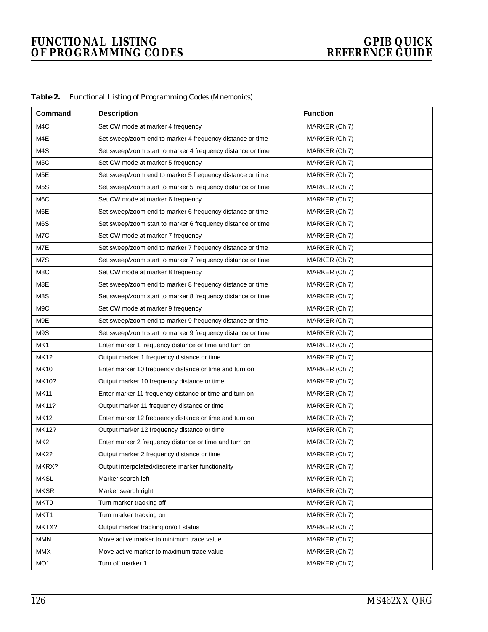| Command          | <b>Description</b>                                          | <b>Function</b> |
|------------------|-------------------------------------------------------------|-----------------|
| M <sub>4</sub> C | Set CW mode at marker 4 frequency                           | MARKER (Ch 7)   |
| M4E              | Set sweep/zoom end to marker 4 frequency distance or time   | MARKER (Ch 7)   |
| M4S              | Set sweep/zoom start to marker 4 frequency distance or time | MARKER (Ch 7)   |
| M <sub>5</sub> C | Set CW mode at marker 5 frequency                           | MARKER (Ch 7)   |
| M <sub>5</sub> E | Set sweep/zoom end to marker 5 frequency distance or time   | MARKER (Ch 7)   |
| M <sub>5</sub> S | Set sweep/zoom start to marker 5 frequency distance or time | MARKER (Ch 7)   |
| M <sub>6</sub> C | Set CW mode at marker 6 frequency                           | MARKER (Ch 7)   |
| M6E              | Set sweep/zoom end to marker 6 frequency distance or time   | MARKER (Ch 7)   |
| M6S              | Set sweep/zoom start to marker 6 frequency distance or time | MARKER (Ch 7)   |
| M7C              | Set CW mode at marker 7 frequency                           | MARKER (Ch 7)   |
| M7E              | Set sweep/zoom end to marker 7 frequency distance or time   | MARKER (Ch 7)   |
| M7S              | Set sweep/zoom start to marker 7 frequency distance or time | MARKER (Ch 7)   |
| M8C              | Set CW mode at marker 8 frequency                           | MARKER (Ch 7)   |
| M8E              | Set sweep/zoom end to marker 8 frequency distance or time   | MARKER (Ch 7)   |
| M8S              | Set sweep/zoom start to marker 8 frequency distance or time | MARKER (Ch 7)   |
| M9C              | Set CW mode at marker 9 frequency                           | MARKER (Ch 7)   |
| M9E              | Set sweep/zoom end to marker 9 frequency distance or time   | MARKER (Ch 7)   |
| M9S              | Set sweep/zoom start to marker 9 frequency distance or time | MARKER (Ch 7)   |
| MK1              | Enter marker 1 frequency distance or time and turn on       | MARKER (Ch 7)   |
| <b>MK1?</b>      | Output marker 1 frequency distance or time                  | MARKER (Ch 7)   |
| MK10             | Enter marker 10 frequency distance or time and turn on      | MARKER (Ch 7)   |
| MK10?            | Output marker 10 frequency distance or time                 | MARKER (Ch 7)   |
| <b>MK11</b>      | Enter marker 11 frequency distance or time and turn on      | MARKER (Ch 7)   |
| MK11?            | Output marker 11 frequency distance or time                 | MARKER (Ch 7)   |
| <b>MK12</b>      | Enter marker 12 frequency distance or time and turn on      | MARKER (Ch 7)   |
| MK12?            | Output marker 12 frequency distance or time                 | MARKER (Ch 7)   |
| MK <sub>2</sub>  | Enter marker 2 frequency distance or time and turn on       | MARKER (Ch 7)   |
| MK2?             | Output marker 2 frequency distance or time                  | MARKER (Ch 7)   |
| MKRX?            | Output interpolated/discrete marker functionality           | MARKER (Ch 7)   |
| <b>MKSL</b>      | Marker search left                                          | MARKER (Ch 7)   |
| <b>MKSR</b>      | Marker search right                                         | MARKER (Ch 7)   |
| MKT0             | Turn marker tracking off                                    | MARKER (Ch 7)   |
| MKT1             | Turn marker tracking on                                     | MARKER (Ch 7)   |
| MKTX?            | Output marker tracking on/off status                        | MARKER (Ch 7)   |
| MMN              | Move active marker to minimum trace value                   | MARKER (Ch 7)   |
| <b>MMX</b>       | Move active marker to maximum trace value                   | MARKER (Ch 7)   |
| MO <sub>1</sub>  | Turn off marker 1                                           | MARKER (Ch 7)   |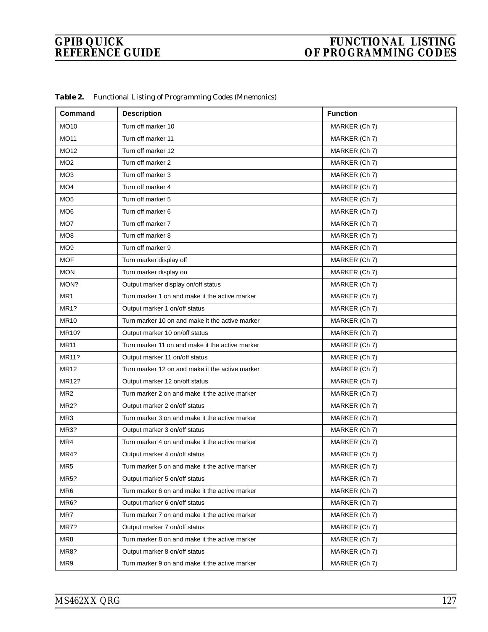| Command         | <b>Description</b>                              | <b>Function</b> |
|-----------------|-------------------------------------------------|-----------------|
| <b>MO10</b>     | Turn off marker 10                              | MARKER (Ch 7)   |
| <b>MO11</b>     | Turn off marker 11                              | MARKER (Ch 7)   |
| MO12            | Turn off marker 12                              | MARKER (Ch 7)   |
| MO <sub>2</sub> | Turn off marker 2                               | MARKER (Ch 7)   |
| MO <sub>3</sub> | Turn off marker 3                               | MARKER (Ch 7)   |
| MO <sub>4</sub> | Turn off marker 4                               | MARKER (Ch 7)   |
| MO <sub>5</sub> | Turn off marker 5                               | MARKER (Ch 7)   |
| MO <sub>6</sub> | Turn off marker 6                               | MARKER (Ch 7)   |
| MO7             | Turn off marker 7                               | MARKER (Ch 7)   |
| MO <sub>8</sub> | Turn off marker 8                               | MARKER (Ch 7)   |
| MO <sub>9</sub> | Turn off marker 9                               | MARKER (Ch 7)   |
| <b>MOF</b>      | Turn marker display off                         | MARKER (Ch 7)   |
| <b>MON</b>      | Turn marker display on                          | MARKER (Ch 7)   |
| MON?            | Output marker display on/off status             | MARKER (Ch 7)   |
| MR <sub>1</sub> | Turn marker 1 on and make it the active marker  | MARKER (Ch 7)   |
| MR1?            | Output marker 1 on/off status                   | MARKER (Ch 7)   |
| <b>MR10</b>     | Turn marker 10 on and make it the active marker | MARKER (Ch 7)   |
| MR10?           | Output marker 10 on/off status                  | MARKER (Ch 7)   |
| <b>MR11</b>     | Turn marker 11 on and make it the active marker | MARKER (Ch 7)   |
| MR11?           | Output marker 11 on/off status                  | MARKER (Ch 7)   |
| <b>MR12</b>     | Turn marker 12 on and make it the active marker | MARKER (Ch 7)   |
| MR12?           | Output marker 12 on/off status                  | MARKER (Ch 7)   |
| MR <sub>2</sub> | Turn marker 2 on and make it the active marker  | MARKER (Ch 7)   |
| MR2?            | Output marker 2 on/off status                   | MARKER (Ch 7)   |
| MR3             | Turn marker 3 on and make it the active marker  | MARKER (Ch 7)   |
| MR3?            | Output marker 3 on/off status                   | MARKER (Ch 7)   |
| MR4             | Turn marker 4 on and make it the active marker  | MARKER (Ch 7)   |
| MR4?            | Output marker 4 on/off status                   | MARKER (Ch 7)   |
| MR <sub>5</sub> | Turn marker 5 on and make it the active marker  | MARKER (Ch 7)   |
| MR5?            | Output marker 5 on/off status                   | MARKER (Ch 7)   |
| MR6             | Turn marker 6 on and make it the active marker  | MARKER (Ch 7)   |
| MR6?            | Output marker 6 on/off status                   | MARKER (Ch 7)   |
| MR7             | Turn marker 7 on and make it the active marker  | MARKER (Ch 7)   |
| MR7?            | Output marker 7 on/off status                   | MARKER (Ch 7)   |
| MR8             | Turn marker 8 on and make it the active marker  | MARKER (Ch 7)   |
| MR8?            | Output marker 8 on/off status                   | MARKER (Ch 7)   |
| MR9             | Turn marker 9 on and make it the active marker  | MARKER (Ch 7)   |

*Table 2. Functional Listing of Programming Codes (Mnemonics)*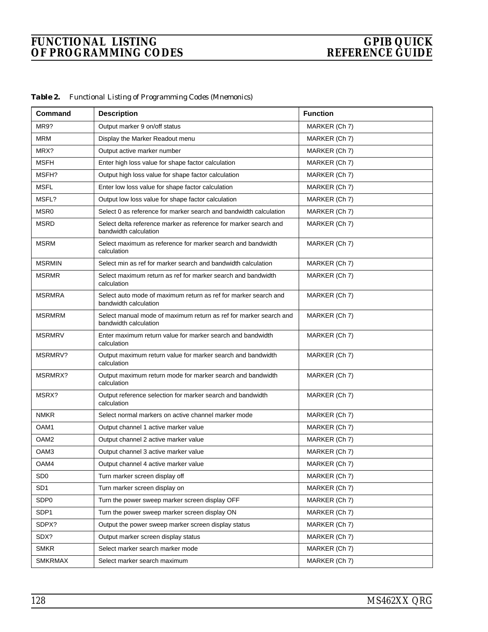| Command          | <b>Description</b>                                                                         | <b>Function</b> |
|------------------|--------------------------------------------------------------------------------------------|-----------------|
| MR9?             | Output marker 9 on/off status                                                              | MARKER (Ch 7)   |
| <b>MRM</b>       | Display the Marker Readout menu                                                            | MARKER (Ch 7)   |
| MRX?             | Output active marker number                                                                | MARKER (Ch 7)   |
| MSFH             | Enter high loss value for shape factor calculation                                         | MARKER (Ch 7)   |
| MSFH?            | Output high loss value for shape factor calculation                                        | MARKER (Ch 7)   |
| MSFL             | Enter low loss value for shape factor calculation                                          | MARKER (Ch 7)   |
| MSFL?            | Output low loss value for shape factor calculation                                         | MARKER (Ch 7)   |
| MSR0             | Select 0 as reference for marker search and bandwidth calculation                          | MARKER (Ch 7)   |
| <b>MSRD</b>      | Select delta reference marker as reference for marker search and<br>bandwidth calculation  | MARKER (Ch 7)   |
| <b>MSRM</b>      | Select maximum as reference for marker search and bandwidth<br>calculation                 | MARKER (Ch 7)   |
| <b>MSRMIN</b>    | Select min as ref for marker search and bandwidth calculation                              | MARKER (Ch 7)   |
| <b>MSRMR</b>     | Select maximum return as ref for marker search and bandwidth<br>calculation                | MARKER (Ch 7)   |
| <b>MSRMRA</b>    | Select auto mode of maximum return as ref for marker search and<br>bandwidth calculation   | MARKER (Ch 7)   |
| <b>MSRMRM</b>    | Select manual mode of maximum return as ref for marker search and<br>bandwidth calculation | MARKER (Ch 7)   |
| <b>MSRMRV</b>    | Enter maximum return value for marker search and bandwidth<br>calculation                  | MARKER (Ch 7)   |
| MSRMRV?          | Output maximum return value for marker search and bandwidth<br>calculation                 | MARKER (Ch 7)   |
| MSRMRX?          | Output maximum return mode for marker search and bandwidth<br>calculation                  | MARKER (Ch 7)   |
| MSRX?            | Output reference selection for marker search and bandwidth<br>calculation                  | MARKER (Ch 7)   |
| <b>NMKR</b>      | Select normal markers on active channel marker mode                                        | MARKER (Ch 7)   |
| OAM1             | Output channel 1 active marker value                                                       | MARKER (Ch 7)   |
| OAM <sub>2</sub> | Output channel 2 active marker value                                                       | MARKER (Ch 7)   |
| OAM3             | Output channel 3 active marker value                                                       | MARKER (Ch 7)   |
| OAM4             | Output channel 4 active marker value                                                       | MARKER (Ch 7)   |
| SD <sub>0</sub>  | Turn marker screen display off                                                             | MARKER (Ch 7)   |
| SD <sub>1</sub>  | Turn marker screen display on                                                              | MARKER (Ch 7)   |
| SDP <sub>0</sub> | Turn the power sweep marker screen display OFF                                             | MARKER (Ch 7)   |
| SDP1             | Turn the power sweep marker screen display ON                                              | MARKER (Ch 7)   |
| SDPX?            | Output the power sweep marker screen display status                                        | MARKER (Ch 7)   |
| SDX?             | Output marker screen display status                                                        | MARKER (Ch 7)   |
| <b>SMKR</b>      | Select marker search marker mode                                                           | MARKER (Ch 7)   |
| <b>SMKRMAX</b>   | Select marker search maximum                                                               | MARKER (Ch 7)   |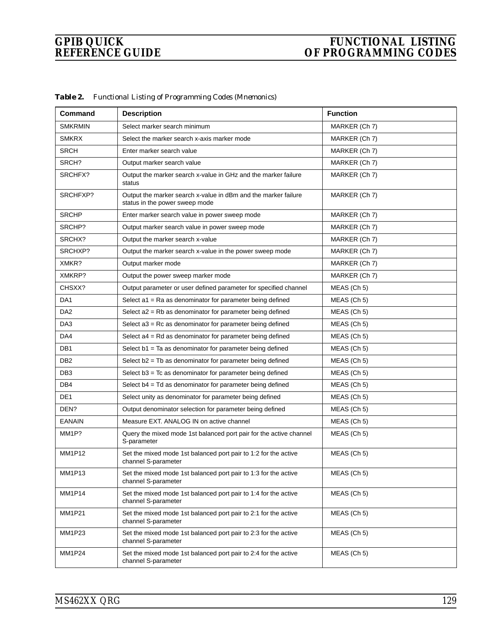| Command            | <b>Description</b>                                                                               | <b>Function</b> |
|--------------------|--------------------------------------------------------------------------------------------------|-----------------|
| <b>SMKRMIN</b>     | Select marker search minimum                                                                     | MARKER (Ch 7)   |
| <b>SMKRX</b>       | Select the marker search x-axis marker mode                                                      | MARKER (Ch 7)   |
| <b>SRCH</b>        | Enter marker search value                                                                        | MARKER (Ch 7)   |
| SRCH?              | Output marker search value                                                                       | MARKER (Ch 7)   |
| SRCHFX?            | Output the marker search x-value in GHz and the marker failure<br>status                         | MARKER (Ch 7)   |
| SRCHFXP?           | Output the marker search x-value in dBm and the marker failure<br>status in the power sweep mode | MARKER (Ch 7)   |
| <b>SRCHP</b>       | Enter marker search value in power sweep mode                                                    | MARKER (Ch 7)   |
| SRCHP?             | Output marker search value in power sweep mode                                                   | MARKER (Ch 7)   |
| SRCHX?             | Output the marker search x-value                                                                 | MARKER (Ch 7)   |
| SRCHXP?            | Output the marker search x-value in the power sweep mode                                         | MARKER (Ch 7)   |
| XMKR?              | Output marker mode                                                                               | MARKER (Ch 7)   |
| XMKRP?             | Output the power sweep marker mode                                                               | MARKER (Ch 7)   |
| CHSXX?             | Output parameter or user defined parameter for specified channel                                 | MEAS (Ch 5)     |
| DA <sub>1</sub>    | Select a1 = Ra as denominator for parameter being defined                                        | $MEAS$ (Ch 5)   |
| DA <sub>2</sub>    | Select $a2 = Rb$ as denominator for parameter being defined                                      | MEAS (Ch 5)     |
| DA3                | Select a3 = Rc as denominator for parameter being defined                                        | MEAS (Ch 5)     |
| DA4                | Select a4 = Rd as denominator for parameter being defined                                        | MEAS (Ch 5)     |
| DB1                | Select $b1$ = Ta as denominator for parameter being defined                                      | MEAS (Ch 5)     |
| DB <sub>2</sub>    | Select $b2 = Tb$ as denominator for parameter being defined                                      | MEAS (Ch 5)     |
| DB <sub>3</sub>    | Select $b3 = Tc$ as denominator for parameter being defined                                      | MEAS (Ch 5)     |
| DB4                | Select b4 = Td as denominator for parameter being defined                                        | MEAS (Ch 5)     |
| DE1                | Select unity as denominator for parameter being defined                                          | MEAS (Ch 5)     |
| DEN?               | Output denominator selection for parameter being defined                                         | MEAS (Ch 5)     |
| <b>EANAIN</b>      | Measure EXT. ANALOG IN on active channel                                                         | MEAS (Ch 5)     |
| MM <sub>1</sub> P? | Query the mixed mode 1st balanced port pair for the active channel<br>S-parameter                | MEAS (Ch 5)     |
| <b>MM1P12</b>      | Set the mixed mode 1st balanced port pair to 1:2 for the active<br>channel S-parameter           | MEAS (Ch 5)     |
| <b>MM1P13</b>      | Set the mixed mode 1st balanced port pair to 1:3 for the active<br>channel S-parameter           | MEAS (Ch 5)     |
| MM1P14             | Set the mixed mode 1st balanced port pair to 1:4 for the active<br>channel S-parameter           | MEAS (Ch 5)     |
| <b>MM1P21</b>      | Set the mixed mode 1st balanced port pair to 2:1 for the active<br>channel S-parameter           | MEAS (Ch 5)     |
| <b>MM1P23</b>      | Set the mixed mode 1st balanced port pair to 2:3 for the active<br>channel S-parameter           | MEAS (Ch 5)     |
| MM1P24             | Set the mixed mode 1st balanced port pair to 2:4 for the active<br>channel S-parameter           | MEAS (Ch 5)     |

*Table 2. Functional Listing of Programming Codes (Mnemonics)*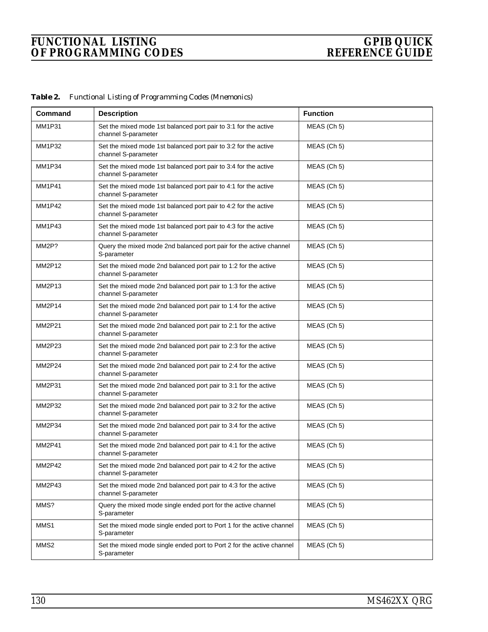| Command          | <b>Description</b>                                                                     | <b>Function</b> |
|------------------|----------------------------------------------------------------------------------------|-----------------|
| MM1P31           | Set the mixed mode 1st balanced port pair to 3:1 for the active<br>channel S-parameter | MEAS (Ch 5)     |
| MM1P32           | Set the mixed mode 1st balanced port pair to 3:2 for the active<br>channel S-parameter | MEAS (Ch 5)     |
| <b>MM1P34</b>    | Set the mixed mode 1st balanced port pair to 3:4 for the active<br>channel S-parameter | MEAS (Ch 5)     |
| <b>MM1P41</b>    | Set the mixed mode 1st balanced port pair to 4:1 for the active<br>channel S-parameter | MEAS (Ch 5)     |
| <b>MM1P42</b>    | Set the mixed mode 1st balanced port pair to 4:2 for the active<br>channel S-parameter | MEAS (Ch 5)     |
| MM1P43           | Set the mixed mode 1st balanced port pair to 4:3 for the active<br>channel S-parameter | MEAS (Ch 5)     |
| MM2P?            | Query the mixed mode 2nd balanced port pair for the active channel<br>S-parameter      | MEAS (Ch 5)     |
| <b>MM2P12</b>    | Set the mixed mode 2nd balanced port pair to 1:2 for the active<br>channel S-parameter | MEAS (Ch 5)     |
| <b>MM2P13</b>    | Set the mixed mode 2nd balanced port pair to 1:3 for the active<br>channel S-parameter | MEAS (Ch 5)     |
| <b>MM2P14</b>    | Set the mixed mode 2nd balanced port pair to 1:4 for the active<br>channel S-parameter | $MEAS$ (Ch 5)   |
| MM2P21           | Set the mixed mode 2nd balanced port pair to 2:1 for the active<br>channel S-parameter | MEAS (Ch 5)     |
| MM2P23           | Set the mixed mode 2nd balanced port pair to 2:3 for the active<br>channel S-parameter | MEAS (Ch 5)     |
| <b>MM2P24</b>    | Set the mixed mode 2nd balanced port pair to 2:4 for the active<br>channel S-parameter | MEAS (Ch 5)     |
| <b>MM2P31</b>    | Set the mixed mode 2nd balanced port pair to 3:1 for the active<br>channel S-parameter | MEAS (Ch 5)     |
| <b>MM2P32</b>    | Set the mixed mode 2nd balanced port pair to 3:2 for the active<br>channel S-parameter | MEAS (Ch 5)     |
| <b>MM2P34</b>    | Set the mixed mode 2nd balanced port pair to 3:4 for the active<br>channel S-parameter | MEAS (Ch 5)     |
| <b>MM2P41</b>    | Set the mixed mode 2nd balanced port pair to 4:1 for the active<br>channel S-parameter | MEAS (Ch 5)     |
| MM2P42           | Set the mixed mode 2nd balanced port pair to 4:2 for the active<br>channel S-parameter | MEAS (Ch 5)     |
| MM2P43           | Set the mixed mode 2nd balanced port pair to 4:3 for the active<br>channel S-parameter | MEAS (Ch 5)     |
| MMS?             | Query the mixed mode single ended port for the active channel<br>S-parameter           | MEAS (Ch 5)     |
| MMS1             | Set the mixed mode single ended port to Port 1 for the active channel<br>S-parameter   | $MEAS$ (Ch 5)   |
| MMS <sub>2</sub> | Set the mixed mode single ended port to Port 2 for the active channel<br>S-parameter   | MEAS (Ch 5)     |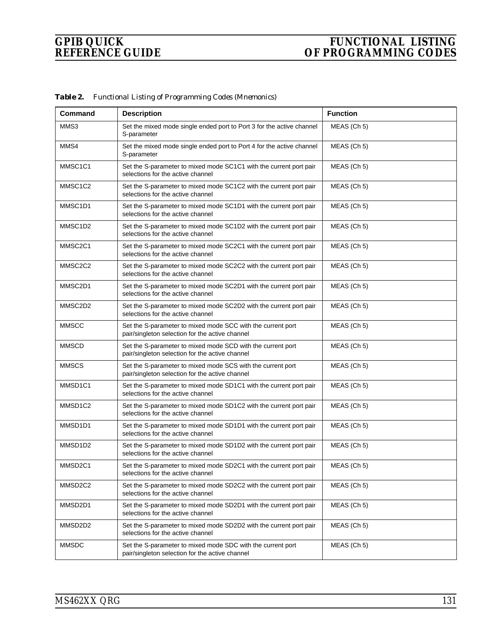| Command                          | <b>Description</b>                                                                                             | <b>Function</b> |
|----------------------------------|----------------------------------------------------------------------------------------------------------------|-----------------|
| MMS3                             | Set the mixed mode single ended port to Port 3 for the active channel<br>S-parameter                           | MEAS (Ch 5)     |
| MMS4                             | Set the mixed mode single ended port to Port 4 for the active channel<br>S-parameter                           | MEAS (Ch 5)     |
| MMSC1C1                          | Set the S-parameter to mixed mode SC1C1 with the current port pair<br>selections for the active channel        | MEAS (Ch 5)     |
| MMSC1C2                          | Set the S-parameter to mixed mode SC1C2 with the current port pair<br>selections for the active channel        | MEAS (Ch 5)     |
| MMSC1D1                          | Set the S-parameter to mixed mode SC1D1 with the current port pair<br>selections for the active channel        | MEAS (Ch 5)     |
| MMSC1D2                          | Set the S-parameter to mixed mode SC1D2 with the current port pair<br>selections for the active channel        | MEAS (Ch 5)     |
| MMSC <sub>2</sub> C <sub>1</sub> | Set the S-parameter to mixed mode SC2C1 with the current port pair<br>selections for the active channel        | MEAS (Ch 5)     |
| MMSC2C2                          | Set the S-parameter to mixed mode SC2C2 with the current port pair<br>selections for the active channel        | MEAS (Ch 5)     |
| MMSC2D1                          | Set the S-parameter to mixed mode SC2D1 with the current port pair<br>selections for the active channel        | $MEAS$ (Ch 5)   |
| MMSC2D2                          | Set the S-parameter to mixed mode SC2D2 with the current port pair<br>selections for the active channel        | $MEAS$ (Ch 5)   |
| <b>MMSCC</b>                     | Set the S-parameter to mixed mode SCC with the current port<br>pair/singleton selection for the active channel | MEAS (Ch 5)     |
| <b>MMSCD</b>                     | Set the S-parameter to mixed mode SCD with the current port<br>pair/singleton selection for the active channel | MEAS (Ch 5)     |
| <b>MMSCS</b>                     | Set the S-parameter to mixed mode SCS with the current port<br>pair/singleton selection for the active channel | MEAS (Ch 5)     |
| MMSD1C1                          | Set the S-parameter to mixed mode SD1C1 with the current port pair<br>selections for the active channel        | MEAS (Ch 5)     |
| MMSD1C2                          | Set the S-parameter to mixed mode SD1C2 with the current port pair<br>selections for the active channel        | MEAS (Ch 5)     |
| MMSD1D1                          | Set the S-parameter to mixed mode SD1D1 with the current port pair<br>selections for the active channel        | MEAS (Ch 5)     |
| MMSD1D2                          | Set the S-parameter to mixed mode SD1D2 with the current port pair<br>selections for the active channel        | MEAS (Ch 5)     |
| MMSD2C1                          | Set the S-parameter to mixed mode SD2C1 with the current port pair<br>selections for the active channel        | MEAS (Ch 5)     |
| MMSD2C2                          | Set the S-parameter to mixed mode SD2C2 with the current port pair<br>selections for the active channel        | MEAS (Ch 5)     |
| MMSD2D1                          | Set the S-parameter to mixed mode SD2D1 with the current port pair<br>selections for the active channel        | MEAS (Ch 5)     |
| MMSD2D2                          | Set the S-parameter to mixed mode SD2D2 with the current port pair<br>selections for the active channel        | MEAS (Ch 5)     |
| <b>MMSDC</b>                     | Set the S-parameter to mixed mode SDC with the current port<br>pair/singleton selection for the active channel | MEAS (Ch 5)     |

*Table 2. Functional Listing of Programming Codes (Mnemonics)*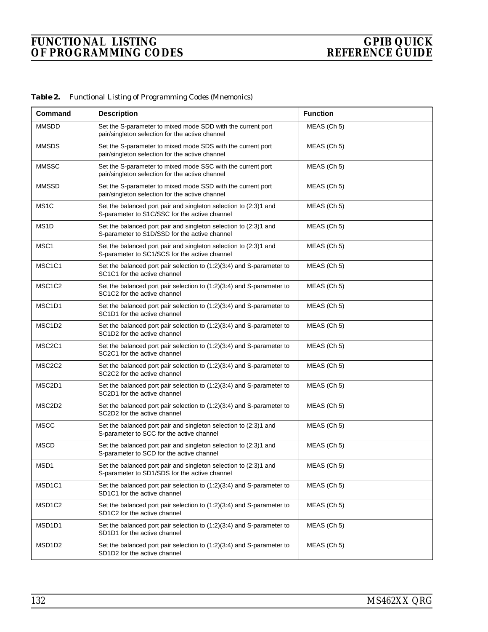| Command                         | <b>Description</b>                                                                                                | <b>Function</b> |
|---------------------------------|-------------------------------------------------------------------------------------------------------------------|-----------------|
| <b>MMSDD</b>                    | Set the S-parameter to mixed mode SDD with the current port<br>pair/singleton selection for the active channel    | MEAS (Ch 5)     |
| <b>MMSDS</b>                    | Set the S-parameter to mixed mode SDS with the current port<br>pair/singleton selection for the active channel    | MEAS (Ch 5)     |
| <b>MMSSC</b>                    | Set the S-parameter to mixed mode SSC with the current port<br>pair/singleton selection for the active channel    | MEAS (Ch 5)     |
| <b>MMSSD</b>                    | Set the S-parameter to mixed mode SSD with the current port<br>pair/singleton selection for the active channel    | MEAS (Ch 5)     |
| MS <sub>1</sub> C               | Set the balanced port pair and singleton selection to (2:3)1 and<br>S-parameter to S1C/SSC for the active channel | MEAS (Ch 5)     |
| MS <sub>1</sub> D               | Set the balanced port pair and singleton selection to (2:3)1 and<br>S-parameter to S1D/SSD for the active channel | MEAS (Ch 5)     |
| MSC1                            | Set the balanced port pair and singleton selection to (2:3)1 and<br>S-parameter to SC1/SCS for the active channel | MEAS (Ch 5)     |
| MSC <sub>1</sub> C <sub>1</sub> | Set the balanced port pair selection to (1:2)(3:4) and S-parameter to<br>SC1C1 for the active channel             | $MEAS$ (Ch 5)   |
| MSC1C2                          | Set the balanced port pair selection to (1:2)(3:4) and S-parameter to<br>SC1C2 for the active channel             | MEAS (Ch 5)     |
| MSC <sub>1</sub> D <sub>1</sub> | Set the balanced port pair selection to (1:2)(3:4) and S-parameter to<br>SC1D1 for the active channel             | $MEAS$ (Ch 5)   |
| MSC1D2                          | Set the balanced port pair selection to (1:2)(3:4) and S-parameter to<br>SC1D2 for the active channel             | $MEAS$ (Ch 5)   |
| MSC <sub>2</sub> C <sub>1</sub> | Set the balanced port pair selection to (1:2)(3:4) and S-parameter to<br>SC2C1 for the active channel             | $MEAS$ (Ch 5)   |
| MSC <sub>2</sub> C <sub>2</sub> | Set the balanced port pair selection to (1:2)(3:4) and S-parameter to<br>SC2C2 for the active channel             | MEAS (Ch 5)     |
| MSC2D1                          | Set the balanced port pair selection to (1:2)(3:4) and S-parameter to<br>SC2D1 for the active channel             | $MEAS$ (Ch 5)   |
| MSC2D2                          | Set the balanced port pair selection to (1:2)(3:4) and S-parameter to<br>SC2D2 for the active channel             | MEAS (Ch 5)     |
| <b>MSCC</b>                     | Set the balanced port pair and singleton selection to (2:3)1 and<br>S-parameter to SCC for the active channel     | MEAS (Ch 5)     |
| <b>MSCD</b>                     | Set the balanced port pair and singleton selection to (2:3)1 and<br>S-parameter to SCD for the active channel     | $MEAS$ (Ch 5)   |
| MSD1                            | Set the balanced port pair and singleton selection to (2:3)1 and<br>S-parameter to SD1/SDS for the active channel | MEAS (Ch 5)     |
| MSD1C1                          | Set the balanced port pair selection to (1:2)(3:4) and S-parameter to<br>SD1C1 for the active channel             | $MEAS$ (Ch 5)   |
| MSD1C2                          | Set the balanced port pair selection to (1:2)(3:4) and S-parameter to<br>SD1C2 for the active channel             | $MEAS$ (Ch 5)   |
| MSD1D1                          | Set the balanced port pair selection to (1:2)(3:4) and S-parameter to<br>SD1D1 for the active channel             | MEAS (Ch 5)     |
| MSD1D2                          | Set the balanced port pair selection to (1:2)(3:4) and S-parameter to<br>SD1D2 for the active channel             | MEAS (Ch 5)     |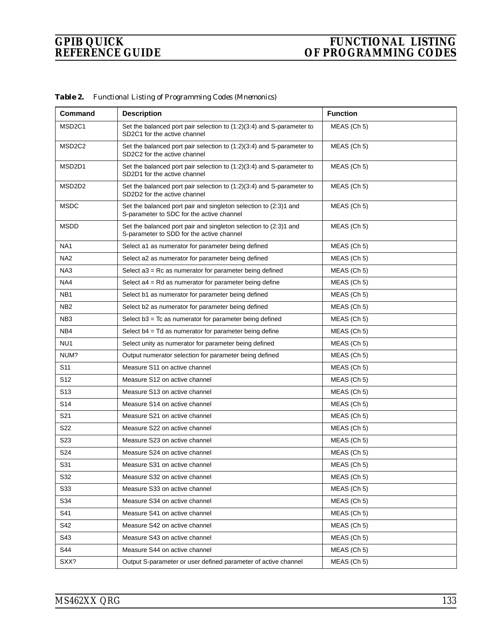| Command                         | <b>Description</b>                                                                                            | <b>Function</b> |
|---------------------------------|---------------------------------------------------------------------------------------------------------------|-----------------|
| MSD <sub>2</sub> C <sub>1</sub> | Set the balanced port pair selection to (1:2)(3:4) and S-parameter to<br>SD2C1 for the active channel         | MEAS (Ch 5)     |
| MSD <sub>2</sub> C <sub>2</sub> | Set the balanced port pair selection to (1:2)(3:4) and S-parameter to<br>SD2C2 for the active channel         | MEAS (Ch 5)     |
| MSD <sub>2</sub> D <sub>1</sub> | Set the balanced port pair selection to (1:2)(3:4) and S-parameter to<br>SD2D1 for the active channel         | MEAS (Ch 5)     |
| MSD <sub>2</sub> D <sub>2</sub> | Set the balanced port pair selection to (1:2)(3:4) and S-parameter to<br>SD2D2 for the active channel         | MEAS (Ch 5)     |
| <b>MSDC</b>                     | Set the balanced port pair and singleton selection to (2:3)1 and<br>S-parameter to SDC for the active channel | MEAS (Ch 5)     |
| <b>MSDD</b>                     | Set the balanced port pair and singleton selection to (2:3)1 and<br>S-parameter to SDD for the active channel | MEAS (Ch 5)     |
| NA <sub>1</sub>                 | Select a1 as numerator for parameter being defined                                                            | MEAS (Ch 5)     |
| NA <sub>2</sub>                 | Select a2 as numerator for parameter being defined                                                            | MEAS (Ch 5)     |
| NA3                             | Select a3 = Rc as numerator for parameter being defined                                                       | MEAS (Ch 5)     |
| NA4                             | Select $a4 = Rd$ as numerator for parameter being define                                                      | MEAS (Ch 5)     |
| NB <sub>1</sub>                 | Select b1 as numerator for parameter being defined                                                            | MEAS (Ch 5)     |
| NB <sub>2</sub>                 | Select b2 as numerator for parameter being defined                                                            | MEAS (Ch 5)     |
| NB <sub>3</sub>                 | Select $b3 = Tc$ as numerator for parameter being defined                                                     | MEAS (Ch 5)     |
| NB4                             | Select $b4 = Td$ as numerator for parameter being define                                                      | MEAS (Ch 5)     |
| NU <sub>1</sub>                 | Select unity as numerator for parameter being defined                                                         | MEAS (Ch 5)     |
| NUM?                            | Output numerator selection for parameter being defined                                                        | MEAS (Ch 5)     |
| S <sub>11</sub>                 | Measure S11 on active channel                                                                                 | MEAS (Ch 5)     |
| S <sub>12</sub>                 | Measure S12 on active channel                                                                                 | MEAS (Ch 5)     |
| S <sub>13</sub>                 | Measure S13 on active channel                                                                                 | MEAS (Ch 5)     |
| S <sub>14</sub>                 | Measure S14 on active channel                                                                                 | MEAS (Ch 5)     |
| S21                             | Measure S21 on active channel                                                                                 | MEAS (Ch 5)     |
| S22                             | Measure S22 on active channel                                                                                 | MEAS (Ch 5)     |
| S <sub>23</sub>                 | Measure S23 on active channel                                                                                 | MEAS (Ch 5)     |
| S24                             | Measure S24 on active channel                                                                                 | MEAS (Ch 5)     |
| S31                             | Measure S31 on active channel                                                                                 | MEAS (Ch 5)     |
| S32                             | Measure S32 on active channel                                                                                 | MEAS (Ch 5)     |
| S33                             | Measure S33 on active channel                                                                                 | MEAS (Ch 5)     |
| S34                             | Measure S34 on active channel                                                                                 | MEAS (Ch 5)     |
| S41                             | Measure S41 on active channel                                                                                 | MEAS (Ch 5)     |
| S42                             | Measure S42 on active channel                                                                                 | MEAS (Ch 5)     |
| S43                             | Measure S43 on active channel                                                                                 | MEAS (Ch 5)     |
| S44                             | Measure S44 on active channel                                                                                 | MEAS (Ch 5)     |
| SXX?                            | Output S-parameter or user defined parameter of active channel                                                | MEAS (Ch 5)     |

*Table 2. Functional Listing of Programming Codes (Mnemonics)*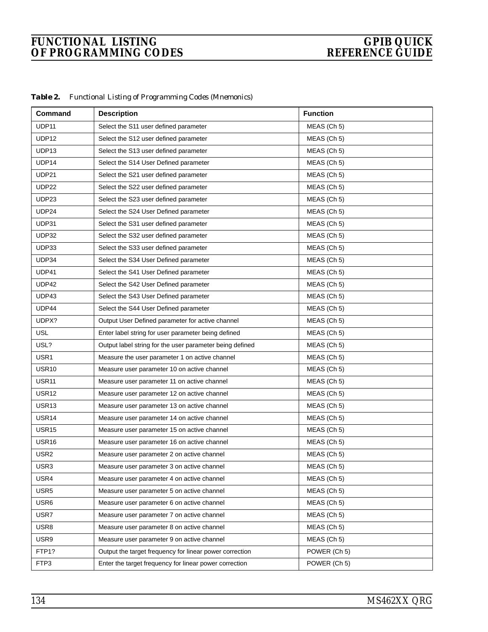| Command          | <b>Description</b>                                       | <b>Function</b> |
|------------------|----------------------------------------------------------|-----------------|
| UDP11            | Select the S11 user defined parameter                    | MEAS (Ch 5)     |
| <b>UDP12</b>     | Select the S12 user defined parameter                    | MEAS (Ch 5)     |
| UDP13            | Select the S13 user defined parameter                    | MEAS (Ch 5)     |
| UDP14            | Select the S14 User Defined parameter                    | MEAS (Ch 5)     |
| UDP21            | Select the S21 user defined parameter                    | MEAS (Ch 5)     |
| UDP22            | Select the S22 user defined parameter                    | MEAS (Ch 5)     |
| UDP23            | Select the S23 user defined parameter                    | MEAS (Ch 5)     |
| UDP24            | Select the S24 User Defined parameter                    | MEAS (Ch 5)     |
| UDP31            | Select the S31 user defined parameter                    | MEAS (Ch 5)     |
| UDP32            | Select the S32 user defined parameter                    | MEAS (Ch 5)     |
| UDP33            | Select the S33 user defined parameter                    | MEAS (Ch 5)     |
| UDP34            | Select the S34 User Defined parameter                    | MEAS (Ch 5)     |
| UDP41            | Select the S41 User Defined parameter                    | MEAS (Ch 5)     |
| UDP42            | Select the S42 User Defined parameter                    | MEAS (Ch 5)     |
| UDP43            | Select the S43 User Defined parameter                    | MEAS (Ch 5)     |
| UDP44            | Select the S44 User Defined parameter                    | MEAS (Ch 5)     |
| UDPX?            | Output User Defined parameter for active channel         | MEAS (Ch 5)     |
| USL              | Enter label string for user parameter being defined      | MEAS (Ch 5)     |
| USL?             | Output label string for the user parameter being defined | MEAS (Ch 5)     |
| USR1             | Measure the user parameter 1 on active channel           | MEAS (Ch 5)     |
| <b>USR10</b>     | Measure user parameter 10 on active channel              | MEAS (Ch 5)     |
| USR11            | Measure user parameter 11 on active channel              | MEAS (Ch 5)     |
| <b>USR12</b>     | Measure user parameter 12 on active channel              | MEAS (Ch 5)     |
| USR13            | Measure user parameter 13 on active channel              | MEAS (Ch 5)     |
| USR14            | Measure user parameter 14 on active channel              | MEAS (Ch 5)     |
| <b>USR15</b>     | Measure user parameter 15 on active channel              | MEAS (Ch 5)     |
| USR16            | Measure user parameter 16 on active channel              | MEAS (Ch 5)     |
| USR <sub>2</sub> | Measure user parameter 2 on active channel               | MEAS (Ch 5)     |
| USR3             | Measure user parameter 3 on active channel               | MEAS (Ch 5)     |
| USR4             | Measure user parameter 4 on active channel               | MEAS (Ch 5)     |
| USR <sub>5</sub> | Measure user parameter 5 on active channel               | MEAS (Ch 5)     |
| USR6             | Measure user parameter 6 on active channel               | MEAS (Ch 5)     |
| USR7             | Measure user parameter 7 on active channel               | MEAS (Ch 5)     |
| USR8             | Measure user parameter 8 on active channel               | MEAS (Ch 5)     |
| USR9             | Measure user parameter 9 on active channel               | MEAS (Ch 5)     |
| FTP1?            | Output the target frequency for linear power correction  | POWER (Ch 5)    |
| FTP3             | Enter the target frequency for linear power correction   | POWER (Ch 5)    |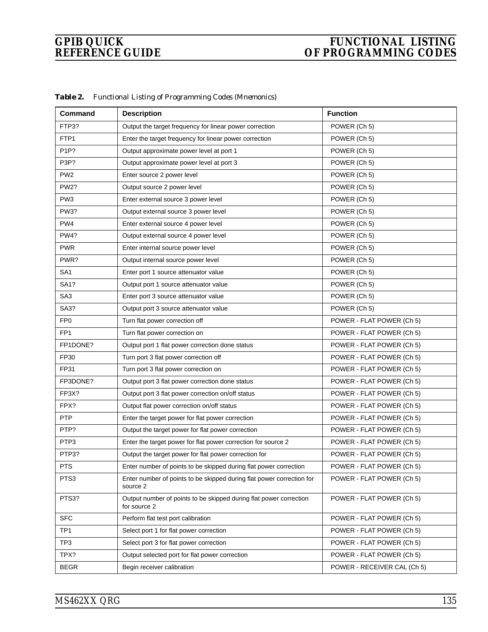| Command          | <b>Description</b>                                                                 | <b>Function</b>             |
|------------------|------------------------------------------------------------------------------------|-----------------------------|
| FTP3?            | Output the target frequency for linear power correction                            | POWER (Ch 5)                |
| FTP1             | Enter the target frequency for linear power correction                             | POWER (Ch 5)                |
| P <sub>1P?</sub> | Output approximate power level at port 1                                           | POWER (Ch 5)                |
| P3P?             | Output approximate power level at port 3                                           | POWER (Ch 5)                |
| PW <sub>2</sub>  | Enter source 2 power level                                                         | POWER (Ch 5)                |
| <b>PW2?</b>      | Output source 2 power level                                                        | POWER (Ch 5)                |
| PW <sub>3</sub>  | Enter external source 3 power level                                                | POWER (Ch 5)                |
| <b>PW3?</b>      | Output external source 3 power level                                               | POWER (Ch 5)                |
| PW <sub>4</sub>  | Enter external source 4 power level                                                | POWER (Ch 5)                |
| <b>PW4?</b>      | Output external source 4 power level                                               | POWER (Ch 5)                |
| <b>PWR</b>       | Enter internal source power level                                                  | POWER (Ch 5)                |
| PWR?             | Output internal source power level                                                 | POWER (Ch 5)                |
| SA1              | Enter port 1 source attenuator value                                               | POWER (Ch 5)                |
| <b>SA1?</b>      | Output port 1 source attenuator value                                              | POWER (Ch 5)                |
| SA <sub>3</sub>  | Enter port 3 source attenuator value                                               | POWER (Ch 5)                |
| SA3?             | Output port 3 source attenuator value                                              | POWER (Ch 5)                |
| FP <sub>0</sub>  | Turn flat power correction off                                                     | POWER - FLAT POWER (Ch 5)   |
| FP <sub>1</sub>  | Turn flat power correction on                                                      | POWER - FLAT POWER (Ch 5)   |
| FP1DONE?         | Output port 1 flat power correction done status                                    | POWER - FLAT POWER (Ch 5)   |
| FP30             | Turn port 3 flat power correction off                                              | POWER - FLAT POWER (Ch 5)   |
| FP31             | Turn port 3 flat power correction on                                               | POWER - FLAT POWER (Ch 5)   |
| FP3DONE?         | Output port 3 flat power correction done status                                    | POWER - FLAT POWER (Ch 5)   |
| FP3X?            | Output port 3 flat power correction on/off status                                  | POWER - FLAT POWER (Ch 5)   |
| FPX?             | Output flat power correction on/off status                                         | POWER - FLAT POWER (Ch 5)   |
| <b>PTP</b>       | Enter the target power for flat power correction                                   | POWER - FLAT POWER (Ch 5)   |
| PTP?             | Output the target power for flat power correction                                  | POWER - FLAT POWER (Ch 5)   |
| PTP3             | Enter the target power for flat power correction for source 2                      | POWER - FLAT POWER (Ch 5)   |
| PTP3?            | Output the target power for flat power correction for                              | POWER - FLAT POWER (Ch 5)   |
| <b>PTS</b>       | Enter number of points to be skipped during flat power correction                  | POWER - FLAT POWER (Ch 5)   |
| PTS3             | Enter number of points to be skipped during flat power correction for<br>source 2  | POWER - FLAT POWER (Ch 5)   |
| PTS3?            | Output number of points to be skipped during flat power correction<br>for source 2 | POWER - FLAT POWER (Ch 5)   |
| <b>SFC</b>       | Perform flat test port calibration                                                 | POWER - FLAT POWER (Ch 5)   |
| TP1              | Select port 1 for flat power correction                                            | POWER - FLAT POWER (Ch 5)   |
| TP <sub>3</sub>  | Select port 3 for flat power correction                                            | POWER - FLAT POWER (Ch 5)   |
| TPX?             | Output selected port for flat power correction                                     | POWER - FLAT POWER (Ch 5)   |
| <b>BEGR</b>      | Begin receiver calibration                                                         | POWER - RECEIVER CAL (Ch 5) |

*Table 2. Functional Listing of Programming Codes (Mnemonics)*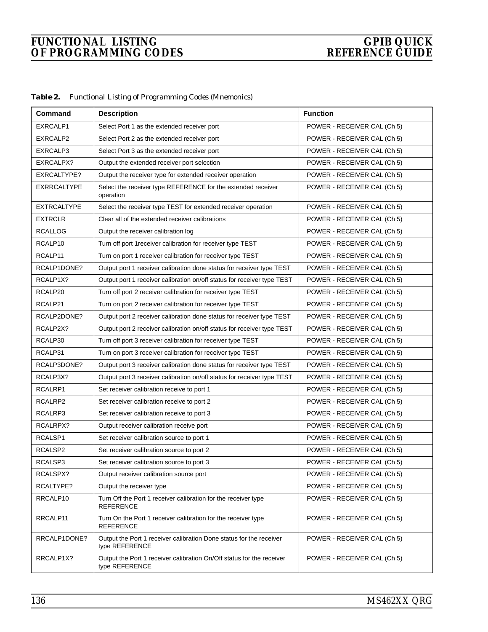| Command            | <b>Description</b>                                                                      | <b>Function</b>             |
|--------------------|-----------------------------------------------------------------------------------------|-----------------------------|
| EXRCALP1           | Select Port 1 as the extended receiver port                                             | POWER - RECEIVER CAL (Ch 5) |
| EXRCALP2           | Select Port 2 as the extended receiver port                                             | POWER - RECEIVER CAL (Ch 5) |
| EXRCALP3           | Select Port 3 as the extended receiver port                                             | POWER - RECEIVER CAL (Ch 5) |
| EXRCALPX?          | Output the extended receiver port selection                                             | POWER - RECEIVER CAL (Ch 5) |
| EXRCALTYPE?        | Output the receiver type for extended receiver operation                                | POWER - RECEIVER CAL (Ch 5) |
| EXRRCALTYPE        | Select the receiver type REFERENCE for the extended receiver<br>operation               | POWER - RECEIVER CAL (Ch 5) |
| <b>EXTRCALTYPE</b> | Select the receiver type TEST for extended receiver operation                           | POWER - RECEIVER CAL (Ch 5) |
| <b>EXTRCLR</b>     | Clear all of the extended receiver calibrations                                         | POWER - RECEIVER CAL (Ch 5) |
| <b>RCALLOG</b>     | Output the receiver calibration log                                                     | POWER - RECEIVER CAL (Ch 5) |
| RCALP10            | Turn off port 1 receiver calibration for receiver type TEST                             | POWER - RECEIVER CAL (Ch 5) |
| RCALP11            | Turn on port 1 receiver calibration for receiver type TEST                              | POWER - RECEIVER CAL (Ch 5) |
| RCALP1DONE?        | Output port 1 receiver calibration done status for receiver type TEST                   | POWER - RECEIVER CAL (Ch 5) |
| RCALP1X?           | Output port 1 receiver calibration on/off status for receiver type TEST                 | POWER - RECEIVER CAL (Ch 5) |
| RCALP20            | Turn off port 2 receiver calibration for receiver type TEST                             | POWER - RECEIVER CAL (Ch 5) |
| RCALP21            | Turn on port 2 receiver calibration for receiver type TEST                              | POWER - RECEIVER CAL (Ch 5) |
| RCALP2DONE?        | Output port 2 receiver calibration done status for receiver type TEST                   | POWER - RECEIVER CAL (Ch 5) |
| RCALP2X?           | Output port 2 receiver calibration on/off status for receiver type TEST                 | POWER - RECEIVER CAL (Ch 5) |
| RCALP30            | Turn off port 3 receiver calibration for receiver type TEST                             | POWER - RECEIVER CAL (Ch 5) |
| RCALP31            | Turn on port 3 receiver calibration for receiver type TEST                              | POWER - RECEIVER CAL (Ch 5) |
| RCALP3DONE?        | Output port 3 receiver calibration done status for receiver type TEST                   | POWER - RECEIVER CAL (Ch 5) |
| RCALP3X?           | Output port 3 receiver calibration on/off status for receiver type TEST                 | POWER - RECEIVER CAL (Ch 5) |
| RCALRP1            | Set receiver calibration receive to port 1                                              | POWER - RECEIVER CAL (Ch 5) |
| RCALRP2            | Set receiver calibration receive to port 2                                              | POWER - RECEIVER CAL (Ch 5) |
| RCALRP3            | Set receiver calibration receive to port 3                                              | POWER - RECEIVER CAL (Ch 5) |
| RCALRPX?           | Output receiver calibration receive port                                                | POWER - RECEIVER CAL (Ch 5) |
| RCALSP1            | Set receiver calibration source to port 1                                               | POWER - RECEIVER CAL (Ch 5) |
| RCALSP2            | Set receiver calibration source to port 2                                               | POWER - RECEIVER CAL (Ch 5) |
| RCALSP3            | Set receiver calibration source to port 3                                               | POWER - RECEIVER CAL (Ch 5) |
| RCALSPX?           | Output receiver calibration source port                                                 | POWER - RECEIVER CAL (Ch 5) |
| RCALTYPE?          | Output the receiver type                                                                | POWER - RECEIVER CAL (Ch 5) |
| RRCALP10           | Turn Off the Port 1 receiver calibration for the receiver type<br><b>REFERENCE</b>      | POWER - RECEIVER CAL (Ch 5) |
| RRCALP11           | Turn On the Port 1 receiver calibration for the receiver type<br><b>REFERENCE</b>       | POWER - RECEIVER CAL (Ch 5) |
| RRCALP1DONE?       | Output the Port 1 receiver calibration Done status for the receiver<br>type REFERENCE   | POWER - RECEIVER CAL (Ch 5) |
| RRCALP1X?          | Output the Port 1 receiver calibration On/Off status for the receiver<br>type REFERENCE | POWER - RECEIVER CAL (Ch 5) |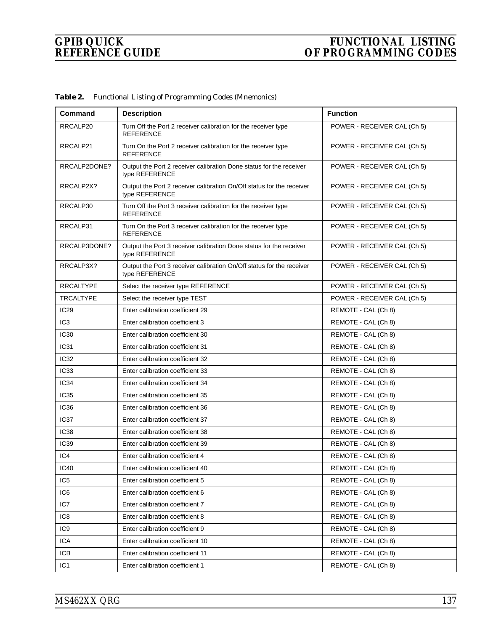| <b>Command</b>   | <b>Description</b>                                                                      | <b>Function</b>             |
|------------------|-----------------------------------------------------------------------------------------|-----------------------------|
| RRCALP20         | Turn Off the Port 2 receiver calibration for the receiver type<br><b>REFERENCE</b>      | POWER - RECEIVER CAL (Ch 5) |
| RRCALP21         | Turn On the Port 2 receiver calibration for the receiver type<br><b>REFERENCE</b>       | POWER - RECEIVER CAL (Ch 5) |
| RRCALP2DONE?     | Output the Port 2 receiver calibration Done status for the receiver<br>type REFERENCE   | POWER - RECEIVER CAL (Ch 5) |
| RRCALP2X?        | Output the Port 2 receiver calibration On/Off status for the receiver<br>type REFERENCE | POWER - RECEIVER CAL (Ch 5) |
| RRCALP30         | Turn Off the Port 3 receiver calibration for the receiver type<br><b>REFERENCE</b>      | POWER - RECEIVER CAL (Ch 5) |
| RRCALP31         | Turn On the Port 3 receiver calibration for the receiver type<br><b>REFERENCE</b>       | POWER - RECEIVER CAL (Ch 5) |
| RRCALP3DONE?     | Output the Port 3 receiver calibration Done status for the receiver<br>type REFERENCE   | POWER - RECEIVER CAL (Ch 5) |
| RRCALP3X?        | Output the Port 3 receiver calibration On/Off status for the receiver<br>type REFERENCE | POWER - RECEIVER CAL (Ch 5) |
| <b>RRCALTYPE</b> | Select the receiver type REFERENCE                                                      | POWER - RECEIVER CAL (Ch 5) |
| <b>TRCALTYPE</b> | Select the receiver type TEST                                                           | POWER - RECEIVER CAL (Ch 5) |
| IC29             | Enter calibration coefficient 29                                                        | REMOTE - CAL (Ch 8)         |
| IC <sub>3</sub>  | Enter calibration coefficient 3                                                         | REMOTE - CAL (Ch 8)         |
| <b>IC30</b>      | Enter calibration coefficient 30                                                        | REMOTE - CAL (Ch 8)         |
| <b>IC31</b>      | Enter calibration coefficient 31                                                        | REMOTE - CAL (Ch 8)         |
| IC32             | Enter calibration coefficient 32                                                        | REMOTE - CAL (Ch 8)         |
| <b>IC33</b>      | Enter calibration coefficient 33                                                        | REMOTE - CAL (Ch 8)         |
| IC34             | Enter calibration coefficient 34                                                        | REMOTE - CAL (Ch 8)         |
| <b>IC35</b>      | Enter calibration coefficient 35                                                        | REMOTE - CAL (Ch 8)         |
| IC <sub>36</sub> | Enter calibration coefficient 36                                                        | REMOTE - CAL (Ch 8)         |
| IC <sub>37</sub> | Enter calibration coefficient 37                                                        | REMOTE - CAL (Ch 8)         |
| <b>IC38</b>      | Enter calibration coefficient 38                                                        | REMOTE - CAL (Ch 8)         |
| <b>IC39</b>      | Enter calibration coefficient 39                                                        | REMOTE - CAL (Ch 8)         |
| IC4              | Enter calibration coefficient 4                                                         | REMOTE - CAL (Ch 8)         |
| <b>IC40</b>      | Enter calibration coefficient 40                                                        | REMOTE - CAL (Ch 8)         |
| IC <sub>5</sub>  | Enter calibration coefficient 5                                                         | REMOTE - CAL (Ch 8)         |
| IC <sub>6</sub>  | Enter calibration coefficient 6                                                         | REMOTE - CAL (Ch 8)         |
| IC7              | Enter calibration coefficient 7                                                         | REMOTE - CAL (Ch 8)         |
| IC <sub>8</sub>  | Enter calibration coefficient 8                                                         | REMOTE - CAL (Ch 8)         |
| IC <sub>9</sub>  | Enter calibration coefficient 9                                                         | REMOTE - CAL (Ch 8)         |
| <b>ICA</b>       | Enter calibration coefficient 10                                                        | REMOTE - CAL (Ch 8)         |
| ICB              | Enter calibration coefficient 11                                                        | REMOTE - CAL (Ch 8)         |
| IC <sub>1</sub>  | Enter calibration coefficient 1                                                         | REMOTE - CAL (Ch 8)         |

*Table 2. Functional Listing of Programming Codes (Mnemonics)*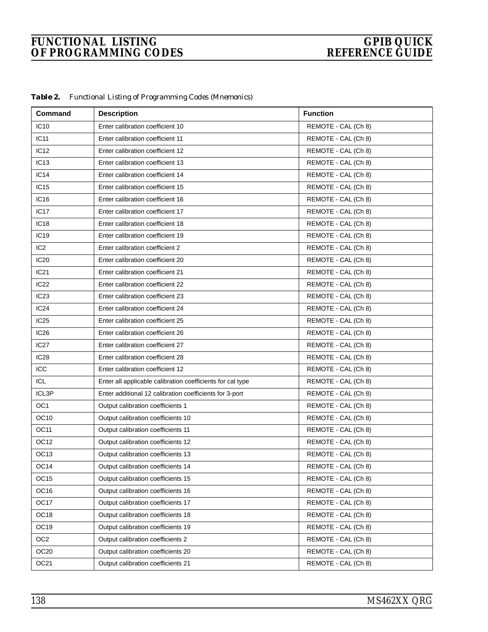| <i>Table 2.</i> | Functional Listing of Programming Codes (Mnemonics) |  |  |  |  |  |  |
|-----------------|-----------------------------------------------------|--|--|--|--|--|--|
|-----------------|-----------------------------------------------------|--|--|--|--|--|--|

| Command          | <b>Description</b>                                         | <b>Function</b>     |
|------------------|------------------------------------------------------------|---------------------|
| IC <sub>10</sub> | Enter calibration coefficient 10                           | REMOTE - CAL (Ch 8) |
| IC <sub>11</sub> | Enter calibration coefficient 11                           | REMOTE - CAL (Ch 8) |
| <b>IC12</b>      | Enter calibration coefficient 12                           | REMOTE - CAL (Ch 8) |
| IC <sub>13</sub> | Enter calibration coefficient 13                           | REMOTE - CAL (Ch 8) |
| <b>IC14</b>      | Enter calibration coefficient 14                           | REMOTE - CAL (Ch 8) |
| IC15             | Enter calibration coefficient 15                           | REMOTE - CAL (Ch 8) |
| <b>IC16</b>      | Enter calibration coefficient 16                           | REMOTE - CAL (Ch 8) |
| IC <sub>17</sub> | Enter calibration coefficient 17                           | REMOTE - CAL (Ch 8) |
| <b>IC18</b>      | Enter calibration coefficient 18                           | REMOTE - CAL (Ch 8) |
| <b>IC19</b>      | Enter calibration coefficient 19                           | REMOTE - CAL (Ch 8) |
| IC <sub>2</sub>  | Enter calibration coefficient 2                            | REMOTE - CAL (Ch 8) |
| <b>IC20</b>      | Enter calibration coefficient 20                           | REMOTE - CAL (Ch 8) |
| IC21             | Enter calibration coefficient 21                           | REMOTE - CAL (Ch 8) |
| IC <sub>22</sub> | Enter calibration coefficient 22                           | REMOTE - CAL (Ch 8) |
| IC <sub>23</sub> | Enter calibration coefficient 23                           | REMOTE - CAL (Ch 8) |
| IC24             | Enter calibration coefficient 24                           | REMOTE - CAL (Ch 8) |
| IC25             | Enter calibration coefficient 25                           | REMOTE - CAL (Ch 8) |
| <b>IC26</b>      | Enter calibration coefficient 26                           | REMOTE - CAL (Ch 8) |
| IC <sub>27</sub> | Enter calibration coefficient 27                           | REMOTE - CAL (Ch 8) |
| <b>IC28</b>      | Enter calibration coefficient 28                           | REMOTE - CAL (Ch 8) |
| ICC              | Enter calibration coefficient 12                           | REMOTE - CAL (Ch 8) |
| ICL              | Enter all applicable calibration coefficients for cal type | REMOTE - CAL (Ch 8) |
| ICL3P            | Enter additional 12 calibration coefficients for 3-port    | REMOTE - CAL (Ch 8) |
| OC <sub>1</sub>  | Output calibration coefficients 1                          | REMOTE - CAL (Ch 8) |
| OC <sub>10</sub> | Output calibration coefficients 10                         | REMOTE - CAL (Ch 8) |
| OC <sub>11</sub> | Output calibration coefficients 11                         | REMOTE - CAL (Ch 8) |
| OC <sub>12</sub> | Output calibration coefficients 12                         | REMOTE - CAL (Ch 8) |
| OC <sub>13</sub> | Output calibration coefficients 13                         | REMOTE - CAL (Ch 8) |
| OC <sub>14</sub> | Output calibration coefficients 14                         | REMOTE - CAL (Ch 8) |
| OC <sub>15</sub> | Output calibration coefficients 15                         | REMOTE - CAL (Ch 8) |
| OC <sub>16</sub> | Output calibration coefficients 16                         | REMOTE - CAL (Ch 8) |
| OC <sub>17</sub> | Output calibration coefficients 17                         | REMOTE - CAL (Ch 8) |
| OC <sub>18</sub> | Output calibration coefficients 18                         | REMOTE - CAL (Ch 8) |
| OC <sub>19</sub> | Output calibration coefficients 19                         | REMOTE - CAL (Ch 8) |
| OC <sub>2</sub>  | Output calibration coefficients 2                          | REMOTE - CAL (Ch 8) |
| OC <sub>20</sub> | Output calibration coefficients 20                         | REMOTE - CAL (Ch 8) |
| OC <sub>21</sub> | Output calibration coefficients 21                         | REMOTE - CAL (Ch 8) |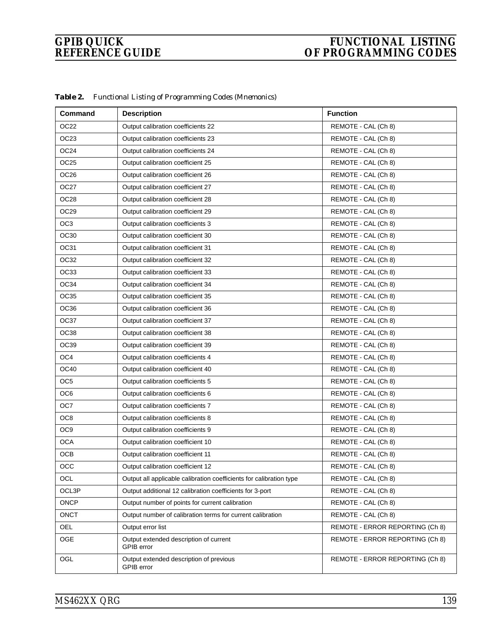| Command          | <b>Description</b>                                                  | <b>Function</b>                 |
|------------------|---------------------------------------------------------------------|---------------------------------|
| OC <sub>22</sub> | Output calibration coefficients 22                                  | REMOTE - CAL (Ch 8)             |
| OC <sub>23</sub> | Output calibration coefficients 23                                  | REMOTE - CAL (Ch 8)             |
| OC <sub>24</sub> | Output calibration coefficients 24                                  | REMOTE - CAL (Ch 8)             |
| OC <sub>25</sub> | Output calibration coefficient 25                                   | REMOTE - CAL (Ch 8)             |
| OC <sub>26</sub> | Output calibration coefficient 26                                   | REMOTE - CAL (Ch 8)             |
| OC27             | Output calibration coefficient 27                                   | REMOTE - CAL (Ch 8)             |
| OC <sub>28</sub> | Output calibration coefficient 28                                   | REMOTE - CAL (Ch 8)             |
| OC <sub>29</sub> | Output calibration coefficient 29                                   | REMOTE - CAL (Ch 8)             |
| OC <sub>3</sub>  | Output calibration coefficients 3                                   | REMOTE - CAL (Ch 8)             |
| OC30             | Output calibration coefficient 30                                   | REMOTE - CAL (Ch 8)             |
| OC31             | Output calibration coefficient 31                                   | REMOTE - CAL (Ch 8)             |
| OC32             | Output calibration coefficient 32                                   | REMOTE - CAL (Ch 8)             |
| OC33             | Output calibration coefficient 33                                   | REMOTE - CAL (Ch 8)             |
| OC34             | Output calibration coefficient 34                                   | REMOTE - CAL (Ch 8)             |
| OC35             | Output calibration coefficient 35                                   | REMOTE - CAL (Ch 8)             |
| OC36             | Output calibration coefficient 36                                   | REMOTE - CAL (Ch 8)             |
| OC37             | Output calibration coefficient 37                                   | REMOTE - CAL (Ch 8)             |
| <b>OC38</b>      | Output calibration coefficient 38                                   | REMOTE - CAL (Ch 8)             |
| OC39             | Output calibration coefficient 39                                   | REMOTE - CAL (Ch 8)             |
| OC4              | Output calibration coefficients 4                                   | REMOTE - CAL (Ch 8)             |
| OC40             | Output calibration coefficient 40                                   | REMOTE - CAL (Ch 8)             |
| OC <sub>5</sub>  | Output calibration coefficients 5                                   | REMOTE - CAL (Ch 8)             |
| OC <sub>6</sub>  | Output calibration coefficients 6                                   | REMOTE - CAL (Ch 8)             |
| OC7              | Output calibration coefficients 7                                   | REMOTE - CAL (Ch 8)             |
| OC8              | Output calibration coefficients 8                                   | REMOTE - CAL (Ch 8)             |
| OC <sub>9</sub>  | Output calibration coefficients 9                                   | REMOTE - CAL (Ch 8)             |
| <b>OCA</b>       | Output calibration coefficient 10                                   | REMOTE - CAL (Ch 8)             |
| <b>OCB</b>       | Output calibration coefficient 11                                   | REMOTE - CAL (Ch 8)             |
| $_{\rm occ}$     | Output calibration coefficient 12                                   | REMOTE - CAL (Ch 8)             |
| OCL              | Output all applicable calibration coefficients for calibration type | REMOTE - CAL (Ch 8)             |
| OCL3P            | Output additional 12 calibration coefficients for 3-port            | REMOTE - CAL (Ch 8)             |
| <b>ONCP</b>      | Output number of points for current calibration                     | REMOTE - CAL (Ch 8)             |
| <b>ONCT</b>      | Output number of calibration terms for current calibration          | REMOTE - CAL (Ch 8)             |
| OEL              | Output error list                                                   | REMOTE - ERROR REPORTING (Ch 8) |
| OGE              | Output extended description of current<br>GPIB error                | REMOTE - ERROR REPORTING (Ch 8) |
| OGL              | Output extended description of previous<br>GPIB error               | REMOTE - ERROR REPORTING (Ch 8) |

*Table 2. Functional Listing of Programming Codes (Mnemonics)*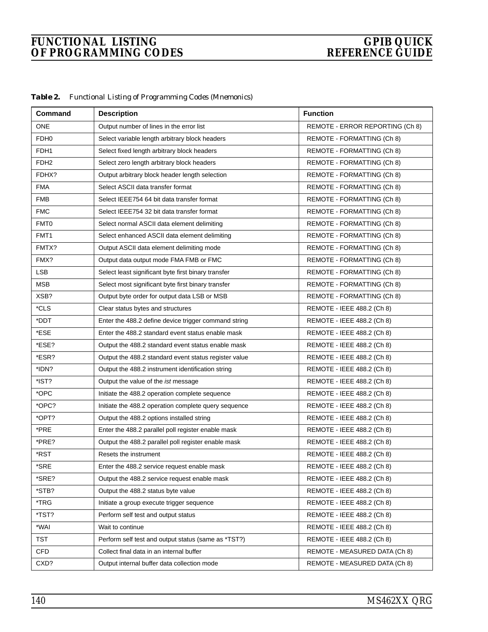| <i>Table 2.</i> | Functional Listing of Programming Codes (Mnemonics) |  |  |  |  |  |  |
|-----------------|-----------------------------------------------------|--|--|--|--|--|--|
|-----------------|-----------------------------------------------------|--|--|--|--|--|--|

| Command          | <b>Description</b>                                    | <b>Function</b>                 |
|------------------|-------------------------------------------------------|---------------------------------|
| <b>ONE</b>       | Output number of lines in the error list              | REMOTE - ERROR REPORTING (Ch 8) |
| FDH <sub>0</sub> | Select variable length arbitrary block headers        | REMOTE - FORMATTING (Ch 8)      |
| FDH <sub>1</sub> | Select fixed length arbitrary block headers           | REMOTE - FORMATTING (Ch 8)      |
| FDH <sub>2</sub> | Select zero length arbitrary block headers            | REMOTE - FORMATTING (Ch 8)      |
| FDHX?            | Output arbitrary block header length selection        | REMOTE - FORMATTING (Ch 8)      |
| <b>FMA</b>       | Select ASCII data transfer format                     | REMOTE - FORMATTING (Ch 8)      |
| <b>FMB</b>       | Select IEEE754 64 bit data transfer format            | REMOTE - FORMATTING (Ch 8)      |
| <b>FMC</b>       | Select IEEE754 32 bit data transfer format            | REMOTE - FORMATTING (Ch 8)      |
| FMT0             | Select normal ASCII data element delimiting           | REMOTE - FORMATTING (Ch 8)      |
| FMT1             | Select enhanced ASCII data element delimiting         | REMOTE - FORMATTING (Ch 8)      |
| FMTX?            | Output ASCII data element delimiting mode             | REMOTE - FORMATTING (Ch 8)      |
| FMX?             | Output data output mode FMA FMB or FMC                | REMOTE - FORMATTING (Ch 8)      |
| LSB              | Select least significant byte first binary transfer   | REMOTE - FORMATTING (Ch 8)      |
| <b>MSB</b>       | Select most significant byte first binary transfer    | REMOTE - FORMATTING (Ch 8)      |
| XSB?             | Output byte order for output data LSB or MSB          | REMOTE - FORMATTING (Ch 8)      |
| *CLS             | Clear status bytes and structures                     | REMOTE - IEEE 488.2 (Ch 8)      |
| *DDT             | Enter the 488.2 define device trigger command string  | REMOTE - IEEE 488.2 (Ch 8)      |
| *ESE             | Enter the 488.2 standard event status enable mask     | REMOTE - IEEE 488.2 (Ch 8)      |
| *ESE?            | Output the 488.2 standard event status enable mask    | REMOTE - IEEE 488.2 (Ch 8)      |
| *ESR?            | Output the 488.2 standard event status register value | REMOTE - IEEE 488.2 (Ch 8)      |
| *IDN?            | Output the 488.2 instrument identification string     | REMOTE - IEEE 488.2 (Ch 8)      |
| *IST?            | Output the value of the <i>ist</i> message            | REMOTE - IEEE 488.2 (Ch 8)      |
| *OPC             | Initiate the 488.2 operation complete sequence        | REMOTE - IEEE 488.2 (Ch 8)      |
| *OPC?            | Initiate the 488.2 operation complete query sequence  | REMOTE - IEEE 488.2 (Ch 8)      |
| *OPT?            | Output the 488.2 options installed string             | REMOTE - IEEE 488.2 (Ch 8)      |
| *PRE             | Enter the 488.2 parallel poll register enable mask    | REMOTE - IEEE 488.2 (Ch 8)      |
| *PRE?            | Output the 488.2 parallel poll register enable mask   | REMOTE - IEEE 488.2 (Ch 8)      |
| *RST             | Resets the instrument                                 | REMOTE - IEEE 488.2 (Ch 8)      |
| *SRE             | Enter the 488.2 service request enable mask           | REMOTE - IEEE 488.2 (Ch 8)      |
| *SRE?            | Output the 488.2 service request enable mask          | REMOTE - IEEE 488.2 (Ch 8)      |
| *STB?            | Output the 488.2 status byte value                    | REMOTE - IEEE 488.2 (Ch 8)      |
| *TRG             | Initiate a group execute trigger sequence             | REMOTE - IEEE 488.2 (Ch 8)      |
| *TST?            | Perform self test and output status                   | REMOTE - IEEE 488.2 (Ch 8)      |
| *WAI             | Wait to continue                                      | REMOTE - IEEE 488.2 (Ch 8)      |
| <b>TST</b>       | Perform self test and output status (same as *TST?)   | REMOTE - IEEE 488.2 (Ch 8)      |
| <b>CFD</b>       | Collect final data in an internal buffer              | REMOTE - MEASURED DATA (Ch 8)   |
| CXD?             | Output internal buffer data collection mode           | REMOTE - MEASURED DATA (Ch 8)   |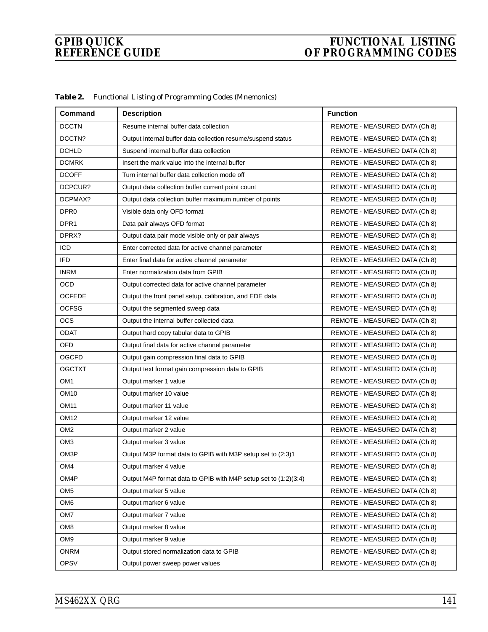| Command          | <b>Description</b>                                              | <b>Function</b>               |
|------------------|-----------------------------------------------------------------|-------------------------------|
| <b>DCCTN</b>     | Resume internal buffer data collection                          | REMOTE - MEASURED DATA (Ch 8) |
| DCCTN?           | Output internal buffer data collection resume/suspend status    | REMOTE - MEASURED DATA (Ch 8) |
| <b>DCHLD</b>     | Suspend internal buffer data collection                         | REMOTE - MEASURED DATA (Ch 8) |
| <b>DCMRK</b>     | Insert the mark value into the internal buffer                  | REMOTE - MEASURED DATA (Ch 8) |
| <b>DCOFF</b>     | Turn internal buffer data collection mode off                   | REMOTE - MEASURED DATA (Ch 8) |
| DCPCUR?          | Output data collection buffer current point count               | REMOTE - MEASURED DATA (Ch 8) |
| DCPMAX?          | Output data collection buffer maximum number of points          | REMOTE - MEASURED DATA (Ch 8) |
| DPR <sub>0</sub> | Visible data only OFD format                                    | REMOTE - MEASURED DATA (Ch 8) |
| DPR <sub>1</sub> | Data pair always OFD format                                     | REMOTE - MEASURED DATA (Ch 8) |
| DPRX?            | Output data pair mode visible only or pair always               | REMOTE - MEASURED DATA (Ch 8) |
| <b>ICD</b>       | Enter corrected data for active channel parameter               | REMOTE - MEASURED DATA (Ch 8) |
| <b>IFD</b>       | Enter final data for active channel parameter                   | REMOTE - MEASURED DATA (Ch 8) |
| <b>INRM</b>      | Enter normalization data from GPIB                              | REMOTE - MEASURED DATA (Ch 8) |
| <b>OCD</b>       | Output corrected data for active channel parameter              | REMOTE - MEASURED DATA (Ch 8) |
| <b>OCFEDE</b>    | Output the front panel setup, calibration, and EDE data         | REMOTE - MEASURED DATA (Ch 8) |
| <b>OCFSG</b>     | Output the segmented sweep data                                 | REMOTE - MEASURED DATA (Ch 8) |
| <b>OCS</b>       | Output the internal buffer collected data                       | REMOTE - MEASURED DATA (Ch 8) |
| <b>ODAT</b>      | Output hard copy tabular data to GPIB                           | REMOTE - MEASURED DATA (Ch 8) |
| <b>OFD</b>       | Output final data for active channel parameter                  | REMOTE - MEASURED DATA (Ch 8) |
| <b>OGCFD</b>     | Output gain compression final data to GPIB                      | REMOTE - MEASURED DATA (Ch 8) |
| <b>OGCTXT</b>    | Output text format gain compression data to GPIB                | REMOTE - MEASURED DATA (Ch 8) |
| OM <sub>1</sub>  | Output marker 1 value                                           | REMOTE - MEASURED DATA (Ch 8) |
| <b>OM10</b>      | Output marker 10 value                                          | REMOTE - MEASURED DATA (Ch 8) |
| <b>OM11</b>      | Output marker 11 value                                          | REMOTE - MEASURED DATA (Ch 8) |
| <b>OM12</b>      | Output marker 12 value                                          | REMOTE - MEASURED DATA (Ch 8) |
| OM <sub>2</sub>  | Output marker 2 value                                           | REMOTE - MEASURED DATA (Ch 8) |
| OM <sub>3</sub>  | Output marker 3 value                                           | REMOTE - MEASURED DATA (Ch 8) |
| OM3P             | Output M3P format data to GPIB with M3P setup set to (2:3)1     | REMOTE - MEASURED DATA (Ch 8) |
| OM4              | Output marker 4 value                                           | REMOTE - MEASURED DATA (Ch 8) |
| OM4P             | Output M4P format data to GPIB with M4P setup set to (1:2)(3:4) | REMOTE - MEASURED DATA (Ch 8) |
| OM <sub>5</sub>  | Output marker 5 value                                           | REMOTE - MEASURED DATA (Ch 8) |
| OM <sub>6</sub>  | Output marker 6 value                                           | REMOTE - MEASURED DATA (Ch 8) |
| OM7              | Output marker 7 value                                           | REMOTE - MEASURED DATA (Ch 8) |
| OM <sub>8</sub>  | Output marker 8 value                                           | REMOTE - MEASURED DATA (Ch 8) |
| OM <sub>9</sub>  | Output marker 9 value                                           | REMOTE - MEASURED DATA (Ch 8) |
| <b>ONRM</b>      | Output stored normalization data to GPIB                        | REMOTE - MEASURED DATA (Ch 8) |
| OPSV             | Output power sweep power values                                 | REMOTE - MEASURED DATA (Ch 8) |

*Table 2. Functional Listing of Programming Codes (Mnemonics)*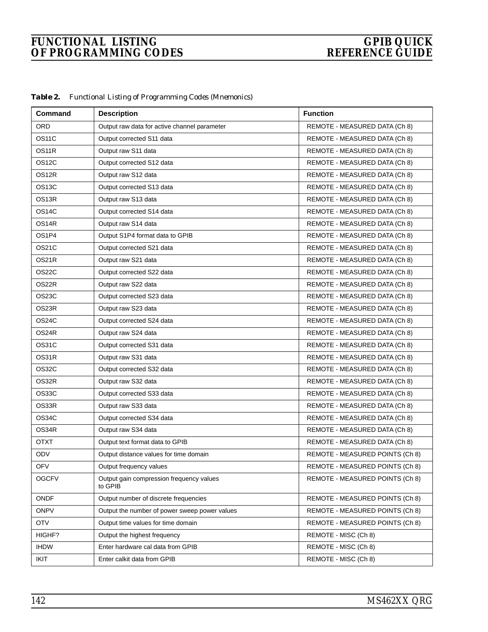| <i>Table 2.</i> | Functional Listing of Programming Codes (Mnemonics) |  |  |  |  |  |  |
|-----------------|-----------------------------------------------------|--|--|--|--|--|--|
|-----------------|-----------------------------------------------------|--|--|--|--|--|--|

| Command            | <b>Description</b>                                  | <b>Function</b>                 |
|--------------------|-----------------------------------------------------|---------------------------------|
| <b>ORD</b>         | Output raw data for active channel parameter        | REMOTE - MEASURED DATA (Ch 8)   |
| OS <sub>11</sub> C | Output corrected S11 data                           | REMOTE - MEASURED DATA (Ch 8)   |
| OS11R              | Output raw S11 data                                 | REMOTE - MEASURED DATA (Ch 8)   |
| OS12C              | Output corrected S12 data                           | REMOTE - MEASURED DATA (Ch 8)   |
| OS12R              | Output raw S12 data                                 | REMOTE - MEASURED DATA (Ch 8)   |
| OS <sub>13</sub> C | Output corrected S13 data                           | REMOTE - MEASURED DATA (Ch 8)   |
| OS13R              | Output raw S13 data                                 | REMOTE - MEASURED DATA (Ch 8)   |
| OS14C              | Output corrected S14 data                           | REMOTE - MEASURED DATA (Ch 8)   |
| OS14R              | Output raw S14 data                                 | REMOTE - MEASURED DATA (Ch 8)   |
| OS1P4              | Output S1P4 format data to GPIB                     | REMOTE - MEASURED DATA (Ch 8)   |
| OS21C              | Output corrected S21 data                           | REMOTE - MEASURED DATA (Ch 8)   |
| OS21R              | Output raw S21 data                                 | REMOTE - MEASURED DATA (Ch 8)   |
| OS22C              | Output corrected S22 data                           | REMOTE - MEASURED DATA (Ch 8)   |
| OS22R              | Output raw S22 data                                 | REMOTE - MEASURED DATA (Ch 8)   |
| OS23C              | Output corrected S23 data                           | REMOTE - MEASURED DATA (Ch 8)   |
| OS23R              | Output raw S23 data                                 | REMOTE - MEASURED DATA (Ch 8)   |
| OS24C              | Output corrected S24 data                           | REMOTE - MEASURED DATA (Ch 8)   |
| OS24R              | Output raw S24 data                                 | REMOTE - MEASURED DATA (Ch 8)   |
| <b>OS31C</b>       | Output corrected S31 data                           | REMOTE - MEASURED DATA (Ch 8)   |
| OS31R              | Output raw S31 data                                 | REMOTE - MEASURED DATA (Ch 8)   |
| <b>OS32C</b>       | Output corrected S32 data                           | REMOTE - MEASURED DATA (Ch 8)   |
| OS32R              | Output raw S32 data                                 | REMOTE - MEASURED DATA (Ch 8)   |
| OS33C              | Output corrected S33 data                           | REMOTE - MEASURED DATA (Ch 8)   |
| OS33R              | Output raw S33 data                                 | REMOTE - MEASURED DATA (Ch 8)   |
| OS34C              | Output corrected S34 data                           | REMOTE - MEASURED DATA (Ch 8)   |
| OS34R              | Output raw S34 data                                 | REMOTE - MEASURED DATA (Ch 8)   |
| <b>OTXT</b>        | Output text format data to GPIB                     | REMOTE - MEASURED DATA (Ch 8)   |
| ODV                | Output distance values for time domain              | REMOTE - MEASURED POINTS (Ch 8) |
| <b>OFV</b>         | Output frequency values                             | REMOTE - MEASURED POINTS (Ch 8) |
| <b>OGCFV</b>       | Output gain compression frequency values<br>to GPIB | REMOTE - MEASURED POINTS (Ch 8) |
| <b>ONDF</b>        | Output number of discrete frequencies               | REMOTE - MEASURED POINTS (Ch 8) |
| <b>ONPV</b>        | Output the number of power sweep power values       | REMOTE - MEASURED POINTS (Ch 8) |
| <b>OTV</b>         | Output time values for time domain                  | REMOTE - MEASURED POINTS (Ch 8) |
| HIGHF?             | Output the highest frequency                        | REMOTE - MISC (Ch 8)            |
| <b>IHDW</b>        | Enter hardware cal data from GPIB                   | REMOTE - MISC (Ch 8)            |
| <b>IKIT</b>        | Enter calkit data from GPIB                         | REMOTE - MISC (Ch 8)            |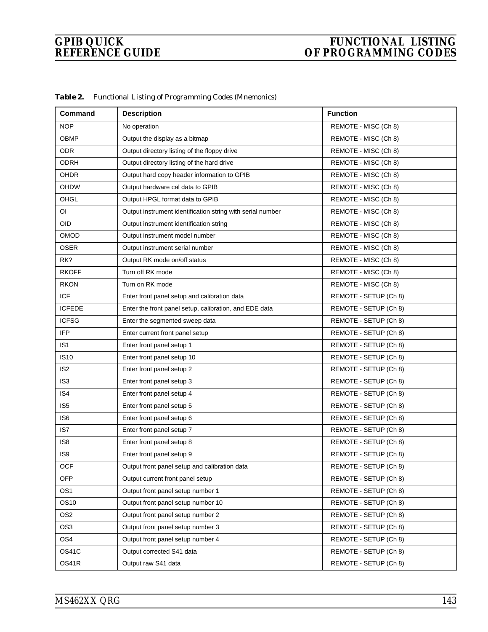| Command         | <b>Description</b>                                         | <b>Function</b>       |
|-----------------|------------------------------------------------------------|-----------------------|
| <b>NOP</b>      | No operation                                               | REMOTE - MISC (Ch 8)  |
| <b>OBMP</b>     | Output the display as a bitmap                             | REMOTE - MISC (Ch 8)  |
| <b>ODR</b>      | Output directory listing of the floppy drive               | REMOTE - MISC (Ch 8)  |
| ODRH            | Output directory listing of the hard drive                 | REMOTE - MISC (Ch 8)  |
| <b>OHDR</b>     | Output hard copy header information to GPIB                | REMOTE - MISC (Ch 8)  |
| OHDW            | Output hardware cal data to GPIB                           | REMOTE - MISC (Ch 8)  |
| <b>OHGL</b>     | Output HPGL format data to GPIB                            | REMOTE - MISC (Ch 8)  |
| <b>OI</b>       | Output instrument identification string with serial number | REMOTE - MISC (Ch 8)  |
| <b>OID</b>      | Output instrument identification string                    | REMOTE - MISC (Ch 8)  |
| OMOD            | Output instrument model number                             | REMOTE - MISC (Ch 8)  |
| <b>OSER</b>     | Output instrument serial number                            | REMOTE - MISC (Ch 8)  |
| RK?             | Output RK mode on/off status                               | REMOTE - MISC (Ch 8)  |
| <b>RKOFF</b>    | Turn off RK mode                                           | REMOTE - MISC (Ch 8)  |
| <b>RKON</b>     | Turn on RK mode                                            | REMOTE - MISC (Ch 8)  |
| <b>ICF</b>      | Enter front panel setup and calibration data               | REMOTE - SETUP (Ch 8) |
| <b>ICFEDE</b>   | Enter the front panel setup, calibration, and EDE data     | REMOTE - SETUP (Ch 8) |
| <b>ICFSG</b>    | Enter the segmented sweep data                             | REMOTE - SETUP (Ch 8) |
| IFP             | Enter current front panel setup                            | REMOTE - SETUP (Ch 8) |
| IS <sub>1</sub> | Enter front panel setup 1                                  | REMOTE - SETUP (Ch 8) |
| <b>IS10</b>     | Enter front panel setup 10                                 | REMOTE - SETUP (Ch 8) |
| IS <sub>2</sub> | Enter front panel setup 2                                  | REMOTE - SETUP (Ch 8) |
| IS <sub>3</sub> | Enter front panel setup 3                                  | REMOTE - SETUP (Ch 8) |
| IS4             | Enter front panel setup 4                                  | REMOTE - SETUP (Ch 8) |
| IS <sub>5</sub> | Enter front panel setup 5                                  | REMOTE - SETUP (Ch 8) |
| IS <sub>6</sub> | Enter front panel setup 6                                  | REMOTE - SETUP (Ch 8) |
| IS7             | Enter front panel setup 7                                  | REMOTE - SETUP (Ch 8) |
| IS <sub>8</sub> | Enter front panel setup 8                                  | REMOTE - SETUP (Ch 8) |
| IS <sub>9</sub> | Enter front panel setup 9                                  | REMOTE - SETUP (Ch 8) |
| OCF             | Output front panel setup and calibration data              | REMOTE - SETUP (Ch 8) |
| OFP             | Output current front panel setup                           | REMOTE - SETUP (Ch 8) |
| OS <sub>1</sub> | Output front panel setup number 1                          | REMOTE - SETUP (Ch 8) |
| OS10            | Output front panel setup number 10                         | REMOTE - SETUP (Ch 8) |
| OS <sub>2</sub> | Output front panel setup number 2                          | REMOTE - SETUP (Ch 8) |
| OS <sub>3</sub> | Output front panel setup number 3                          | REMOTE - SETUP (Ch 8) |
| OS4             | Output front panel setup number 4                          | REMOTE - SETUP (Ch 8) |
| OS41C           | Output corrected S41 data                                  | REMOTE - SETUP (Ch 8) |
| OS41R           | Output raw S41 data                                        | REMOTE - SETUP (Ch 8) |

*Table 2. Functional Listing of Programming Codes (Mnemonics)*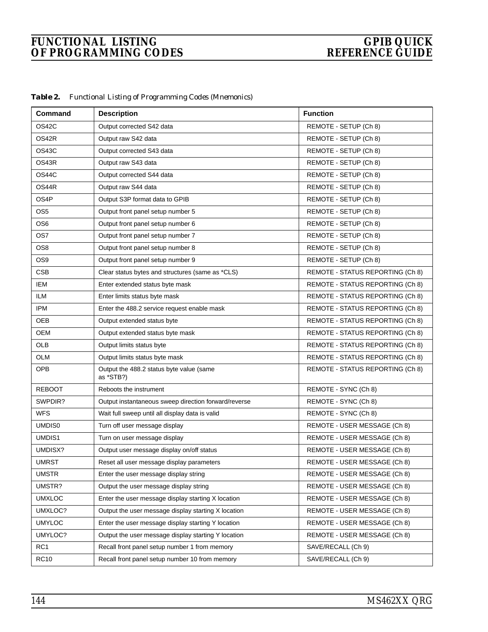| <i>Table 2.</i> | Functional Listing of Programming Codes (Mnemonics) |  |  |  |  |  |  |
|-----------------|-----------------------------------------------------|--|--|--|--|--|--|
|-----------------|-----------------------------------------------------|--|--|--|--|--|--|

| Command         | <b>Description</b>                                    | <b>Function</b>                  |
|-----------------|-------------------------------------------------------|----------------------------------|
| OS42C           | Output corrected S42 data                             | REMOTE - SETUP (Ch 8)            |
| OS42R           | Output raw S42 data                                   | REMOTE - SETUP (Ch 8)            |
| OS43C           | Output corrected S43 data                             | REMOTE - SETUP (Ch 8)            |
| OS43R           | Output raw S43 data                                   | REMOTE - SETUP (Ch 8)            |
| OS44C           | Output corrected S44 data                             | REMOTE - SETUP (Ch 8)            |
| OS44R           | Output raw S44 data                                   | REMOTE - SETUP (Ch 8)            |
| OS4P            | Output S3P format data to GPIB                        | REMOTE - SETUP (Ch 8)            |
| OS <sub>5</sub> | Output front panel setup number 5                     | REMOTE - SETUP (Ch 8)            |
| OS <sub>6</sub> | Output front panel setup number 6                     | REMOTE - SETUP (Ch 8)            |
| OS7             | Output front panel setup number 7                     | REMOTE - SETUP (Ch 8)            |
| OS <sub>8</sub> | Output front panel setup number 8                     | REMOTE - SETUP (Ch 8)            |
| OS <sub>9</sub> | Output front panel setup number 9                     | REMOTE - SETUP (Ch 8)            |
| <b>CSB</b>      | Clear status bytes and structures (same as *CLS)      | REMOTE - STATUS REPORTING (Ch 8) |
| IEM             | Enter extended status byte mask                       | REMOTE - STATUS REPORTING (Ch 8) |
| ILM             | Enter limits status byte mask                         | REMOTE - STATUS REPORTING (Ch 8) |
| <b>IPM</b>      | Enter the 488.2 service request enable mask           | REMOTE - STATUS REPORTING (Ch 8) |
| OEB             | Output extended status byte                           | REMOTE - STATUS REPORTING (Ch 8) |
| <b>OEM</b>      | Output extended status byte mask                      | REMOTE - STATUS REPORTING (Ch 8) |
| OLB             | Output limits status byte                             | REMOTE - STATUS REPORTING (Ch 8) |
| <b>OLM</b>      | Output limits status byte mask                        | REMOTE - STATUS REPORTING (Ch 8) |
| OPB             | Output the 488.2 status byte value (same<br>as *STB?) | REMOTE - STATUS REPORTING (Ch 8) |
| <b>REBOOT</b>   | Reboots the instrument                                | REMOTE - SYNC (Ch 8)             |
| SWPDIR?         | Output instantaneous sweep direction forward/reverse  | REMOTE - SYNC (Ch 8)             |
| <b>WFS</b>      | Wait full sweep until all display data is valid       | REMOTE - SYNC (Ch 8)             |
| UMDIS0          | Turn off user message display                         | REMOTE - USER MESSAGE (Ch 8)     |
| UMDIS1          | Turn on user message display                          | REMOTE - USER MESSAGE (Ch 8)     |
| UMDISX?         | Output user message display on/off status             | REMOTE - USER MESSAGE (Ch 8)     |
| <b>UMRST</b>    | Reset all user message display parameters             | REMOTE - USER MESSAGE (Ch 8)     |
| UMSTR           | Enter the user message display string                 | REMOTE - USER MESSAGE (Ch 8)     |
| UMSTR?          | Output the user message display string                | REMOTE - USER MESSAGE (Ch 8)     |
| <b>UMXLOC</b>   | Enter the user message display starting X location    | REMOTE - USER MESSAGE (Ch 8)     |
| UMXLOC?         | Output the user message display starting X location   | REMOTE - USER MESSAGE (Ch 8)     |
| <b>UMYLOC</b>   | Enter the user message display starting Y location    | REMOTE - USER MESSAGE (Ch 8)     |
| UMYLOC?         | Output the user message display starting Y location   | REMOTE - USER MESSAGE (Ch 8)     |
| RC1             | Recall front panel setup number 1 from memory         | SAVE/RECALL (Ch 9)               |
| <b>RC10</b>     | Recall front panel setup number 10 from memory        | SAVE/RECALL (Ch 9)               |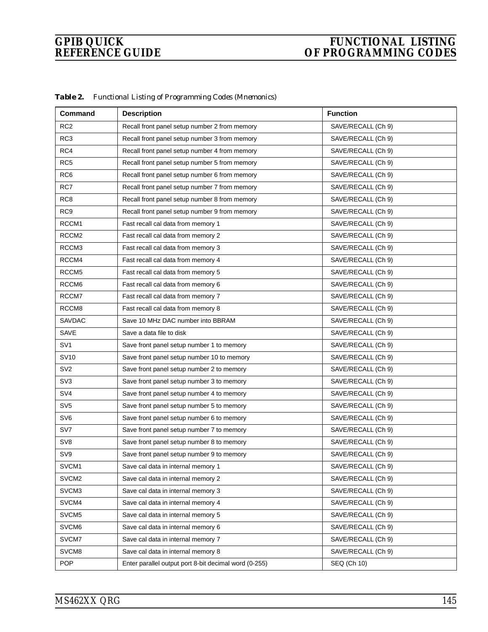| Command           | <b>Description</b>                                    | <b>Function</b>    |
|-------------------|-------------------------------------------------------|--------------------|
| RC <sub>2</sub>   | Recall front panel setup number 2 from memory         | SAVE/RECALL (Ch 9) |
| RC <sub>3</sub>   | Recall front panel setup number 3 from memory         | SAVE/RECALL (Ch 9) |
| RC4               | Recall front panel setup number 4 from memory         | SAVE/RECALL (Ch 9) |
| RC <sub>5</sub>   | Recall front panel setup number 5 from memory         | SAVE/RECALL (Ch 9) |
| RC <sub>6</sub>   | Recall front panel setup number 6 from memory         | SAVE/RECALL (Ch 9) |
| RC7               | Recall front panel setup number 7 from memory         | SAVE/RECALL (Ch 9) |
| RC <sub>8</sub>   | Recall front panel setup number 8 from memory         | SAVE/RECALL (Ch 9) |
| RC <sub>9</sub>   | Recall front panel setup number 9 from memory         | SAVE/RECALL (Ch 9) |
| RCCM1             | Fast recall cal data from memory 1                    | SAVE/RECALL (Ch 9) |
| RCCM <sub>2</sub> | Fast recall cal data from memory 2                    | SAVE/RECALL (Ch 9) |
| RCCM3             | Fast recall cal data from memory 3                    | SAVE/RECALL (Ch 9) |
| RCCM4             | Fast recall cal data from memory 4                    | SAVE/RECALL (Ch 9) |
| RCCM <sub>5</sub> | Fast recall cal data from memory 5                    | SAVE/RECALL (Ch 9) |
| RCCM <sub>6</sub> | Fast recall cal data from memory 6                    | SAVE/RECALL (Ch 9) |
| RCCM7             | Fast recall cal data from memory 7                    | SAVE/RECALL (Ch 9) |
| RCCM8             | Fast recall cal data from memory 8                    | SAVE/RECALL (Ch 9) |
| <b>SAVDAC</b>     | Save 10 MHz DAC number into BBRAM                     | SAVE/RECALL (Ch 9) |
| SAVE              | Save a data file to disk                              | SAVE/RECALL (Ch 9) |
| SV <sub>1</sub>   | Save front panel setup number 1 to memory             | SAVE/RECALL (Ch 9) |
| <b>SV10</b>       | Save front panel setup number 10 to memory            | SAVE/RECALL (Ch 9) |
| SV <sub>2</sub>   | Save front panel setup number 2 to memory             | SAVE/RECALL (Ch 9) |
| SV <sub>3</sub>   | Save front panel setup number 3 to memory             | SAVE/RECALL (Ch 9) |
| SV <sub>4</sub>   | Save front panel setup number 4 to memory             | SAVE/RECALL (Ch 9) |
| SV <sub>5</sub>   | Save front panel setup number 5 to memory             | SAVE/RECALL (Ch 9) |
| SV6               | Save front panel setup number 6 to memory             | SAVE/RECALL (Ch 9) |
| SV7               | Save front panel setup number 7 to memory             | SAVE/RECALL (Ch 9) |
| SV <sub>8</sub>   | Save front panel setup number 8 to memory             | SAVE/RECALL (Ch 9) |
| SV9               | Save front panel setup number 9 to memory             | SAVE/RECALL (Ch 9) |
| SVCM1             | Save cal data in internal memory 1                    | SAVE/RECALL (Ch 9) |
| SVCM <sub>2</sub> | Save cal data in internal memory 2                    | SAVE/RECALL (Ch 9) |
| SVCM3             | Save cal data in internal memory 3                    | SAVE/RECALL (Ch 9) |
| SVCM4             | Save cal data in internal memory 4                    | SAVE/RECALL (Ch 9) |
| SVCM <sub>5</sub> | Save cal data in internal memory 5                    | SAVE/RECALL (Ch 9) |
| SVCM6             | Save cal data in internal memory 6                    | SAVE/RECALL (Ch 9) |
| SVCM7             | Save cal data in internal memory 7                    | SAVE/RECALL (Ch 9) |
| SVCM8             | Save cal data in internal memory 8                    | SAVE/RECALL (Ch 9) |
| <b>POP</b>        | Enter parallel output port 8-bit decimal word (0-255) | SEQ (Ch 10)        |

*Table 2. Functional Listing of Programming Codes (Mnemonics)*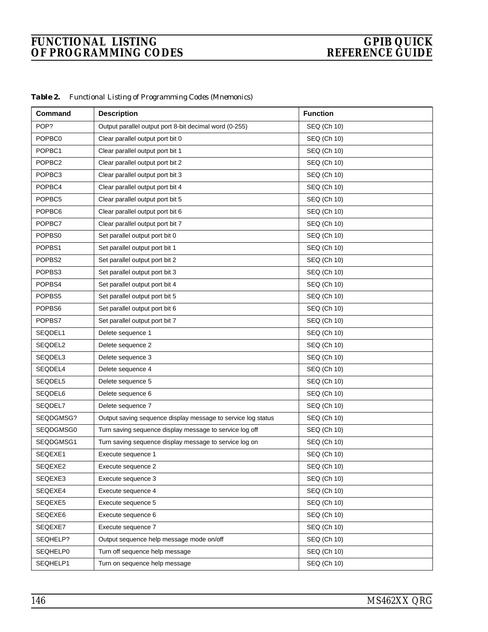| Table 2. | Functional Listing of Programming Codes (Mnemonics) |  |  |  |  |  |  |
|----------|-----------------------------------------------------|--|--|--|--|--|--|
|----------|-----------------------------------------------------|--|--|--|--|--|--|

| Command            | <b>Description</b>                                           | <b>Function</b> |
|--------------------|--------------------------------------------------------------|-----------------|
| POP?               | Output parallel output port 8-bit decimal word (0-255)       | SEQ (Ch 10)     |
| POPBC0             | Clear parallel output port bit 0                             | SEQ (Ch 10)     |
| POPBC1             | Clear parallel output port bit 1                             | SEQ (Ch 10)     |
| POPBC2             | Clear parallel output port bit 2                             | SEQ (Ch 10)     |
| POPBC3             | Clear parallel output port bit 3                             | SEQ (Ch 10)     |
| POPBC4             | Clear parallel output port bit 4                             | SEQ (Ch 10)     |
| POPBC5             | Clear parallel output port bit 5                             | SEQ (Ch 10)     |
| POPBC6             | Clear parallel output port bit 6                             | SEQ (Ch 10)     |
| POPBC7             | Clear parallel output port bit 7                             | SEQ (Ch 10)     |
| POPB <sub>S0</sub> | Set parallel output port bit 0                               | SEQ (Ch 10)     |
| POPBS1             | Set parallel output port bit 1                               | SEQ (Ch 10)     |
| POPBS2             | Set parallel output port bit 2                               | SEQ (Ch 10)     |
| POPBS3             | Set parallel output port bit 3                               | SEQ (Ch 10)     |
| POPBS4             | Set parallel output port bit 4                               | SEQ (Ch 10)     |
| POPBS5             | Set parallel output port bit 5                               | SEQ (Ch 10)     |
| POPBS6             | Set parallel output port bit 6                               | SEQ (Ch 10)     |
| POPBS7             | Set parallel output port bit 7                               | SEQ (Ch 10)     |
| SEQDEL1            | Delete sequence 1                                            | SEQ (Ch 10)     |
| SEQDEL2            | Delete sequence 2                                            | SEQ (Ch 10)     |
| SEQDEL3            | Delete sequence 3                                            | SEQ (Ch 10)     |
| SEQDEL4            | Delete sequence 4                                            | SEQ (Ch 10)     |
| SEQDEL5            | Delete sequence 5                                            | SEQ (Ch 10)     |
| SEQDEL6            | Delete sequence 6                                            | SEQ (Ch 10)     |
| SEQDEL7            | Delete sequence 7                                            | SEQ (Ch 10)     |
| SEQDGMSG?          | Output saving sequence display message to service log status | SEQ (Ch 10)     |
| SEQDGMSG0          | Turn saving sequence display message to service log off      | SEQ (Ch 10)     |
| SEQDGMSG1          | Turn saving sequence display message to service log on       | SEQ (Ch 10)     |
| SEQEXE1            | Execute sequence 1                                           | SEQ (Ch 10)     |
| SEQEXE2            | Execute sequence 2                                           | SEQ (Ch 10)     |
| SEQEXE3            | Execute sequence 3                                           | SEQ (Ch 10)     |
| SEQEXE4            | Execute sequence 4                                           | SEQ (Ch 10)     |
| SEQEXE5            | Execute sequence 5                                           | SEQ (Ch 10)     |
| SEQEXE6            | Execute sequence 6                                           | SEQ (Ch 10)     |
| SEQEXE7            | Execute sequence 7                                           | SEQ (Ch 10)     |
| SEQHELP?           | Output sequence help message mode on/off                     | SEQ (Ch 10)     |
| SEQHELP0           | Turn off sequence help message                               | SEQ (Ch 10)     |
| SEQHELP1           | Turn on sequence help message                                | SEQ (Ch 10)     |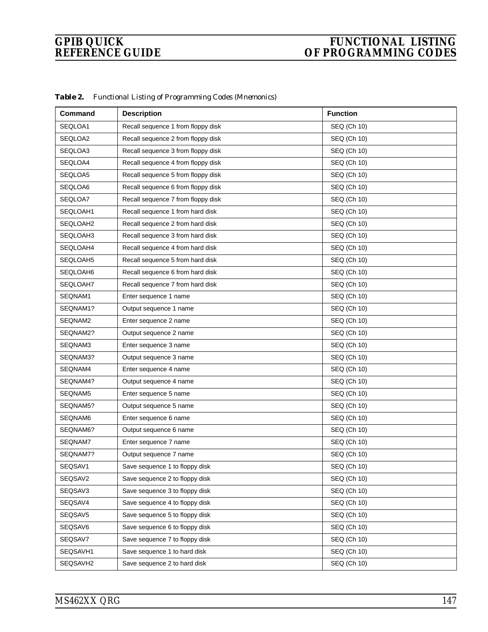| Command  | <b>Description</b>                 | <b>Function</b>    |
|----------|------------------------------------|--------------------|
| SEQLOA1  | Recall sequence 1 from floppy disk | SEQ (Ch 10)        |
| SEQLOA2  | Recall sequence 2 from floppy disk | SEQ (Ch 10)        |
| SEQLOA3  | Recall sequence 3 from floppy disk | SEQ (Ch 10)        |
| SEQLOA4  | Recall sequence 4 from floppy disk | SEQ (Ch 10)        |
| SEQLOA5  | Recall sequence 5 from floppy disk | SEQ (Ch 10)        |
| SEQLOA6  | Recall sequence 6 from floppy disk | SEQ (Ch 10)        |
| SEQLOA7  | Recall sequence 7 from floppy disk | SEQ (Ch 10)        |
| SEQLOAH1 | Recall sequence 1 from hard disk   | SEQ (Ch 10)        |
| SEQLOAH2 | Recall sequence 2 from hard disk   | SEQ (Ch 10)        |
| SEQLOAH3 | Recall sequence 3 from hard disk   | SEQ (Ch 10)        |
| SEQLOAH4 | Recall sequence 4 from hard disk   | SEQ (Ch 10)        |
| SEQLOAH5 | Recall sequence 5 from hard disk   | SEQ (Ch 10)        |
| SEQLOAH6 | Recall sequence 6 from hard disk   | SEQ (Ch 10)        |
| SEQLOAH7 | Recall sequence 7 from hard disk   | SEQ (Ch 10)        |
| SEQNAM1  | Enter sequence 1 name              | SEQ (Ch 10)        |
| SEQNAM1? | Output sequence 1 name             | <b>SEQ (Ch 10)</b> |
| SEQNAM2  | Enter sequence 2 name              | SEQ (Ch 10)        |
| SEQNAM2? | Output sequence 2 name             | SEQ (Ch 10)        |
| SEQNAM3  | Enter sequence 3 name              | SEQ (Ch 10)        |
| SEQNAM3? | Output sequence 3 name             | SEQ (Ch 10)        |
| SEQNAM4  | Enter sequence 4 name              | SEQ (Ch 10)        |
| SEQNAM4? | Output sequence 4 name             | SEQ (Ch 10)        |
| SEQNAM5  | Enter sequence 5 name              | SEQ (Ch 10)        |
| SEQNAM5? | Output sequence 5 name             | SEQ (Ch 10)        |
| SEQNAM6  | Enter sequence 6 name              | SEQ (Ch 10)        |
| SEQNAM6? | Output sequence 6 name             | SEQ (Ch 10)        |
| SEQNAM7  | Enter sequence 7 name              | SEQ (Ch 10)        |
| SEQNAM7? | Output sequence 7 name             | SEQ (Ch 10)        |
| SEQSAV1  | Save sequence 1 to floppy disk     | SEQ (Ch 10)        |
| SEQSAV2  | Save sequence 2 to floppy disk     | SEQ (Ch 10)        |
| SEQSAV3  | Save sequence 3 to floppy disk     | SEQ (Ch 10)        |
| SEQSAV4  | Save sequence 4 to floppy disk     | SEQ (Ch 10)        |
| SEQSAV5  | Save sequence 5 to floppy disk     | SEQ (Ch 10)        |
| SEQSAV6  | Save sequence 6 to floppy disk     | SEQ (Ch 10)        |
| SEQSAV7  | Save sequence 7 to floppy disk     | SEQ (Ch 10)        |
| SEQSAVH1 | Save sequence 1 to hard disk       | SEQ (Ch 10)        |
| SEQSAVH2 | Save sequence 2 to hard disk       | SEQ (Ch 10)        |

*Table 2. Functional Listing of Programming Codes (Mnemonics)*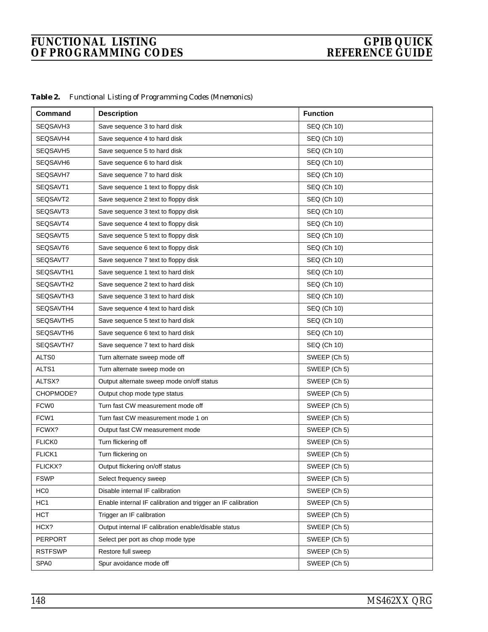| Command          | <b>Description</b>                                           | <b>Function</b>    |
|------------------|--------------------------------------------------------------|--------------------|
| SEQSAVH3         | Save sequence 3 to hard disk                                 | SEQ (Ch 10)        |
| SEQSAVH4         | Save sequence 4 to hard disk                                 | SEQ (Ch 10)        |
| SEQSAVH5         | Save sequence 5 to hard disk                                 | SEQ (Ch 10)        |
| SEQSAVH6         | Save sequence 6 to hard disk                                 | SEQ (Ch 10)        |
| SEQSAVH7         | Save sequence 7 to hard disk                                 | SEQ (Ch 10)        |
| SEQSAVT1         | Save sequence 1 text to floppy disk                          | <b>SEQ (Ch 10)</b> |
| SEQSAVT2         | Save sequence 2 text to floppy disk                          | SEQ (Ch 10)        |
| SEQSAVT3         | Save sequence 3 text to floppy disk                          | SEQ (Ch 10)        |
| SEQSAVT4         | Save sequence 4 text to floppy disk                          | SEQ (Ch 10)        |
| SEQSAVT5         | Save sequence 5 text to floppy disk                          | SEQ (Ch 10)        |
| SEQSAVT6         | Save sequence 6 text to floppy disk                          | SEQ (Ch 10)        |
| SEQSAVT7         | Save sequence 7 text to floppy disk                          | SEQ (Ch 10)        |
| SEQSAVTH1        | Save sequence 1 text to hard disk                            | SEQ (Ch 10)        |
| SEQSAVTH2        | Save sequence 2 text to hard disk                            | SEQ (Ch 10)        |
| SEQSAVTH3        | Save sequence 3 text to hard disk                            | SEQ (Ch 10)        |
| SEQSAVTH4        | Save sequence 4 text to hard disk                            | SEQ (Ch 10)        |
| SEQSAVTH5        | Save sequence 5 text to hard disk                            | SEQ (Ch 10)        |
| SEQSAVTH6        | Save sequence 6 text to hard disk                            | SEQ (Ch 10)        |
| SEQSAVTH7        | Save sequence 7 text to hard disk                            | SEQ (Ch 10)        |
| ALTS0            | Turn alternate sweep mode off                                | SWEEP (Ch 5)       |
| ALTS1            | Turn alternate sweep mode on                                 | SWEEP (Ch 5)       |
| ALTSX?           | Output alternate sweep mode on/off status                    | SWEEP (Ch 5)       |
| CHOPMODE?        | Output chop mode type status                                 | SWEEP (Ch 5)       |
| FCW <sub>0</sub> | Turn fast CW measurement mode off                            | SWEEP (Ch 5)       |
| FCW1             | Turn fast CW measurement mode 1 on                           | SWEEP (Ch 5)       |
| FCWX?            | Output fast CW measurement mode                              | SWEEP (Ch 5)       |
| <b>FLICK0</b>    | Turn flickering off                                          | SWEEP (Ch 5)       |
| FLICK1           | Turn flickering on                                           | SWEEP (Ch 5)       |
| FLICKX?          | Output flickering on/off status                              | SWEEP (Ch 5)       |
| <b>FSWP</b>      | Select frequency sweep                                       | SWEEP (Ch 5)       |
| HC <sub>0</sub>  | Disable internal IF calibration                              | SWEEP (Ch 5)       |
| HC1              | Enable internal IF calibration and trigger an IF calibration | SWEEP (Ch 5)       |
| <b>HCT</b>       | Trigger an IF calibration                                    | SWEEP (Ch 5)       |
| HCX?             | Output internal IF calibration enable/disable status         | SWEEP (Ch 5)       |
| PERPORT          | Select per port as chop mode type                            | SWEEP (Ch 5)       |
| <b>RSTFSWP</b>   | Restore full sweep                                           | SWEEP (Ch 5)       |
| SPA <sub>0</sub> | Spur avoidance mode off                                      | SWEEP (Ch 5)       |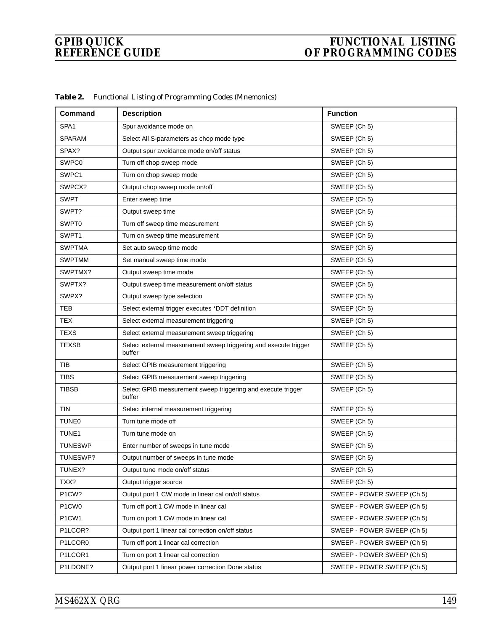| <b>Command</b>    | <b>Description</b>                                                         | <b>Function</b>            |
|-------------------|----------------------------------------------------------------------------|----------------------------|
| SPA <sub>1</sub>  | Spur avoidance mode on                                                     | SWEEP (Ch 5)               |
| <b>SPARAM</b>     | Select All S-parameters as chop mode type                                  | SWEEP (Ch 5)               |
| SPAX?             | Output spur avoidance mode on/off status                                   | SWEEP (Ch 5)               |
| SWPC <sub>0</sub> | Turn off chop sweep mode                                                   | SWEEP (Ch 5)               |
| SWPC1             | Turn on chop sweep mode                                                    | SWEEP (Ch 5)               |
| SWPCX?            | Output chop sweep mode on/off                                              | SWEEP (Ch 5)               |
| <b>SWPT</b>       | Enter sweep time                                                           | SWEEP (Ch 5)               |
| SWPT?             | Output sweep time                                                          | SWEEP (Ch 5)               |
| <b>SWPT0</b>      | Turn off sweep time measurement                                            | SWEEP (Ch 5)               |
| SWPT1             | Turn on sweep time measurement                                             | SWEEP (Ch 5)               |
| <b>SWPTMA</b>     | Set auto sweep time mode                                                   | SWEEP (Ch 5)               |
| <b>SWPTMM</b>     | Set manual sweep time mode                                                 | SWEEP (Ch 5)               |
| SWPTMX?           | Output sweep time mode                                                     | SWEEP (Ch 5)               |
| SWPTX?            | Output sweep time measurement on/off status                                | SWEEP (Ch 5)               |
| SWPX?             | Output sweep type selection                                                | SWEEP (Ch 5)               |
| <b>TEB</b>        | Select external trigger executes *DDT definition                           | SWEEP (Ch 5)               |
| <b>TEX</b>        | Select external measurement triggering                                     | SWEEP (Ch 5)               |
| <b>TEXS</b>       | Select external measurement sweep triggering                               | SWEEP (Ch 5)               |
| <b>TEXSB</b>      | Select external measurement sweep triggering and execute trigger<br>buffer | SWEEP (Ch 5)               |
| <b>TIB</b>        | Select GPIB measurement triggering                                         | SWEEP (Ch 5)               |
| <b>TIBS</b>       | Select GPIB measurement sweep triggering                                   | SWEEP (Ch 5)               |
| <b>TIBSB</b>      | Select GPIB measurement sweep triggering and execute trigger<br>buffer     | SWEEP (Ch 5)               |
| <b>TIN</b>        | Select internal measurement triggering                                     | SWEEP (Ch 5)               |
| <b>TUNE0</b>      | Turn tune mode off                                                         | SWEEP (Ch 5)               |
| TUNE <sub>1</sub> | Turn tune mode on                                                          | SWEEP (Ch 5)               |
| <b>TUNESWP</b>    | Enter number of sweeps in tune mode                                        | SWEEP (Ch 5)               |
| TUNESWP?          | Output number of sweeps in tune mode                                       | SWEEP (Ch 5)               |
| TUNEX?            | Output tune mode on/off status                                             | SWEEP (Ch 5)               |
| TXX?              | Output trigger source                                                      | SWEEP (Ch 5)               |
| P1CW?             | Output port 1 CW mode in linear cal on/off status                          | SWEEP - POWER SWEEP (Ch 5) |
| P1CW0             | Turn off port 1 CW mode in linear cal                                      | SWEEP - POWER SWEEP (Ch 5) |
| P1CW1             | Turn on port 1 CW mode in linear cal                                       | SWEEP - POWER SWEEP (Ch 5) |
| P1LCOR?           | Output port 1 linear cal correction on/off status                          | SWEEP - POWER SWEEP (Ch 5) |
| P1LCOR0           | Turn off port 1 linear cal correction                                      | SWEEP - POWER SWEEP (Ch 5) |
| P1LCOR1           | Turn on port 1 linear cal correction                                       | SWEEP - POWER SWEEP (Ch 5) |
| P1LDONE?          | Output port 1 linear power correction Done status                          | SWEEP - POWER SWEEP (Ch 5) |

*Table 2. Functional Listing of Programming Codes (Mnemonics)*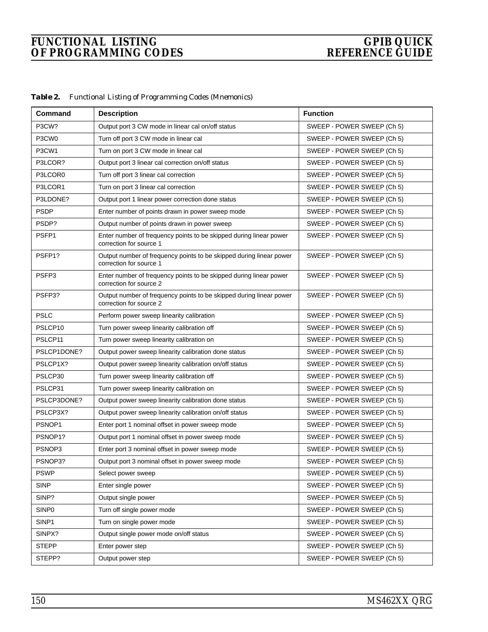| Command             | <b>Description</b>                                                                             | <b>Function</b>            |
|---------------------|------------------------------------------------------------------------------------------------|----------------------------|
| P3CW?               | Output port 3 CW mode in linear cal on/off status                                              | SWEEP - POWER SWEEP (Ch 5) |
| P3CW0               | Turn off port 3 CW mode in linear cal                                                          | SWEEP - POWER SWEEP (Ch 5) |
| P3CW1               | Turn on port 3 CW mode in linear cal                                                           | SWEEP - POWER SWEEP (Ch 5) |
| P3LCOR?             | Output port 3 linear cal correction on/off status                                              | SWEEP - POWER SWEEP (Ch 5) |
| P3LCOR0             | Turn off port 3 linear cal correction                                                          | SWEEP - POWER SWEEP (Ch 5) |
| P3LCOR1             | Turn on port 3 linear cal correction                                                           | SWEEP - POWER SWEEP (Ch 5) |
| P3LDONE?            | Output port 1 linear power correction done status                                              | SWEEP - POWER SWEEP (Ch 5) |
| <b>PSDP</b>         | Enter number of points drawn in power sweep mode                                               | SWEEP - POWER SWEEP (Ch 5) |
| PSDP?               | Output number of points drawn in power sweep                                                   | SWEEP - POWER SWEEP (Ch 5) |
| PSFP1               | Enter number of frequency points to be skipped during linear power<br>correction for source 1  | SWEEP - POWER SWEEP (Ch 5) |
| PSFP1?              | Output number of frequency points to be skipped during linear power<br>correction for source 1 | SWEEP - POWER SWEEP (Ch 5) |
| PSFP <sub>3</sub>   | Enter number of frequency points to be skipped during linear power<br>correction for source 2  | SWEEP - POWER SWEEP (Ch 5) |
| PSFP3?              | Output number of frequency points to be skipped during linear power<br>correction for source 2 | SWEEP - POWER SWEEP (Ch 5) |
| <b>PSLC</b>         | Perform power sweep linearity calibration                                                      | SWEEP - POWER SWEEP (Ch 5) |
| PSLCP10             | Turn power sweep linearity calibration off                                                     | SWEEP - POWER SWEEP (Ch 5) |
| PSLCP11             | Turn power sweep linearity calibration on                                                      | SWEEP - POWER SWEEP (Ch 5) |
| PSLCP1DONE?         | Output power sweep linearity calibration done status                                           | SWEEP - POWER SWEEP (Ch 5) |
| PSLCP1X?            | Output power sweep linearity calibration on/off status                                         | SWEEP - POWER SWEEP (Ch 5) |
| PSLCP30             | Turn power sweep linearity calibration off                                                     | SWEEP - POWER SWEEP (Ch 5) |
| PSLCP31             | Turn power sweep linearity calibration on                                                      | SWEEP - POWER SWEEP (Ch 5) |
| PSLCP3DONE?         | Output power sweep linearity calibration done status                                           | SWEEP - POWER SWEEP (Ch 5) |
| PSLCP3X?            | Output power sweep linearity calibration on/off status                                         | SWEEP - POWER SWEEP (Ch 5) |
| PSNOP1              | Enter port 1 nominal offset in power sweep mode                                                | SWEEP - POWER SWEEP (Ch 5) |
| PSNOP <sub>1?</sub> | Output port 1 nominal offset in power sweep mode                                               | SWEEP - POWER SWEEP (Ch 5) |
| PSNOP3              | Enter port 3 nominal offset in power sweep mode                                                | SWEEP - POWER SWEEP (Ch 5) |
| PSNOP3?             | Output port 3 nominal offset in power sweep mode                                               | SWEEP - POWER SWEEP (Ch 5) |
| <b>PSWP</b>         | Select power sweep                                                                             | SWEEP - POWER SWEEP (Ch 5) |
| <b>SINP</b>         | Enter single power                                                                             | SWEEP - POWER SWEEP (Ch 5) |
| SINP?               | Output single power                                                                            | SWEEP - POWER SWEEP (Ch 5) |
| SINP <sub>0</sub>   | Turn off single power mode                                                                     | SWEEP - POWER SWEEP (Ch 5) |
| SINP1               | Turn on single power mode                                                                      | SWEEP - POWER SWEEP (Ch 5) |
| SINPX?              | Output single power mode on/off status                                                         | SWEEP - POWER SWEEP (Ch 5) |
| <b>STEPP</b>        | Enter power step                                                                               | SWEEP - POWER SWEEP (Ch 5) |
| STEPP?              | Output power step                                                                              | SWEEP - POWER SWEEP (Ch 5) |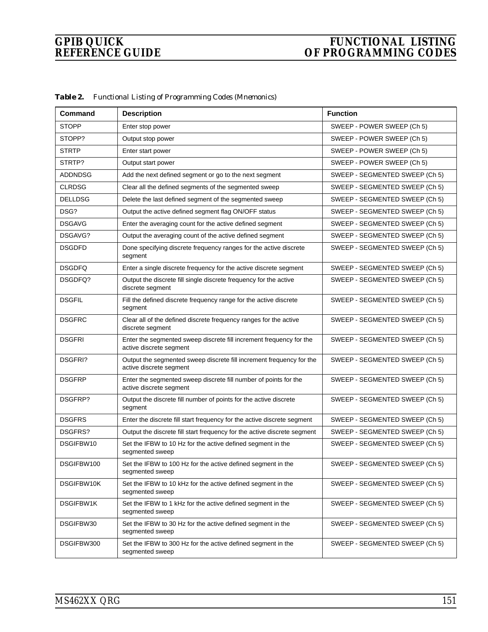| Command        | <b>Description</b>                                                                              | <b>Function</b>                |
|----------------|-------------------------------------------------------------------------------------------------|--------------------------------|
| <b>STOPP</b>   | Enter stop power                                                                                | SWEEP - POWER SWEEP (Ch 5)     |
| STOPP?         | Output stop power                                                                               | SWEEP - POWER SWEEP (Ch 5)     |
| <b>STRTP</b>   | Enter start power                                                                               | SWEEP - POWER SWEEP (Ch 5)     |
| STRTP?         | Output start power                                                                              | SWEEP - POWER SWEEP (Ch 5)     |
| <b>ADDNDSG</b> | Add the next defined segment or go to the next segment                                          | SWEEP - SEGMENTED SWEEP (Ch 5) |
| <b>CLRDSG</b>  | Clear all the defined segments of the segmented sweep                                           | SWEEP - SEGMENTED SWEEP (Ch 5) |
| <b>DELLDSG</b> | Delete the last defined segment of the segmented sweep                                          | SWEEP - SEGMENTED SWEEP (Ch 5) |
| DSG?           | Output the active defined segment flag ON/OFF status                                            | SWEEP - SEGMENTED SWEEP (Ch 5) |
| <b>DSGAVG</b>  | Enter the averaging count for the active defined segment                                        | SWEEP - SEGMENTED SWEEP (Ch 5) |
| DSGAVG?        | Output the averaging count of the active defined segment                                        | SWEEP - SEGMENTED SWEEP (Ch 5) |
| <b>DSGDFD</b>  | Done specifying discrete frequency ranges for the active discrete<br>segment                    | SWEEP - SEGMENTED SWEEP (Ch 5) |
| <b>DSGDFQ</b>  | Enter a single discrete frequency for the active discrete segment                               | SWEEP - SEGMENTED SWEEP (Ch 5) |
| DSGDFQ?        | Output the discrete fill single discrete frequency for the active<br>discrete segment           | SWEEP - SEGMENTED SWEEP (Ch 5) |
| <b>DSGFIL</b>  | Fill the defined discrete frequency range for the active discrete<br>segment                    | SWEEP - SEGMENTED SWEEP (Ch 5) |
| <b>DSGFRC</b>  | Clear all of the defined discrete frequency ranges for the active<br>discrete segment           | SWEEP - SEGMENTED SWEEP (Ch 5) |
| <b>DSGFRI</b>  | Enter the segmented sweep discrete fill increment frequency for the<br>active discrete segment  | SWEEP - SEGMENTED SWEEP (Ch 5) |
| DSGFRI?        | Output the segmented sweep discrete fill increment frequency for the<br>active discrete segment | SWEEP - SEGMENTED SWEEP (Ch 5) |
| <b>DSGFRP</b>  | Enter the segmented sweep discrete fill number of points for the<br>active discrete segment     | SWEEP - SEGMENTED SWEEP (Ch 5) |
| DSGFRP?        | Output the discrete fill number of points for the active discrete<br>segment                    | SWEEP - SEGMENTED SWEEP (Ch 5) |
| <b>DSGFRS</b>  | Enter the discrete fill start frequency for the active discrete segment                         | SWEEP - SEGMENTED SWEEP (Ch 5) |
| DSGFRS?        | Output the discrete fill start frequency for the active discrete segment                        | SWEEP - SEGMENTED SWEEP (Ch 5) |
| DSGIFBW10      | Set the IFBW to 10 Hz for the active defined segment in the<br>segmented sweep                  | SWEEP - SEGMENTED SWEEP (Ch 5) |
| DSGIFBW100     | Set the IFBW to 100 Hz for the active defined segment in the<br>segmented sweep                 | SWEEP - SEGMENTED SWEEP (Ch 5) |
| DSGIFBW10K     | Set the IFBW to 10 kHz for the active defined segment in the<br>segmented sweep                 | SWEEP - SEGMENTED SWEEP (Ch 5) |
| DSGIFBW1K      | Set the IFBW to 1 kHz for the active defined segment in the<br>segmented sweep                  | SWEEP - SEGMENTED SWEEP (Ch 5) |
| DSGIFBW30      | Set the IFBW to 30 Hz for the active defined segment in the<br>segmented sweep                  | SWEEP - SEGMENTED SWEEP (Ch 5) |
| DSGIFBW300     | Set the IFBW to 300 Hz for the active defined segment in the<br>segmented sweep                 | SWEEP - SEGMENTED SWEEP (Ch 5) |

*Table 2. Functional Listing of Programming Codes (Mnemonics)*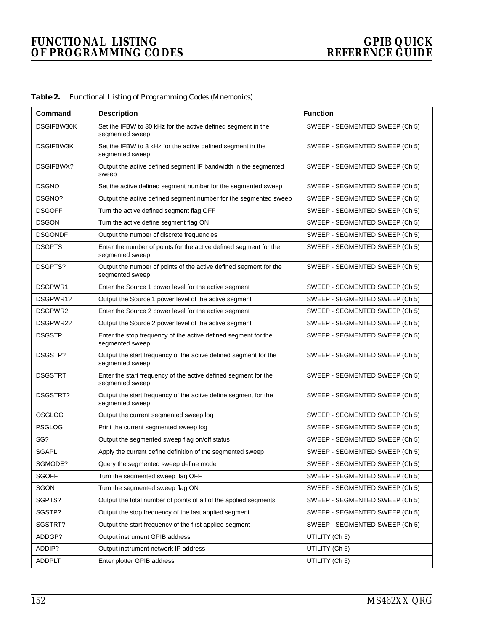| Command         | <b>Description</b>                                                                   | <b>Function</b>                |
|-----------------|--------------------------------------------------------------------------------------|--------------------------------|
| DSGIFBW30K      | Set the IFBW to 30 kHz for the active defined segment in the<br>segmented sweep      | SWEEP - SEGMENTED SWEEP (Ch 5) |
| DSGIFBW3K       | Set the IFBW to 3 kHz for the active defined segment in the<br>segmented sweep       | SWEEP - SEGMENTED SWEEP (Ch 5) |
| DSGIFBWX?       | Output the active defined segment IF bandwidth in the segmented<br>sweep             | SWEEP - SEGMENTED SWEEP (Ch 5) |
| <b>DSGNO</b>    | Set the active defined segment number for the segmented sweep                        | SWEEP - SEGMENTED SWEEP (Ch 5) |
| DSGNO?          | Output the active defined segment number for the segmented sweep                     | SWEEP - SEGMENTED SWEEP (Ch 5) |
| <b>DSGOFF</b>   | Turn the active defined segment flag OFF                                             | SWEEP - SEGMENTED SWEEP (Ch 5) |
| <b>DSGON</b>    | Turn the active define segment flag ON                                               | SWEEP - SEGMENTED SWEEP (Ch 5) |
| <b>DSGONDF</b>  | Output the number of discrete frequencies                                            | SWEEP - SEGMENTED SWEEP (Ch 5) |
| <b>DSGPTS</b>   | Enter the number of points for the active defined segment for the<br>segmented sweep | SWEEP - SEGMENTED SWEEP (Ch 5) |
| DSGPTS?         | Output the number of points of the active defined segment for the<br>segmented sweep | SWEEP - SEGMENTED SWEEP (Ch 5) |
| DSGPWR1         | Enter the Source 1 power level for the active segment                                | SWEEP - SEGMENTED SWEEP (Ch 5) |
| DSGPWR1?        | Output the Source 1 power level of the active segment                                | SWEEP - SEGMENTED SWEEP (Ch 5) |
| DSGPWR2         | Enter the Source 2 power level for the active segment                                | SWEEP - SEGMENTED SWEEP (Ch 5) |
| DSGPWR2?        | Output the Source 2 power level of the active segment                                | SWEEP - SEGMENTED SWEEP (Ch 5) |
| <b>DSGSTP</b>   | Enter the stop frequency of the active defined segment for the<br>segmented sweep    | SWEEP - SEGMENTED SWEEP (Ch 5) |
| DSGSTP?         | Output the start frequency of the active defined segment for the<br>segmented sweep  | SWEEP - SEGMENTED SWEEP (Ch 5) |
| <b>DSGSTRT</b>  | Enter the start frequency of the active defined segment for the<br>segmented sweep   | SWEEP - SEGMENTED SWEEP (Ch 5) |
| <b>DSGSTRT?</b> | Output the start frequency of the active define segment for the<br>segmented sweep   | SWEEP - SEGMENTED SWEEP (Ch 5) |
| OSGLOG          | Output the current segmented sweep log                                               | SWEEP - SEGMENTED SWEEP (Ch 5) |
| <b>PSGLOG</b>   | Print the current segmented sweep log                                                | SWEEP - SEGMENTED SWEEP (Ch 5) |
| SG?             | Output the segmented sweep flag on/off status                                        | SWEEP - SEGMENTED SWEEP (Ch 5) |
| SGAPL           | Apply the current define definition of the segmented sweep                           | SWEEP - SEGMENTED SWEEP (Ch 5) |
| SGMODE?         | Query the segmented sweep define mode                                                | SWEEP - SEGMENTED SWEEP (Ch 5) |
| <b>SGOFF</b>    | Turn the segmented sweep flag OFF                                                    | SWEEP - SEGMENTED SWEEP (Ch 5) |
| SGON            | Turn the segmented sweep flag ON                                                     | SWEEP - SEGMENTED SWEEP (Ch 5) |
| SGPTS?          | Output the total number of points of all of the applied segments                     | SWEEP - SEGMENTED SWEEP (Ch 5) |
| SGSTP?          | Output the stop frequency of the last applied segment                                | SWEEP - SEGMENTED SWEEP (Ch 5) |
| SGSTRT?         | Output the start frequency of the first applied segment                              | SWEEP - SEGMENTED SWEEP (Ch 5) |
| ADDGP?          | Output instrument GPIB address                                                       | UTILITY (Ch 5)                 |
| ADDIP?          | Output instrument network IP address                                                 | UTILITY (Ch 5)                 |
| <b>ADDPLT</b>   | Enter plotter GPIB address                                                           | UTILITY (Ch 5)                 |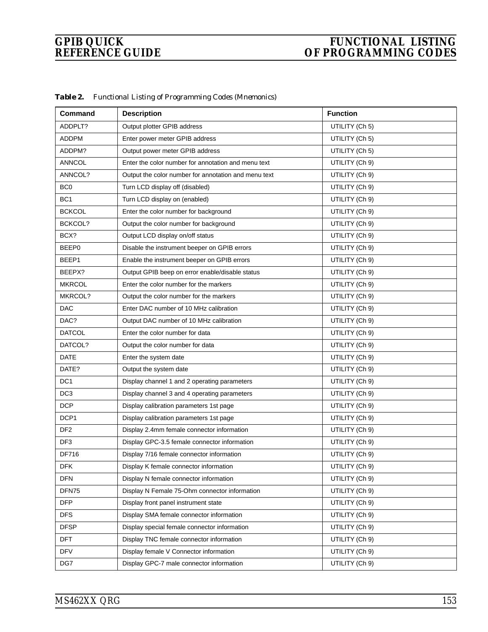| <b>Command</b>   | <b>Description</b>                                   | <b>Function</b> |
|------------------|------------------------------------------------------|-----------------|
| ADDPLT?          | Output plotter GPIB address                          | UTILITY (Ch 5)  |
| <b>ADDPM</b>     | Enter power meter GPIB address                       | UTILITY (Ch 5)  |
| ADDPM?           | Output power meter GPIB address                      | UTILITY (Ch 5)  |
| <b>ANNCOL</b>    | Enter the color number for annotation and menu text  | UTILITY (Ch 9)  |
| ANNCOL?          | Output the color number for annotation and menu text | UTILITY (Ch 9)  |
| BC <sub>0</sub>  | Turn LCD display off (disabled)                      | UTILITY (Ch 9)  |
| BC <sub>1</sub>  | Turn LCD display on (enabled)                        | UTILITY (Ch 9)  |
| <b>BCKCOL</b>    | Enter the color number for background                | UTILITY (Ch 9)  |
| BCKCOL?          | Output the color number for background               | UTILITY (Ch 9)  |
| BCX?             | Output LCD display on/off status                     | UTILITY (Ch 9)  |
| BEEP0            | Disable the instrument beeper on GPIB errors         | UTILITY (Ch 9)  |
| BEEP1            | Enable the instrument beeper on GPIB errors          | UTILITY (Ch 9)  |
| BEEPX?           | Output GPIB beep on error enable/disable status      | UTILITY (Ch 9)  |
| <b>MKRCOL</b>    | Enter the color number for the markers               | UTILITY (Ch 9)  |
| MKRCOL?          | Output the color number for the markers              | UTILITY (Ch 9)  |
| <b>DAC</b>       | Enter DAC number of 10 MHz calibration               | UTILITY (Ch 9)  |
| DAC?             | Output DAC number of 10 MHz calibration              | UTILITY (Ch 9)  |
| <b>DATCOL</b>    | Enter the color number for data                      | UTILITY (Ch 9)  |
| DATCOL?          | Output the color number for data                     | UTILITY (Ch 9)  |
| <b>DATE</b>      | Enter the system date                                | UTILITY (Ch 9)  |
| DATE?            | Output the system date                               | UTILITY (Ch 9)  |
| DC <sub>1</sub>  | Display channel 1 and 2 operating parameters         | UTILITY (Ch 9)  |
| DC <sub>3</sub>  | Display channel 3 and 4 operating parameters         | UTILITY (Ch 9)  |
| <b>DCP</b>       | Display calibration parameters 1st page              | UTILITY (Ch 9)  |
| DCP <sub>1</sub> | Display calibration parameters 1st page              | UTILITY (Ch 9)  |
| DF <sub>2</sub>  | Display 2.4mm female connector information           | UTILITY (Ch 9)  |
| DF <sub>3</sub>  | Display GPC-3.5 female connector information         | UTILITY (Ch 9)  |
| DF716            | Display 7/16 female connector information            | UTILITY (Ch 9)  |
| <b>DFK</b>       | Display K female connector information               | UTILITY (Ch 9)  |
| <b>DFN</b>       | Display N female connector information               | UTILITY (Ch 9)  |
| DFN75            | Display N Female 75-Ohm connector information        | UTILITY (Ch 9)  |
| <b>DFP</b>       | Display front panel instrument state                 | UTILITY (Ch 9)  |
| <b>DFS</b>       | Display SMA female connector information             | UTILITY (Ch 9)  |
| <b>DFSP</b>      | Display special female connector information         | UTILITY (Ch 9)  |
| DFT              | Display TNC female connector information             | UTILITY (Ch 9)  |
| <b>DFV</b>       | Display female V Connector information               | UTILITY (Ch 9)  |
| DG7              | Display GPC-7 male connector information             | UTILITY (Ch 9)  |

*Table 2. Functional Listing of Programming Codes (Mnemonics)*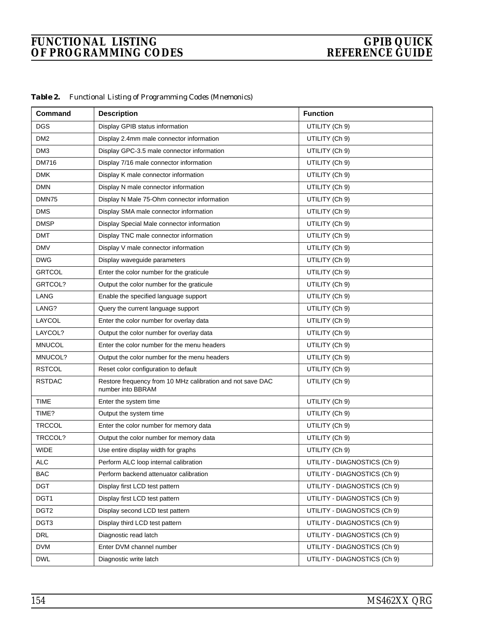| Table 2. | Functional Listing of Programming Codes (Mnemonics) |  |  |  |  |  |  |
|----------|-----------------------------------------------------|--|--|--|--|--|--|
|----------|-----------------------------------------------------|--|--|--|--|--|--|

| Command          | <b>Description</b>                                                              | <b>Function</b>              |
|------------------|---------------------------------------------------------------------------------|------------------------------|
| <b>DGS</b>       | Display GPIB status information                                                 | UTILITY (Ch 9)               |
| DM <sub>2</sub>  | Display 2.4mm male connector information                                        | UTILITY (Ch 9)               |
| DM3              | Display GPC-3.5 male connector information                                      | UTILITY (Ch 9)               |
| DM716            | Display 7/16 male connector information                                         | UTILITY (Ch 9)               |
| <b>DMK</b>       | Display K male connector information                                            | UTILITY (Ch 9)               |
| <b>DMN</b>       | Display N male connector information                                            | UTILITY (Ch 9)               |
| DMN75            | Display N Male 75-Ohm connector information                                     | UTILITY (Ch 9)               |
| <b>DMS</b>       | Display SMA male connector information                                          | UTILITY (Ch 9)               |
| <b>DMSP</b>      | Display Special Male connector information                                      | UTILITY (Ch 9)               |
| <b>DMT</b>       | Display TNC male connector information                                          | UTILITY (Ch 9)               |
| <b>DMV</b>       | Display V male connector information                                            | UTILITY (Ch 9)               |
| <b>DWG</b>       | Display waveguide parameters                                                    | UTILITY (Ch 9)               |
| <b>GRTCOL</b>    | Enter the color number for the graticule                                        | UTILITY (Ch 9)               |
| GRTCOL?          | Output the color number for the graticule                                       | UTILITY (Ch 9)               |
| LANG             | Enable the specified language support                                           | UTILITY (Ch 9)               |
| LANG?            | Query the current language support                                              | UTILITY (Ch 9)               |
| LAYCOL           | Enter the color number for overlay data                                         | UTILITY (Ch 9)               |
| LAYCOL?          | Output the color number for overlay data                                        | UTILITY (Ch 9)               |
| <b>MNUCOL</b>    | Enter the color number for the menu headers                                     | UTILITY (Ch 9)               |
| MNUCOL?          | Output the color number for the menu headers                                    | UTILITY (Ch 9)               |
| <b>RSTCOL</b>    | Reset color configuration to default                                            | UTILITY (Ch 9)               |
| <b>RSTDAC</b>    | Restore frequency from 10 MHz calibration and not save DAC<br>number into BBRAM | UTILITY (Ch 9)               |
| <b>TIME</b>      | Enter the system time                                                           | UTILITY (Ch 9)               |
| TIME?            | Output the system time                                                          | UTILITY (Ch 9)               |
| <b>TRCCOL</b>    | Enter the color number for memory data                                          | UTILITY (Ch 9)               |
| TRCCOL?          | Output the color number for memory data                                         | UTILITY (Ch 9)               |
| <b>WIDE</b>      | Use entire display width for graphs                                             | UTILITY (Ch 9)               |
| <b>ALC</b>       | Perform ALC loop internal calibration                                           | UTILITY - DIAGNOSTICS (Ch 9) |
| BAC              | Perform backend attenuator calibration                                          | UTILITY - DIAGNOSTICS (Ch 9) |
| <b>DGT</b>       | Display first LCD test pattern                                                  | UTILITY - DIAGNOSTICS (Ch 9) |
| DGT <sub>1</sub> | Display first LCD test pattern                                                  | UTILITY - DIAGNOSTICS (Ch 9) |
| DGT <sub>2</sub> | Display second LCD test pattern                                                 | UTILITY - DIAGNOSTICS (Ch 9) |
| DGT3             | Display third LCD test pattern                                                  | UTILITY - DIAGNOSTICS (Ch 9) |
| DRL              | Diagnostic read latch                                                           | UTILITY - DIAGNOSTICS (Ch 9) |
| <b>DVM</b>       | Enter DVM channel number                                                        | UTILITY - DIAGNOSTICS (Ch 9) |
| <b>DWL</b>       | Diagnostic write latch                                                          | UTILITY - DIAGNOSTICS (Ch 9) |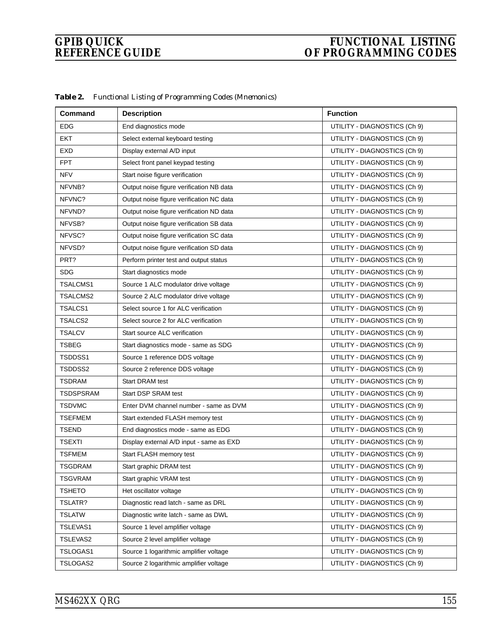| <b>Command</b>   | <b>Description</b>                       | <b>Function</b>              |
|------------------|------------------------------------------|------------------------------|
| <b>EDG</b>       | End diagnostics mode                     | UTILITY - DIAGNOSTICS (Ch 9) |
| <b>EKT</b>       | Select external keyboard testing         | UTILITY - DIAGNOSTICS (Ch 9) |
| <b>EXD</b>       | Display external A/D input               | UTILITY - DIAGNOSTICS (Ch 9) |
| <b>FPT</b>       | Select front panel keypad testing        | UTILITY - DIAGNOSTICS (Ch 9) |
| <b>NFV</b>       | Start noise figure verification          | UTILITY - DIAGNOSTICS (Ch 9) |
| NFVNB?           | Output noise figure verification NB data | UTILITY - DIAGNOSTICS (Ch 9) |
| NFVNC?           | Output noise figure verification NC data | UTILITY - DIAGNOSTICS (Ch 9) |
| NFVND?           | Output noise figure verification ND data | UTILITY - DIAGNOSTICS (Ch 9) |
| NFVSB?           | Output noise figure verification SB data | UTILITY - DIAGNOSTICS (Ch 9) |
| NFVSC?           | Output noise figure verification SC data | UTILITY - DIAGNOSTICS (Ch 9) |
| NFVSD?           | Output noise figure verification SD data | UTILITY - DIAGNOSTICS (Ch 9) |
| PRT?             | Perform printer test and output status   | UTILITY - DIAGNOSTICS (Ch 9) |
| <b>SDG</b>       | Start diagnostics mode                   | UTILITY - DIAGNOSTICS (Ch 9) |
| TSALCMS1         | Source 1 ALC modulator drive voltage     | UTILITY - DIAGNOSTICS (Ch 9) |
| TSALCMS2         | Source 2 ALC modulator drive voltage     | UTILITY - DIAGNOSTICS (Ch 9) |
| <b>TSALCS1</b>   | Select source 1 for ALC verification     | UTILITY - DIAGNOSTICS (Ch 9) |
| <b>TSALCS2</b>   | Select source 2 for ALC verification     | UTILITY - DIAGNOSTICS (Ch 9) |
| <b>TSALCV</b>    | Start source ALC verification            | UTILITY - DIAGNOSTICS (Ch 9) |
| <b>TSBEG</b>     | Start diagnostics mode - same as SDG     | UTILITY - DIAGNOSTICS (Ch 9) |
| TSDDSS1          | Source 1 reference DDS voltage           | UTILITY - DIAGNOSTICS (Ch 9) |
| TSDDSS2          | Source 2 reference DDS voltage           | UTILITY - DIAGNOSTICS (Ch 9) |
| <b>TSDRAM</b>    | <b>Start DRAM test</b>                   | UTILITY - DIAGNOSTICS (Ch 9) |
| <b>TSDSPSRAM</b> | Start DSP SRAM test                      | UTILITY - DIAGNOSTICS (Ch 9) |
| <b>TSDVMC</b>    | Enter DVM channel number - same as DVM   | UTILITY - DIAGNOSTICS (Ch 9) |
| <b>TSEFMEM</b>   | Start extended FLASH memory test         | UTILITY - DIAGNOSTICS (Ch 9) |
| <b>TSEND</b>     | End diagnostics mode - same as EDG       | UTILITY - DIAGNOSTICS (Ch 9) |
| <b>TSEXTI</b>    | Display external A/D input - same as EXD | UTILITY - DIAGNOSTICS (Ch 9) |
| <b>TSFMEM</b>    | Start FLASH memory test                  | UTILITY - DIAGNOSTICS (Ch 9) |
| <b>TSGDRAM</b>   | Start graphic DRAM test                  | UTILITY - DIAGNOSTICS (Ch 9) |
| <b>TSGVRAM</b>   | Start graphic VRAM test                  | UTILITY - DIAGNOSTICS (Ch 9) |
| <b>TSHETO</b>    | Het oscillator voltage                   | UTILITY - DIAGNOSTICS (Ch 9) |
| TSLATR?          | Diagnostic read latch - same as DRL      | UTILITY - DIAGNOSTICS (Ch 9) |
| <b>TSLATW</b>    | Diagnostic write latch - same as DWL     | UTILITY - DIAGNOSTICS (Ch 9) |
| TSLEVAS1         | Source 1 level amplifier voltage         | UTILITY - DIAGNOSTICS (Ch 9) |
| TSLEVAS2         | Source 2 level amplifier voltage         | UTILITY - DIAGNOSTICS (Ch 9) |
| TSLOGAS1         | Source 1 logarithmic amplifier voltage   | UTILITY - DIAGNOSTICS (Ch 9) |
| TSLOGAS2         | Source 2 logarithmic amplifier voltage   | UTILITY - DIAGNOSTICS (Ch 9) |

*Table 2. Functional Listing of Programming Codes (Mnemonics)*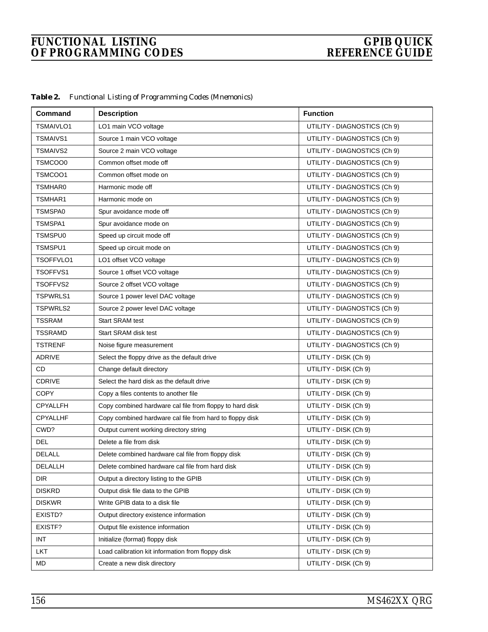|  | Table 2. Functional Listing of Programming Codes (Mnemonics) |  |  |  |  |  |  |
|--|--------------------------------------------------------------|--|--|--|--|--|--|
|--|--------------------------------------------------------------|--|--|--|--|--|--|

| Command          | <b>Description</b>                                       | <b>Function</b>              |
|------------------|----------------------------------------------------------|------------------------------|
| <b>TSMAIVLO1</b> | LO1 main VCO voltage                                     | UTILITY - DIAGNOSTICS (Ch 9) |
| <b>TSMAIVS1</b>  | Source 1 main VCO voltage                                | UTILITY - DIAGNOSTICS (Ch 9) |
| <b>TSMAIVS2</b>  | Source 2 main VCO voltage                                | UTILITY - DIAGNOSTICS (Ch 9) |
| TSMCOO0          | Common offset mode off                                   | UTILITY - DIAGNOSTICS (Ch 9) |
| TSMCOO1          | Common offset mode on                                    | UTILITY - DIAGNOSTICS (Ch 9) |
| TSMHAR0          | Harmonic mode off                                        | UTILITY - DIAGNOSTICS (Ch 9) |
| TSMHAR1          | Harmonic mode on                                         | UTILITY - DIAGNOSTICS (Ch 9) |
| TSMSPA0          | Spur avoidance mode off                                  | UTILITY - DIAGNOSTICS (Ch 9) |
| TSMSPA1          | Spur avoidance mode on                                   | UTILITY - DIAGNOSTICS (Ch 9) |
| TSMSPU0          | Speed up circuit mode off                                | UTILITY - DIAGNOSTICS (Ch 9) |
| TSMSPU1          | Speed up circuit mode on                                 | UTILITY - DIAGNOSTICS (Ch 9) |
| TSOFFVLO1        | LO1 offset VCO voltage                                   | UTILITY - DIAGNOSTICS (Ch 9) |
| TSOFFVS1         | Source 1 offset VCO voltage                              | UTILITY - DIAGNOSTICS (Ch 9) |
| TSOFFVS2         | Source 2 offset VCO voltage                              | UTILITY - DIAGNOSTICS (Ch 9) |
| <b>TSPWRLS1</b>  | Source 1 power level DAC voltage                         | UTILITY - DIAGNOSTICS (Ch 9) |
| <b>TSPWRLS2</b>  | Source 2 power level DAC voltage                         | UTILITY - DIAGNOSTICS (Ch 9) |
| <b>TSSRAM</b>    | <b>Start SRAM test</b>                                   | UTILITY - DIAGNOSTICS (Ch 9) |
| <b>TSSRAMD</b>   | Start SRAM disk test                                     | UTILITY - DIAGNOSTICS (Ch 9) |
| <b>TSTRENF</b>   | Noise figure measurement                                 | UTILITY - DIAGNOSTICS (Ch 9) |
| <b>ADRIVE</b>    | Select the floppy drive as the default drive             | UTILITY - DISK (Ch 9)        |
| CD               | Change default directory                                 | UTILITY - DISK (Ch 9)        |
| CDRIVE           | Select the hard disk as the default drive                | UTILITY - DISK (Ch 9)        |
| <b>COPY</b>      | Copy a files contents to another file                    | UTILITY - DISK (Ch 9)        |
| <b>CPYALLFH</b>  | Copy combined hardware cal file from floppy to hard disk | UTILITY - DISK (Ch 9)        |
| <b>CPYALLHF</b>  | Copy combined hardware cal file from hard to floppy disk | UTILITY - DISK (Ch 9)        |
| CWD?             | Output current working directory string                  | UTILITY - DISK (Ch 9)        |
| <b>DEL</b>       | Delete a file from disk                                  | UTILITY - DISK (Ch 9)        |
| <b>DELALL</b>    | Delete combined hardware cal file from floppy disk       | UTILITY - DISK (Ch 9)        |
| DELALLH          | Delete combined hardware cal file from hard disk         | UTILITY - DISK (Ch 9)        |
| <b>DIR</b>       | Output a directory listing to the GPIB                   | UTILITY - DISK (Ch 9)        |
| <b>DISKRD</b>    | Output disk file data to the GPIB                        | UTILITY - DISK (Ch 9)        |
| <b>DISKWR</b>    | Write GPIB data to a disk file                           | UTILITY - DISK (Ch 9)        |
| EXISTD?          | Output directory existence information                   | UTILITY - DISK (Ch 9)        |
| EXISTF?          | Output file existence information                        | UTILITY - DISK (Ch 9)        |
| INT              | Initialize (format) floppy disk                          | UTILITY - DISK (Ch 9)        |
| LKT              | Load calibration kit information from floppy disk        | UTILITY - DISK (Ch 9)        |
| MD               | Create a new disk directory                              | UTILITY - DISK (Ch 9)        |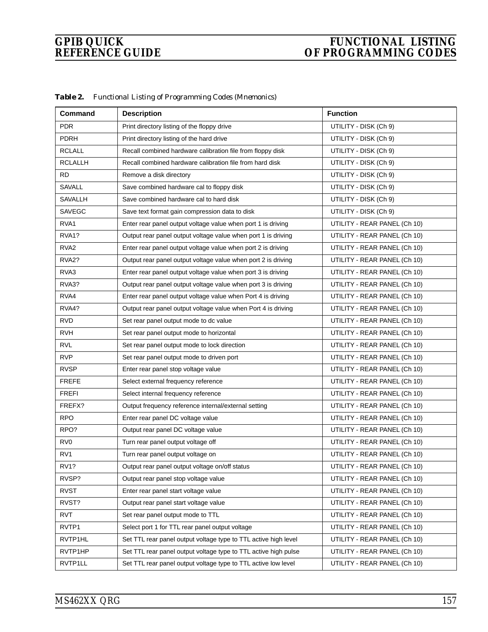| Command           | <b>Description</b>                                              | <b>Function</b>              |
|-------------------|-----------------------------------------------------------------|------------------------------|
| <b>PDR</b>        | Print directory listing of the floppy drive                     | UTILITY - DISK (Ch 9)        |
| <b>PDRH</b>       | Print directory listing of the hard drive                       | UTILITY - DISK (Ch 9)        |
| <b>RCLALL</b>     | Recall combined hardware calibration file from floppy disk      | UTILITY - DISK (Ch 9)        |
| <b>RCLALLH</b>    | Recall combined hardware calibration file from hard disk        | UTILITY - DISK (Ch 9)        |
| <b>RD</b>         | Remove a disk directory                                         | UTILITY - DISK (Ch 9)        |
| <b>SAVALL</b>     | Save combined hardware cal to floppy disk                       | UTILITY - DISK (Ch 9)        |
| <b>SAVALLH</b>    | Save combined hardware cal to hard disk                         | UTILITY - DISK (Ch 9)        |
| <b>SAVEGC</b>     | Save text format gain compression data to disk                  | UTILITY - DISK (Ch 9)        |
| RVA1              | Enter rear panel output voltage value when port 1 is driving    | UTILITY - REAR PANEL (Ch 10) |
| RVA <sub>1?</sub> | Output rear panel output voltage value when port 1 is driving   | UTILITY - REAR PANEL (Ch 10) |
| RVA <sub>2</sub>  | Enter rear panel output voltage value when port 2 is driving    | UTILITY - REAR PANEL (Ch 10) |
| RVA <sub>2?</sub> | Output rear panel output voltage value when port 2 is driving   | UTILITY - REAR PANEL (Ch 10) |
| RVA3              | Enter rear panel output voltage value when port 3 is driving    | UTILITY - REAR PANEL (Ch 10) |
| RVA3?             | Output rear panel output voltage value when port 3 is driving   | UTILITY - REAR PANEL (Ch 10) |
| RVA4              | Enter rear panel output voltage value when Port 4 is driving    | UTILITY - REAR PANEL (Ch 10) |
| RVA4?             | Output rear panel output voltage value when Port 4 is driving   | UTILITY - REAR PANEL (Ch 10) |
| <b>RVD</b>        | Set rear panel output mode to dc value                          | UTILITY - REAR PANEL (Ch 10) |
| <b>RVH</b>        | Set rear panel output mode to horizontal                        | UTILITY - REAR PANEL (Ch 10) |
| <b>RVL</b>        | Set rear panel output mode to lock direction                    | UTILITY - REAR PANEL (Ch 10) |
| <b>RVP</b>        | Set rear panel output mode to driven port                       | UTILITY - REAR PANEL (Ch 10) |
| <b>RVSP</b>       | Enter rear panel stop voltage value                             | UTILITY - REAR PANEL (Ch 10) |
| <b>FREFE</b>      | Select external frequency reference                             | UTILITY - REAR PANEL (Ch 10) |
| <b>FREFI</b>      | Select internal frequency reference                             | UTILITY - REAR PANEL (Ch 10) |
| FREFX?            | Output frequency reference internal/external setting            | UTILITY - REAR PANEL (Ch 10) |
| <b>RPO</b>        | Enter rear panel DC voltage value                               | UTILITY - REAR PANEL (Ch 10) |
| RPO?              | Output rear panel DC voltage value                              | UTILITY - REAR PANEL (Ch 10) |
| RV <sub>0</sub>   | Turn rear panel output voltage off                              | UTILITY - REAR PANEL (Ch 10) |
| RV <sub>1</sub>   | Turn rear panel output voltage on                               | UTILITY - REAR PANEL (Ch 10) |
| RV <sub>1?</sub>  | Output rear panel output voltage on/off status                  | UTILITY - REAR PANEL (Ch 10) |
| RVSP?             | Output rear panel stop voltage value                            | UTILITY - REAR PANEL (Ch 10) |
| <b>RVST</b>       | Enter rear panel start voltage value                            | UTILITY - REAR PANEL (Ch 10) |
| RVST?             | Output rear panel start voltage value                           | UTILITY - REAR PANEL (Ch 10) |
| <b>RVT</b>        | Set rear panel output mode to TTL                               | UTILITY - REAR PANEL (Ch 10) |
| RVTP1             | Select port 1 for TTL rear panel output voltage                 | UTILITY - REAR PANEL (Ch 10) |
| RVTP1HL           | Set TTL rear panel output voltage type to TTL active high level | UTILITY - REAR PANEL (Ch 10) |
| RVTP1HP           | Set TTL rear panel output voltage type to TTL active high pulse | UTILITY - REAR PANEL (Ch 10) |
| RVTP1LL           | Set TTL rear panel output voltage type to TTL active low level  | UTILITY - REAR PANEL (Ch 10) |

*Table 2. Functional Listing of Programming Codes (Mnemonics)*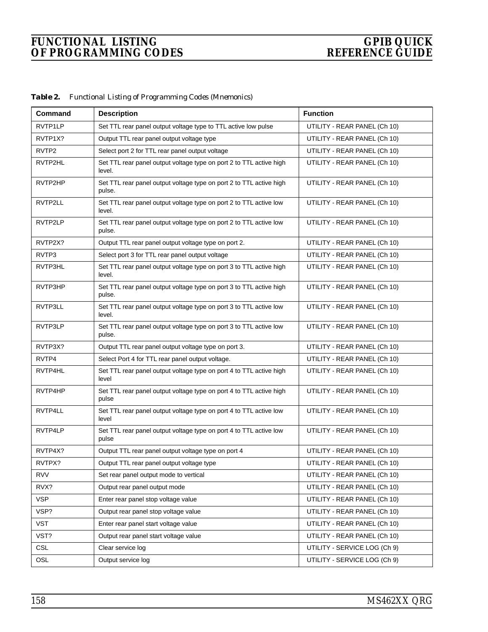| Command    | <b>Description</b>                                                            | <b>Function</b>              |
|------------|-------------------------------------------------------------------------------|------------------------------|
| RVTP1LP    | Set TTL rear panel output voltage type to TTL active low pulse                | UTILITY - REAR PANEL (Ch 10) |
| RVTP1X?    | Output TTL rear panel output voltage type                                     | UTILITY - REAR PANEL (Ch 10) |
| RVTP2      | Select port 2 for TTL rear panel output voltage                               | UTILITY - REAR PANEL (Ch 10) |
| RVTP2HL    | Set TTL rear panel output voltage type on port 2 to TTL active high<br>level. | UTILITY - REAR PANEL (Ch 10) |
| RVTP2HP    | Set TTL rear panel output voltage type on port 2 to TTL active high<br>pulse. | UTILITY - REAR PANEL (Ch 10) |
| RVTP2LL    | Set TTL rear panel output voltage type on port 2 to TTL active low<br>level.  | UTILITY - REAR PANEL (Ch 10) |
| RVTP2LP    | Set TTL rear panel output voltage type on port 2 to TTL active low<br>pulse.  | UTILITY - REAR PANEL (Ch 10) |
| RVTP2X?    | Output TTL rear panel output voltage type on port 2.                          | UTILITY - REAR PANEL (Ch 10) |
| RVTP3      | Select port 3 for TTL rear panel output voltage                               | UTILITY - REAR PANEL (Ch 10) |
| RVTP3HL    | Set TTL rear panel output voltage type on port 3 to TTL active high<br>level. | UTILITY - REAR PANEL (Ch 10) |
| RVTP3HP    | Set TTL rear panel output voltage type on port 3 to TTL active high<br>pulse. | UTILITY - REAR PANEL (Ch 10) |
| RVTP3LL    | Set TTL rear panel output voltage type on port 3 to TTL active low<br>level.  | UTILITY - REAR PANEL (Ch 10) |
| RVTP3LP    | Set TTL rear panel output voltage type on port 3 to TTL active low<br>pulse.  | UTILITY - REAR PANEL (Ch 10) |
| RVTP3X?    | Output TTL rear panel output voltage type on port 3.                          | UTILITY - REAR PANEL (Ch 10) |
| RVTP4      | Select Port 4 for TTL rear panel output voltage.                              | UTILITY - REAR PANEL (Ch 10) |
| RVTP4HL    | Set TTL rear panel output voltage type on port 4 to TTL active high<br>level  | UTILITY - REAR PANEL (Ch 10) |
| RVTP4HP    | Set TTL rear panel output voltage type on port 4 to TTL active high<br>pulse  | UTILITY - REAR PANEL (Ch 10) |
| RVTP4LL    | Set TTL rear panel output voltage type on port 4 to TTL active low<br>level   | UTILITY - REAR PANEL (Ch 10) |
| RVTP4LP    | Set TTL rear panel output voltage type on port 4 to TTL active low<br>pulse   | UTILITY - REAR PANEL (Ch 10) |
| RVTP4X?    | Output TTL rear panel output voltage type on port 4                           | UTILITY - REAR PANEL (Ch 10) |
| RVTPX?     | Output TTL rear panel output voltage type                                     | UTILITY - REAR PANEL (Ch 10) |
| <b>RVV</b> | Set rear panel output mode to vertical                                        | UTILITY - REAR PANEL (Ch 10) |
| RVX?       | Output rear panel output mode                                                 | UTILITY - REAR PANEL (Ch 10) |
| <b>VSP</b> | Enter rear panel stop voltage value                                           | UTILITY - REAR PANEL (Ch 10) |
| VSP?       | Output rear panel stop voltage value                                          | UTILITY - REAR PANEL (Ch 10) |
| <b>VST</b> | Enter rear panel start voltage value                                          | UTILITY - REAR PANEL (Ch 10) |
| VST?       | Output rear panel start voltage value                                         | UTILITY - REAR PANEL (Ch 10) |
| CSL        | Clear service log                                                             | UTILITY - SERVICE LOG (Ch 9) |
| OSL        | Output service log                                                            | UTILITY - SERVICE LOG (Ch 9) |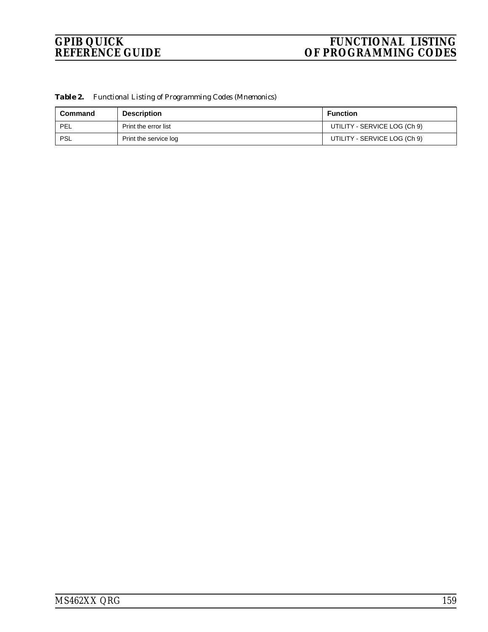| <i>Table 2.</i> |  |  |  |  |  | Functional Listing of Programming Codes (Mnemonics) |
|-----------------|--|--|--|--|--|-----------------------------------------------------|
|-----------------|--|--|--|--|--|-----------------------------------------------------|

| Command | <b>Description</b>    | Function                     |
|---------|-----------------------|------------------------------|
| PEL     | Print the error list  | UTILITY - SERVICE LOG (Ch 9) |
| PSL     | Print the service log | UTILITY - SERVICE LOG (Ch 9) |